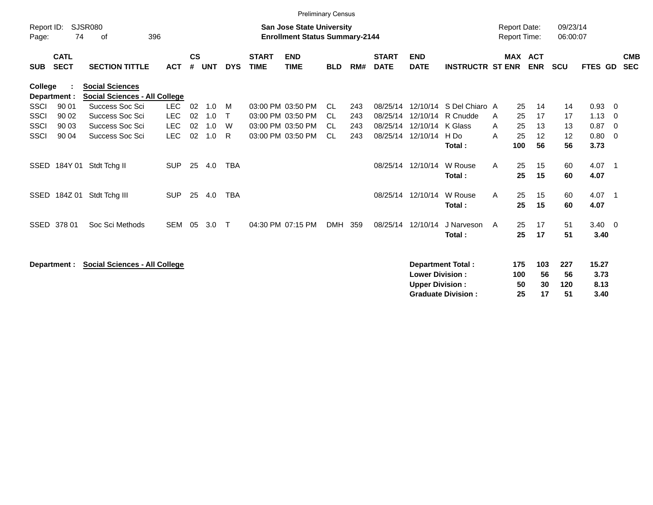|                     |                            |                                                                |            |                    |            |              |                             | <b>Preliminary Census</b>                                                 |            |     |                             |                                                  |                           |   |                  |                                     |                      |                       |                            |                          |
|---------------------|----------------------------|----------------------------------------------------------------|------------|--------------------|------------|--------------|-----------------------------|---------------------------------------------------------------------------|------------|-----|-----------------------------|--------------------------------------------------|---------------------------|---|------------------|-------------------------------------|----------------------|-----------------------|----------------------------|--------------------------|
| Report ID:<br>Page: | 74                         | <b>SJSR080</b><br>396<br>of                                    |            |                    |            |              |                             | <b>San Jose State University</b><br><b>Enrollment Status Summary-2144</b> |            |     |                             |                                                  |                           |   |                  | <b>Report Date:</b><br>Report Time: | 09/23/14<br>06:00:07 |                       |                            |                          |
| <b>SUB</b>          | <b>CATL</b><br><b>SECT</b> | <b>SECTION TITTLE</b>                                          | <b>ACT</b> | $\mathsf{cs}$<br># | <b>UNT</b> | <b>DYS</b>   | <b>START</b><br><b>TIME</b> | <b>END</b><br><b>TIME</b>                                                 | <b>BLD</b> | RM# | <b>START</b><br><b>DATE</b> | <b>END</b><br><b>DATE</b>                        | <b>INSTRUCTR ST ENR</b>   |   |                  | MAX ACT<br><b>ENR</b>               | <b>SCU</b>           | FTES GD               |                            | <b>CMB</b><br><b>SEC</b> |
| College             | Department :               | <b>Social Sciences</b><br><b>Social Sciences - All College</b> |            |                    |            |              |                             |                                                                           |            |     |                             |                                                  |                           |   |                  |                                     |                      |                       |                            |                          |
| SSCI                | 90 01                      | Success Soc Sci                                                | <b>LEC</b> | 02                 | 1.0        | M            |                             | 03:00 PM 03:50 PM                                                         | CL.        | 243 | 08/25/14                    | 12/10/14                                         | S Del Chiaro A            |   | 25               | 14                                  | 14                   | 0.93                  | - 0                        |                          |
| <b>SSCI</b>         | 90 02                      | Success Soc Sci                                                | <b>LEC</b> | 02                 | 1.0        | $\mathsf{T}$ |                             | 03:00 PM 03:50 PM                                                         | <b>CL</b>  | 243 | 08/25/14                    | 12/10/14                                         | R Cnudde                  | A | 25               | 17                                  | 17                   | 1.13                  | - 0                        |                          |
| <b>SSCI</b>         | 90 03                      | Success Soc Sci                                                | <b>LEC</b> | 02                 | 1.0        | W            |                             | 03:00 PM 03:50 PM                                                         | <b>CL</b>  | 243 |                             | 08/25/14 12/10/14                                | K Glass                   | A | 25               | 13                                  | 13                   | 0.87                  | $\overline{0}$             |                          |
| <b>SSCI</b>         | 90 04                      | Success Soc Sci                                                | <b>LEC</b> | 02                 | 1.0        | R            |                             | 03:00 PM 03:50 PM                                                         | <b>CL</b>  | 243 |                             | 08/25/14 12/10/14                                | $H$ Do                    | A | 25               | 12                                  | 12                   | 0.80                  | - 0                        |                          |
|                     |                            |                                                                |            |                    |            |              |                             |                                                                           |            |     |                             |                                                  | Total:                    |   | 100              | 56                                  | 56                   | 3.73                  |                            |                          |
| <b>SSED</b>         | 184Y 01                    | Stdt Tchg II                                                   | <b>SUP</b> | 25                 | 4.0        | <b>TBA</b>   |                             |                                                                           |            |     |                             | 08/25/14 12/10/14                                | W Rouse                   | A | 25               | 15                                  | 60                   | 4.07                  | $\overline{\phantom{0}}$ 1 |                          |
|                     |                            |                                                                |            |                    |            |              |                             |                                                                           |            |     |                             |                                                  | Total:                    |   | 25               | 15                                  | 60                   | 4.07                  |                            |                          |
| SSED                | 184Z 01                    | Stdt Tchg III                                                  | <b>SUP</b> | 25                 | 4.0        | <b>TBA</b>   |                             |                                                                           |            |     |                             | 08/25/14 12/10/14                                | W Rouse                   | A | 25               | 15                                  | 60                   | 4.07                  | $\overline{\phantom{0}}$   |                          |
|                     |                            |                                                                |            |                    |            |              |                             |                                                                           |            |     |                             |                                                  | Total:                    |   | 25               | 15                                  | 60                   | 4.07                  |                            |                          |
|                     | SSED 378 01                | Soc Sci Methods                                                | <b>SEM</b> | 05                 | 3.0        | $\mathsf{T}$ |                             | 04:30 PM 07:15 PM                                                         | <b>DMH</b> | 359 |                             | 08/25/14 12/10/14                                | J Narveson                | A | 25               | 17                                  | 51                   | $3.40 \quad 0$        |                            |                          |
|                     |                            |                                                                |            |                    |            |              |                             |                                                                           |            |     |                             |                                                  | Total:                    |   | 25               | 17                                  | 51                   | 3.40                  |                            |                          |
|                     | Department :               | <b>Social Sciences - All College</b>                           |            |                    |            |              |                             |                                                                           |            |     |                             | <b>Lower Division:</b><br><b>Upper Division:</b> | Department Total:         |   | 175<br>100<br>50 | 103<br>56<br>30                     | 227<br>56<br>120     | 15.27<br>3.73<br>8.13 |                            |                          |
|                     |                            |                                                                |            |                    |            |              |                             |                                                                           |            |     |                             |                                                  | <b>Graduate Division:</b> |   | 25               | 17                                  | 51                   | 3.40                  |                            |                          |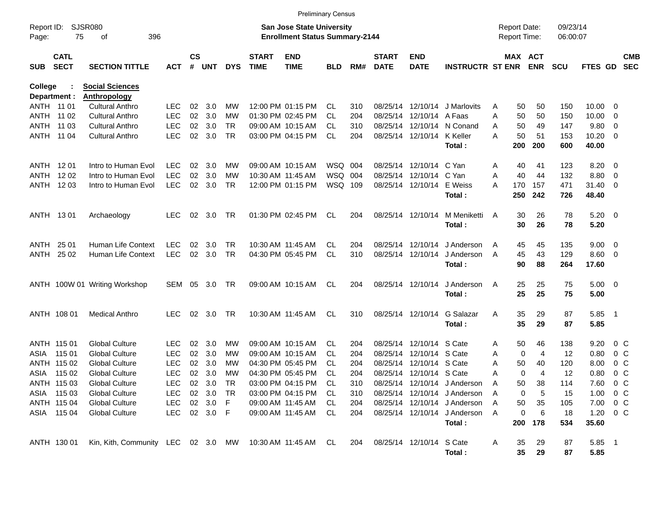|                         |                            |                                                         |            |                |            |            |                             | <b>Preliminary Census</b>                                                 |            |     |                             |                           |                              |                                            |                       |                      |                |                          |                          |
|-------------------------|----------------------------|---------------------------------------------------------|------------|----------------|------------|------------|-----------------------------|---------------------------------------------------------------------------|------------|-----|-----------------------------|---------------------------|------------------------------|--------------------------------------------|-----------------------|----------------------|----------------|--------------------------|--------------------------|
| Report ID:<br>Page:     | 75                         | <b>SJSR080</b><br>396<br>οf                             |            |                |            |            |                             | <b>San Jose State University</b><br><b>Enrollment Status Summary-2144</b> |            |     |                             |                           |                              | <b>Report Date:</b><br><b>Report Time:</b> |                       | 09/23/14<br>06:00:07 |                |                          |                          |
| <b>SUB</b>              | <b>CATL</b><br><b>SECT</b> | <b>SECTION TITTLE</b>                                   | <b>ACT</b> | <b>CS</b><br># | <b>UNT</b> | <b>DYS</b> | <b>START</b><br><b>TIME</b> | <b>END</b><br><b>TIME</b>                                                 | <b>BLD</b> | RM# | <b>START</b><br><b>DATE</b> | <b>END</b><br><b>DATE</b> | <b>INSTRUCTR ST ENR</b>      |                                            | MAX ACT<br><b>ENR</b> | <b>SCU</b>           | <b>FTES GD</b> |                          | <b>CMB</b><br><b>SEC</b> |
| College<br>Department : |                            | <b>Social Sciences</b><br>Anthropology                  |            |                |            |            |                             |                                                                           |            |     |                             |                           |                              |                                            |                       |                      |                |                          |                          |
| ANTH 11 01              |                            | <b>Cultural Anthro</b>                                  | <b>LEC</b> | 02             | 3.0        | МW         |                             | 12:00 PM 01:15 PM                                                         | CL.        | 310 | 08/25/14                    | 12/10/14                  | J Marlovits                  | 50<br>A                                    | 50                    | 150                  | 10.00          | $\overline{\phantom{0}}$ |                          |
| ANTH                    | 11 02                      | <b>Cultural Anthro</b>                                  | <b>LEC</b> | 02             | 3.0        | МW         |                             | 01:30 PM 02:45 PM                                                         | <b>CL</b>  | 204 | 08/25/14                    | 12/10/14                  | A Faas                       | 50<br>Α                                    | 50                    | 150                  | 10.00          | $\overline{\mathbf{0}}$  |                          |
| ANTH                    | 11 03                      | <b>Cultural Anthro</b>                                  | <b>LEC</b> | 02             | 3.0        | <b>TR</b>  |                             | 09:00 AM 10:15 AM                                                         | CL.        | 310 |                             | 08/25/14 12/10/14         | N Conand                     | 50<br>A                                    | 49                    | 147                  | 9.80           | $\overline{\mathbf{0}}$  |                          |
| ANTH                    | 11 04                      | <b>Cultural Anthro</b>                                  | <b>LEC</b> | 02             | 3.0        | <b>TR</b>  |                             | 03:00 PM 04:15 PM                                                         | <b>CL</b>  | 204 |                             | 08/25/14 12/10/14         | K Keller                     | 50<br>Α                                    | 51                    | 153                  | $10.20 \t 0$   |                          |                          |
|                         |                            |                                                         |            |                |            |            |                             |                                                                           |            |     |                             |                           | Total:                       | 200                                        | 200                   | 600                  | 40.00          |                          |                          |
| ANTH 1201               |                            | Intro to Human Evol                                     | <b>LEC</b> | 02             | 3.0        | МW         |                             | 09:00 AM 10:15 AM                                                         | WSQ 004    |     |                             | 08/25/14 12/10/14 C Yan   |                              | 40<br>Α                                    | 41                    | 123                  | 8.20           | $\overline{\phantom{0}}$ |                          |
| ANTH                    | 1202                       | Intro to Human Evol                                     | <b>LEC</b> | 02             | 3.0        | МW         |                             | 10:30 AM 11:45 AM                                                         | WSQ        | 004 | 08/25/14                    | 12/10/14 C Yan            |                              | 40<br>Α                                    | 44                    | 132                  | 8.80           | $\overline{\mathbf{0}}$  |                          |
|                         | ANTH 1203                  | Intro to Human Evol                                     | <b>LEC</b> | 02             | 3.0        | TR         |                             | 12:00 PM 01:15 PM                                                         | WSQ 109    |     |                             | 08/25/14 12/10/14         | E Weiss                      | 170<br>A                                   | 157                   | 471                  | 31.40          | $\overline{\mathbf{0}}$  |                          |
|                         |                            |                                                         |            |                |            |            |                             |                                                                           |            |     |                             |                           | Total:                       | 250                                        | 242                   | 726                  | 48.40          |                          |                          |
| ANTH 1301               |                            | Archaeology                                             | <b>LEC</b> | 02             | 3.0        | TR         |                             | 01:30 PM 02:45 PM                                                         | CL         | 204 |                             | 08/25/14 12/10/14         | M Meniketti                  | 30<br>A                                    | 26                    | 78                   | $5.20 \ 0$     |                          |                          |
|                         |                            |                                                         |            |                |            |            |                             |                                                                           |            |     |                             |                           | Total:                       | 30                                         | 26                    | 78                   | 5.20           |                          |                          |
| ANTH                    | 25 01                      | Human Life Context                                      | <b>LEC</b> | 02             | 3.0        | TR         |                             | 10:30 AM 11:45 AM                                                         | CL.        | 204 | 08/25/14                    | 12/10/14                  | J Anderson                   | 45<br>A                                    | 45                    | 135                  | $9.00 \t 0$    |                          |                          |
| ANTH                    | 25 02                      | Human Life Context                                      | <b>LEC</b> | 02             | 3.0        | TR         |                             | 04:30 PM 05:45 PM                                                         | <b>CL</b>  | 310 |                             | 08/25/14 12/10/14         | J Anderson                   | 45<br>A                                    | 43                    | 129                  | $8.60$ 0       |                          |                          |
|                         |                            |                                                         |            |                |            |            |                             |                                                                           |            |     |                             |                           | Total:                       | 90                                         | 88                    | 264                  | 17.60          |                          |                          |
|                         |                            | ANTH 100W 01 Writing Workshop                           | SEM        | 05             | 3.0        | TR         |                             | 09:00 AM 10:15 AM                                                         | CL.        | 204 |                             | 08/25/14 12/10/14         | J Anderson                   | 25<br>A                                    | 25                    | 75                   | $5.00 \t 0$    |                          |                          |
|                         |                            |                                                         |            |                |            |            |                             |                                                                           |            |     |                             |                           | Total:                       | 25                                         | 25                    | 75                   | 5.00           |                          |                          |
|                         | ANTH 108 01                | <b>Medical Anthro</b>                                   | <b>LEC</b> | 02             | 3.0        | TR         |                             | 10:30 AM 11:45 AM                                                         | CL.        | 310 |                             | 08/25/14 12/10/14         | G Salazar                    | 35<br>Α                                    | 29                    | 87                   | 5.85           | $\overline{\phantom{0}}$ |                          |
|                         |                            |                                                         |            |                |            |            |                             |                                                                           |            |     |                             |                           | Total:                       | 35                                         | 29                    | 87                   | 5.85           |                          |                          |
|                         | ANTH 115 01                | <b>Global Culture</b>                                   | <b>LEC</b> | 02             | 3.0        | МW         |                             | 09:00 AM 10:15 AM                                                         | CL.        | 204 | 08/25/14                    | 12/10/14 S Cate           |                              | 50<br>Α                                    | 46                    | 138                  | 9.20           | 0 <sup>o</sup>           |                          |
| ASIA                    | 115 01                     | <b>Global Culture</b>                                   | <b>LEC</b> | 02             | 3.0        | МW         |                             | 09:00 AM 10:15 AM                                                         | CL.        | 204 | 08/25/14                    | 12/10/14 S Cate           |                              | Α                                          | 0<br>$\overline{4}$   | 12                   | 0.80           | 0 <sup>o</sup>           |                          |
|                         | ANTH 115 02                | <b>Global Culture</b>                                   | <b>LEC</b> | 02             | 3.0        | МW         |                             | 04:30 PM 05:45 PM                                                         | CL.        | 204 | 08/25/14                    | 12/10/14                  | S Cate                       | Α<br>50                                    | 40                    | 120                  | 8.00           | 0 <sup>o</sup>           |                          |
| ASIA                    | 115 02                     | <b>Global Culture</b>                                   | <b>LEC</b> | 02             | 3.0        | MW         |                             | 04:30 PM 05:45 PM                                                         | <b>CL</b>  | 204 |                             | 08/25/14 12/10/14 S Cate  |                              | Α                                          | 0<br>4                | 12                   | 0.80           | 0 <sup>o</sup>           |                          |
|                         | ANTH 115 03                | <b>Global Culture</b>                                   | <b>LEC</b> |                | 02 3.0     | TR         |                             | 03:00 PM 04:15 PM                                                         | CL         | 310 |                             |                           | 08/25/14 12/10/14 J Anderson | A<br>50                                    | 38                    | 114                  | 7.60 0 C       |                          |                          |
|                         | ASIA 115 03                | <b>Global Culture</b>                                   | <b>LEC</b> |                | 02 3.0     | TR -       |                             | 03:00 PM 04:15 PM                                                         | CL.        | 310 |                             |                           | 08/25/14 12/10/14 J Anderson | Α                                          | 0<br>5                | 15                   | $1.00 \t 0 C$  |                          |                          |
|                         | ANTH 115 04                | <b>Global Culture</b>                                   | LEC        |                | 02 3.0 F   |            |                             | 09:00 AM 11:45 AM                                                         | CL.        | 204 |                             |                           | 08/25/14 12/10/14 J Anderson | 50<br>Α                                    | 35                    | 105                  | 7.00 0 C       |                          |                          |
|                         | ASIA 115 04                | <b>Global Culture</b>                                   | LEC        |                | 02 3.0 F   |            |                             | 09:00 AM 11:45 AM                                                         | CL         | 204 |                             |                           | 08/25/14 12/10/14 J Anderson | A                                          | 0<br>6                | 18                   | $1.20 \t 0 C$  |                          |                          |
|                         |                            |                                                         |            |                |            |            |                             |                                                                           |            |     |                             |                           | Total:                       | 200                                        | 178                   | 534                  | 35.60          |                          |                          |
|                         | ANTH 130 01                | Kin, Kith, Community LEC 02 3.0 MW 10:30 AM 11:45 AM CL |            |                |            |            |                             |                                                                           |            | 204 |                             | 08/25/14 12/10/14 S Cate  |                              | 35<br>A                                    | 29                    | 87                   | $5.85$ 1       |                          |                          |
|                         |                            |                                                         |            |                |            |            |                             |                                                                           |            |     |                             |                           | Total:                       | 35                                         | 29                    | 87                   | 5.85           |                          |                          |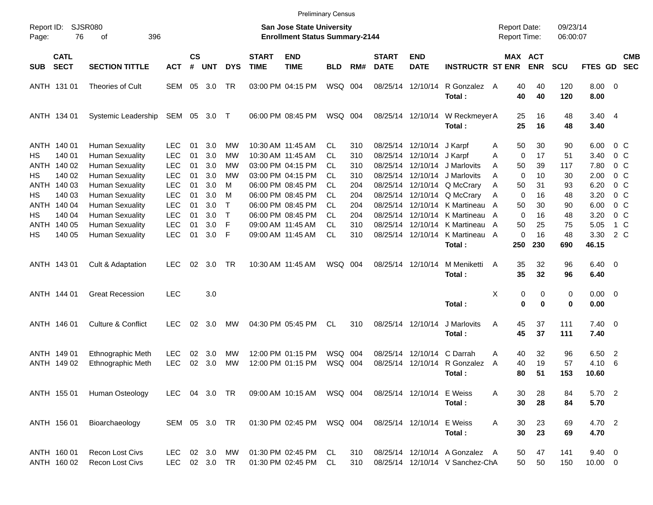|            |                                                 |                               |               |                |            |                              |                             |                                                                    | <b>Preliminary Census</b> |     |                             |                           |                                                       |                                     |                       |          |                      |                        |                            |                          |
|------------|-------------------------------------------------|-------------------------------|---------------|----------------|------------|------------------------------|-----------------------------|--------------------------------------------------------------------|---------------------------|-----|-----------------------------|---------------------------|-------------------------------------------------------|-------------------------------------|-----------------------|----------|----------------------|------------------------|----------------------------|--------------------------|
| Page:      | <b>SJSR080</b><br>Report ID:<br>76<br>396<br>οf |                               |               |                |            |                              |                             | San Jose State University<br><b>Enrollment Status Summary-2144</b> |                           |     |                             |                           |                                                       | <b>Report Date:</b><br>Report Time: |                       |          | 09/23/14<br>06:00:07 |                        |                            |                          |
| <b>SUB</b> | <b>CATL</b><br><b>SECT</b>                      | <b>SECTION TITTLE</b>         | <b>ACT</b>    | <b>CS</b><br># | <b>UNT</b> | <b>DYS</b>                   | <b>START</b><br><b>TIME</b> | <b>END</b><br><b>TIME</b>                                          | <b>BLD</b>                | RM# | <b>START</b><br><b>DATE</b> | <b>END</b><br><b>DATE</b> | <b>INSTRUCTR ST ENR</b>                               |                                     | MAX ACT<br><b>ENR</b> |          | <b>SCU</b>           | FTES GD                |                            | <b>CMB</b><br><b>SEC</b> |
|            | ANTH 131 01                                     | Theories of Cult              | <b>SEM</b>    | 05             | 3.0        | TR                           |                             | 03:00 PM 04:15 PM                                                  | WSQ 004                   |     |                             | 08/25/14 12/10/14         | R Gonzalez A<br>Total:                                |                                     | 40<br>40              | 40<br>40 | 120<br>120           | $8.00 \ 0$<br>8.00     |                            |                          |
|            | ANTH 134 01                                     | Systemic Leadership           | SEM           |                | 05 3.0 T   |                              |                             | 06:00 PM 08:45 PM                                                  | WSQ 004                   |     |                             | 08/25/14 12/10/14         | W Reckmeyer A<br>Total:                               |                                     | 25<br>25              | 16<br>16 | 48<br>48             | $3.40 \quad 4$<br>3.40 |                            |                          |
|            | ANTH 140 01                                     | <b>Human Sexuality</b>        | <b>LEC</b>    | 01             | 3.0        | MW                           |                             | 10:30 AM 11:45 AM                                                  | СL                        | 310 |                             | 08/25/14 12/10/14         | J Karpf                                               | Α                                   | 50                    | 30       | 90                   | 6.00                   | 0 C                        |                          |
| НS         | 140 01                                          | <b>Human Sexuality</b>        | <b>LEC</b>    | 01             | 3.0        | MW                           |                             | 10:30 AM 11:45 AM                                                  | СL                        | 310 |                             | 08/25/14 12/10/14 J Karpf |                                                       | A                                   | 0                     | 17       | 51                   | 3.40                   | $0\,$ C                    |                          |
|            | ANTH 140 02                                     | <b>Human Sexuality</b>        | <b>LEC</b>    | 01             | 3.0        | MW                           |                             | 03:00 PM 04:15 PM                                                  | CL                        | 310 |                             | 08/25/14 12/10/14         | J Marlovits                                           | A                                   | 50                    | 39       | 117                  | 7.80                   | $0\,$ C                    |                          |
| НS         | 140 02                                          | <b>Human Sexuality</b>        | <b>LEC</b>    | 01             | 3.0        | MW                           |                             | 03:00 PM 04:15 PM                                                  | СL                        | 310 |                             | 08/25/14 12/10/14         | J Marlovits                                           | Α                                   | 0                     | 10       | 30                   | 2.00                   | $0\,$ C                    |                          |
|            | ANTH 140 03                                     | <b>Human Sexuality</b>        | <b>LEC</b>    | 01             | 3.0        | м                            |                             | 06:00 PM 08:45 PM<br>06:00 PM 08:45 PM                             | СL                        | 204 |                             |                           | 08/25/14 12/10/14 Q McCrary                           | Α                                   | 50                    | 31       | 93                   | 6.20                   | $0\,$ C                    |                          |
| НS         | 140 03                                          | <b>Human Sexuality</b>        | <b>LEC</b>    | 01             | 3.0        | м                            |                             | 06:00 PM 08:45 PM                                                  | СL                        | 204 |                             |                           | 08/25/14 12/10/14 Q McCrary                           | Α                                   | 0                     | 16       | 48                   | 3.20                   | 0 <sup>o</sup>             |                          |
|            | ANTH 140 04                                     | <b>Human Sexuality</b>        | <b>LEC</b>    | 01             | 3.0<br>3.0 | $\mathsf{T}$<br>$\mathsf{T}$ |                             | 06:00 PM 08:45 PM                                                  | СL<br>CL                  | 204 |                             |                           | 08/25/14 12/10/14 K Martineau<br>12/10/14 K Martineau | A                                   | 50<br>$\Omega$        | 30<br>16 | 90                   | 6.00                   | $0\,$ C                    |                          |
| НS         | 140 04                                          | <b>Human Sexuality</b>        | <b>LEC</b>    | 01             | 3.0        | F                            |                             |                                                                    |                           | 204 | 08/25/14                    | 12/10/14                  |                                                       | A                                   |                       |          | 48                   | 3.20                   | $0\,$ C                    |                          |
| ANTH       | 140 05                                          | <b>Human Sexuality</b>        | <b>LEC</b>    | 01             |            | F                            |                             | 09:00 AM 11:45 AM                                                  | СL                        | 310 | 08/25/14                    |                           | K Martineau                                           | A                                   | 50<br>0               | 25<br>16 | 75<br>48             | 5.05                   | 1 C                        |                          |
| HS         | 140 05                                          | <b>Human Sexuality</b>        | <b>LEC</b>    | 01             | 3.0        |                              |                             | 09:00 AM 11:45 AM                                                  | <b>CL</b>                 | 310 |                             | 08/25/14 12/10/14         | K Martineau<br>Total:                                 | A<br>250                            | 230                   |          | 690                  | 3.30<br>46.15          | 2 C                        |                          |
|            | ANTH 143 01                                     | Cult & Adaptation             | <b>LEC</b>    | 02             | 3.0        | TR                           |                             | 10:30 AM 11:45 AM                                                  | WSQ 004                   |     |                             | 08/25/14 12/10/14         | M Meniketti                                           | A                                   | 35                    | 32       | 96                   | $6.40 \quad 0$         |                            |                          |
|            |                                                 |                               |               |                |            |                              |                             |                                                                    |                           |     |                             |                           | Total:                                                |                                     | 35                    | 32       | 96                   | 6.40                   |                            |                          |
|            | ANTH 144 01                                     | <b>Great Recession</b>        | <b>LEC</b>    |                | 3.0        |                              |                             |                                                                    |                           |     |                             |                           |                                                       | х                                   | 0                     | 0        | 0                    | $0.00 \t 0$            |                            |                          |
|            |                                                 |                               |               |                |            |                              |                             |                                                                    |                           |     |                             |                           | Total:                                                |                                     | 0                     | $\bf{0}$ | 0                    | 0.00                   |                            |                          |
|            | ANTH 146 01                                     | <b>Culture &amp; Conflict</b> | LEC           | 02             | 3.0        | МW                           |                             | 04:30 PM 05:45 PM                                                  | CL                        | 310 |                             | 08/25/14 12/10/14         | J Marlovits                                           | Α                                   | 45                    | 37       | 111                  | $7.40 \ 0$             |                            |                          |
|            |                                                 |                               |               |                |            |                              |                             |                                                                    |                           |     |                             |                           | Total:                                                |                                     | 45                    | 37       | 111                  | 7.40                   |                            |                          |
|            | ANTH 149 01                                     | Ethnographic Meth             | <b>LEC</b>    | 02             | 3.0        | MW                           |                             | 12:00 PM 01:15 PM                                                  | WSQ 004                   |     | 08/25/14                    | 12/10/14                  | C Darrah                                              | Α                                   | 40                    | 32       | 96                   | 6.50                   | $\overline{\phantom{0}}^2$ |                          |
|            | ANTH 149 02                                     | Ethnographic Meth             | <b>LEC</b>    | 02             | 3.0        | <b>MW</b>                    |                             | 12:00 PM 01:15 PM                                                  | WSQ 004                   |     |                             | 08/25/14 12/10/14         | R Gonzalez                                            | A                                   | 40                    | 19       | 57                   | 4.10                   | -6                         |                          |
|            |                                                 |                               |               |                |            |                              |                             |                                                                    |                           |     |                             |                           | Total:                                                |                                     | 80                    | 51       | 153                  | 10.60                  |                            |                          |
|            | ANTH 155 01                                     | Human Osteology               | LEC 04 3.0 TR |                |            |                              |                             | 09:00 AM 10:15 AM   WSQ   004                                      |                           |     |                             | 08/25/14 12/10/14 E Weiss |                                                       | Α                                   | 30                    | 28       | 84                   | 5.70 2                 |                            |                          |
|            |                                                 |                               |               |                |            |                              |                             |                                                                    |                           |     |                             |                           | Total:                                                |                                     | 30                    | 28       | 84                   | 5.70                   |                            |                          |
|            | ANTH 156 01                                     | Bioarchaeology                | SEM 05 3.0 TR |                |            |                              |                             | 01:30 PM 02:45 PM WSQ 004                                          |                           |     |                             | 08/25/14 12/10/14         | E Weiss                                               | Α                                   | 30                    | 23       | 69                   | 4.70 2                 |                            |                          |
|            |                                                 |                               |               |                |            |                              |                             |                                                                    |                           |     |                             |                           | Total:                                                |                                     | 30                    | 23       | 69                   | 4.70                   |                            |                          |
|            | ANTH 160 01                                     | Recon Lost Civs               | LEC.          |                | 02 3.0     | МW                           |                             | 01:30 PM 02:45 PM CL                                               |                           | 310 |                             |                           | 08/25/14 12/10/14 A Gonzalez A                        |                                     | 50                    | 47       | 141                  | $9.40 \quad 0$         |                            |                          |
|            | ANTH 160 02                                     | Recon Lost Civs               | LEC           |                | 02 3.0 TR  |                              |                             | 01:30 PM 02:45 PM                                                  | CL                        | 310 |                             |                           | 08/25/14 12/10/14 V Sanchez-ChA                       |                                     | 50                    | 50       | 150                  | $10.00 \t 0$           |                            |                          |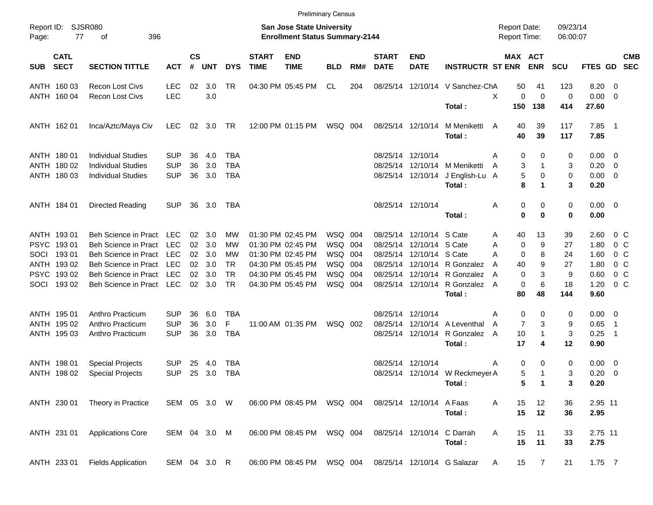|                     |                            |                             |              |                    |            |            |                             |                                                                           | <b>Preliminary Census</b> |     |                             |                           |                                            |                                     |                |                      |                     |         |                |
|---------------------|----------------------------|-----------------------------|--------------|--------------------|------------|------------|-----------------------------|---------------------------------------------------------------------------|---------------------------|-----|-----------------------------|---------------------------|--------------------------------------------|-------------------------------------|----------------|----------------------|---------------------|---------|----------------|
| Report ID:<br>Page: | 77                         | <b>SJSR080</b><br>396<br>οf |              |                    |            |            |                             | <b>San Jose State University</b><br><b>Enrollment Status Summary-2144</b> |                           |     |                             |                           |                                            | <b>Report Date:</b><br>Report Time: |                | 09/23/14<br>06:00:07 |                     |         |                |
| <b>SUB</b>          | <b>CATL</b><br><b>SECT</b> | <b>SECTION TITTLE</b>       | <b>ACT</b>   | $\mathsf{cs}$<br># | <b>UNT</b> | <b>DYS</b> | <b>START</b><br><b>TIME</b> | <b>END</b><br><b>TIME</b>                                                 | <b>BLD</b>                | RM# | <b>START</b><br><b>DATE</b> | <b>END</b><br><b>DATE</b> | <b>INSTRUCTR ST ENR</b>                    | MAX ACT                             | <b>ENR</b>     | <b>SCU</b>           | FTES GD SEC         |         | <b>CMB</b>     |
|                     | ANTH 160 03                | <b>Recon Lost Civs</b>      | <b>LEC</b>   | 02                 | 3.0        | <b>TR</b>  |                             | 04:30 PM 05:45 PM                                                         | CL                        | 204 |                             |                           | 08/25/14 12/10/14 V Sanchez-ChA            | 50                                  | 41             | 123                  | $8.20 \ 0$          |         |                |
|                     | ANTH 160 04                | Recon Lost Civs             | <b>LEC</b>   |                    | 3.0        |            |                             |                                                                           |                           |     |                             |                           |                                            | X<br>0                              | $\mathbf 0$    | 0                    | $0.00 \t 0$         |         |                |
|                     |                            |                             |              |                    |            |            |                             |                                                                           |                           |     |                             |                           | Total:                                     | 150                                 | 138            | 414                  | 27.60               |         |                |
|                     | ANTH 162 01                | Inca/Aztc/Maya Civ          | LEC.         |                    | 02 3.0     | TR         |                             | 12:00 PM 01:15 PM                                                         | WSQ 004                   |     |                             | 08/25/14 12/10/14         | M Meniketti<br>Total:                      | 40<br>A<br>40                       | 39<br>39       | 117<br>117           | $7.85$ 1<br>7.85    |         |                |
|                     |                            |                             |              |                    |            |            |                             |                                                                           |                           |     |                             |                           |                                            |                                     |                |                      |                     |         |                |
|                     | ANTH 180 01                | <b>Individual Studies</b>   | <b>SUP</b>   | 36                 | 4.0        | TBA        |                             |                                                                           |                           |     |                             | 08/25/14 12/10/14         |                                            | 0<br>A                              | 0              | 0                    | $0.00 \t 0$         |         |                |
|                     | ANTH 180 02                | <b>Individual Studies</b>   | <b>SUP</b>   | 36                 | 3.0        | <b>TBA</b> |                             |                                                                           |                           |     |                             |                           | 08/25/14 12/10/14 M Meniketti              | 3<br>A                              | 1              | 3                    | $0.20 \ 0$          |         |                |
|                     | ANTH 180 03                | <b>Individual Studies</b>   | <b>SUP</b>   | 36                 | 3.0        | <b>TBA</b> |                             |                                                                           |                           |     |                             |                           | 08/25/14 12/10/14 J English-Lu A<br>Total: | 5<br>8                              | 0<br>1         | 0<br>3               | $0.00 \t 0$<br>0.20 |         |                |
|                     | ANTH 184 01                | Directed Reading            | <b>SUP</b>   |                    | 36 3.0     | TBA        |                             |                                                                           |                           |     |                             | 08/25/14 12/10/14         |                                            | 0<br>Α                              | 0              | 0                    | $0.00 \t 0$         |         |                |
|                     |                            |                             |              |                    |            |            |                             |                                                                           |                           |     |                             |                           | Total:                                     | $\bf{0}$                            | $\bf{0}$       | 0                    | 0.00                |         |                |
|                     | ANTH 193 01                | Beh Science in Pract        | LEC          | 02                 | 3.0        | MW         |                             | 01:30 PM 02:45 PM                                                         | WSQ 004                   |     |                             | 08/25/14 12/10/14 S Cate  |                                            | 40<br>Α                             | 13             | 39                   | 2.60                | $0\,$ C |                |
|                     | PSYC 19301                 | <b>Beh Science in Pract</b> | <b>LEC</b>   | 02                 | 3.0        | MW         |                             | 01:30 PM 02:45 PM                                                         | WSQ 004                   |     |                             | 08/25/14 12/10/14 S Cate  |                                            | Α<br>0                              | 9              | 27                   | 1.80                |         | 0 <sup>o</sup> |
| SOCI                | 19301                      | <b>Beh Science in Pract</b> | <b>LEC</b>   | 02                 | 3.0        | MW         |                             | 01:30 PM 02:45 PM                                                         | WSQ 004                   |     |                             | 08/25/14 12/10/14 S Cate  |                                            | 0<br>A                              | 8              | 24                   | 1.60                |         | 0 <sup>o</sup> |
|                     | ANTH 193 02                | <b>Beh Science in Pract</b> | <b>LEC</b>   | 02                 | 3.0        | <b>TR</b>  |                             | 04:30 PM 05:45 PM                                                         | WSQ 004                   |     |                             |                           | 08/25/14 12/10/14 R Gonzalez               | 40<br>A                             | 9              | 27                   | 1.80                |         | 0 <sup>o</sup> |
|                     | PSYC 193 02                | <b>Beh Science in Pract</b> | <b>LEC</b>   | 02                 | 3.0        | <b>TR</b>  |                             | 04:30 PM 05:45 PM                                                         | WSQ 004                   |     |                             |                           | 08/25/14 12/10/14 R Gonzalez               | $\Omega$<br>A                       | 3              | 9                    | 0.60                |         | 0 <sup>o</sup> |
|                     | SOCI 193 02                | Beh Science in Pract        | LEC          |                    | 02 3.0     | <b>TR</b>  |                             | 04:30 PM 05:45 PM                                                         | WSQ 004                   |     |                             |                           | 08/25/14 12/10/14 R Gonzalez               | $\mathbf 0$<br>A                    | 6              | 18                   | 1.20                |         | 0 <sup>o</sup> |
|                     |                            |                             |              |                    |            |            |                             |                                                                           |                           |     |                             |                           | Total:                                     | 80                                  | 48             | 144                  | 9.60                |         |                |
|                     | ANTH 195 01                | Anthro Practicum            | <b>SUP</b>   | 36                 | 6.0        | TBA        |                             |                                                                           |                           |     |                             | 08/25/14 12/10/14         |                                            | 0<br>Α                              | 0              | 0                    | $0.00 \t 0$         |         |                |
|                     | ANTH 195 02                | Anthro Practicum            | <b>SUP</b>   | 36                 | 3.0        | F          |                             | 11:00 AM 01:35 PM                                                         | WSQ 002                   |     |                             |                           | 08/25/14 12/10/14 A Leventhal              | $\overline{7}$<br>A                 | 3              | 9                    | 0.65                | - 1     |                |
|                     | ANTH 195 03                | Anthro Practicum            | <b>SUP</b>   | 36                 | 3.0        | <b>TBA</b> |                             |                                                                           |                           |     |                             | 08/25/14 12/10/14         | R Gonzalez                                 | 10<br>A                             | 1              | 3                    | 0.25                | - 1     |                |
|                     |                            |                             |              |                    |            |            |                             |                                                                           |                           |     |                             |                           | Total:                                     | 17                                  | 4              | 12                   | 0.90                |         |                |
|                     | ANTH 198 01                | <b>Special Projects</b>     | <b>SUP</b>   | 25                 | 4.0        | <b>TBA</b> |                             |                                                                           |                           |     |                             | 08/25/14 12/10/14         |                                            | 0<br>A                              | 0              | 0                    | $0.00 \t 0$         |         |                |
|                     | ANTH 198 02                | <b>Special Projects</b>     | <b>SUP</b>   | 25                 | 3.0        | TBA        |                             |                                                                           |                           |     |                             |                           | 08/25/14 12/10/14 W Reckmeyer A            | 5                                   | 1              | 3                    | $0.20 \ 0$          |         |                |
|                     |                            |                             |              |                    |            |            |                             |                                                                           |                           |     |                             |                           | Total:                                     | 5                                   | $\blacksquare$ | 3                    | 0.20                |         |                |
|                     | ANTH 230 01                | Theory in Practice          | SEM 05 3.0 W |                    |            |            |                             | 06:00 PM 08:45 PM                                                         | WSQ 004                   |     |                             | 08/25/14 12/10/14         | A Faas                                     | 15<br>A                             | 12             | 36                   | 2.95 11             |         |                |
|                     |                            |                             |              |                    |            |            |                             |                                                                           |                           |     |                             |                           | Total:                                     | 15                                  | 12             | 36                   | 2.95                |         |                |
|                     | ANTH 231 01                | <b>Applications Core</b>    | SEM 04 3.0 M |                    |            |            |                             | 06:00 PM 08:45 PM                                                         | WSQ 004                   |     |                             | 08/25/14 12/10/14         | C Darrah                                   | 15<br>Α                             | 11             | 33                   | 2.75 11             |         |                |
|                     |                            |                             |              |                    |            |            |                             |                                                                           |                           |     |                             |                           | Total:                                     | 15                                  | 11             | 33                   | 2.75                |         |                |
|                     | ANTH 233 01                | <b>Fields Application</b>   | SEM 04 3.0 R |                    |            |            |                             | 06:00 PM 08:45 PM                                                         | WSQ 004                   |     |                             |                           | 08/25/14 12/10/14 G Salazar                | 15<br>A                             | $\overline{7}$ | 21                   | $1.75$ 7            |         |                |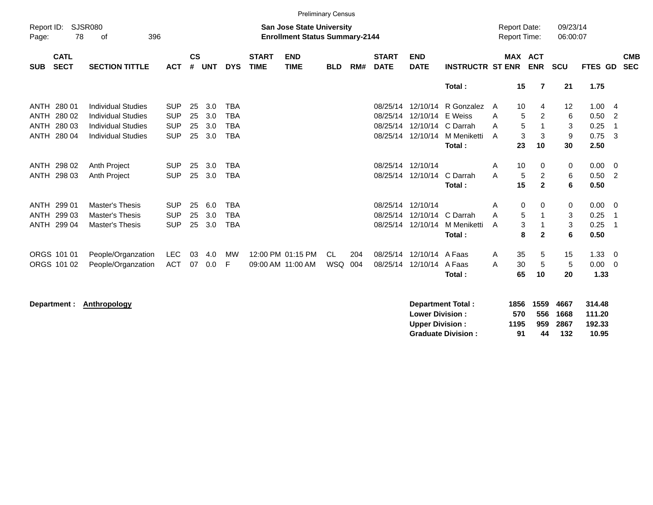|                            |                            |                                                        |                          |                    |            |                          |                             |                                                                           | <b>Preliminary Census</b> |     |                             |                           |                          |                                            |                                       |                        |                  |                                  |
|----------------------------|----------------------------|--------------------------------------------------------|--------------------------|--------------------|------------|--------------------------|-----------------------------|---------------------------------------------------------------------------|---------------------------|-----|-----------------------------|---------------------------|--------------------------|--------------------------------------------|---------------------------------------|------------------------|------------------|----------------------------------|
| Report ID:<br>Page:        | 78                         | SJSR080<br>396<br>οf                                   |                          |                    |            |                          |                             | <b>San Jose State University</b><br><b>Enrollment Status Summary-2144</b> |                           |     |                             |                           |                          | <b>Report Date:</b><br><b>Report Time:</b> |                                       | 09/23/14<br>06:00:07   |                  |                                  |
| <b>SUB</b>                 | <b>CATL</b><br><b>SECT</b> | <b>SECTION TITTLE</b>                                  | <b>ACT</b>               | $\mathsf{cs}$<br># | <b>UNT</b> | <b>DYS</b>               | <b>START</b><br><b>TIME</b> | <b>END</b><br><b>TIME</b>                                                 | <b>BLD</b>                | RM# | <b>START</b><br><b>DATE</b> | <b>END</b><br><b>DATE</b> | <b>INSTRUCTR ST ENR</b>  |                                            | <b>MAX ACT</b><br><b>ENR</b>          | <b>SCU</b>             | FTES GD          | <b>CMB</b><br><b>SEC</b>         |
|                            |                            |                                                        |                          |                    |            |                          |                             |                                                                           |                           |     |                             |                           | Total:                   | 15                                         | $\overline{7}$                        | 21                     | 1.75             |                                  |
| ANTH                       | 280 01<br>280 02           | <b>Individual Studies</b>                              | <b>SUP</b><br><b>SUP</b> | 25                 | 3.0        | <b>TBA</b><br><b>TBA</b> |                             |                                                                           |                           |     | 08/25/14<br>08/25/14        | 12/10/14<br>12/10/14      | R Gonzalez<br>E Weiss    | 10<br>A                                    | 4                                     | 12                     | 1.00             | - 4                              |
| <b>ANTH</b><br><b>ANTH</b> | 280 03                     | <b>Individual Studies</b><br><b>Individual Studies</b> | <b>SUP</b>               | 25<br>25           | 3.0<br>3.0 | <b>TBA</b>               |                             |                                                                           |                           |     | 08/25/14                    | 12/10/14                  | C Darrah                 | A<br>A                                     | $\overline{2}$<br>5<br>5<br>1         | 6<br>$\sqrt{3}$        | 0.50<br>0.25     | $\overline{2}$<br>$\overline{1}$ |
| <b>ANTH</b>                | 280 04                     | <b>Individual Studies</b>                              | <b>SUP</b>               | 25                 | 3.0        | <b>TBA</b>               |                             |                                                                           |                           |     | 08/25/14                    | 12/10/14                  | M Meniketti<br>Total:    | A<br>23                                    | 3<br>$\mathbf{3}$<br>10               | $\boldsymbol{9}$<br>30 | 0.75<br>2.50     | -3                               |
|                            |                            |                                                        |                          |                    |            |                          |                             |                                                                           |                           |     |                             |                           |                          |                                            |                                       |                        |                  |                                  |
| ANTH                       | 298 02                     | Anth Project                                           | <b>SUP</b>               | 25                 | 3.0        | <b>TBA</b>               |                             |                                                                           |                           |     | 08/25/14                    | 12/10/14                  | C Darrah                 | 10<br>A<br>A                               | 0                                     | 0                      | 0.00             | $\overline{\mathbf{0}}$          |
| ANTH                       | 298 03                     | Anth Project                                           | <b>SUP</b>               | 25                 | 3.0        | <b>TBA</b>               |                             |                                                                           |                           |     | 08/25/14                    | 12/10/14                  | Total:                   | 15                                         | $\overline{2}$<br>5<br>$\overline{2}$ | 6<br>6                 | 0.50<br>0.50     | $\overline{2}$                   |
| ANTH                       | 299 01                     | Master's Thesis                                        | <b>SUP</b>               | 25                 | 6.0        | <b>TBA</b>               |                             |                                                                           |                           |     | 08/25/14                    | 12/10/14                  |                          | A                                          | 0<br>0                                | 0                      | 0.00             | $\overline{0}$                   |
| ANTH                       | 299 03                     | <b>Master's Thesis</b>                                 | <b>SUP</b>               | 25                 | 3.0        | <b>TBA</b>               |                             |                                                                           |                           |     | 08/25/14                    | 12/10/14                  | C Darrah                 | A                                          | 5<br>$\mathbf 1$                      | 3                      | 0.25             | $\overline{1}$                   |
| ANTH                       | 299 04                     | Master's Thesis                                        | <b>SUP</b>               | 25                 | 3.0        | <b>TBA</b>               |                             |                                                                           |                           |     | 08/25/14                    | 12/10/14                  | M Meniketti<br>Total:    | A                                          | 3<br>8<br>$\mathbf{2}$                | 3<br>6                 | 0.25<br>0.50     | $\overline{1}$                   |
|                            | ORGS 101 01                | People/Organzation                                     | <b>LEC</b>               | 03                 | 4.0        | МW                       |                             | 12:00 PM 01:15 PM                                                         | CL.                       | 204 | 08/25/14                    | 12/10/14                  | A Faas                   | 35<br>A                                    | 5                                     | 15                     | 1.33             | $\overline{\mathbf{0}}$          |
|                            | ORGS 101 02                | People/Organzation                                     | <b>ACT</b>               | 07                 | 0.0        | F                        |                             | 09:00 AM 11:00 AM                                                         | <b>WSQ</b>                | 004 | 08/25/14                    | 12/10/14                  | A Faas<br>Total:         | 30<br>A<br>65                              | $\sqrt{5}$<br>10                      | $\sqrt{5}$<br>20       | 0.00<br>1.33     | $\overline{0}$                   |
|                            | Department :               | Anthropology                                           |                          |                    |            |                          |                             |                                                                           |                           |     |                             | <b>Lower Division:</b>    | <b>Department Total:</b> | 1856<br>570                                | 1559<br>556                           | 4667<br>1668           | 314.48<br>111.20 |                                  |

**Upper Division : 1195 959 2867 192.33**

**Graduate Division :**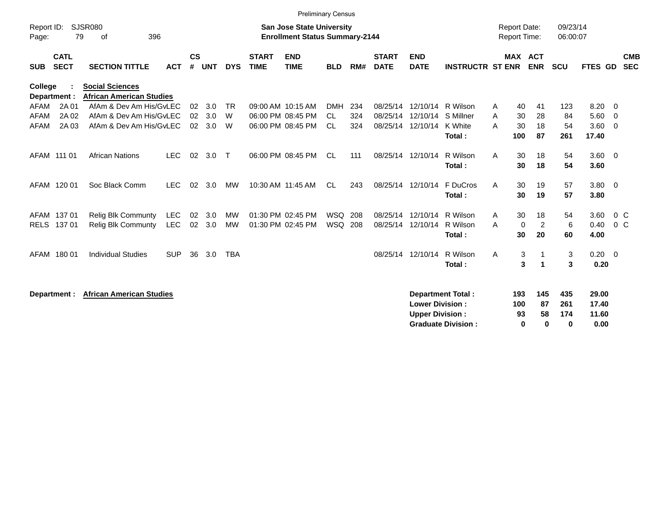|                     |                            |                                                           |            |                 |            |              |                             | <b>Preliminary Census</b>                                                 |                |     |                             |                                                  |                                                       |                                     |                       |                             |                        |                                 |                          |                          |
|---------------------|----------------------------|-----------------------------------------------------------|------------|-----------------|------------|--------------|-----------------------------|---------------------------------------------------------------------------|----------------|-----|-----------------------------|--------------------------------------------------|-------------------------------------------------------|-------------------------------------|-----------------------|-----------------------------|------------------------|---------------------------------|--------------------------|--------------------------|
| Report ID:<br>Page: | 79                         | <b>SJSR080</b><br>396<br>of                               |            |                 |            |              |                             | <b>San Jose State University</b><br><b>Enrollment Status Summary-2144</b> |                |     |                             |                                                  |                                                       | <b>Report Date:</b><br>Report Time: |                       |                             | 09/23/14<br>06:00:07   |                                 |                          |                          |
| <b>SUB</b>          | <b>CATL</b><br><b>SECT</b> | <b>SECTION TITTLE</b>                                     | <b>ACT</b> | <b>CS</b><br>#  | <b>UNT</b> | <b>DYS</b>   | <b>START</b><br><b>TIME</b> | <b>END</b><br><b>TIME</b>                                                 | <b>BLD</b>     | RM# | <b>START</b><br><b>DATE</b> | <b>END</b><br><b>DATE</b>                        | <b>INSTRUCTR ST ENR</b>                               |                                     |                       | MAX ACT<br><b>ENR</b>       | <b>SCU</b>             | FTES GD                         |                          | <b>CMB</b><br><b>SEC</b> |
| College             | Department :               | <b>Social Sciences</b><br><b>African American Studies</b> |            |                 |            |              |                             |                                                                           |                |     |                             |                                                  |                                                       |                                     |                       |                             |                        |                                 |                          |                          |
| AFAM                | 2A 01                      | AfAm & Dev Am His/GvLEC                                   |            | 02              | 3.0        | <b>TR</b>    |                             | 09:00 AM 10:15 AM                                                         | <b>DMH</b>     | 234 |                             | 08/25/14 12/10/14                                | R Wilson                                              | Α                                   | 40                    | 41                          | 123                    | 8.20                            | $\overline{\phantom{0}}$ |                          |
| <b>AFAM</b>         | 2A 02                      | AfAm & Dev Am His/GvLEC                                   |            | 02              | 3.0        | W            |                             | 06:00 PM 08:45 PM                                                         | <b>CL</b>      | 324 | 08/25/14                    | 12/10/14                                         | S Millner                                             | A                                   | 30                    | 28                          | 84                     | 5.60                            | $\overline{0}$           |                          |
| AFAM                | 2A 03                      | AfAm & Dev Am His/GyLEC                                   |            | 02 <sub>2</sub> | 3.0        | W            |                             | 06:00 PM 08:45 PM                                                         | <b>CL</b>      | 324 |                             | 08/25/14 12/10/14                                | K White<br>Total:                                     | A                                   | 30<br>100             | 18<br>87                    | 54<br>261              | 3.60<br>17.40                   | $\overline{\mathbf{0}}$  |                          |
|                     | AFAM 111 01                | <b>African Nations</b>                                    | <b>LEC</b> | 02              | 3.0        | $\mathsf{T}$ |                             | 06:00 PM 08:45 PM                                                         | <b>CL</b>      | 111 | 08/25/14 12/10/14           |                                                  | R Wilson<br>Total:                                    | A                                   | 30<br>30              | 18<br>18                    | 54<br>54               | $3.60 \ 0$<br>3.60              |                          |                          |
|                     | AFAM 120 01                | Soc Black Comm                                            | <b>LEC</b> | 02              | 3.0        | MW           |                             | 10:30 AM 11:45 AM                                                         | <b>CL</b>      | 243 |                             | 08/25/14 12/10/14                                | F DuCros<br>Total:                                    | A                                   | 30<br>30              | 19<br>19                    | 57<br>57               | $3.80\ 0$<br>3.80               |                          |                          |
|                     | AFAM 137 01                | <b>Relig Blk Communty</b>                                 | LEC        | 02              | 3.0        | MW           |                             | 01:30 PM 02:45 PM                                                         | WSQ 208        |     | 08/25/14                    | 12/10/14                                         | R Wilson                                              | A                                   | 30                    | 18                          | 54                     | 3.60                            | 0 <sup>C</sup>           |                          |
| <b>RELS</b>         | 13701                      | Relig Blk Communty                                        | <b>LEC</b> | 02              | 3.0        | <b>MW</b>    |                             | 01:30 PM 02:45 PM                                                         | <b>WSQ 208</b> |     |                             | 08/25/14 12/10/14                                | R Wilson<br>Total:                                    | A                                   | $\mathbf 0$<br>30     | $\overline{c}$<br>20        | 6<br>60                | 0.40<br>4.00                    | $0\,C$                   |                          |
|                     | AFAM 180 01                | <b>Individual Studies</b>                                 | <b>SUP</b> | 36              | 3.0        | <b>TBA</b>   |                             |                                                                           |                |     |                             | 08/25/14 12/10/14                                | R Wilson<br>Total:                                    | Α                                   | 3<br>3                | -1                          | 3<br>3                 | $0.20 \ 0$<br>0.20              |                          |                          |
|                     | Department :               | <b>African American Studies</b>                           |            |                 |            |              |                             |                                                                           |                |     |                             | <b>Lower Division:</b><br><b>Upper Division:</b> | <b>Department Total:</b><br><b>Graduate Division:</b> |                                     | 193<br>100<br>93<br>0 | 145<br>87<br>58<br>$\bf{0}$ | 435<br>261<br>174<br>0 | 29.00<br>17.40<br>11.60<br>0.00 |                          |                          |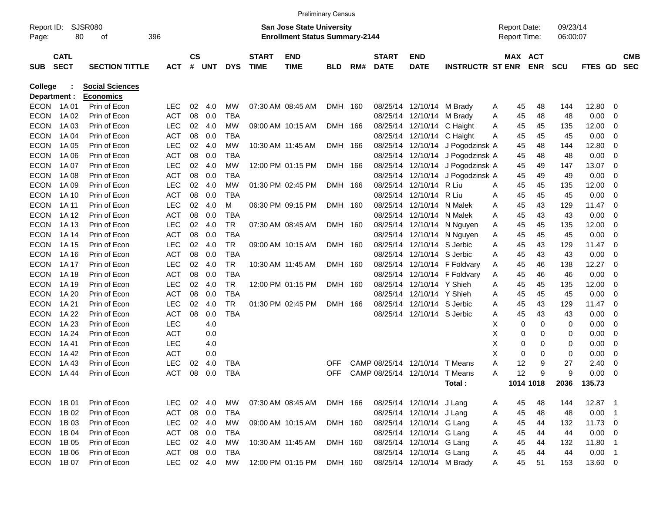|                     |                            |                        |            |                        |        |            |                             | <b>Preliminary Census</b>                                                 |            |     |                             |                                |                                  |                                            |                       |                      |                |     |                          |
|---------------------|----------------------------|------------------------|------------|------------------------|--------|------------|-----------------------------|---------------------------------------------------------------------------|------------|-----|-----------------------------|--------------------------------|----------------------------------|--------------------------------------------|-----------------------|----------------------|----------------|-----|--------------------------|
| Report ID:<br>Page: | 80                         | <b>SJSR080</b><br>οf   | 396        |                        |        |            |                             | <b>San Jose State University</b><br><b>Enrollment Status Summary-2144</b> |            |     |                             |                                |                                  | <b>Report Date:</b><br><b>Report Time:</b> |                       | 09/23/14<br>06:00:07 |                |     |                          |
| <b>SUB</b>          | <b>CATL</b><br><b>SECT</b> | <b>SECTION TITTLE</b>  | <b>ACT</b> | $\mathbf{c}\mathbf{s}$ | # UNT  | <b>DYS</b> | <b>START</b><br><b>TIME</b> | <b>END</b><br><b>TIME</b>                                                 | <b>BLD</b> | RM# | <b>START</b><br><b>DATE</b> | <b>END</b><br><b>DATE</b>      | <b>INSTRUCTR ST ENR</b>          |                                            | MAX ACT<br><b>ENR</b> | <b>SCU</b>           | <b>FTES GD</b> |     | <b>CMB</b><br><b>SEC</b> |
| <b>College</b>      |                            | <b>Social Sciences</b> |            |                        |        |            |                             |                                                                           |            |     |                             |                                |                                  |                                            |                       |                      |                |     |                          |
| Department :        |                            | <b>Economics</b>       |            |                        |        |            |                             |                                                                           |            |     |                             |                                |                                  |                                            |                       |                      |                |     |                          |
| <b>ECON</b>         | 1A 01                      | Prin of Econ           | <b>LEC</b> | 02                     | 4.0    | МW         |                             | 07:30 AM 08:45 AM                                                         | DMH 160    |     | 08/25/14                    | 12/10/14 M Brady               |                                  | 45<br>A                                    | 48                    | 144                  | 12.80          | 0   |                          |
| <b>ECON</b>         | 1A 02                      | Prin of Econ           | <b>ACT</b> | 08                     | 0.0    | TBA        |                             |                                                                           |            |     | 08/25/14                    | 12/10/14 M Brady               |                                  | A<br>45                                    | 48                    | 48                   | 0.00           | 0   |                          |
| <b>ECON</b>         | 1A 03                      | Prin of Econ           | <b>LEC</b> | 02                     | 4.0    | MW         |                             | 09:00 AM 10:15 AM                                                         | DMH 166    |     |                             | 08/25/14 12/10/14 C Haight     |                                  | A<br>45                                    | 45                    | 135                  | 12.00          | 0   |                          |
| <b>ECON</b>         | 1A 04                      | Prin of Econ           | <b>ACT</b> | 08                     | 0.0    | TBA        |                             |                                                                           |            |     |                             | 08/25/14 12/10/14 C Haight     |                                  | A<br>45                                    | 45                    | 45                   | 0.00           | 0   |                          |
| <b>ECON</b>         | 1A 05                      | Prin of Econ           | <b>LEC</b> | 02                     | 4.0    | МW         |                             | 10:30 AM 11:45 AM                                                         | DMH 166    |     |                             |                                | 08/25/14 12/10/14 J Pogodzinsk A | 45                                         | 48                    | 144                  | 12.80          | 0   |                          |
| <b>ECON</b>         | 1A 06                      | Prin of Econ           | <b>ACT</b> | 08                     | 0.0    | TBA        |                             |                                                                           |            |     |                             |                                | 08/25/14 12/10/14 J Pogodzinsk A | 45                                         | 48                    | 48                   | 0.00           | 0   |                          |
| <b>ECON</b>         | 1A 07                      | Prin of Econ           | <b>LEC</b> | 02                     | 4.0    | <b>MW</b>  |                             | 12:00 PM 01:15 PM                                                         | DMH 166    |     |                             |                                | 08/25/14 12/10/14 J Pogodzinsk A | 45                                         | 49                    | 147                  | 13.07          | 0   |                          |
| <b>ECON</b>         | 1A 08                      | Prin of Econ           | <b>ACT</b> | 08                     | 0.0    | <b>TBA</b> |                             |                                                                           |            |     |                             | 08/25/14 12/10/14              | J Pogodzinsk A                   | 45                                         | 49                    | 49                   | 0.00           | 0   |                          |
| <b>ECON</b>         | 1A 09                      | Prin of Econ           | <b>LEC</b> | 02                     | 4.0    | МW         |                             | 01:30 PM 02:45 PM                                                         | DMH 166    |     | 08/25/14                    | 12/10/14 R Liu                 |                                  | A<br>45                                    | 45                    | 135                  | 12.00          | 0   |                          |
| <b>ECON</b>         | 1A 10                      | Prin of Econ           | <b>ACT</b> | 08                     | 0.0    | TBA        |                             |                                                                           |            |     | 08/25/14                    | 12/10/14 R Liu                 |                                  | 45<br>A                                    | 45                    | 45                   | 0.00           | 0   |                          |
| <b>ECON</b>         | 1A 11                      | Prin of Econ           | <b>LEC</b> | 02                     | 4.0    | м          |                             | 06:30 PM 09:15 PM                                                         | DMH 160    |     | 08/25/14                    | 12/10/14 N Malek               |                                  | 45<br>A                                    | 43                    | 129                  | 11.47          | 0   |                          |
| <b>ECON</b>         | 1A 12                      | Prin of Econ           | <b>ACT</b> | 08                     | 0.0    | TBA        |                             |                                                                           |            |     | 08/25/14                    | 12/10/14 N Malek               |                                  | 45<br>A                                    | 43                    | 43                   | 0.00           | 0   |                          |
| <b>ECON</b>         | 1A 13                      | Prin of Econ           | <b>LEC</b> | 02                     | 4.0    | TR         |                             | 07:30 AM 08:45 AM                                                         | DMH 160    |     | 08/25/14                    |                                | 12/10/14 N Nguyen                | 45<br>A                                    | 45                    | 135                  | 12.00          | 0   |                          |
| <b>ECON</b>         | 1A 14                      | Prin of Econ           | <b>ACT</b> | 08                     | 0.0    | TBA        |                             |                                                                           |            |     |                             |                                | 08/25/14 12/10/14 N Nguyen       | A<br>45                                    | 45                    | 45                   | 0.00           | 0   |                          |
| <b>ECON</b>         | 1A 15                      | Prin of Econ           | <b>LEC</b> | 02                     | 4.0    | TR         |                             | 09:00 AM 10:15 AM                                                         | DMH 160    |     | 08/25/14                    | 12/10/14 S Jerbic              |                                  | A<br>45                                    | 43                    | 129                  | 11.47          | - 0 |                          |
| <b>ECON</b>         | 1A 16                      | Prin of Econ           | <b>ACT</b> | 08                     | 0.0    | TBA        |                             |                                                                           |            |     | 08/25/14                    | 12/10/14 S Jerbic              |                                  | 45<br>A                                    | 43                    | 43                   | 0.00           | 0   |                          |
| <b>ECON</b>         | 1A 17                      | Prin of Econ           | <b>LEC</b> | 02                     | 4.0    | TR         |                             | 10:30 AM 11:45 AM                                                         | DMH 160    |     | 08/25/14                    |                                | 12/10/14 F Foldvary              | 45<br>A                                    | 46                    | 138                  | 12.27          | 0   |                          |
| <b>ECON</b>         | 1A 18                      | Prin of Econ           | <b>ACT</b> | 08                     | 0.0    | TBA        |                             |                                                                           |            |     |                             |                                | 08/25/14 12/10/14 F Foldvary     | A<br>45                                    | 46                    | 46                   | 0.00           | 0   |                          |
| <b>ECON</b>         | 1A 19                      | Prin of Econ           | <b>LEC</b> | 02                     | 4.0    | TR         |                             | 12:00 PM 01:15 PM                                                         | DMH 160    |     | 08/25/14                    | 12/10/14 Y Shieh               |                                  | A<br>45                                    | 45                    | 135                  | 12.00          | 0   |                          |
| <b>ECON</b>         | 1A 20                      | Prin of Econ           | <b>ACT</b> | 08                     | 0.0    | TBA        |                             |                                                                           |            |     | 08/25/14                    | 12/10/14 Y Shieh               |                                  | 45<br>A                                    | 45                    | 45                   | 0.00           | 0   |                          |
| <b>ECON</b>         | 1A 21                      | Prin of Econ           | <b>LEC</b> | 02                     | 4.0    | TR         |                             | 01:30 PM 02:45 PM                                                         | DMH 166    |     | 08/25/14                    | 12/10/14 S Jerbic              |                                  | 45<br>A                                    | 43                    | 129                  | 11.47          | 0   |                          |
| <b>ECON</b>         | 1A 22                      | Prin of Econ           | <b>ACT</b> | 08                     | 0.0    | <b>TBA</b> |                             |                                                                           |            |     |                             | 08/25/14 12/10/14 S Jerbic     |                                  | 45<br>A                                    | 43                    | 43                   | 0.00           | 0   |                          |
| <b>ECON</b>         | 1A 23                      | Prin of Econ           | <b>LEC</b> |                        | 4.0    |            |                             |                                                                           |            |     |                             |                                |                                  | X                                          | 0<br>0                | 0                    | 0.00           | 0   |                          |
| <b>ECON</b>         | 1A 24                      | Prin of Econ           | <b>ACT</b> |                        | 0.0    |            |                             |                                                                           |            |     |                             |                                |                                  | х                                          | 0<br>0                | 0                    | 0.00           | 0   |                          |
| <b>ECON</b>         | 1A 41                      | Prin of Econ           | <b>LEC</b> |                        | 4.0    |            |                             |                                                                           |            |     |                             |                                |                                  | х                                          | 0<br>0                | 0                    | 0.00           | 0   |                          |
| <b>ECON</b>         | 1A 42                      | Prin of Econ           | <b>ACT</b> |                        | 0.0    |            |                             |                                                                           |            |     |                             |                                |                                  | X                                          | 0<br>0                | 0                    | 0.00           | 0   |                          |
| <b>ECON</b>         | 1A43                       | Prin of Econ           | <b>LEC</b> | 02                     | 4.0    | TBA        |                             |                                                                           | <b>OFF</b> |     | CAMP 08/25/14               | 12/10/14                       | T Means                          | 12<br>A                                    | 9                     | 27                   | 2.40           | 0   |                          |
| <b>ECON</b>         | 1A 44                      | Prin of Econ           | <b>ACT</b> | 08                     | 0.0    | TBA        |                             |                                                                           | <b>OFF</b> |     |                             | CAMP 08/25/14 12/10/14 T Means |                                  | 12<br>A                                    | 9                     | 9                    | 0.00           | 0   |                          |
|                     |                            |                        |            |                        |        |            |                             |                                                                           |            |     |                             |                                | Total:                           |                                            | 1014 1018             |                      | 2036 135.73    |     |                          |
|                     |                            |                        |            |                        |        |            |                             |                                                                           |            |     |                             |                                |                                  |                                            |                       |                      |                |     |                          |
|                     | ECON 1B01                  | Prin of Econ           | LEC.       |                        | 02 4.0 | МW         |                             | 07:30 AM 08:45 AM DMH 166                                                 |            |     |                             | 08/25/14 12/10/14 J Lang       |                                  | 45<br>A                                    | 48                    | 144                  | 12.87 1        |     |                          |
| ECON                | 1B 02                      | Prin of Econ           | ACT        |                        | 08 0.0 | TBA        |                             |                                                                           |            |     |                             | 08/25/14 12/10/14 J Lang       |                                  | 45<br>A                                    | 48                    | 48                   | $0.00$ 1       |     |                          |
| ECON                | 1B 03                      | Prin of Econ           | <b>LEC</b> |                        | 02 4.0 | МW         |                             | 09:00 AM 10:15 AM DMH 160                                                 |            |     |                             | 08/25/14 12/10/14 G Lang       |                                  | 45<br>A                                    | 44                    | 132                  | 11.73 0        |     |                          |
| <b>ECON</b>         | 1B 04                      | Prin of Econ           | ACT        |                        | 08 0.0 | TBA        |                             |                                                                           |            |     |                             | 08/25/14 12/10/14 G Lang       |                                  | 45<br>A                                    | 44                    | 44                   | $0.00 \t 0$    |     |                          |
| ECON                | 1B 05                      | Prin of Econ           | <b>LEC</b> |                        | 02 4.0 | МW         |                             | 10:30 AM 11:45 AM                                                         | DMH 160    |     |                             | 08/25/14 12/10/14 G Lang       |                                  | 45<br>A                                    | 44                    | 132                  | 11.80 1        |     |                          |
|                     | ECON 1B 06                 | Prin of Econ           | ACT        |                        | 08 0.0 | TBA        |                             |                                                                           |            |     |                             | 08/25/14 12/10/14 G Lang       |                                  | 45<br>A                                    | 44                    | 44                   | $0.00$ 1       |     |                          |
|                     | ECON 1B07                  | Prin of Econ           | LEC 02 4.0 |                        |        | MW         |                             | 12:00 PM 01:15 PM DMH 160                                                 |            |     |                             | 08/25/14 12/10/14 M Brady      |                                  | 45<br>A                                    | 51                    | 153                  | 13.60 0        |     |                          |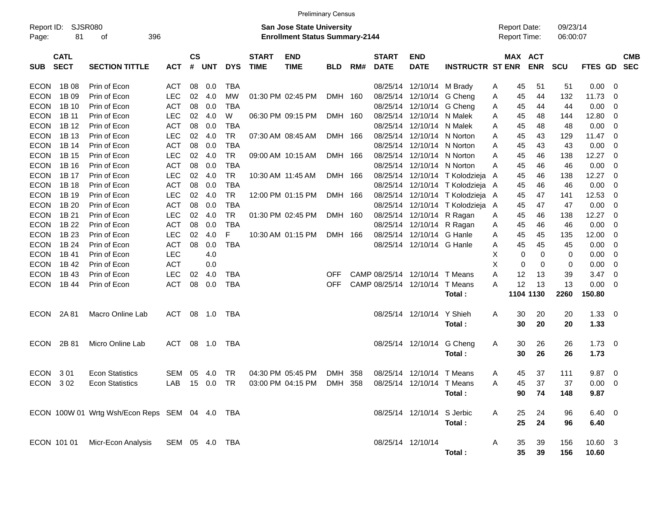|                                          |                                                |            |                |            |            |                             |                                                                           | <b>Preliminary Census</b> |     |                                |                            |                                |              |                 |                                            |                      |               |                         |            |
|------------------------------------------|------------------------------------------------|------------|----------------|------------|------------|-----------------------------|---------------------------------------------------------------------------|---------------------------|-----|--------------------------------|----------------------------|--------------------------------|--------------|-----------------|--------------------------------------------|----------------------|---------------|-------------------------|------------|
| Report ID:<br>81<br>Page:                | SJSR080<br>396<br>οf                           |            |                |            |            |                             | <b>San Jose State University</b><br><b>Enrollment Status Summary-2144</b> |                           |     |                                |                            |                                |              |                 | <b>Report Date:</b><br><b>Report Time:</b> | 09/23/14<br>06:00:07 |               |                         |            |
| <b>CATL</b><br><b>SECT</b><br><b>SUB</b> | <b>SECTION TITTLE</b>                          | <b>ACT</b> | <b>CS</b><br># | <b>UNT</b> | <b>DYS</b> | <b>START</b><br><b>TIME</b> | <b>END</b><br><b>TIME</b>                                                 | <b>BLD</b>                | RM# | <b>START</b><br><b>DATE</b>    | <b>END</b><br><b>DATE</b>  | <b>INSTRUCTR ST ENR</b>        |              |                 | MAX ACT<br><b>ENR</b>                      | <b>SCU</b>           | FTES GD SEC   |                         | <b>CMB</b> |
| ECON<br>1B 08                            | Prin of Econ                                   | <b>ACT</b> | 08             | 0.0        | <b>TBA</b> |                             |                                                                           |                           |     |                                | 08/25/14 12/10/14 M Brady  |                                | Α            | 45              | 51                                         | 51                   | $0.00 \ 0$    |                         |            |
| 1B 09<br>ECON.                           | Prin of Econ                                   | <b>LEC</b> | 02             | 4.0        | <b>MW</b>  |                             | 01:30 PM 02:45 PM                                                         | DMH 160                   |     |                                | 08/25/14 12/10/14 G Cheng  |                                | Α            | 45              | 44                                         | 132                  | 11.73         | - 0                     |            |
| <b>ECON</b><br>1B 10                     | Prin of Econ                                   | <b>ACT</b> | 08             | 0.0        | <b>TBA</b> |                             |                                                                           |                           |     |                                | 08/25/14 12/10/14 G Cheng  |                                | Α            | 45              | 44                                         | 44                   | 0.00          | $\overline{\mathbf{0}}$ |            |
| ECON.<br>1B 11                           | Prin of Econ                                   | <b>LEC</b> | 02             | 4.0        | W          |                             | 06:30 PM 09:15 PM                                                         | DMH 160                   |     |                                | 08/25/14 12/10/14 N Malek  |                                | Α            | 45              | 48                                         | 144                  | 12.80         | - 0                     |            |
| ECON.<br>1B 12                           | Prin of Econ                                   | <b>ACT</b> | 08             | 0.0        | <b>TBA</b> |                             |                                                                           |                           |     |                                | 08/25/14 12/10/14 N Malek  |                                | Α            | 45              | 48                                         | 48                   | 0.00          | 0                       |            |
| <b>ECON</b><br>1B 13                     | Prin of Econ                                   | <b>LEC</b> | 02             | 4.0        | <b>TR</b>  |                             | 07:30 AM 08:45 AM                                                         | DMH 166                   |     | 08/25/14                       | 12/10/14 N Norton          |                                | Α            | 45              | 43                                         | 129                  | 11.47         | - 0                     |            |
| 1B 14<br>ECON.                           | Prin of Econ                                   | <b>ACT</b> | 08             | 0.0        | <b>TBA</b> |                             |                                                                           |                           |     |                                | 08/25/14 12/10/14 N Norton |                                | Α            | 45              | 43                                         | 43                   | 0.00          | - 0                     |            |
| ECON.<br>1B 15                           | Prin of Econ                                   | <b>LEC</b> | 02             | 4.0        | <b>TR</b>  |                             | 09:00 AM 10:15 AM                                                         | DMH 166                   |     | 08/25/14                       | 12/10/14 N Norton          |                                | Α            | 45              | 46                                         | 138                  | 12.27         | $\overline{\mathbf{0}}$ |            |
| ECON.<br>1B 16                           | Prin of Econ                                   | <b>ACT</b> | 08             | 0.0        | TBA        |                             |                                                                           |                           |     | 08/25/14                       | 12/10/14 N Norton          |                                | Α            | 45              | 46                                         | 46                   | 0.00          | - 0                     |            |
| <b>ECON</b><br>1B 17                     | Prin of Econ                                   | <b>LEC</b> | 02             | 4.0        | <b>TR</b>  |                             | 10:30 AM 11:45 AM                                                         | DMH 166                   |     |                                |                            | 08/25/14 12/10/14 T Kolodzieja | A            | 45              | 46                                         | 138                  | 12.27         | $\overline{\mathbf{0}}$ |            |
| ECON.<br>1B 18                           | Prin of Econ                                   | <b>ACT</b> | 08             | 0.0        | <b>TBA</b> |                             |                                                                           |                           |     |                                |                            | 08/25/14 12/10/14 T Kolodzieja | A            | 45              | 46                                         | 46                   | 0.00          | - 0                     |            |
| ECON.<br>1B 19                           | Prin of Econ                                   | <b>LEC</b> | 02             | 4.0        | <b>TR</b>  |                             | 12:00 PM 01:15 PM                                                         | DMH 166                   |     |                                |                            | 08/25/14 12/10/14 T Kolodzieja | $\mathsf{A}$ | 45              | 47                                         | 141                  | 12.53         | - 0                     |            |
| <b>ECON</b><br>1B 20                     | Prin of Econ                                   | <b>ACT</b> | 08             | 0.0        | <b>TBA</b> |                             |                                                                           |                           |     |                                |                            | 08/25/14 12/10/14 T Kolodzieja | A            | 45              | 47                                         | 47                   | 0.00          | $\overline{\mathbf{0}}$ |            |
| ECON.<br>1B 21                           | Prin of Econ                                   | <b>LEC</b> | 02             | 4.0        | <b>TR</b>  |                             | 01:30 PM 02:45 PM                                                         | DMH 160                   |     |                                | 08/25/14 12/10/14 R Ragan  |                                | Α            | 45              | 46                                         | 138                  | 12.27         | $\overline{\mathbf{0}}$ |            |
| ECON.<br>1B 22                           | Prin of Econ                                   | <b>ACT</b> | 08             | 0.0        | <b>TBA</b> |                             |                                                                           |                           |     |                                | 08/25/14 12/10/14 R Ragan  |                                | Α            | 45              | 46                                         | 46                   | 0.00          | - 0                     |            |
| ECON.<br>1B 23                           | Prin of Econ                                   | <b>LEC</b> | 02             | 4.0        | F          |                             | 10:30 AM 01:15 PM                                                         | DMH 166                   |     |                                | 08/25/14 12/10/14 G Hanle  |                                | Α            | 45              | 45                                         | 135                  | 12.00         | - 0                     |            |
| <b>ECON</b><br>1B 24                     | Prin of Econ                                   | <b>ACT</b> | 08             | 0.0        | <b>TBA</b> |                             |                                                                           |                           |     |                                | 08/25/14 12/10/14 G Hanle  |                                | Α            | 45              | 45                                         | 45                   | 0.00          | $\overline{\mathbf{0}}$ |            |
| ECON.<br>1B 41                           | Prin of Econ                                   | <b>LEC</b> |                | 4.0        |            |                             |                                                                           |                           |     |                                |                            |                                | х            | 0               | 0                                          | 0                    | 0.00          | $\overline{\mathbf{0}}$ |            |
| <b>ECON</b><br>1B 42                     | Prin of Econ                                   | <b>ACT</b> |                | 0.0        |            |                             |                                                                           |                           |     |                                |                            |                                | X            | $\mathbf 0$     | 0                                          | 0                    | 0.00          | 0                       |            |
| <b>ECON</b><br>1B 43                     | Prin of Econ                                   | LEC        | 02             | 4.0        | <b>TBA</b> |                             |                                                                           | <b>OFF</b>                |     | CAMP 08/25/14 12/10/14 T Means |                            |                                | Α            | 12              | 13                                         | 39                   | 3.47          | 0                       |            |
| <b>ECON</b><br>1B 44                     | Prin of Econ                                   | <b>ACT</b> | 08             | 0.0        | <b>TBA</b> |                             |                                                                           | <b>OFF</b>                |     | CAMP 08/25/14 12/10/14         |                            | T Means                        | A            | 12              | 13                                         | 13                   | 0.00          | - 0                     |            |
|                                          |                                                |            |                |            |            |                             |                                                                           |                           |     |                                |                            | Total :                        |              |                 | 1104 1130                                  | 2260                 | 150.80        |                         |            |
| 2A 81<br>ECON                            | Macro Online Lab                               | ACT        |                | 08 1.0     | TBA        |                             |                                                                           |                           |     |                                | 08/25/14 12/10/14          | Y Shieh                        | Α            | 30              | 20                                         | 20                   | $1.33 \ 0$    |                         |            |
|                                          |                                                |            |                |            |            |                             |                                                                           |                           |     |                                |                            | Total:                         |              | 30              | 20                                         | 20                   | 1.33          |                         |            |
| 2B 81<br><b>ECON</b>                     | Micro Online Lab                               | ACT        |                | 08 1.0     | TBA        |                             |                                                                           |                           |     |                                | 08/25/14 12/10/14 G Cheng  |                                | Α            | 30              | 26                                         | 26                   | $1.73 \t 0$   |                         |            |
|                                          |                                                |            |                |            |            |                             |                                                                           |                           |     |                                |                            | Total :                        |              | 30              | 26                                         | 26                   | 1.73          |                         |            |
| ECON 301                                 | <b>Econ Statistics</b>                         | SEM        | 05             | 4.0        | TR         |                             | 04:30 PM 05:45 PM                                                         | DMH 358                   |     |                                | 08/25/14 12/10/14 T Means  |                                | Α            | 45              | 37                                         | 111                  | $9.87$ 0      |                         |            |
| ECON 302                                 | <b>Econ Statistics</b>                         |            |                |            |            |                             | LAB 15 0.0 TR 03:00 PM 04:15 PM DMH 358 08/25/14 12/10/14 T Means         |                           |     |                                |                            |                                | Α            | 45              | 37                                         | 37                   | $0.00 \t 0$   |                         |            |
|                                          |                                                |            |                |            |            |                             |                                                                           |                           |     |                                |                            | Total:                         |              | 90              | 74                                         | 148                  | 9.87          |                         |            |
|                                          | ECON 100W 01 Wrtg Wsh/Econ Reps SEM 04 4.0 TBA |            |                |            |            |                             |                                                                           |                           |     |                                | 08/25/14 12/10/14 S Jerbic |                                | A            | 25              | 24                                         | 96                   | $6.40\quad 0$ |                         |            |
|                                          |                                                |            |                |            |            |                             |                                                                           |                           |     |                                |                            | Total:                         |              | 25              | 24                                         | 96                   | 6.40          |                         |            |
| ECON 101 01                              | Micr-Econ Analysis SEM 05 4.0 TBA              |            |                |            |            |                             |                                                                           |                           |     |                                | 08/25/14 12/10/14          |                                | A            | 35              | 39                                         | 156                  | 10.60 3       |                         |            |
|                                          |                                                |            |                |            |            |                             |                                                                           |                           |     |                                |                            | Total:                         |              | 35 <sub>5</sub> | 39                                         | 156                  | 10.60         |                         |            |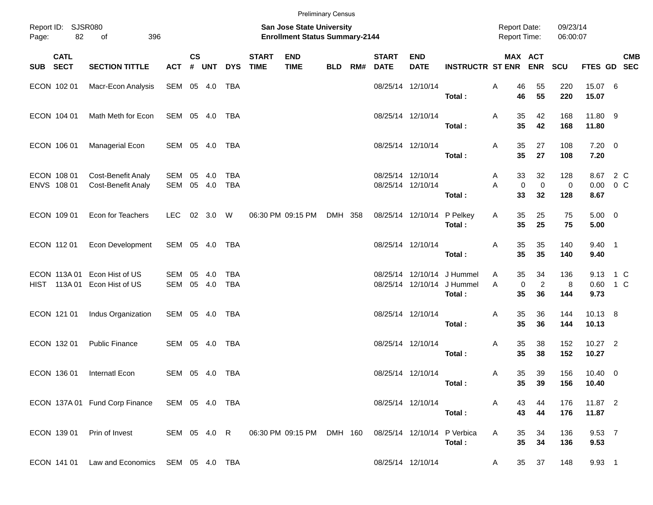|          |                            |                                                        |                |                    |               |                   |                             | <b>Preliminary Census</b>                                          |            |     |                             |                                        |                                                                    |                                            |                            |                      |                      |                           |  |
|----------|----------------------------|--------------------------------------------------------|----------------|--------------------|---------------|-------------------|-----------------------------|--------------------------------------------------------------------|------------|-----|-----------------------------|----------------------------------------|--------------------------------------------------------------------|--------------------------------------------|----------------------------|----------------------|----------------------|---------------------------|--|
| Page:    | Report ID: SJSR080<br>82   | 396<br>of                                              |                |                    |               |                   |                             | San Jose State University<br><b>Enrollment Status Summary-2144</b> |            |     |                             |                                        |                                                                    | <b>Report Date:</b><br><b>Report Time:</b> |                            | 09/23/14<br>06:00:07 |                      |                           |  |
| SUB SECT | <b>CATL</b>                | <b>SECTION TITTLE</b>                                  | <b>ACT</b>     | $\mathsf{cs}$<br># | <b>UNT</b>    | <b>DYS</b>        | <b>START</b><br><b>TIME</b> | <b>END</b><br><b>TIME</b>                                          | <b>BLD</b> | RM# | <b>START</b><br><b>DATE</b> | <b>END</b><br><b>DATE</b>              | <b>INSTRUCTR ST ENR ENR</b>                                        |                                            | MAX ACT                    | <b>SCU</b>           | FTES GD SEC          | <b>CMB</b>                |  |
|          | ECON 102 01                | Macr-Econ Analysis                                     | SEM 05 4.0     |                    |               | TBA               |                             |                                                                    |            |     |                             | 08/25/14 12/10/14                      | Total:                                                             | Α<br>46<br>46                              | 55<br>55                   | 220<br>220           | 15.07 6<br>15.07     |                           |  |
|          | ECON 104 01                | Math Meth for Econ                                     | SEM 05 4.0     |                    |               | TBA               |                             |                                                                    |            |     |                             | 08/25/14 12/10/14                      | Total:                                                             | 35<br>Α<br>35                              | 42<br>42                   | 168<br>168           | 11.80 9<br>11.80     |                           |  |
|          | ECON 106 01                | Managerial Econ                                        | SEM 05 4.0     |                    |               | TBA               |                             |                                                                    |            |     |                             | 08/25/14 12/10/14                      | Total:                                                             | 35<br>Α<br>35                              | 27<br>27                   | 108<br>108           | $7.20 \t 0$<br>7.20  |                           |  |
|          | ECON 108 01<br>ENVS 108 01 | <b>Cost-Benefit Analy</b><br><b>Cost-Benefit Analy</b> | SEM<br>SEM     | 05                 | 4.0<br>05 4.0 | TBA<br><b>TBA</b> |                             |                                                                    |            |     |                             | 08/25/14 12/10/14<br>08/25/14 12/10/14 | Total:                                                             | 33<br>A<br>$\mathbf 0$<br>Α<br>33          | 32<br>$\mathbf 0$<br>32    | 128<br>0<br>128      | 8.67                 | 8.67 2 C<br>$0.00 \t 0 C$ |  |
|          | ECON 109 01                | Econ for Teachers                                      | <b>LEC</b>     |                    | 02 3.0 W      |                   |                             | 06:30 PM 09:15 PM                                                  | DMH 358    |     |                             | 08/25/14 12/10/14 P Pelkey             | Total:                                                             | 35<br>Α<br>35                              | 25<br>25                   | 75<br>75             | $5.00 \t 0$<br>5.00  |                           |  |
|          | ECON 112 01                | Econ Development                                       | SEM 05 4.0     |                    |               | TBA               |                             |                                                                    |            |     |                             | 08/25/14 12/10/14                      | Total:                                                             | 35<br>Α<br>35                              | 35<br>35                   | 140<br>140           | $9.40$ 1<br>9.40     |                           |  |
|          | ECON 113A01<br>HIST 113A01 | Econ Hist of US<br>Econ Hist of US                     | SEM<br>SEM     | 05                 | 4.0<br>05 4.0 | TBA<br><b>TBA</b> |                             |                                                                    |            |     |                             |                                        | 08/25/14 12/10/14 J Hummel<br>08/25/14 12/10/14 J Hummel<br>Total: | 35<br>Α<br>$\mathbf 0$<br>A<br>35          | 34<br>$\overline{c}$<br>36 | 136<br>8<br>144      | 9.73                 | 9.13 1 C<br>0.60 1 C      |  |
|          | ECON 121 01                | Indus Organization                                     | SEM 05 4.0     |                    |               | TBA               |                             |                                                                    |            |     |                             | 08/25/14 12/10/14                      | Total:                                                             | 35<br>Α<br>35                              | 36<br>36                   | 144<br>144           | 10.13 8<br>10.13     |                           |  |
|          | ECON 132 01                | <b>Public Finance</b>                                  | SEM 05 4.0     |                    |               | TBA               |                             |                                                                    |            |     |                             | 08/25/14 12/10/14                      | Total:                                                             | 35<br>Α<br>35                              | 38<br>38                   | 152<br>152           | 10.27 2<br>10.27     |                           |  |
|          | ECON 136 01                | Internatl Econ                                         | SEM 05 4.0     |                    |               | TBA               |                             |                                                                    |            |     |                             | 08/25/14 12/10/14                      | Total:                                                             | 35<br>A<br>$35\,$                          | 39<br>39                   | 156<br>156           | $10.40 \ 0$<br>10.40 |                           |  |
|          |                            | ECON 137A 01 Fund Corp Finance                         | SEM 05 4.0 TBA |                    |               |                   |                             |                                                                    |            |     |                             | 08/25/14 12/10/14                      | Total:                                                             | Α<br>43<br>43                              | 44<br>44                   | 176<br>176           | 11.87 2<br>11.87     |                           |  |
|          | ECON 139 01                | Prin of Invest                                         | SEM 05 4.0 R   |                    |               |                   |                             | 06:30 PM 09:15 PM                                                  | DMH 160    |     |                             | 08/25/14 12/10/14                      | P Verbica<br>Total:                                                | 35<br>Α<br>35                              | 34<br>34                   | 136<br>136           | 9.53 7<br>9.53       |                           |  |
|          |                            | ECON 141 01 Law and Economics SEM 05 4.0 TBA           |                |                    |               |                   |                             |                                                                    |            |     |                             | 08/25/14 12/10/14                      |                                                                    | $35\,$<br>A                                | 37                         | 148                  | 9.93 1               |                           |  |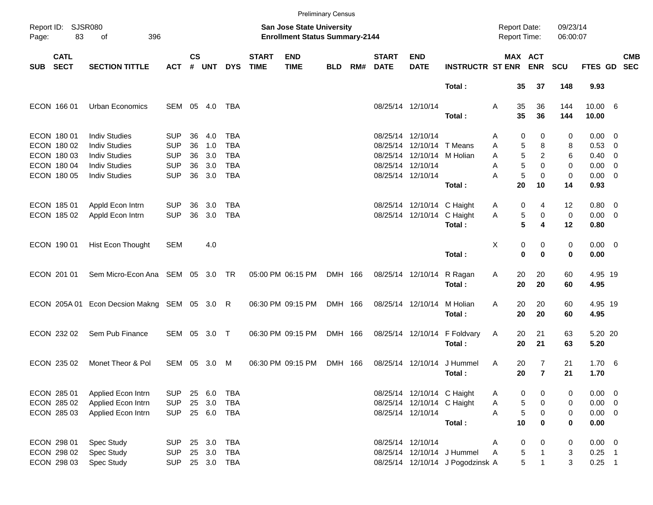|       |                            |                                  |              |               |            |            |                             |                                                                           | <b>Preliminary Census</b> |     |                             |                            |                                  |                                     |                |                      |                       |            |
|-------|----------------------------|----------------------------------|--------------|---------------|------------|------------|-----------------------------|---------------------------------------------------------------------------|---------------------------|-----|-----------------------------|----------------------------|----------------------------------|-------------------------------------|----------------|----------------------|-----------------------|------------|
| Page: | Report ID: SJSR080<br>83   | 396<br>οf                        |              |               |            |            |                             | <b>San Jose State University</b><br><b>Enrollment Status Summary-2144</b> |                           |     |                             |                            |                                  | <b>Report Date:</b><br>Report Time: |                | 09/23/14<br>06:00:07 |                       |            |
| SUB   | <b>CATL</b><br><b>SECT</b> | <b>SECTION TITTLE</b>            | <b>ACT</b>   | $\mathsf{cs}$ | # UNT      | <b>DYS</b> | <b>START</b><br><b>TIME</b> | <b>END</b><br><b>TIME</b>                                                 | <b>BLD</b>                | RM# | <b>START</b><br><b>DATE</b> | <b>END</b><br><b>DATE</b>  | <b>INSTRUCTR ST ENR ENR</b>      |                                     | MAX ACT        | <b>SCU</b>           | FTES GD SEC           | <b>CMB</b> |
|       |                            |                                  |              |               |            |            |                             |                                                                           |                           |     |                             |                            | Total:                           | 35                                  | 37             | 148                  | 9.93                  |            |
|       | ECON 166 01                | Urban Economics                  | SEM 05 4.0   |               |            | TBA        |                             |                                                                           |                           |     |                             | 08/25/14 12/10/14          | Total:                           | Α<br>35<br>35                       | 36<br>36       | 144<br>144           | 10.00 6<br>10.00      |            |
|       | ECON 180 01                | <b>Indiv Studies</b>             | <b>SUP</b>   | 36            | 4.0        | TBA        |                             |                                                                           |                           |     |                             | 08/25/14 12/10/14          |                                  | 0                                   | 0              | 0                    |                       |            |
|       | ECON 180 02                | <b>Indiv Studies</b>             | <b>SUP</b>   | 36            | 1.0        | <b>TBA</b> |                             |                                                                           |                           |     |                             | 08/25/14 12/10/14 T Means  |                                  | Α<br>5<br>Α                         | 8              | 8                    | $0.00 \t 0$<br>0.53 0 |            |
|       | ECON 180 03                | <b>Indiv Studies</b>             | <b>SUP</b>   | 36            | 3.0        | <b>TBA</b> |                             |                                                                           |                           |     |                             | 08/25/14 12/10/14 M Holian |                                  | 5<br>A                              | 2              | 6                    | $0.40 \quad 0$        |            |
|       | ECON 180 04                | <b>Indiv Studies</b>             | <b>SUP</b>   | 36            | 3.0        | <b>TBA</b> |                             |                                                                           |                           |     |                             | 08/25/14 12/10/14          |                                  | 5<br>Α                              | 0              | 0                    | $0.00 \t 0$           |            |
|       | ECON 180 05                | <b>Indiv Studies</b>             | <b>SUP</b>   | 36            | 3.0        | <b>TBA</b> |                             |                                                                           |                           |     |                             | 08/25/14 12/10/14          |                                  | 5<br>А                              | $\mathbf 0$    | 0                    | $0.00 \t 0$           |            |
|       |                            |                                  |              |               |            |            |                             |                                                                           |                           |     |                             |                            | Total:                           | 20                                  | 10             | 14                   | 0.93                  |            |
|       | ECON 185 01                | Appld Econ Intrn                 | <b>SUP</b>   | 36            | 3.0        | TBA        |                             |                                                                           |                           |     |                             | 08/25/14 12/10/14 C Haight |                                  | 0<br>Α                              | 4              | 12                   | $0.80 \ 0$            |            |
|       | ECON 185 02                | Appld Econ Intrn                 | <b>SUP</b>   | 36            | 3.0        | <b>TBA</b> |                             |                                                                           |                           |     |                             | 08/25/14 12/10/14 C Haight |                                  | Α<br>5                              | 0              | 0                    | $0.00 \t 0$           |            |
|       |                            |                                  |              |               |            |            |                             |                                                                           |                           |     |                             |                            | Total:                           | 5                                   | 4              | 12                   | 0.80                  |            |
|       | ECON 190 01                | Hist Econ Thought                | <b>SEM</b>   |               | 4.0        |            |                             |                                                                           |                           |     |                             |                            |                                  | Χ<br>0                              | 0              | 0                    | $0.00 \t 0$           |            |
|       |                            |                                  |              |               |            |            |                             |                                                                           |                           |     |                             |                            | Total:                           | 0                                   | $\bf{0}$       | 0                    | 0.00                  |            |
|       | ECON 201 01                | Sem Micro-Econ Ana SEM 05 3.0 TR |              |               |            |            |                             | 05:00 PM 06:15 PM                                                         | DMH 166                   |     |                             | 08/25/14 12/10/14          | R Ragan                          | 20<br>Α                             | 20             | 60                   | 4.95 19               |            |
|       |                            |                                  |              |               |            |            |                             |                                                                           |                           |     |                             |                            | Total:                           | 20                                  | 20             | 60                   | 4.95                  |            |
|       | ECON 205A 01               | Econ Decsion Makng SEM 05 3.0 R  |              |               |            |            |                             | 06:30 PM 09:15 PM                                                         | DMH 166                   |     |                             | 08/25/14 12/10/14          | M Holian                         | A<br>20                             | 20             | 60                   | 4.95 19               |            |
|       |                            |                                  |              |               |            |            |                             |                                                                           |                           |     |                             |                            | Total:                           | 20                                  | 20             | 60                   | 4.95                  |            |
|       | ECON 232 02                | Sem Pub Finance                  | SEM 05 3.0 T |               |            |            |                             | 06:30 PM 09:15 PM                                                         | DMH 166                   |     |                             |                            | 08/25/14 12/10/14 F Foldvary     | 20<br>Α                             | 21             | 63                   | 5.20 20               |            |
|       |                            |                                  |              |               |            |            |                             |                                                                           |                           |     |                             |                            | Total:                           | 20                                  | 21             | 63                   | 5.20                  |            |
|       | ECON 235 02                | Monet Theor & Pol                | SEM          | 05            | 3.0        | M          |                             | 06:30 PM 09:15 PM                                                         | DMH 166                   |     |                             | 08/25/14 12/10/14          | J Hummel                         | 20<br>A                             | 7              | 21                   | $1.70\quad 6$         |            |
|       |                            |                                  |              |               |            |            |                             |                                                                           |                           |     |                             |                            | Total:                           | 20                                  | $\overline{7}$ | 21                   | 1.70                  |            |
|       | ECON 285 01                | Applied Econ Intrn               | <b>SUP</b>   | 25            | 6.0        | TBA        |                             |                                                                           |                           |     |                             | 08/25/14 12/10/14 C Haight |                                  | 0<br>Α                              | 0              | 0                    | $0.00 \t 0$           |            |
|       | ECON 285 02                | Applied Econ Intrn               | <b>SUP</b>   | 25            | 3.0        | <b>TBA</b> |                             |                                                                           |                           |     |                             | 08/25/14 12/10/14 C Haight |                                  | 5<br>Α                              | 0              | 0                    | $0.00 \t 0$           |            |
|       | ECON 285 03                | Applied Econ Intrn               | <b>SUP</b>   |               | 25 6.0     | TBA        |                             |                                                                           |                           |     |                             | 08/25/14 12/10/14          |                                  | 5<br>Α                              | 0              | 0                    | $0.00 \t 0$           |            |
|       |                            |                                  |              |               |            |            |                             |                                                                           |                           |     |                             |                            | Total:                           | 10                                  | 0              | 0                    | 0.00                  |            |
|       | ECON 298 01                | Spec Study                       | <b>SUP</b>   |               | 25 3.0     | <b>TBA</b> |                             |                                                                           |                           |     |                             | 08/25/14 12/10/14          |                                  | 0<br>Α                              | 0              | 0                    | $0.00 \t 0$           |            |
|       | ECON 298 02                | Spec Study                       | <b>SUP</b>   |               | 25 3.0     | <b>TBA</b> |                             |                                                                           |                           |     |                             |                            | 08/25/14 12/10/14 J Hummel       | 5<br>A                              |                | 3                    | $0.25$ 1              |            |
|       | ECON 298 03                | Spec Study                       | <b>SUP</b>   |               | 25 3.0 TBA |            |                             |                                                                           |                           |     |                             |                            | 08/25/14 12/10/14 J Pogodzinsk A | 5                                   | 1              | 3                    | $0.25$ 1              |            |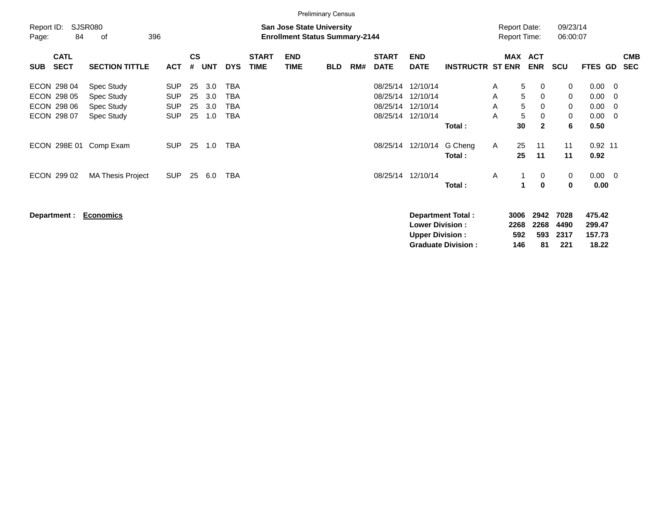|                                          | <b>Preliminary Census</b>                                                                                |                          |                |            |                          |                             |                           |            |     |                             |                                                  |                          |              |                                            |                          |                      |                            |                            |                          |
|------------------------------------------|----------------------------------------------------------------------------------------------------------|--------------------------|----------------|------------|--------------------------|-----------------------------|---------------------------|------------|-----|-----------------------------|--------------------------------------------------|--------------------------|--------------|--------------------------------------------|--------------------------|----------------------|----------------------------|----------------------------|--------------------------|
| Report ID:<br>84<br>Page:                | <b>SJSR080</b><br><b>San Jose State University</b><br>396<br><b>Enrollment Status Summary-2144</b><br>οf |                          |                |            |                          |                             |                           |            |     |                             |                                                  |                          |              | <b>Report Date:</b><br><b>Report Time:</b> |                          | 09/23/14<br>06:00:07 |                            |                            |                          |
| <b>CATL</b><br><b>SECT</b><br><b>SUB</b> | <b>SECTION TITTLE</b>                                                                                    | <b>ACT</b>               | <b>CS</b><br># | <b>UNT</b> | <b>DYS</b>               | <b>START</b><br><b>TIME</b> | <b>END</b><br><b>TIME</b> | <b>BLD</b> | RM# | <b>START</b><br><b>DATE</b> | <b>END</b><br><b>DATE</b>                        | <b>INSTRUCTR ST ENR</b>  |              | <b>MAX</b>                                 | <b>ACT</b><br><b>ENR</b> | <b>SCU</b>           | <b>FTES GD</b>             |                            | <b>CMB</b><br><b>SEC</b> |
| ECON 298 04<br>ECON 298 05               | Spec Study<br>Spec Study                                                                                 | <b>SUP</b><br><b>SUP</b> | 25<br>25       | 3.0<br>3.0 | TBA<br>TBA               |                             |                           |            |     | 08/25/14<br>08/25/14        | 12/10/14<br>12/10/14                             |                          | A<br>A       | 5<br>5                                     | 0<br>0                   | 0<br>0               | 0.00<br>0.00               | - 0<br>$\mathbf 0$         |                          |
| ECON 298 06<br>ECON 298 07               | Spec Study<br>Spec Study                                                                                 | <b>SUP</b><br><b>SUP</b> | 25<br>25       | 3.0<br>1.0 | <b>TBA</b><br><b>TBA</b> |                             |                           |            |     | 08/25/14<br>08/25/14        | 12/10/14<br>12/10/14                             |                          | A<br>A       | 5<br>5                                     | $\Omega$<br>0            | 0<br>0               | 0.00<br>0.00               | $\mathbf 0$<br>$\mathbf 0$ |                          |
| ECON 298E 01 Comp Exam                   |                                                                                                          | <b>SUP</b>               | 25             | 1.0        | <b>TBA</b>               |                             |                           |            |     | 08/25/14                    | 12/10/14                                         | Total :<br>G Cheng       | $\mathsf{A}$ | 30<br>25                                   | $\mathbf{2}$<br>11       | 6<br>11              | 0.50<br>$0.92$ 11          |                            |                          |
|                                          |                                                                                                          |                          |                |            |                          |                             |                           |            |     |                             |                                                  | Total:                   |              | 25                                         | 11                       | 11                   | 0.92                       |                            |                          |
| ECON 299 02                              | <b>MA Thesis Project</b>                                                                                 | <b>SUP</b>               | 25             | 6.0        | TBA                      |                             |                           |            |     | 08/25/14                    | 12/10/14                                         | Total:                   | A            |                                            | 0<br>0                   | 0<br>$\bf{0}$        | $0.00 \t 0$<br>0.00        |                            |                          |
| Department :                             | <b>Economics</b>                                                                                         |                          |                |            |                          |                             |                           |            |     |                             | <b>Lower Division:</b><br><b>Upper Division:</b> | <b>Department Total:</b> |              | 3006<br>2268<br>592                        | 2942<br>2268<br>593      | 7028<br>4490<br>2317 | 475.42<br>299.47<br>157.73 |                            |                          |

**Graduate Division : 146 81 221 18.22**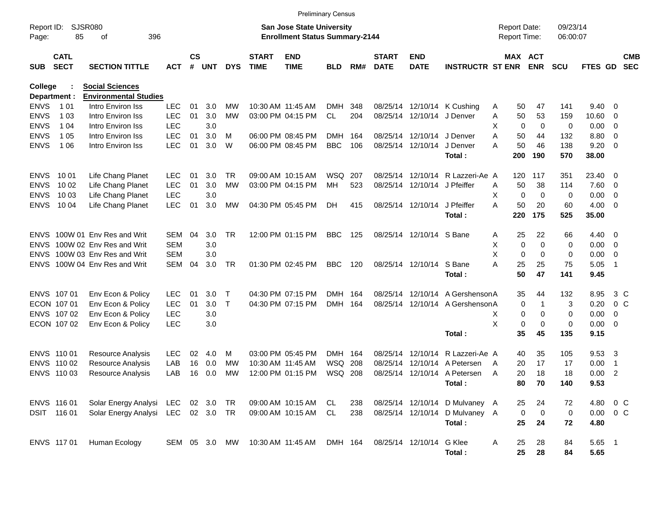|                     |                            |                                                   |            |                    |            |              |                             |                                                                    | <b>Preliminary Census</b> |     |                             |                           |                                |                                     |                       |                      |                |                          |                          |
|---------------------|----------------------------|---------------------------------------------------|------------|--------------------|------------|--------------|-----------------------------|--------------------------------------------------------------------|---------------------------|-----|-----------------------------|---------------------------|--------------------------------|-------------------------------------|-----------------------|----------------------|----------------|--------------------------|--------------------------|
| Report ID:<br>Page: | <b>SJSR080</b><br>85       | 396<br>оf                                         |            |                    |            |              |                             | San Jose State University<br><b>Enrollment Status Summary-2144</b> |                           |     |                             |                           |                                | <b>Report Date:</b><br>Report Time: |                       | 09/23/14<br>06:00:07 |                |                          |                          |
| <b>SUB</b>          | <b>CATL</b><br><b>SECT</b> | <b>SECTION TITTLE</b>                             | <b>ACT</b> | $\mathsf{cs}$<br># | <b>UNT</b> | <b>DYS</b>   | <b>START</b><br><b>TIME</b> | <b>END</b><br><b>TIME</b>                                          | BLD                       | RM# | <b>START</b><br><b>DATE</b> | <b>END</b><br><b>DATE</b> | <b>INSTRUCTR ST ENR</b>        |                                     | MAX ACT<br><b>ENR</b> | <b>SCU</b>           | FTES GD        |                          | <b>CMB</b><br><b>SEC</b> |
| <b>College</b>      |                            | <b>Social Sciences</b>                            |            |                    |            |              |                             |                                                                    |                           |     |                             |                           |                                |                                     |                       |                      |                |                          |                          |
| <b>ENVS</b>         | Department :<br>1 0 1      | <b>Environmental Studies</b><br>Intro Environ Iss | <b>LEC</b> | 01                 | 3.0        | MW           |                             | 10:30 AM 11:45 AM                                                  | <b>DMH</b>                | 348 |                             |                           | 08/25/14 12/10/14 K Cushing    | Α                                   | 50<br>47              | 141                  | $9.40 \quad 0$ |                          |                          |
| <b>ENVS</b>         | 1 0 3                      | Intro Environ Iss                                 | <b>LEC</b> | 01                 | 3.0        | MW           |                             | 03:00 PM 04:15 PM                                                  | <b>CL</b>                 | 204 |                             | 08/25/14 12/10/14         | J Denver                       | Α                                   | 50<br>53              | 159                  | 10.60          | $\overline{\mathbf{0}}$  |                          |
| <b>ENVS</b>         | 1 0 4                      | Intro Environ Iss                                 | <b>LEC</b> |                    | 3.0        |              |                             |                                                                    |                           |     |                             |                           |                                | X                                   | 0                     | 0<br>0               | 0.00           | $\overline{\mathbf{0}}$  |                          |
| <b>ENVS</b>         | 1 0 5                      | Intro Environ Iss                                 | <b>LEC</b> | 01                 | 3.0        | м            |                             | 06:00 PM 08:45 PM                                                  | <b>DMH</b>                | 164 |                             | 08/25/14 12/10/14         | J Denver                       | Α                                   | 50<br>44              | 132                  | 8.80           | $\overline{\mathbf{0}}$  |                          |
| <b>ENVS</b>         | 1 0 6                      | Intro Environ Iss                                 | <b>LEC</b> | 01                 | 3.0        | W            |                             | 06:00 PM 08:45 PM                                                  | <b>BBC</b>                | 106 |                             | 08/25/14 12/10/14         | J Denver                       | Α                                   | 50<br>46              | 138                  | 9.20           | $\overline{0}$           |                          |
|                     |                            |                                                   |            |                    |            |              |                             |                                                                    |                           |     |                             |                           | Total:                         | 200                                 | 190                   | 570                  | 38.00          |                          |                          |
| <b>ENVS</b>         | 10 01                      | Life Chang Planet                                 | <b>LEC</b> | 01                 | 3.0        | <b>TR</b>    |                             | 09:00 AM 10:15 AM                                                  | <b>WSQ</b>                | 207 | 08/25/14                    | 12/10/14                  | R Lazzeri-Ae A                 | 120                                 | 117                   | 351                  | 23.40 0        |                          |                          |
| <b>ENVS</b>         | 10 02                      | Life Chang Planet                                 | <b>LEC</b> | 01                 | 3.0        | <b>MW</b>    |                             | 03:00 PM 04:15 PM                                                  | MH                        | 523 | 08/25/14                    | 12/10/14                  | J Pfeiffer                     | Α                                   | 38<br>50              | 114                  | 7.60           | $\overline{\mathbf{0}}$  |                          |
| <b>ENVS</b>         | 10 03                      | Life Chang Planet                                 | <b>LEC</b> |                    | 3.0        |              |                             |                                                                    |                           |     |                             |                           |                                | X                                   | $\mathbf 0$           | 0<br>0               | 0.00           | $\overline{\mathbf{0}}$  |                          |
| <b>ENVS</b>         | 10 04                      | Life Chang Planet                                 | <b>LEC</b> | 01                 | 3.0        | MW           |                             | 04:30 PM 05:45 PM                                                  | DH.                       | 415 |                             | 08/25/14 12/10/14         | J Pfeiffer                     | Α                                   | 50<br>20              | 60                   | 4.00           | $\overline{\phantom{0}}$ |                          |
|                     |                            |                                                   |            |                    |            |              |                             |                                                                    |                           |     |                             |                           | Total:                         | 220                                 | 175                   | 525                  | 35.00          |                          |                          |
| ENVS.               |                            | 100W 01 Env Res and Writ                          | <b>SEM</b> | 04                 | 3.0        | <b>TR</b>    |                             | 12:00 PM 01:15 PM                                                  | <b>BBC</b>                | 125 |                             | 08/25/14 12/10/14 S Bane  |                                | Α                                   | 25<br>22              | 66                   | $4.40 \ 0$     |                          |                          |
| <b>ENVS</b>         |                            | 100W 02 Env Res and Writ                          | <b>SEM</b> |                    | 3.0        |              |                             |                                                                    |                           |     |                             |                           |                                | X                                   | $\mathbf 0$           | $\mathbf 0$<br>0     | 0.00           | $\overline{\mathbf{0}}$  |                          |
| <b>ENVS</b>         |                            | 100W 03 Env Res and Writ                          | <b>SEM</b> |                    | 3.0        |              |                             |                                                                    |                           |     |                             |                           |                                | X                                   | $\mathbf 0$           | 0<br>0               | 0.00           | $\overline{\mathbf{0}}$  |                          |
| <b>ENVS</b>         |                            | 100W 04 Env Res and Writ                          | <b>SEM</b> | 04                 | 3.0        | <b>TR</b>    |                             | 01:30 PM 02:45 PM                                                  | <b>BBC</b>                | 120 |                             | 08/25/14 12/10/14         | S Bane                         | Α                                   | 25<br>25              | 75                   | 5.05           | $\overline{1}$           |                          |
|                     |                            |                                                   |            |                    |            |              |                             |                                                                    |                           |     |                             |                           | Total:                         |                                     | 50<br>47              | 141                  | 9.45           |                          |                          |
|                     | ENVS 107 01                | Env Econ & Policy                                 | <b>LEC</b> | 01                 | 3.0        | Т            |                             | 04:30 PM 07:15 PM                                                  | <b>DMH</b>                | 164 |                             | 08/25/14 12/10/14         | A Gershenson A                 |                                     | 35<br>44              | 132                  | 8.95           | $3\,C$                   |                          |
|                     | ECON 107 01                | Env Econ & Policy                                 | <b>LEC</b> | 01                 | 3.0        | $\mathsf{T}$ |                             | 04:30 PM 07:15 PM                                                  | <b>DMH</b>                | 164 | 08/25/14                    | 12/10/14                  | A Gershenson A                 |                                     | 0                     | 3<br>1               | 0.20           | 0 <sup>o</sup>           |                          |
|                     | ENVS 107 02                | Env Econ & Policy                                 | <b>LEC</b> |                    | 3.0        |              |                             |                                                                    |                           |     |                             |                           |                                | х                                   | 0                     | 0<br>0               | 0.00           | 0                        |                          |
|                     | ECON 107 02                | Env Econ & Policy                                 | <b>LEC</b> |                    | 3.0        |              |                             |                                                                    |                           |     |                             |                           |                                | X                                   | 0                     | 0<br>0               | 0.00           | - 0                      |                          |
|                     |                            |                                                   |            |                    |            |              |                             |                                                                    |                           |     |                             |                           | Total:                         |                                     | 35<br>45              | 135                  | 9.15           |                          |                          |
| ENVS 110 01         |                            | Resource Analysis                                 | <b>LEC</b> | 02                 | 4.0        | м            |                             | 03:00 PM 05:45 PM                                                  | <b>DMH</b>                | 164 | 08/25/14                    | 12/10/14                  | R Lazzeri-Ae A                 |                                     | 35<br>40              | 105                  | 9.53           | $\overline{\mathbf{3}}$  |                          |
| <b>ENVS</b>         | 110 02                     | Resource Analysis                                 | LAB        | 16                 | 0.0        | MW           |                             | 10:30 AM 11:45 AM                                                  | <b>WSQ</b>                | 208 | 08/25/14                    | 12/10/14                  | A Petersen                     | A                                   | 20<br>17              | 17                   | 0.00           | -1                       |                          |
|                     | ENVS 110 03                | <b>Resource Analysis</b>                          | LAB        | 16                 | 0.0        | MW           |                             | 12:00 PM 01:15 PM                                                  | WSQ                       | 208 |                             | 08/25/14 12/10/14         | A Petersen                     | A                                   | 20<br>18              | 18                   | 0.00           | $\overline{2}$           |                          |
|                     |                            |                                                   |            |                    |            |              |                             |                                                                    |                           |     |                             |                           | Total:                         |                                     | 80<br>70              | 140                  | 9.53           |                          |                          |
|                     | ENVS 116 01                | Solar Energy Analysi LEC                          |            |                    | 02 3.0     | TR           |                             | 09:00 AM 10:15 AM                                                  | CL                        | 238 |                             |                           | 08/25/14 12/10/14 D Mulvaney A |                                     | 24<br>25              | 72                   | 4.80 0 C       |                          |                          |
|                     | DSIT 116 01                | Solar Energy Analysi LEC 02 3.0                   |            |                    |            | TR           |                             | 09:00 AM 10:15 AM                                                  | CL                        | 238 |                             |                           | 08/25/14 12/10/14 D Mulvaney A |                                     | $\mathbf 0$           | $\mathbf 0$<br>0     | $0.00 \t 0 C$  |                          |                          |
|                     |                            |                                                   |            |                    |            |              |                             |                                                                    |                           |     |                             |                           | Total:                         |                                     | 25<br>24              | 72                   | 4.80           |                          |                          |
|                     | ENVS 117 01                | Human Ecology                                     | SEM 05 3.0 |                    |            | MW           |                             | 10:30 AM 11:45 AM                                                  | DMH 164                   |     | 08/25/14 12/10/14           |                           | G Klee                         | A                                   | 28<br>25              | 84                   | 5.65 1         |                          |                          |
|                     |                            |                                                   |            |                    |            |              |                             |                                                                    |                           |     |                             |                           | Total:                         |                                     | 25<br>28              | 84                   | 5.65           |                          |                          |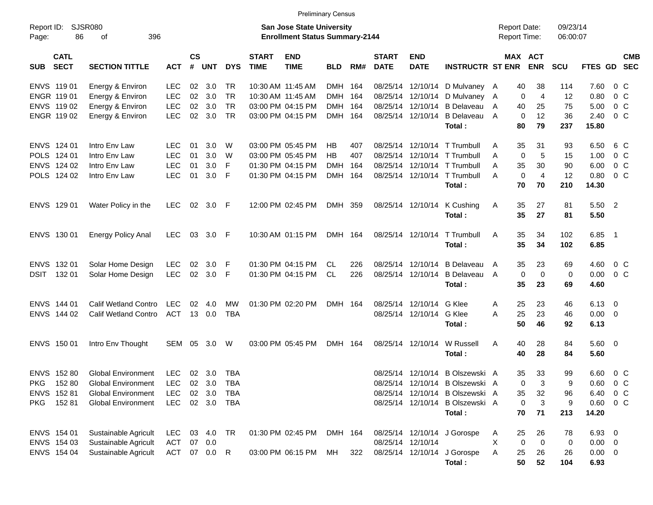|                                          |                             |            |                    |                |            |                             |                                                                           | <b>Preliminary Census</b> |     |                             |                           |                                 |                                            |                       |                      |                |                |            |
|------------------------------------------|-----------------------------|------------|--------------------|----------------|------------|-----------------------------|---------------------------------------------------------------------------|---------------------------|-----|-----------------------------|---------------------------|---------------------------------|--------------------------------------------|-----------------------|----------------------|----------------|----------------|------------|
| Report ID:<br>86<br>Page:                | <b>SJSR080</b><br>396<br>оf |            |                    |                |            |                             | <b>San Jose State University</b><br><b>Enrollment Status Summary-2144</b> |                           |     |                             |                           |                                 | <b>Report Date:</b><br><b>Report Time:</b> |                       | 09/23/14<br>06:00:07 |                |                |            |
| <b>CATL</b><br><b>SECT</b><br><b>SUB</b> | <b>SECTION TITTLE</b>       | <b>ACT</b> | $\mathsf{cs}$<br># | UNT            | <b>DYS</b> | <b>START</b><br><b>TIME</b> | <b>END</b><br><b>TIME</b>                                                 | <b>BLD</b>                | RM# | <b>START</b><br><b>DATE</b> | <b>END</b><br><b>DATE</b> | <b>INSTRUCTR ST ENR</b>         |                                            | MAX ACT<br><b>ENR</b> | <b>SCU</b>           | FTES GD SEC    |                | <b>CMB</b> |
| ENVS 11901                               | Energy & Environ            | LEC        | 02                 | 3.0            | TR.        |                             | 10:30 AM 11:45 AM                                                         | DMH 164                   |     |                             |                           | 08/25/14 12/10/14 D Mulvaney A  | 40                                         | 38                    | 114                  | 7.60           | $0\,$ C        |            |
| ENGR 119 01                              | Energy & Environ            | <b>LEC</b> | 02                 | 3.0            | <b>TR</b>  |                             | 10:30 AM 11:45 AM                                                         | DMH                       | 164 |                             |                           | 08/25/14 12/10/14 D Mulvaney    | A                                          | 0<br>$\overline{4}$   | 12                   | 0.80           | $0\,$ C        |            |
| ENVS 119 02                              | Energy & Environ            | <b>LEC</b> | 02                 | 3.0            | <b>TR</b>  |                             | 03:00 PM 04:15 PM                                                         | <b>DMH</b>                | 164 |                             |                           | 08/25/14 12/10/14 B Delayeau    | 40<br>A                                    | 25                    | 75                   | 5.00           | $0\,C$         |            |
| ENGR 119 02                              | Energy & Environ            | <b>LEC</b> | 02                 | 3.0            | <b>TR</b>  |                             | 03:00 PM 04:15 PM                                                         | DMH 164                   |     |                             | 08/25/14 12/10/14         | <b>B</b> Delaveau               | A                                          | $\mathbf 0$<br>12     | 36                   | 2.40           | $0\,$ C        |            |
|                                          |                             |            |                    |                |            |                             |                                                                           |                           |     |                             |                           | Total:                          | 80                                         | 79                    | 237                  | 15.80          |                |            |
| ENVS 124 01                              | Intro Env Law               | <b>LEC</b> | 01                 | 3.0            | W          |                             | 03:00 PM 05:45 PM                                                         | НB                        | 407 |                             |                           | 08/25/14 12/10/14 T Trumbull    | 35<br>A                                    | 31                    | 93                   | 6.50           | 6 C            |            |
| POLS 124 01                              | Intro Env Law               | <b>LEC</b> | 01                 | 3.0            | W          |                             | 03:00 PM 05:45 PM                                                         | <b>HB</b>                 | 407 |                             |                           | 08/25/14 12/10/14 T Trumbull    | A                                          | 0<br>5                | 15                   | 1.00           | $0\,$ C        |            |
| ENVS 124 02                              | Intro Env Law               | <b>LEC</b> | 01                 | 3.0            | -F         |                             | 01:30 PM 04:15 PM                                                         | <b>DMH</b>                | 164 |                             |                           | 08/25/14 12/10/14 T Trumbull    | 35<br>A                                    | 30                    | 90                   | 6.00           | $0\,C$         |            |
| POLS 124 02                              | Intro Env Law               | <b>LEC</b> | 01                 | 3.0            | - F        |                             | 01:30 PM 04:15 PM                                                         | <b>DMH</b>                | 164 |                             |                           | 08/25/14 12/10/14 T Trumbull    | A                                          | $\mathbf 0$<br>4      | 12                   | 0.80           | $0\,$ C        |            |
|                                          |                             |            |                    |                |            |                             |                                                                           |                           |     |                             |                           | Total:                          | 70                                         | 70                    | 210                  | 14.30          |                |            |
| ENVS 129 01                              | Water Policy in the         | <b>LEC</b> | 02                 | 3.0 F          |            |                             | 12:00 PM 02:45 PM                                                         | DMH 359                   |     |                             | 08/25/14 12/10/14         | K Cushing                       | 35<br>A                                    | 27                    | 81                   | 5.50 2         |                |            |
|                                          |                             |            |                    |                |            |                             |                                                                           |                           |     |                             |                           | Total:                          | 35                                         | 27                    | 81                   | 5.50           |                |            |
| ENVS 130 01                              | <b>Energy Policy Anal</b>   | <b>LEC</b> | 03                 | 3.0 F          |            |                             | 10:30 AM 01:15 PM                                                         | DMH 164                   |     |                             | 08/25/14 12/10/14         | T Trumbull                      | 35<br>A                                    | 34                    | 102                  | $6.85$ 1       |                |            |
|                                          |                             |            |                    |                |            |                             |                                                                           |                           |     |                             |                           | Total:                          | 35                                         | 34                    | 102                  | 6.85           |                |            |
| ENVS 132 01                              | Solar Home Design           | <b>LEC</b> | 02                 | 3.0            | - F        |                             | 01:30 PM 04:15 PM                                                         | CL.                       | 226 |                             |                           | 08/25/14 12/10/14 B Delayeau    | 35<br>A                                    | 23                    | 69                   | 4.60           | $0\,$ C        |            |
| 132 01<br><b>DSIT</b>                    | Solar Home Design           | <b>LEC</b> | 02                 | 3.0 F          |            |                             | 01:30 PM 04:15 PM                                                         | <b>CL</b>                 | 226 |                             | 08/25/14 12/10/14         | <b>B</b> Delaveau               | A                                          | $\mathbf 0$<br>0      | 0                    | 0.00           | 0 <sup>o</sup> |            |
|                                          |                             |            |                    |                |            |                             |                                                                           |                           |     |                             |                           | Total:                          | 35                                         | 23                    | 69                   | 4.60           |                |            |
| ENVS 144 01                              | <b>Calif Wetland Contro</b> | <b>LEC</b> | 02                 | 4.0            | <b>MW</b>  |                             | 01:30 PM 02:20 PM                                                         | DMH 164                   |     |                             | 08/25/14 12/10/14 G Klee  |                                 | 25<br>A                                    | 23                    | 46                   | $6.13 \quad 0$ |                |            |
| ENVS 144 02                              | <b>Calif Wetland Contro</b> | <b>ACT</b> | 13                 | 0.0            | <b>TBA</b> |                             |                                                                           |                           |     |                             | 08/25/14 12/10/14 G Klee  |                                 | 25<br>A                                    | 23                    | 46                   | $0.00 \t 0$    |                |            |
|                                          |                             |            |                    |                |            |                             |                                                                           |                           |     |                             |                           | Total:                          | 50                                         | 46                    | 92                   | 6.13           |                |            |
| ENVS 150 01                              | Intro Env Thought           | SEM        | 05                 | 3.0            | W          |                             | 03:00 PM 05:45 PM                                                         | DMH 164                   |     |                             | 08/25/14 12/10/14         | W Russell                       | 40<br>Α                                    | 28                    | 84                   | $5.60$ 0       |                |            |
|                                          |                             |            |                    |                |            |                             |                                                                           |                           |     |                             |                           | Total:                          | 40                                         | 28                    | 84                   | 5.60           |                |            |
| ENVS 152 80                              | <b>Global Environment</b>   | <b>LEC</b> |                    | $02 \quad 3.0$ | <b>TBA</b> |                             |                                                                           |                           |     |                             |                           | 08/25/14 12/10/14 B Olszewski A | 35                                         | 33                    | 99                   | 6.60           | 0 <sup>o</sup> |            |
| <b>PKG</b><br>15280                      | <b>Global Environment</b>   | LEC        |                    | 02 3.0         | TBA        |                             |                                                                           |                           |     |                             |                           | 08/25/14 12/10/14 B Olszewski A |                                            | 0<br>3                | 9                    | $0.60 \t 0 C$  |                |            |
| ENVS 152 81                              | Global Environment          | LEC        |                    | 02 3.0         | TBA        |                             |                                                                           |                           |     |                             |                           | 08/25/14 12/10/14 B Olszewski A | 35                                         | 32                    | 96                   | 6.40 0 C       |                |            |
| 15281<br><b>PKG</b>                      | <b>Global Environment</b>   | LEC        |                    | 02 3.0         | TBA        |                             |                                                                           |                           |     |                             |                           | 08/25/14 12/10/14 B Olszewski A |                                            | 0<br>3                | 9                    | $0.60 \t 0 C$  |                |            |
|                                          |                             |            |                    |                |            |                             |                                                                           |                           |     |                             |                           | Total:                          | 70                                         | 71                    | 213                  | 14.20          |                |            |
| ENVS 154 01                              | Sustainable Agricult        | LEC        |                    | 03 4.0 TR      |            |                             | 01:30 PM 02:45 PM                                                         | DMH 164                   |     |                             |                           | 08/25/14 12/10/14 J Gorospe     | 25<br>Α                                    | 26                    | 78                   | 6.93 0         |                |            |
| ENVS 154 03                              | Sustainable Agricult        | ACT        |                    | 07 0.0         |            |                             |                                                                           |                           |     |                             | 08/25/14 12/10/14         |                                 | Χ                                          | 0<br>0                | 0                    | $0.00 \t 0$    |                |            |
| ENVS 154 04                              | Sustainable Agricult        | ACT        |                    | 07  0.0  R     |            |                             | 03:00 PM 06:15 PM                                                         | MН                        | 322 |                             |                           | 08/25/14 12/10/14 J Gorospe     | Α<br>25                                    | 26                    | 26                   | $0.00 \t 0$    |                |            |
|                                          |                             |            |                    |                |            |                             |                                                                           |                           |     |                             |                           | Total:                          |                                            | 50<br>52              | 104                  | 6.93           |                |            |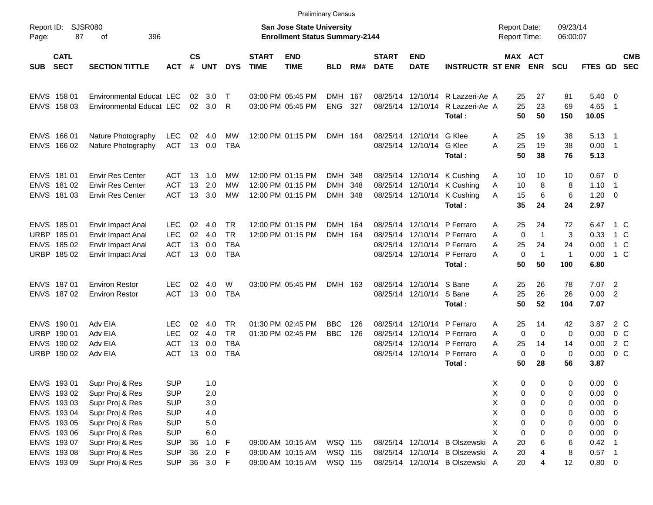| Report ID:<br>87<br>Page:                                                              | SJSR080<br>396<br>оf                                                                                           |                                                                                  |                      |                                            |                                                    |                             | <b>San Jose State University</b><br><b>Enrollment Status Summary-2144</b> |                                     |            |                                  |                                             |                                                                                                         | <b>Report Date:</b><br><b>Report Time:</b> |                                                                                            | 09/23/14<br>06:00:07                 |                                                                                 |                                                             |                          |
|----------------------------------------------------------------------------------------|----------------------------------------------------------------------------------------------------------------|----------------------------------------------------------------------------------|----------------------|--------------------------------------------|----------------------------------------------------|-----------------------------|---------------------------------------------------------------------------|-------------------------------------|------------|----------------------------------|---------------------------------------------|---------------------------------------------------------------------------------------------------------|--------------------------------------------|--------------------------------------------------------------------------------------------|--------------------------------------|---------------------------------------------------------------------------------|-------------------------------------------------------------|--------------------------|
| <b>CATL</b><br><b>SECT</b><br><b>SUB</b>                                               | <b>SECTION TITTLE</b>                                                                                          | <b>ACT</b>                                                                       | $\mathsf{cs}$<br>#   | <b>UNT</b>                                 | <b>DYS</b>                                         | <b>START</b><br><b>TIME</b> | <b>END</b><br><b>TIME</b>                                                 | <b>BLD</b>                          | RM#        | <b>START</b><br><b>DATE</b>      | <b>END</b><br><b>DATE</b>                   | <b>INSTRUCTR ST ENR</b>                                                                                 |                                            | MAX ACT<br><b>ENR</b>                                                                      | <b>SCU</b>                           | FTES GD                                                                         |                                                             | <b>CMB</b><br><b>SEC</b> |
| ENVS 158 01<br>ENVS 158 03                                                             | <b>Environmental Educat LEC</b><br>Environmental Educat LEC                                                    |                                                                                  | 02<br>02             | 3.0<br>3.0                                 | $\top$<br>$\mathsf{R}$                             |                             | 03:00 PM 05:45 PM<br>03:00 PM 05:45 PM                                    | DMH 167<br><b>ENG</b>               | 327        | 08/25/14<br>08/25/14             |                                             | 12/10/14 R Lazzeri-Ae A<br>12/10/14 R Lazzeri-Ae A<br>Total:                                            | 25                                         | 25<br>27<br>23<br>50<br>50                                                                 | 81<br>69<br>150                      | 5.40<br>4.65<br>10.05                                                           | $\overline{\phantom{0}}$<br>$\overline{1}$                  |                          |
| ENVS 166 01<br><b>ENVS</b><br>166 02                                                   | Nature Photography<br>Nature Photography                                                                       | LEC<br><b>ACT</b>                                                                | 02<br>13             | 4.0<br>0.0                                 | MW<br><b>TBA</b>                                   |                             | 12:00 PM 01:15 PM                                                         | DMH 164                             |            | 08/25/14                         | 12/10/14 G Klee<br>08/25/14 12/10/14 G Klee | Total:                                                                                                  | 25<br>A<br>25<br>A                         | 19<br>19<br>50<br>38                                                                       | 38<br>38<br>76                       | $5.13 \quad 1$<br>0.00<br>5.13                                                  | $\overline{\phantom{1}}$                                    |                          |
| ENVS 181 01<br><b>ENVS</b><br>18102<br>ENVS 181 03                                     | <b>Envir Res Center</b><br><b>Envir Res Center</b><br><b>Envir Res Center</b>                                  | ACT<br><b>ACT</b><br><b>ACT</b>                                                  | 13<br>13<br>13       | 1.0<br>2.0<br>3.0                          | МW<br>MW<br><b>MW</b>                              |                             | 12:00 PM 01:15 PM<br>12:00 PM 01:15 PM<br>12:00 PM 01:15 PM               | <b>DMH</b><br><b>DMH</b><br>DMH 348 | 348<br>348 | 08/25/14<br>08/25/14             |                                             | 12/10/14 K Cushing<br>12/10/14 K Cushing<br>08/25/14 12/10/14 K Cushing<br>Total:                       | A<br>10<br>Α<br>A                          | 10<br>10<br>8<br>15<br>6<br>35<br>24                                                       | 10<br>8<br>6<br>24                   | 0.67<br>1.10<br>1.20<br>2.97                                                    | $\overline{\mathbf{0}}$<br>$\overline{1}$<br>$\overline{0}$ |                          |
| ENVS 185 01<br><b>URBP</b><br>18501<br><b>ENVS</b><br>185 02<br>URBP 185 02            | Envir Impact Anal<br>Envir Impact Anal<br><b>Envir Impact Anal</b><br>Envir Impact Anal                        | <b>LEC</b><br><b>LEC</b><br><b>ACT</b><br><b>ACT</b>                             | 02<br>02<br>13<br>13 | 4.0<br>4.0<br>0.0<br>0.0                   | <b>TR</b><br><b>TR</b><br><b>TBA</b><br><b>TBA</b> |                             | 12:00 PM 01:15 PM<br>12:00 PM 01:15 PM                                    | DMH 164<br>DMH 164                  |            | 08/25/14<br>08/25/14<br>08/25/14 |                                             | 12/10/14 P Ferraro<br>12/10/14 P Ferraro<br>12/10/14 P Ferraro<br>08/25/14 12/10/14 P Ferraro<br>Total: | A<br>A<br>25<br>A<br>A                     | 24<br>25<br>$\mathbf 0$<br>$\overline{1}$<br>24<br>$\mathbf 0$<br>$\mathbf{1}$<br>50<br>50 | 72<br>3<br>24<br>$\mathbf{1}$<br>100 | 6.47<br>0.33<br>0.00<br>0.00<br>6.80                                            | 1 C<br>1 C<br>1 C<br>1 C                                    |                          |
| ENVS 187 01<br>ENVS 187 02                                                             | <b>Environ Restor</b><br><b>Environ Restor</b>                                                                 | <b>LEC</b><br><b>ACT</b>                                                         | 02<br>13             | 4.0<br>0.0                                 | W<br><b>TBA</b>                                    |                             | 03:00 PM 05:45 PM                                                         | DMH 163                             |            | 08/25/14                         | 12/10/14 S Bane<br>08/25/14 12/10/14 S Bane | Total:                                                                                                  | 25<br>Α<br>25<br>A                         | 26<br>26<br>50<br>52                                                                       | 78<br>26<br>104                      | 7.07<br>0.00<br>7.07                                                            | $\overline{2}$<br>$\overline{2}$                            |                          |
| ENVS 190 01<br><b>URBP</b><br>190 01<br><b>ENVS</b><br>190 02<br><b>URBP</b><br>190 02 | Adv EIA<br>Adv EIA<br>Adv EIA<br>Adv EIA                                                                       | <b>LEC</b><br><b>LEC</b><br><b>ACT</b><br><b>ACT</b>                             | 02<br>02<br>13<br>13 | 4.0<br>4.0<br>0.0<br>0.0                   | <b>TR</b><br><b>TR</b><br><b>TBA</b><br><b>TBA</b> |                             | 01:30 PM 02:45 PM<br>01:30 PM 02:45 PM                                    | <b>BBC</b><br><b>BBC</b>            | 126<br>126 | 08/25/14<br>08/25/14<br>08/25/14 |                                             | 12/10/14 P Ferraro<br>12/10/14 P Ferraro<br>12/10/14 P Ferraro<br>08/25/14 12/10/14 P Ferraro<br>Total: | A<br>A<br>25<br>A<br>A                     | 25<br>14<br>$\mathbf 0$<br>0<br>14<br>$\mathbf 0$<br>$\mathbf 0$<br>50<br>28               | 42<br>0<br>14<br>$\mathbf 0$<br>56   | 3.87<br>0.00<br>0.00<br>0.00<br>3.87                                            | 2 C<br>0 <sup>o</sup><br>$2\degree$ C<br>0 <sup>o</sup>     |                          |
| ENVS 193 01<br>ENVS 193 02<br>ENVS 193 03<br>ENVS 193 04<br>ENVS 193 05<br>ENVS 193 06 | Supr Proj & Res<br>Supr Proj & Res<br>Supr Proj & Res<br>Supr Proj & Res<br>Supr Proj & Res<br>Supr Proj & Res | <b>SUP</b><br><b>SUP</b><br><b>SUP</b><br><b>SUP</b><br><b>SUP</b><br><b>SUP</b> |                      | 1.0<br>2.0<br>3.0<br>4.0<br>$5.0\,$<br>6.0 |                                                    |                             |                                                                           |                                     |            |                                  |                                             |                                                                                                         | Χ<br>Х<br>X<br>X<br>Χ<br>X                 | 0<br>$\mathbf 0$<br>0<br>0<br>0<br>0<br>0<br>0<br>0<br>0<br>0<br>0                         | 0<br>0<br>0<br>0<br>0<br>0           | 0.00<br>$0.00 \t 0$<br>$0.00 \t 0$<br>$0.00 \t 0$<br>$0.00 \t 0$<br>$0.00 \t 0$ | $\overline{\mathbf{0}}$                                     |                          |
| ENVS 193 07<br>ENVS 19308<br>ENVS 193 09                                               | Supr Proj & Res<br>Supr Proj & Res<br>Supr Proj & Res                                                          | <b>SUP</b><br><b>SUP</b><br><b>SUP</b>                                           | 36<br>36             | 1.0<br>2.0<br>36 3.0 F                     | $-F$<br>$-F$                                       |                             | 09:00 AM 10:15 AM<br>09:00 AM 10:15 AM<br>09:00 AM 10:15 AM               | WSQ 115<br>WSQ 115<br>WSQ 115       |            |                                  |                                             | 08/25/14 12/10/14 B Olszewski<br>08/25/14 12/10/14 B Olszewski A<br>08/25/14 12/10/14 B Olszewski A     | 20<br>A<br>20<br>20                        | 6<br>4<br>4                                                                                | 6<br>8<br>12                         | $0.42$ 1<br>$0.57$ 1<br>0.80 0                                                  |                                                             |                          |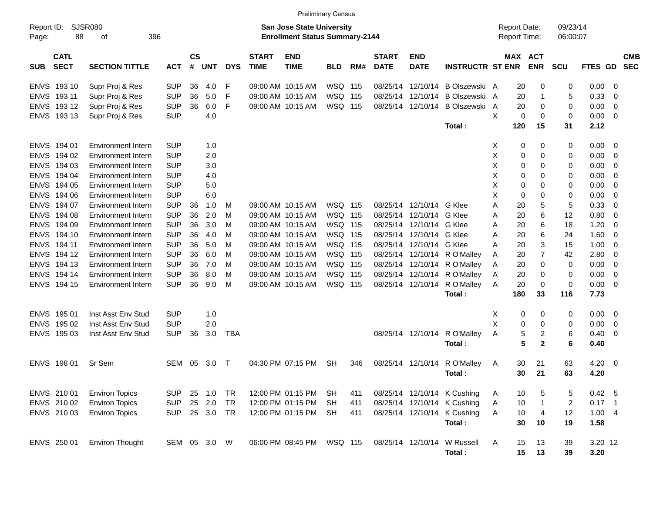|                     |                            |                           |              |                |            |            |                             |                                                                           | <b>Preliminary Census</b> |     |                             |                           |                              |                                     |                       |                      |          |                          |                          |
|---------------------|----------------------------|---------------------------|--------------|----------------|------------|------------|-----------------------------|---------------------------------------------------------------------------|---------------------------|-----|-----------------------------|---------------------------|------------------------------|-------------------------------------|-----------------------|----------------------|----------|--------------------------|--------------------------|
| Report ID:<br>Page: | 88                         | SJSR080<br>396<br>οf      |              |                |            |            |                             | <b>San Jose State University</b><br><b>Enrollment Status Summary-2144</b> |                           |     |                             |                           |                              | <b>Report Date:</b><br>Report Time: |                       | 09/23/14<br>06:00:07 |          |                          |                          |
| <b>SUB</b>          | <b>CATL</b><br><b>SECT</b> | <b>SECTION TITTLE</b>     | <b>ACT</b>   | <b>CS</b><br># | <b>UNT</b> | <b>DYS</b> | <b>START</b><br><b>TIME</b> | <b>END</b><br><b>TIME</b>                                                 | <b>BLD</b>                | RM# | <b>START</b><br><b>DATE</b> | <b>END</b><br><b>DATE</b> | <b>INSTRUCTR ST ENR</b>      |                                     | MAX ACT<br><b>ENR</b> | <b>SCU</b>           | FTES GD  |                          | <b>CMB</b><br><b>SEC</b> |
|                     | ENVS 19310                 | Supr Proj & Res           | <b>SUP</b>   | 36             | 4.0        | F          |                             | 09:00 AM 10:15 AM                                                         | WSQ 115                   |     | 08/25/14                    | 12/10/14                  | B Olszewski A                |                                     | 20<br>0               | 0                    | 0.00     | $\overline{0}$           |                          |
|                     | ENVS 19311                 | Supr Proj & Res           | <b>SUP</b>   | 36             | 5.0        | F          |                             | 09:00 AM 10:15 AM                                                         | WSQ 115                   |     | 08/25/14                    | 12/10/14                  | B Olszewski A                |                                     | 20<br>1               | 5                    | 0.33     | 0                        |                          |
|                     | ENVS 19312                 | Supr Proj & Res           | <b>SUP</b>   | 36             | 6.0        | F          |                             | 09:00 AM 10:15 AM                                                         | WSQ 115                   |     |                             | 08/25/14 12/10/14         | B Olszewski                  | A                                   | 20<br>0               | 0                    | 0.00     | 0                        |                          |
|                     | ENVS 193 13                | Supr Proj & Res           | <b>SUP</b>   |                | 4.0        |            |                             |                                                                           |                           |     |                             |                           |                              | X                                   | 0<br>0                | 0                    | 0.00     | 0                        |                          |
|                     |                            |                           |              |                |            |            |                             |                                                                           |                           |     |                             |                           | Total:                       | 120                                 | 15                    | 31                   | 2.12     |                          |                          |
|                     | ENVS 194 01                | <b>Environment Intern</b> | <b>SUP</b>   |                | 1.0        |            |                             |                                                                           |                           |     |                             |                           |                              | Х                                   | 0<br>0                | 0                    | 0.00     | $\overline{0}$           |                          |
| <b>ENVS</b>         | 194 02                     | <b>Environment Intern</b> | <b>SUP</b>   |                | 2.0        |            |                             |                                                                           |                           |     |                             |                           |                              | Х                                   | 0<br>0                | 0                    | 0.00     | 0                        |                          |
| <b>ENVS</b>         | 194 03                     | <b>Environment Intern</b> | <b>SUP</b>   |                | 3.0        |            |                             |                                                                           |                           |     |                             |                           |                              | X                                   | 0<br>0                | 0                    | 0.00     | 0                        |                          |
| <b>ENVS</b>         | 194 04                     | <b>Environment Intern</b> | <b>SUP</b>   |                | 4.0        |            |                             |                                                                           |                           |     |                             |                           |                              | X                                   | 0<br>0                | 0                    | 0.00     | 0                        |                          |
| <b>ENVS</b>         | 194 05                     | <b>Environment Intern</b> | <b>SUP</b>   |                | 5.0        |            |                             |                                                                           |                           |     |                             |                           |                              | Х                                   | 0<br>0                | 0                    | 0.00     | 0                        |                          |
| <b>ENVS</b>         | 194 06                     | <b>Environment Intern</b> | <b>SUP</b>   |                | 6.0        |            |                             |                                                                           |                           |     |                             |                           |                              | X                                   | 0<br>0                | 0                    | 0.00     | 0                        |                          |
| ENVS                | 194 07                     | <b>Environment Intern</b> | <b>SUP</b>   | 36             | 1.0        | M          |                             | 09:00 AM 10:15 AM                                                         | WSQ 115                   |     |                             | 08/25/14 12/10/14 G Klee  |                              | Α                                   | 20<br>5               | 5                    | 0.33     | 0                        |                          |
|                     | ENVS 194 08                | <b>Environment Intern</b> | <b>SUP</b>   | 36             | 2.0        | м          |                             | 09:00 AM 10:15 AM                                                         | WSQ 115                   |     | 08/25/14                    | 12/10/14 G Klee           |                              | Α                                   | 6<br>20               | 12                   | 0.80     | 0                        |                          |
|                     | ENVS 194 09                | <b>Environment Intern</b> | <b>SUP</b>   | 36             | 3.0        | M          |                             | 09:00 AM 10:15 AM                                                         | WSQ 115                   |     | 08/25/14                    | 12/10/14 G Klee           |                              | A                                   | 20<br>6               | 18                   | 1.20     | 0                        |                          |
|                     | ENVS 19410                 | <b>Environment Intern</b> | <b>SUP</b>   | 36             | 4.0        | м          |                             | 09:00 AM 10:15 AM                                                         | WSQ 115                   |     | 08/25/14                    | 12/10/14 G Klee           |                              | A                                   | 20<br>6               | 24                   | 1.60     | 0                        |                          |
|                     | ENVS 194 11                | <b>Environment Intern</b> | <b>SUP</b>   | 36             | 5.0        | м          |                             | 09:00 AM 10:15 AM                                                         | WSQ 115                   |     | 08/25/14                    | 12/10/14 G Klee           |                              | A                                   | 20<br>3               | 15                   | 1.00     | 0                        |                          |
|                     | ENVS 194 12                | <b>Environment Intern</b> | <b>SUP</b>   | 36             | 6.0        | м          |                             | 09:00 AM 10:15 AM                                                         | WSQ 115                   |     | 08/25/14                    |                           | 12/10/14 R O'Malley          | A                                   | 7<br>20               | 42                   | 2.80     | 0                        |                          |
|                     | ENVS 194 13                | <b>Environment Intern</b> | <b>SUP</b>   | 36             | 7.0        | м          |                             | 09:00 AM 10:15 AM                                                         | WSQ 115                   |     |                             |                           | 08/25/14 12/10/14 R O'Malley | A                                   | 20<br>0               | 0                    | 0.00     | 0                        |                          |
|                     | ENVS 194 14                | Environment Intern        | <b>SUP</b>   | 36             | 8.0        | м          |                             | 09:00 AM 10:15 AM                                                         | WSQ 115                   |     |                             |                           | 08/25/14 12/10/14 R O'Malley | A                                   | 20<br>0               | 0                    | 0.00     | 0                        |                          |
|                     | ENVS 194 15                | Environment Intern        | <b>SUP</b>   | 36             | 9.0        | M          |                             | 09:00 AM 10:15 AM                                                         | WSQ 115                   |     |                             | 08/25/14 12/10/14         | R O'Malley                   | A                                   | 20<br>$\mathbf 0$     | 0                    | 0.00     | $\overline{\mathbf{0}}$  |                          |
|                     |                            |                           |              |                |            |            |                             |                                                                           |                           |     |                             |                           | Total:                       | 180                                 | 33                    | 116                  | 7.73     |                          |                          |
|                     | ENVS 195 01                | Inst Asst Env Stud        | <b>SUP</b>   |                | 1.0        |            |                             |                                                                           |                           |     |                             |                           |                              | х                                   | 0<br>0                | 0                    | 0.00     | $\overline{\mathbf{0}}$  |                          |
| <b>ENVS</b>         | 195 02                     | Inst Asst Env Stud        | <b>SUP</b>   |                | 2.0        |            |                             |                                                                           |                           |     |                             |                           |                              | X                                   | 0<br>0                | 0                    | 0.00     | 0                        |                          |
|                     | ENVS 195 03                | Inst Asst Env Stud        | <b>SUP</b>   | 36             | 3.0        | TBA        |                             |                                                                           |                           |     |                             | 08/25/14 12/10/14         | R O'Malley                   | Α                                   | 5<br>2                | 6                    | 0.40     | 0                        |                          |
|                     |                            |                           |              |                |            |            |                             |                                                                           |                           |     |                             |                           | Total:                       |                                     | 5<br>$\mathbf{2}$     | 6                    | 0.40     |                          |                          |
|                     | ENVS 198 01                | Sr Sem                    | SEM          | 05             | 3.0        | $\top$     |                             | 04:30 PM 07:15 PM                                                         | <b>SH</b>                 | 346 |                             | 08/25/14 12/10/14         | R O'Malley                   | A                                   | 30<br>21              | 63                   | 4.20     | $\overline{\phantom{0}}$ |                          |
|                     |                            |                           |              |                |            |            |                             |                                                                           |                           |     |                             |                           | Total :                      |                                     | 30<br>21              | 63                   | 4.20     |                          |                          |
|                     | ENVS 210 01                | <b>Environ Topics</b>     | <b>SUP</b>   |                | 25 1.0     | TR         |                             | 12:00 PM 01:15 PM                                                         | <b>SH</b>                 | 411 |                             |                           | 08/25/14 12/10/14 K Cushing  | A                                   | 10<br>5               | 5                    | 0.42 5   |                          |                          |
|                     | ENVS 210 02                | <b>Environ Topics</b>     | <b>SUP</b>   | 25             | 2.0        | TR         |                             | 12:00 PM 01:15 PM                                                         | <b>SH</b>                 | 411 |                             |                           | 08/25/14 12/10/14 K Cushing  | Α                                   | 10<br>$\mathbf{1}$    | 2                    | $0.17$ 1 |                          |                          |
|                     | ENVS 210 03                | <b>Environ Topics</b>     | <b>SUP</b>   |                | 25 3.0     | TR         |                             | 12:00 PM 01:15 PM                                                         | <b>SH</b>                 | 411 |                             |                           | 08/25/14 12/10/14 K Cushing  | Α                                   | 10<br>4               | 12                   | 1.004    |                          |                          |
|                     |                            |                           |              |                |            |            |                             |                                                                           |                           |     |                             |                           | Total:                       |                                     | 30<br>10              | 19                   | 1.58     |                          |                          |
|                     | ENVS 250 01                | <b>Environ Thought</b>    | SEM 05 3.0 W |                |            |            |                             | 06:00 PM 08:45 PM                                                         | WSQ 115                   |     |                             | 08/25/14 12/10/14         | W Russell                    | A                                   | 15<br>13              | 39                   | 3.20 12  |                          |                          |
|                     |                            |                           |              |                |            |            |                             |                                                                           |                           |     |                             |                           | Total:                       |                                     | 15<br>13              | 39                   | 3.20     |                          |                          |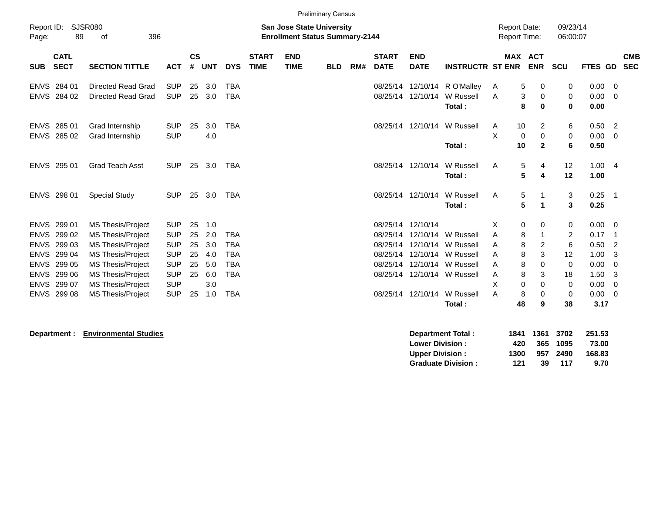|                                                          |                                                                                                  |                                                                                                                                                                                                                |                                                                                                              |                                        |                                                      |                                                                                  |                             |                                                                           | <b>Preliminary Census</b> |     |                                                                   |                                                                                        |                                                                            |                                      |                                                |                                      |                                                  |                                                              |                                                               |
|----------------------------------------------------------|--------------------------------------------------------------------------------------------------|----------------------------------------------------------------------------------------------------------------------------------------------------------------------------------------------------------------|--------------------------------------------------------------------------------------------------------------|----------------------------------------|------------------------------------------------------|----------------------------------------------------------------------------------|-----------------------------|---------------------------------------------------------------------------|---------------------------|-----|-------------------------------------------------------------------|----------------------------------------------------------------------------------------|----------------------------------------------------------------------------|--------------------------------------|------------------------------------------------|--------------------------------------|--------------------------------------------------|--------------------------------------------------------------|---------------------------------------------------------------|
| Report ID:<br>Page:                                      | 89                                                                                               | <b>SJSR080</b><br>396<br>of                                                                                                                                                                                    |                                                                                                              |                                        |                                                      |                                                                                  |                             | <b>San Jose State University</b><br><b>Enrollment Status Summary-2144</b> |                           |     |                                                                   |                                                                                        |                                                                            |                                      | <b>Report Date:</b><br><b>Report Time:</b>     |                                      | 09/23/14<br>06:00:07                             |                                                              |                                                               |
| <b>SUB</b>                                               | <b>CATL</b><br><b>SECT</b>                                                                       | <b>SECTION TITTLE</b>                                                                                                                                                                                          | <b>ACT</b>                                                                                                   | $\mathsf{cs}$<br>#                     | <b>UNT</b>                                           | <b>DYS</b>                                                                       | <b>START</b><br><b>TIME</b> | <b>END</b><br><b>TIME</b>                                                 | <b>BLD</b>                | RM# | <b>START</b><br><b>DATE</b>                                       | <b>END</b><br><b>DATE</b>                                                              | <b>INSTRUCTR ST ENR</b>                                                    |                                      | <b>MAX</b>                                     | <b>ACT</b><br><b>ENR</b>             | SCU                                              | <b>FTES GD</b>                                               | <b>CMB</b><br><b>SEC</b>                                      |
| <b>ENVS</b>                                              | ENVS 284 01<br>284 02                                                                            | <b>Directed Read Grad</b><br><b>Directed Read Grad</b>                                                                                                                                                         | <b>SUP</b><br><b>SUP</b>                                                                                     | 25<br>25                               | 3.0<br>3.0                                           | <b>TBA</b><br><b>TBA</b>                                                         |                             |                                                                           |                           |     | 08/25/14<br>08/25/14                                              | 12/10/14<br>12/10/14                                                                   | R O'Malley<br>W Russell<br>Total:                                          | A<br>A                               | 5<br>3<br>8                                    | 0<br>0<br>0                          | 0<br>0<br>0                                      | 0.00<br>0.00<br>0.00                                         | $\overline{0}$<br>$\overline{0}$                              |
| <b>ENVS</b>                                              | 285 01<br>ENVS 285 02                                                                            | Grad Internship<br>Grad Internship                                                                                                                                                                             | <b>SUP</b><br><b>SUP</b>                                                                                     | 25                                     | 3.0<br>4.0                                           | <b>TBA</b>                                                                       |                             |                                                                           |                           |     | 08/25/14                                                          | 12/10/14                                                                               | W Russell<br>Total:                                                        | Α<br>X                               | 10<br>0<br>10                                  | 2<br>0<br>$\mathbf{2}$               | 6<br>0<br>6                                      | 0.50<br>0.00<br>0.50                                         | 2<br>0                                                        |
|                                                          | ENVS 295 01                                                                                      | <b>Grad Teach Asst</b>                                                                                                                                                                                         | <b>SUP</b>                                                                                                   | 25                                     | 3.0                                                  | <b>TBA</b>                                                                       |                             |                                                                           |                           |     |                                                                   | 08/25/14 12/10/14                                                                      | W Russell<br>Total:                                                        | A                                    | 5<br>5                                         | 4<br>4                               | 12<br>12                                         | 1.00<br>1.00                                                 | -4                                                            |
|                                                          | ENVS 298 01                                                                                      | <b>Special Study</b>                                                                                                                                                                                           | <b>SUP</b>                                                                                                   | 25                                     | 3.0                                                  | TBA                                                                              |                             |                                                                           |                           |     |                                                                   | 08/25/14 12/10/14                                                                      | W Russell<br>Total:                                                        | A                                    | 5<br>5                                         | $\mathbf 1$<br>1                     | 3<br>3                                           | 0.25<br>0.25                                                 | -1                                                            |
| <b>ENVS</b><br><b>ENVS</b><br><b>ENVS</b><br><b>ENVS</b> | ENVS 299 01<br>299 02<br>ENVS 299 03<br>299 04<br>ENVS 299 05<br>299 06<br>299 07<br>ENVS 299 08 | <b>MS Thesis/Project</b><br><b>MS Thesis/Project</b><br><b>MS Thesis/Project</b><br><b>MS Thesis/Project</b><br><b>MS Thesis/Project</b><br>MS Thesis/Project<br>MS Thesis/Project<br><b>MS Thesis/Project</b> | <b>SUP</b><br><b>SUP</b><br><b>SUP</b><br><b>SUP</b><br><b>SUP</b><br><b>SUP</b><br><b>SUP</b><br><b>SUP</b> | 25<br>25<br>25<br>25<br>25<br>25<br>25 | 1.0<br>2.0<br>3.0<br>4.0<br>5.0<br>6.0<br>3.0<br>1.0 | <b>TBA</b><br><b>TBA</b><br><b>TBA</b><br><b>TBA</b><br><b>TBA</b><br><b>TBA</b> |                             |                                                                           |                           |     | 08/25/14 12/10/14<br>08/25/14<br>08/25/14<br>08/25/14<br>08/25/14 | 12/10/14<br>12/10/14<br>12/10/14<br>12/10/14<br>08/25/14 12/10/14<br>08/25/14 12/10/14 | W Russell<br>W Russell<br>W Russell<br>W Russell<br>W Russell<br>W Russell | X<br>A<br>A<br>A<br>A<br>A<br>X<br>Α | 0<br>8<br>8<br>8<br>8<br>8<br>$\mathbf 0$<br>8 | 0<br>1<br>2<br>3<br>0<br>3<br>0<br>0 | 0<br>2<br>6<br>12<br>$\mathbf 0$<br>18<br>0<br>0 | 0.00<br>0.17<br>0.50<br>1.00<br>0.00<br>1.50<br>0.00<br>0.00 | $\mathbf{0}$<br>-1<br>2<br>3<br>0<br>3<br>$\overline{0}$<br>0 |
|                                                          |                                                                                                  |                                                                                                                                                                                                                |                                                                                                              |                                        |                                                      |                                                                                  |                             |                                                                           |                           |     |                                                                   |                                                                                        | Total:                                                                     |                                      | 48                                             | 9                                    | 38                                               | 3.17                                                         |                                                               |

| Department : | <b>Environmental Studies</b> | Department Total:         | 1841 | 1361 | 3702 | 251.53 |
|--------------|------------------------------|---------------------------|------|------|------|--------|
|              |                              | <b>Lower Division:</b>    | 420  | 365  | 1095 | 73.00  |
|              |                              | <b>Upper Division:</b>    | 1300 | 957  | 2490 | 168.83 |
|              |                              | <b>Graduate Division:</b> | 121  | 39   | 117  | 9.70   |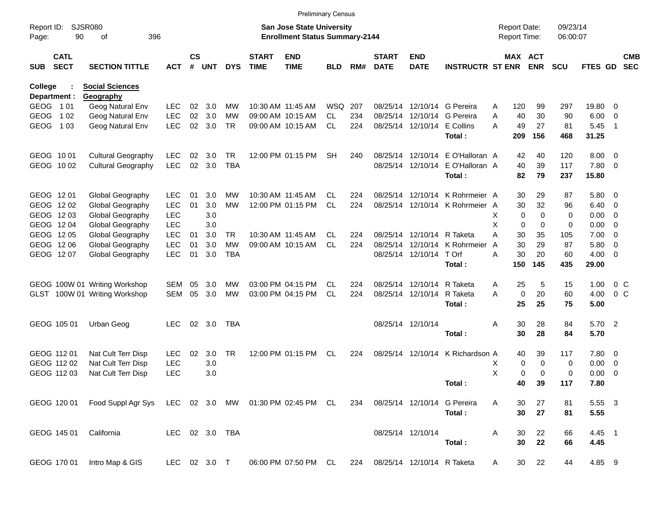|                     |                            |                                                       |                |                    |            |                 |                             |                                                                           | <b>Preliminary Census</b> |     |                             |                             |                                                            |                                     |             |                       |                      |               |                          |                          |
|---------------------|----------------------------|-------------------------------------------------------|----------------|--------------------|------------|-----------------|-----------------------------|---------------------------------------------------------------------------|---------------------------|-----|-----------------------------|-----------------------------|------------------------------------------------------------|-------------------------------------|-------------|-----------------------|----------------------|---------------|--------------------------|--------------------------|
| Report ID:<br>Page: | 90                         | <b>SJSR080</b><br>396<br>of                           |                |                    |            |                 |                             | <b>San Jose State University</b><br><b>Enrollment Status Summary-2144</b> |                           |     |                             |                             |                                                            | <b>Report Date:</b><br>Report Time: |             |                       | 09/23/14<br>06:00:07 |               |                          |                          |
| <b>SUB</b>          | <b>CATL</b><br><b>SECT</b> | <b>SECTION TITTLE</b>                                 | ACT            | $\mathsf{cs}$<br># | <b>UNT</b> | <b>DYS</b>      | <b>START</b><br><b>TIME</b> | <b>END</b><br><b>TIME</b>                                                 | <b>BLD</b>                | RM# | <b>START</b><br><b>DATE</b> | <b>END</b><br><b>DATE</b>   | <b>INSTRUCTR ST ENR</b>                                    |                                     |             | MAX ACT<br><b>ENR</b> | <b>SCU</b>           | FTES GD       |                          | <b>CMB</b><br><b>SEC</b> |
| <b>College</b>      |                            | <b>Social Sciences</b>                                |                |                    |            |                 |                             |                                                                           |                           |     |                             |                             |                                                            |                                     |             |                       |                      |               |                          |                          |
|                     | Department :               | Geography                                             |                |                    |            |                 |                             |                                                                           |                           |     |                             |                             |                                                            |                                     |             |                       |                      |               |                          |                          |
| GEOG 101            |                            | Geog Natural Env                                      | <b>LEC</b>     | 02<br>02           | 3.0        | MW              |                             | 10:30 AM 11:45 AM<br>09:00 AM 10:15 AM                                    | <b>WSQ</b><br><b>CL</b>   | 207 |                             |                             | 08/25/14 12/10/14 G Pereira<br>08/25/14 12/10/14 G Pereira | Α                                   | 120<br>40   | 99<br>30              | 297<br>90            | 19.80         | - 0                      |                          |
| GEOG                | 1 0 2<br>1 0 3             | Geog Natural Env                                      | <b>LEC</b>     |                    | 3.0        | MW<br><b>TR</b> |                             |                                                                           | <b>CL</b>                 | 234 |                             |                             |                                                            | Α<br>А                              |             |                       |                      | 6.00          | - 0                      |                          |
| <b>GEOG</b>         |                            | Geog Natural Env                                      | <b>LEC</b>     | 02                 | 3.0        |                 |                             | 09:00 AM 10:15 AM                                                         |                           | 224 |                             | 08/25/14 12/10/14 E Collins | Total:                                                     |                                     | 49<br>209   | 27<br>156             | 81<br>468            | 5.45<br>31.25 | $\overline{1}$           |                          |
|                     | GEOG 1001                  | <b>Cultural Geography</b>                             | <b>LEC</b>     | 02                 | 3.0        | TR              |                             | 12:00 PM 01:15 PM                                                         | <b>SH</b>                 | 240 |                             |                             | 08/25/14 12/10/14 E O'Halloran A                           |                                     | 42          | 40                    | 120                  | $8.00 \t 0$   |                          |                          |
|                     | GEOG 1002                  | <b>Cultural Geography</b>                             | <b>LEC</b>     | 02                 | 3.0        | <b>TBA</b>      |                             |                                                                           |                           |     |                             |                             | 08/25/14 12/10/14 E O'Halloran A                           |                                     | 40          | 39                    | 117                  | 7.80 0        |                          |                          |
|                     |                            |                                                       |                |                    |            |                 |                             |                                                                           |                           |     |                             |                             | Total:                                                     |                                     | 82          | 79                    | 237                  | 15.80         |                          |                          |
|                     | GEOG 1201                  | Global Geography                                      | <b>LEC</b>     | 01                 | 3.0        | МW              |                             | 10:30 AM 11:45 AM                                                         | CL.                       | 224 |                             |                             | 08/25/14 12/10/14 K Rohrmeier A                            |                                     | 30          | 29                    | 87                   | 5.80 0        |                          |                          |
|                     | GEOG 1202                  | Global Geography                                      | <b>LEC</b>     | 01                 | 3.0        | <b>MW</b>       |                             | 12:00 PM 01:15 PM                                                         | <b>CL</b>                 | 224 |                             |                             | 08/25/14 12/10/14 K Rohrmeier A                            |                                     | 30          | 32                    | 96                   | 6.40          | $\overline{\phantom{0}}$ |                          |
|                     | GEOG 1203                  | Global Geography                                      | <b>LEC</b>     |                    | 3.0        |                 |                             |                                                                           |                           |     |                             |                             |                                                            | X                                   | $\mathbf 0$ | $\Omega$              | 0                    | 0.00          | $\overline{\phantom{0}}$ |                          |
|                     | GEOG 1204                  | Global Geography                                      | <b>LEC</b>     |                    | 3.0        |                 |                             |                                                                           |                           |     |                             |                             |                                                            | X                                   | $\mathbf 0$ | $\mathbf 0$           | 0                    | 0.00          | $\overline{\phantom{0}}$ |                          |
|                     | GEOG 1205                  | Global Geography                                      | <b>LEC</b>     | 01                 | 3.0        | TR              |                             | 10:30 AM 11:45 AM                                                         | CL.                       | 224 |                             | 08/25/14 12/10/14 R Taketa  |                                                            | А                                   | 30          | 35                    | 105                  | 7.00          | $\overline{\phantom{0}}$ |                          |
|                     | GEOG 1206                  | Global Geography                                      | <b>LEC</b>     | 01                 | 3.0        | <b>MW</b>       |                             | 09:00 AM 10:15 AM                                                         | <b>CL</b>                 | 224 |                             |                             | 08/25/14 12/10/14 K Rohrmeier                              | A                                   | 30          | 29                    | 87                   | 5.80          | $\overline{\phantom{0}}$ |                          |
|                     | GEOG 1207                  | Global Geography                                      | <b>LEC</b>     | 01                 | 3.0        | <b>TBA</b>      |                             |                                                                           |                           |     |                             | 08/25/14 12/10/14 T Orf     |                                                            | Α                                   | 30          | 20                    | 60                   | $4.00 \ 0$    |                          |                          |
|                     |                            |                                                       |                |                    |            |                 |                             |                                                                           |                           |     |                             |                             | Total:                                                     |                                     | 150         | 145                   | 435                  | 29.00         |                          |                          |
|                     |                            | GEOG 100W 01 Writing Workshop                         | SEM            | 05                 | 3.0        | МW              |                             | 03:00 PM 04:15 PM                                                         | CL.                       | 224 |                             | 08/25/14 12/10/14           | R Taketa                                                   | Α                                   | 25          | 5                     | 15                   | 1.00          | $0\,C$                   |                          |
|                     |                            | GLST 100W 01 Writing Workshop                         | <b>SEM</b>     | 05                 | 3.0        | <b>MW</b>       |                             | 03:00 PM 04:15 PM                                                         | <b>CL</b>                 | 224 |                             | 08/25/14 12/10/14           | R Taketa                                                   | A                                   | $\mathbf 0$ | 20                    | 60                   | 4.00          | 0 <sup>o</sup>           |                          |
|                     |                            |                                                       |                |                    |            |                 |                             |                                                                           |                           |     |                             |                             | Total:                                                     |                                     | 25          | 25                    | 75                   | 5.00          |                          |                          |
|                     | GEOG 105 01                | Urban Geog                                            | <b>LEC</b>     | 02                 | 3.0        | TBA             |                             |                                                                           |                           |     |                             | 08/25/14 12/10/14           |                                                            | Α                                   | 30          | 28                    | 84                   | 5.70 2        |                          |                          |
|                     |                            |                                                       |                |                    |            |                 |                             |                                                                           |                           |     |                             |                             | Total:                                                     |                                     | 30          | 28                    | 84                   | 5.70          |                          |                          |
|                     | GEOG 112 01                | Nat Cult Terr Disp                                    | <b>LEC</b>     | 02                 | 3.0        | <b>TR</b>       |                             | 12:00 PM 01:15 PM                                                         | CL                        | 224 |                             |                             | 08/25/14 12/10/14 K Richardson A                           |                                     | 40          | 39                    | 117                  | 7.80 0        |                          |                          |
|                     | GEOG 112 02                | Nat Cult Terr Disp                                    | <b>LEC</b>     |                    | 3.0        |                 |                             |                                                                           |                           |     |                             |                             |                                                            | х                                   | 0           | $\mathbf 0$           | 0                    | 0.00          | $\overline{\phantom{0}}$ |                          |
|                     | GEOG 112 03                | Nat Cult Terr Disp                                    | <b>LEC</b>     |                    | 3.0        |                 |                             |                                                                           |                           |     |                             |                             |                                                            | х                                   | 0           | $\Omega$              | 0                    | 0.00          | $\overline{\mathbf{0}}$  |                          |
|                     |                            |                                                       |                |                    |            |                 |                             |                                                                           |                           |     |                             |                             | Total:                                                     |                                     | 40          | 39                    | 117                  | 7.80          |                          |                          |
|                     | GEOG 120 01                | Food Suppl Agr Sys LEC 02 3.0 MW 01:30 PM 02:45 PM CL |                |                    |            |                 |                             |                                                                           |                           | 234 |                             |                             | 08/25/14 12/10/14 G Pereira                                | Α                                   | 30          | 27                    | 81                   | 5.55 3        |                          |                          |
|                     |                            |                                                       |                |                    |            |                 |                             |                                                                           |                           |     |                             |                             | Total:                                                     |                                     | 30          | 27                    | 81                   | 5.55          |                          |                          |
|                     | GEOG 145 01                | California                                            | LEC 02 3.0 TBA |                    |            |                 |                             |                                                                           |                           |     |                             | 08/25/14 12/10/14           |                                                            | Α                                   | 30          | 22                    | 66                   | 4.45 1        |                          |                          |
|                     |                            |                                                       |                |                    |            |                 |                             |                                                                           |                           |     |                             |                             | Total:                                                     |                                     | 30          | 22                    | 66                   | 4.45          |                          |                          |
|                     |                            | GEOG 170 01 Intro Map & GIS                           | LEC 02 3.0 T   |                    |            |                 |                             | 06:00 PM 07:50 PM CL 224 08/25/14 12/10/14 R Taketa                       |                           |     |                             |                             |                                                            | A                                   | 30          | 22                    | 44                   | 4.85 9        |                          |                          |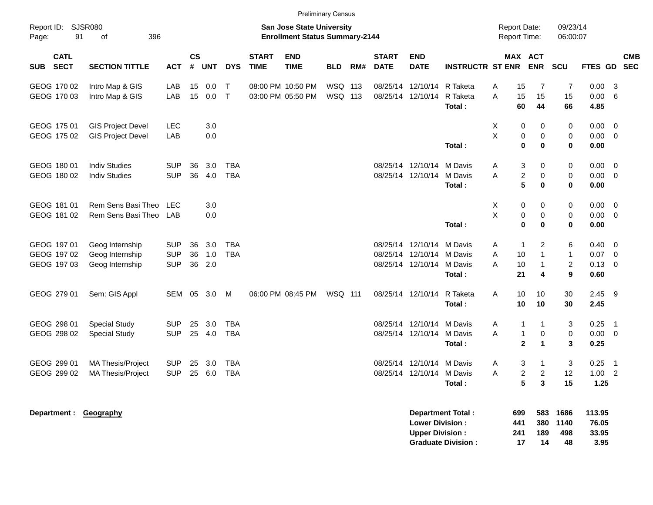|                                           |                                                       |                                        |                |                   |                          |                             |                                                                    | <b>Preliminary Census</b> |     |                             |                                                                     |                                                       |                                            |                                                                                |                                          |                                                  |                            |            |
|-------------------------------------------|-------------------------------------------------------|----------------------------------------|----------------|-------------------|--------------------------|-----------------------------|--------------------------------------------------------------------|---------------------------|-----|-----------------------------|---------------------------------------------------------------------|-------------------------------------------------------|--------------------------------------------|--------------------------------------------------------------------------------|------------------------------------------|--------------------------------------------------|----------------------------|------------|
| Report ID: SJSR080<br>91<br>Page:         | 396<br>of                                             |                                        |                |                   |                          |                             | San Jose State University<br><b>Enrollment Status Summary-2144</b> |                           |     |                             |                                                                     |                                                       | <b>Report Date:</b><br><b>Report Time:</b> |                                                                                | 09/23/14<br>06:00:07                     |                                                  |                            |            |
| <b>CATL</b><br><b>SECT</b><br><b>SUB</b>  | <b>SECTION TITTLE</b>                                 | <b>ACT</b>                             | <b>CS</b><br># | <b>UNT</b>        | <b>DYS</b>               | <b>START</b><br><b>TIME</b> | <b>END</b><br><b>TIME</b>                                          | <b>BLD</b>                | RM# | <b>START</b><br><b>DATE</b> | <b>END</b><br><b>DATE</b>                                           | <b>INSTRUCTR ST ENR</b>                               |                                            | MAX ACT<br><b>ENR</b>                                                          | <b>SCU</b>                               | FTES GD SEC                                      |                            | <b>CMB</b> |
| GEOG 170 02<br>GEOG 170 03                | Intro Map & GIS<br>Intro Map & GIS                    | LAB<br>LAB                             | 15<br>15       | 0.0<br>0.0        | $\mathsf{T}$<br>$\top$   |                             | 08:00 PM 10:50 PM<br>03:00 PM 05:50 PM                             | WSQ 113<br>WSQ 113        |     |                             | 08/25/14 12/10/14<br>08/25/14 12/10/14                              | R Taketa<br>R Taketa<br>Total:                        | Α<br>A<br>60                               | 15<br>7<br>15<br>15<br>44                                                      | 7<br>15<br>66                            | 0.00<br>0.00<br>4.85                             | -3<br>- 6                  |            |
| GEOG 175 01<br>GEOG 175 02                | <b>GIS Project Devel</b><br><b>GIS Project Devel</b>  | <b>LEC</b><br>LAB                      |                | 3.0<br>0.0        |                          |                             |                                                                    |                           |     |                             |                                                                     | Total:                                                | X<br>$\sf X$                               | 0<br>0<br>$\pmb{0}$<br>0<br>$\mathbf 0$<br>$\bf{0}$                            | 0<br>0<br>0                              | $0.00 \t 0$<br>$0.00 \t 0$<br>0.00               |                            |            |
| GEOG 180 01<br>GEOG 180 02                | <b>Indiv Studies</b><br><b>Indiv Studies</b>          | <b>SUP</b><br><b>SUP</b>               | 36<br>36       | 3.0<br>4.0        | <b>TBA</b><br><b>TBA</b> |                             |                                                                    |                           |     |                             | 08/25/14 12/10/14<br>08/25/14 12/10/14                              | M Davis<br>M Davis<br>Total:                          | A<br>A                                     | 3<br>0<br>$\overline{c}$<br>0<br>5<br>$\bf{0}$                                 | 0<br>0<br>0                              | $0.00 \t 0$<br>$0.00 \t 0$<br>0.00               |                            |            |
| GEOG 181 01<br>GEOG 181 02                | Rem Sens Basi Theo<br>Rem Sens Basi Theo              | <b>LEC</b><br>LAB                      |                | 3.0<br>0.0        |                          |                             |                                                                    |                           |     |                             |                                                                     | Total:                                                | X<br>X                                     | 0<br>0<br>$\pmb{0}$<br>0<br>$\bf{0}$<br>$\bf{0}$                               | 0<br>0<br>0                              | $0.00 \t 0$<br>$0.00 \t 0$<br>0.00               |                            |            |
| GEOG 197 01<br>GEOG 197 02<br>GEOG 197 03 | Geog Internship<br>Geog Internship<br>Geog Internship | <b>SUP</b><br><b>SUP</b><br><b>SUP</b> | 36<br>36<br>36 | 3.0<br>1.0<br>2.0 | TBA<br><b>TBA</b>        |                             |                                                                    |                           |     |                             | 08/25/14 12/10/14<br>08/25/14 12/10/14 M Davis<br>08/25/14 12/10/14 | M Davis<br>M Davis<br>Total:                          | A<br>Α<br>A<br>10<br>21                    | 2<br>$\mathbf{1}$<br>$\mathbf{1}$<br>10<br>$\mathbf{1}$<br>4                   | 6<br>$\mathbf{1}$<br>$\overline{2}$<br>9 | $0.40 \quad 0$<br>$0.07$ 0<br>$0.13 \ 0$<br>0.60 |                            |            |
| GEOG 279 01                               | Sem: GIS Appl                                         | SEM 05 3.0                             |                |                   | M                        |                             | 06:00 PM 08:45 PM                                                  | WSQ 111                   |     |                             | 08/25/14 12/10/14                                                   | R Taketa<br>Total:                                    | Α                                          | 10<br>10<br>10<br>10                                                           | 30<br>30                                 | $2.45$ 9<br>2.45                                 |                            |            |
| GEOG 298 01<br>GEOG 298 02                | <b>Special Study</b><br><b>Special Study</b>          | <b>SUP</b><br><b>SUP</b>               | 25             | 3.0<br>25 4.0     | TBA<br><b>TBA</b>        |                             |                                                                    |                           |     |                             | 08/25/14 12/10/14 M Davis<br>08/25/14 12/10/14                      | M Davis<br>Total:                                     | A<br>Α                                     | $\mathbf{1}$<br>1<br>$\mathbf{1}$<br>0<br>$\mathbf{2}$<br>$\blacktriangleleft$ | 3<br>0<br>3                              | 0.25<br>$0.00 \t 0$<br>0.25                      | $\overline{\phantom{0}}$ 1 |            |
| GEOG 299 01<br>GEOG 299 02                | MA Thesis/Project<br><b>MA Thesis/Project</b>         | <b>SUP</b><br><b>SUP</b>               | 25             | 3.0<br>25 6.0     | TBA<br><b>TBA</b>        |                             |                                                                    |                           |     |                             | 08/25/14 12/10/14 M Davis<br>08/25/14 12/10/14 M Davis              | Total :                                               | A<br>Α                                     | 3<br>1<br>$\overline{c}$<br>$\overline{c}$<br>5<br>3                           | 3<br>12<br>15                            | 0.25<br>$1.00$ 2<br>1.25                         | $\overline{\phantom{0}}$ 1 |            |
| Department : Geography                    |                                                       |                                        |                |                   |                          |                             |                                                                    |                           |     |                             | <b>Lower Division:</b><br><b>Upper Division:</b>                    | <b>Department Total:</b><br><b>Graduate Division:</b> | 699<br>441<br>241                          | 583<br>380<br>189<br>17<br>14                                                  | 1686<br>1140<br>498<br>48                | 113.95<br>76.05<br>33.95<br>3.95                 |                            |            |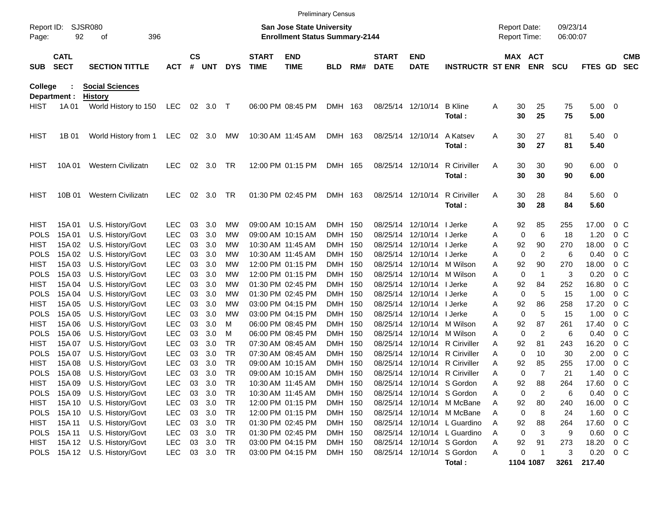|                     |                            |                             |            |                    |            |            |                             | <b>Preliminary Census</b>                                                 |            |     |                             |                           |                                |   |                                     |                |                      |                |                          |                          |
|---------------------|----------------------------|-----------------------------|------------|--------------------|------------|------------|-----------------------------|---------------------------------------------------------------------------|------------|-----|-----------------------------|---------------------------|--------------------------------|---|-------------------------------------|----------------|----------------------|----------------|--------------------------|--------------------------|
| Report ID:<br>Page: | 92                         | <b>SJSR080</b><br>396<br>οf |            |                    |            |            |                             | <b>San Jose State University</b><br><b>Enrollment Status Summary-2144</b> |            |     |                             |                           |                                |   | <b>Report Date:</b><br>Report Time: |                | 09/23/14<br>06:00:07 |                |                          |                          |
| <b>SUB</b>          | <b>CATL</b><br><b>SECT</b> | <b>SECTION TITTLE</b>       | <b>ACT</b> | $\mathsf{cs}$<br># | <b>UNT</b> | <b>DYS</b> | <b>START</b><br><b>TIME</b> | <b>END</b><br><b>TIME</b>                                                 | <b>BLD</b> | RM# | <b>START</b><br><b>DATE</b> | <b>END</b><br><b>DATE</b> | <b>INSTRUCTR ST ENR</b>        |   | MAX ACT                             | <b>ENR</b>     | <b>SCU</b>           | FTES GD        |                          | <b>CMB</b><br><b>SEC</b> |
| College             |                            | <b>Social Sciences</b>      |            |                    |            |            |                             |                                                                           |            |     |                             |                           |                                |   |                                     |                |                      |                |                          |                          |
| Department :        |                            | <b>History</b>              |            |                    |            |            |                             |                                                                           |            |     |                             |                           |                                |   |                                     |                |                      |                |                          |                          |
| <b>HIST</b>         | 1A 01                      | World History to 150        | LEC        |                    | 02 3.0     | $\top$     |                             | 06:00 PM 08:45 PM                                                         | DMH 163    |     |                             | 08/25/14 12/10/14         | <b>B</b> Kline<br>Total:       | Α | 30<br>30                            | 25<br>25       | 75<br>75             | 5.00<br>5.00   | $\overline{\phantom{0}}$ |                          |
| <b>HIST</b>         | 1B 01                      | World History from 1        | <b>LEC</b> | 02                 | 3.0        | MW         | 10:30 AM 11:45 AM           |                                                                           | DMH 163    |     |                             | 08/25/14 12/10/14         | A Katsev                       | Α | 30                                  | 27             | 81                   | 5.40           | $\overline{\phantom{0}}$ |                          |
|                     |                            |                             |            |                    |            |            |                             |                                                                           |            |     |                             |                           | Total:                         |   | 30                                  | 27             | 81                   | 5.40           |                          |                          |
| <b>HIST</b>         | 10A 01                     | <b>Western Civilizatn</b>   | <b>LEC</b> | 02                 | 3.0        | TR         |                             | 12:00 PM 01:15 PM                                                         | DMH 165    |     |                             | 08/25/14 12/10/14         | <b>R</b> Ciriviller            | A | 30                                  | 30             | 90                   | $6.00 \quad 0$ |                          |                          |
|                     |                            |                             |            |                    |            |            |                             |                                                                           |            |     |                             |                           | Total:                         |   | 30                                  | 30             | 90                   | 6.00           |                          |                          |
| <b>HIST</b>         | 10B 01                     | <b>Western Civilizatn</b>   | <b>LEC</b> | 02                 | 3.0        | TR         |                             | 01:30 PM 02:45 PM                                                         | DMH 163    |     |                             | 08/25/14 12/10/14         | <b>R</b> Ciriviller            | A | 30                                  | 28             | 84                   | $5.60 \quad 0$ |                          |                          |
|                     |                            |                             |            |                    |            |            |                             |                                                                           |            |     |                             |                           | Total:                         |   | 30                                  | 28             | 84                   | 5.60           |                          |                          |
| <b>HIST</b>         | 15A 01                     | U.S. History/Govt           | <b>LEC</b> | 03                 | 3.0        | MW         |                             | 09:00 AM 10:15 AM                                                         | DMH 150    |     | 08/25/14                    | 12/10/14   Jerke          |                                | Α | 92                                  | 85             | 255                  | 17.00          | $0\,$ C                  |                          |
| <b>POLS</b>         | 15A 01                     | U.S. History/Govt           | <b>LEC</b> | 03                 | 3.0        | МW         |                             | 09:00 AM 10:15 AM                                                         | DMH 150    |     | 08/25/14                    | 12/10/14   Jerke          |                                | Α | $\mathbf 0$                         | 6              | 18                   | 1.20           | $0\,$ C                  |                          |
| <b>HIST</b>         | 15A 02                     | U.S. History/Govt           | <b>LEC</b> | 03                 | 3.0        | МW         |                             | 10:30 AM 11:45 AM                                                         | DMH 150    |     | 08/25/14                    | 12/10/14   Jerke          |                                | A | 92                                  | 90             | 270                  | 18.00          | $0\,$ C                  |                          |
| <b>POLS</b>         | 15A 02                     | U.S. History/Govt           | <b>LEC</b> | 03                 | 3.0        | МW         |                             | 10:30 AM 11:45 AM                                                         | DMH 150    |     | 08/25/14                    | 12/10/14   Jerke          |                                | A | 0                                   | 2              | 6                    | 0.40           | 0 <sup>o</sup>           |                          |
| <b>HIST</b>         | 15A 03                     | U.S. History/Govt           | <b>LEC</b> | 03                 | 3.0        | МW         |                             | 12:00 PM 01:15 PM                                                         | DMH 150    |     | 08/25/14                    |                           | 12/10/14 M Wilson              | A | 92                                  | 90             | 270                  | 18.00          | $0\,$ C                  |                          |
| <b>POLS</b>         | 15A 03                     | U.S. History/Govt           | <b>LEC</b> | 03                 | 3.0        | МW         |                             | 12:00 PM 01:15 PM                                                         | DMH 150    |     | 08/25/14                    |                           | 12/10/14 M Wilson              | A | 0                                   | -1             | 3                    | 0.20           | 0 <sup>o</sup>           |                          |
| <b>HIST</b>         | 15A 04                     | U.S. History/Govt           | <b>LEC</b> | 03                 | 3.0        | МW         |                             | 01:30 PM 02:45 PM                                                         | DMH 150    |     | 08/25/14                    | 12/10/14   Jerke          |                                | A | 92                                  | 84             | 252                  | 16.80          | 0 <sup>o</sup>           |                          |
| <b>POLS</b>         | 15A 04                     | U.S. History/Govt           | <b>LEC</b> | 03                 | 3.0        | МW         |                             | 01:30 PM 02:45 PM                                                         | DMH 150    |     | 08/25/14                    | 12/10/14   Jerke          |                                | Α | 0                                   | 5              | 15                   | 1.00           | $0\,$ C                  |                          |
| <b>HIST</b>         | 15A 05                     | U.S. History/Govt           | <b>LEC</b> | 03                 | 3.0        | МW         |                             | 03:00 PM 04:15 PM                                                         | DMH 150    |     | 08/25/14                    | 12/10/14   Jerke          |                                | A | 92                                  | 86             | 258                  | 17.20          | $0\,$ C                  |                          |
| <b>POLS</b>         | 15A 05                     | U.S. History/Govt           | <b>LEC</b> | 03                 | 3.0        | МW         |                             | 03:00 PM 04:15 PM                                                         | DMH 150    |     | 08/25/14                    | 12/10/14   Jerke          |                                | A | 0                                   | 5              | 15                   | 1.00           | $0\,$ C                  |                          |
| <b>HIST</b>         | 15A 06                     | U.S. History/Govt           | <b>LEC</b> | 03                 | 3.0        | м          |                             | 06:00 PM 08:45 PM                                                         | DMH 150    |     | 08/25/14                    |                           | 12/10/14 M Wilson              | A | 92                                  | 87             | 261                  | 17.40          | 0 <sup>o</sup>           |                          |
| <b>POLS</b>         | 15A 06                     | U.S. History/Govt           | <b>LEC</b> | 03                 | 3.0        | М          |                             | 06:00 PM 08:45 PM                                                         | DMH 150    |     | 08/25/14                    |                           | 12/10/14 M Wilson              | A | 0                                   | 2              | 6                    | 0.40           | $0\,$ C                  |                          |
| <b>HIST</b>         | 15A 07                     | U.S. History/Govt           | <b>LEC</b> | 03                 | 3.0        | TR         |                             | 07:30 AM 08:45 AM                                                         | DMH 150    |     | 08/25/14                    |                           | 12/10/14 R Ciriviller          | A | 92                                  | 81             | 243                  | 16.20          | 0 <sup>o</sup>           |                          |
| <b>POLS</b>         | 15A 07                     | U.S. History/Govt           | <b>LEC</b> | 03                 | 3.0        | TR         |                             | 07:30 AM 08:45 AM                                                         | DMH 150    |     | 08/25/14                    |                           | 12/10/14 R Ciriviller          | A | 0                                   | 10             | 30                   | 2.00           | 0 <sup>o</sup>           |                          |
| <b>HIST</b>         | 15A 08                     | U.S. History/Govt           | <b>LEC</b> | 03                 | 3.0        | <b>TR</b>  |                             | 09:00 AM 10:15 AM                                                         | <b>DMH</b> | 150 | 08/25/14                    |                           | 12/10/14 R Ciriviller          | A | 92                                  | 85             | 255                  | 17.00          | 0 <sup>o</sup>           |                          |
| <b>POLS</b>         | 15A 08                     | U.S. History/Govt           | <b>LEC</b> | 03                 | 3.0        | TR         |                             | 09:00 AM 10:15 AM                                                         | DMH 150    |     |                             |                           | 08/25/14 12/10/14 R Ciriviller | A | 0                                   | $\overline{7}$ | 21                   | 1.40           | 0 <sup>o</sup>           |                          |
| <b>HIST</b>         | 15A 09                     | U.S. History/Govt           | LEC        | 03                 | 3.0        | TR         |                             | 10:30 AM 11:45 AM                                                         | DMH 150    |     |                             |                           | 08/25/14 12/10/14 S Gordon     | Α | 92                                  | 88             | 264                  | 17.60          | $0\,$ C                  |                          |
| <b>POLS</b>         | 15A 09                     | U.S. History/Govt           | <b>LEC</b> | 03                 | 3.0        | TR         |                             | 10:30 AM 11:45 AM                                                         | DMH 150    |     |                             |                           | 08/25/14 12/10/14 S Gordon     | A | 0                                   | 2              | 6                    | 0.40           | 0 <sup>o</sup>           |                          |
| HIST                | 15A 10                     | U.S. History/Govt           | <b>LEC</b> | 03                 | 3.0        | TR         |                             | 12:00 PM 01:15 PM                                                         | DMH 150    |     |                             |                           | 08/25/14 12/10/14 M McBane     | Α | 92                                  | 80             | 240                  | 16.00          | 0 <sup>o</sup>           |                          |
| <b>POLS</b>         | 15A 10                     | U.S. History/Govt           | <b>LEC</b> | 03                 | 3.0        | TR         |                             | 12:00 PM 01:15 PM                                                         | DMH 150    |     |                             |                           | 08/25/14 12/10/14 M McBane     | Α | 0                                   | 8              | 24                   | 1.60           | $0\,$ C                  |                          |
| HIST                | 15A 11                     | U.S. History/Govt           | <b>LEC</b> | 03                 | 3.0        | TR         |                             | 01:30 PM 02:45 PM                                                         | DMH 150    |     |                             |                           | 08/25/14 12/10/14 L Guardino   | Α | 92                                  | 88             | 264                  | 17.60          | $0\,$ C                  |                          |
| <b>POLS</b>         | 15A 11                     | U.S. History/Govt           | <b>LEC</b> | 03                 | 3.0        | TR         |                             | 01:30 PM 02:45 PM                                                         | DMH 150    |     |                             |                           | 08/25/14 12/10/14 L Guardino   | Α | 0                                   | 3              | 9                    | 0.60           | $0\,$ C                  |                          |
| HIST                |                            | 15A 12 U.S. History/Govt    | <b>LEC</b> | 03                 | 3.0        | TR         |                             | 03:00 PM 04:15 PM                                                         | DMH 150    |     |                             |                           | 08/25/14 12/10/14 S Gordon     | А | 92                                  | 91             | 273                  | 18.20          | $0\,$ C                  |                          |
| <b>POLS</b>         |                            | 15A 12 U.S. History/Govt    | <b>LEC</b> |                    | 03 3.0     | TR         |                             | 03:00 PM 04:15 PM                                                         | DMH 150    |     |                             |                           | 08/25/14 12/10/14 S Gordon     | Α | 0                                   | $\mathbf 1$    | 3                    | 0.20           | 0 <sup>o</sup>           |                          |
|                     |                            |                             |            |                    |            |            |                             |                                                                           |            |     |                             |                           | Total:                         |   |                                     | 1104 1087      | 3261                 | 217.40         |                          |                          |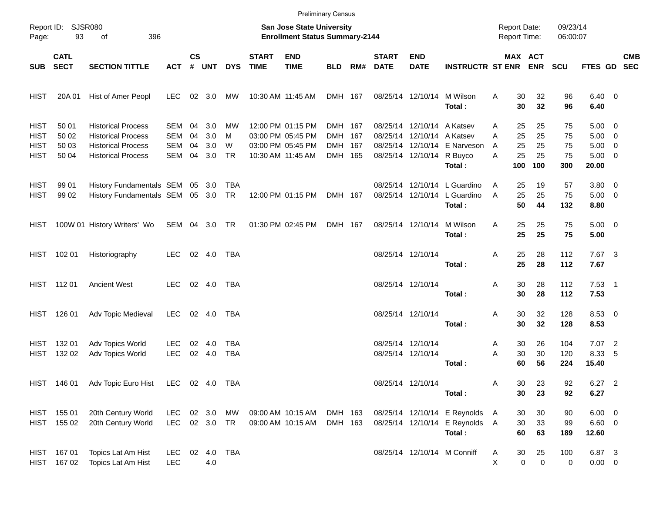|                                                          |                                  |                                                                                                                  |                                        |                      |                          |                          |                             |                                                                                  | <b>Preliminary Census</b>                |     |                             |                                                                                       |                                                                        |                                                 |                             |                             |                                                                   |      |            |
|----------------------------------------------------------|----------------------------------|------------------------------------------------------------------------------------------------------------------|----------------------------------------|----------------------|--------------------------|--------------------------|-----------------------------|----------------------------------------------------------------------------------|------------------------------------------|-----|-----------------------------|---------------------------------------------------------------------------------------|------------------------------------------------------------------------|-------------------------------------------------|-----------------------------|-----------------------------|-------------------------------------------------------------------|------|------------|
| Page:                                                    | Report ID: SJSR080<br>93         | 396<br>οf                                                                                                        |                                        |                      |                          |                          |                             | San Jose State University<br><b>Enrollment Status Summary-2144</b>               |                                          |     |                             |                                                                                       |                                                                        | <b>Report Date:</b><br>Report Time:             |                             | 09/23/14<br>06:00:07        |                                                                   |      |            |
| <b>SUB</b>                                               | <b>CATL</b><br><b>SECT</b>       | <b>SECTION TITTLE</b>                                                                                            | <b>ACT</b>                             | <b>CS</b>            | # UNT                    | <b>DYS</b>               | <b>START</b><br><b>TIME</b> | <b>END</b><br><b>TIME</b>                                                        | <b>BLD</b>                               | RM# | <b>START</b><br><b>DATE</b> | <b>END</b><br><b>DATE</b>                                                             | <b>INSTRUCTR ST ENR ENR</b>                                            |                                                 | <b>MAX ACT</b>              | <b>SCU</b>                  | FTES GD SEC                                                       |      | <b>CMB</b> |
| <b>HIST</b>                                              | 20A 01                           | Hist of Amer Peopl                                                                                               | <b>LEC</b>                             |                      | $02 \quad 3.0$           | МW                       |                             | 10:30 AM 11:45 AM                                                                | DMH 167                                  |     |                             | 08/25/14 12/10/14                                                                     | M Wilson<br>Total:                                                     | 30<br>A<br>30                                   | 32<br>32                    | 96<br>96                    | $6.40 \quad 0$<br>6.40                                            |      |            |
| <b>HIST</b><br><b>HIST</b><br><b>HIST</b><br><b>HIST</b> | 50 01<br>50 02<br>50 03<br>50 04 | <b>Historical Process</b><br><b>Historical Process</b><br><b>Historical Process</b><br><b>Historical Process</b> | SEM<br><b>SEM</b><br><b>SEM</b><br>SEM | 04<br>04<br>04<br>04 | 3.0<br>3.0<br>3.0<br>3.0 | МW<br>м<br>W<br>TR       |                             | 12:00 PM 01:15 PM<br>03:00 PM 05:45 PM<br>03:00 PM 05:45 PM<br>10:30 AM 11:45 AM | DMH 167<br>DMH 167<br>DMH 167<br>DMH 165 |     |                             | 08/25/14 12/10/14 A Katsev<br>08/25/14 12/10/14 A Katsev<br>08/25/14 12/10/14 R Buyco | 08/25/14 12/10/14 E Narveson<br>Total:                                 | 25<br>Α<br>25<br>A<br>25<br>A<br>25<br>A<br>100 | 25<br>25<br>25<br>25<br>100 | 75<br>75<br>75<br>75<br>300 | $5.00 \t 0$<br>$5.00 \t 0$<br>$5.00 \t 0$<br>$5.00 \t 0$<br>20.00 |      |            |
| <b>HIST</b><br><b>HIST</b>                               | 99 01<br>99 02                   | History Fundamentals SEM 05 3.0<br>History Fundamentals SEM 05 3.0 TR                                            |                                        |                      |                          | TBA                      |                             | 12:00 PM 01:15 PM                                                                | DMH 167                                  |     |                             | 08/25/14 12/10/14                                                                     | 08/25/14 12/10/14 L Guardino<br>L Guardino<br>Total:                   | 25<br>A<br>25<br>A<br>50                        | 19<br>25<br>44              | 57<br>75<br>132             | $3.80\ 0$<br>$5.00 \t 0$<br>8.80                                  |      |            |
| HIST                                                     |                                  | 100W 01 History Writers' Wo                                                                                      | SEM 04 3.0 TR                          |                      |                          |                          |                             | 01:30 PM 02:45 PM                                                                | DMH 167                                  |     |                             | 08/25/14 12/10/14                                                                     | M Wilson<br>Total:                                                     | 25<br>A<br>25                                   | 25<br>25                    | 75<br>75                    | $5.00 \t 0$<br>5.00                                               |      |            |
| HIST                                                     | 102 01                           | Historiography                                                                                                   | <b>LEC</b>                             |                      | 02 4.0                   | TBA                      |                             |                                                                                  |                                          |     |                             | 08/25/14 12/10/14                                                                     | Total:                                                                 | 25<br>Α<br>25                                   | 28<br>28                    | 112<br>112                  | 7.67 3<br>7.67                                                    |      |            |
| <b>HIST</b>                                              | 112 01                           | <b>Ancient West</b>                                                                                              | <b>LEC</b>                             |                      | 02 4.0                   | TBA                      |                             |                                                                                  |                                          |     |                             | 08/25/14 12/10/14                                                                     | Total:                                                                 | 30<br>Α<br>30                                   | 28<br>28                    | 112<br>112                  | $7.53$ 1<br>7.53                                                  |      |            |
| HIST                                                     | 126 01                           | Adv Topic Medieval                                                                                               | LEC                                    |                      | 02 4.0                   | TBA                      |                             |                                                                                  |                                          |     |                             | 08/25/14 12/10/14                                                                     | Total:                                                                 | 30<br>Α<br>30                                   | 32<br>32                    | 128<br>128                  | 8.53 0<br>8.53                                                    |      |            |
| <b>HIST</b><br><b>HIST</b>                               | 132 01<br>132 02                 | Adv Topics World<br>Adv Topics World                                                                             | LEC<br><b>LEC</b>                      | 02<br>02             | 4.0<br>4.0               | <b>TBA</b><br><b>TBA</b> |                             |                                                                                  |                                          |     |                             | 08/25/14 12/10/14<br>08/25/14 12/10/14                                                | Total:                                                                 | 30<br>A<br>30<br>Α<br>60                        | 26<br>30<br>56              | 104<br>120<br>224           | 7.07 2<br>8.33<br>15.40                                           | $-5$ |            |
|                                                          | HIST 146 01                      | Adv Topic Euro Hist                                                                                              | LEC 02 4.0 TBA                         |                      |                          |                          |                             |                                                                                  |                                          |     |                             | 08/25/14 12/10/14                                                                     | Total:                                                                 | Α<br>30<br>30                                   | 23<br>23                    | 92<br>92                    | 6.27 2<br>6.27                                                    |      |            |
|                                                          | HIST 155 01<br>HIST 155 02       | 20th Century World<br>20th Century World                                                                         | <b>LEC</b><br>LEC 02 3.0 TR            |                      | 02 3.0                   | MW                       |                             | 09:00 AM 10:15 AM<br>09:00 AM 10:15 AM                                           | DMH 163<br>DMH 163                       |     |                             |                                                                                       | 08/25/14 12/10/14 E Reynolds<br>08/25/14 12/10/14 E Reynolds<br>Total: | 30<br>A<br>30<br>- A<br>60                      | 30<br>33<br>63              | 90<br>99<br>189             | $6.00 \t 0$<br>6.60 0<br>12.60                                    |      |            |
| HIST                                                     | HIST 167 01<br>16702             | Topics Lat Am Hist<br>Topics Lat Am Hist                                                                         | <b>LEC</b><br><b>LEC</b>               |                      | 4.0                      | 02  4.0  TBA             |                             |                                                                                  |                                          |     |                             |                                                                                       | 08/25/14 12/10/14 M Conniff                                            | 30<br>A<br>X                                    | 25<br>0<br>$\mathbf 0$      | 100<br>0                    | 6.87 3<br>$0.00 \t 0$                                             |      |            |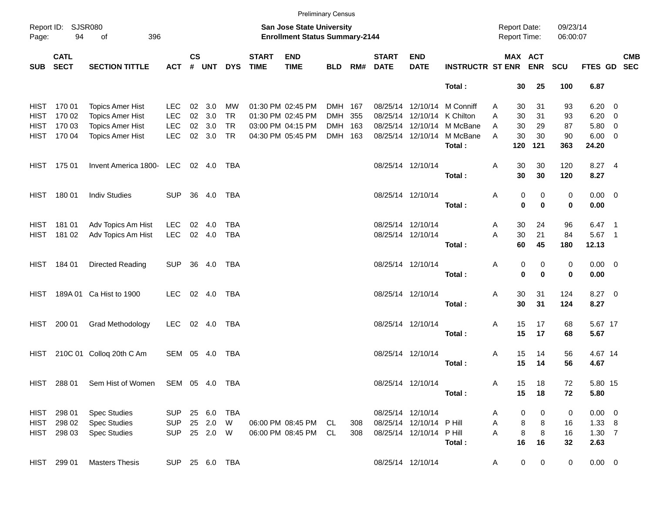|       |                                       |                                              |                |                    |            |                |                             |                                                                    | <b>Preliminary Census</b> |     |                             |                             |                             |   |             |                                     |                      |                |            |
|-------|---------------------------------------|----------------------------------------------|----------------|--------------------|------------|----------------|-----------------------------|--------------------------------------------------------------------|---------------------------|-----|-----------------------------|-----------------------------|-----------------------------|---|-------------|-------------------------------------|----------------------|----------------|------------|
| Page: | Report ID: SJSR080<br>94<br>396<br>of |                                              |                |                    |            |                |                             | San Jose State University<br><b>Enrollment Status Summary-2144</b> |                           |     |                             |                             |                             |   |             | <b>Report Date:</b><br>Report Time: | 09/23/14<br>06:00:07 |                |            |
| SUB   | <b>CATL</b><br><b>SECT</b>            | <b>SECTION TITTLE</b>                        | <b>ACT</b>     | $\mathsf{cs}$<br># | UNT        | <b>DYS</b>     | <b>START</b><br><b>TIME</b> | <b>END</b><br><b>TIME</b>                                          | <b>BLD</b>                | RM# | <b>START</b><br><b>DATE</b> | <b>END</b><br><b>DATE</b>   | <b>INSTRUCTR ST ENR ENR</b> |   |             | MAX ACT                             | <b>SCU</b>           | FTES GD SEC    | <b>CMB</b> |
|       |                                       |                                              |                |                    |            |                |                             |                                                                    |                           |     |                             |                             | Total:                      |   | 30          | 25                                  | 100                  | 6.87           |            |
|       | HIST 170 01                           | <b>Topics Amer Hist</b>                      | <b>LEC</b>     | 02                 | 3.0        | МW             |                             | 01:30 PM 02:45 PM                                                  | DMH 167                   |     |                             |                             | 08/25/14 12/10/14 M Conniff | A | 30          | 31                                  | 93                   | $6.20 \t 0$    |            |
|       | HIST 170 02                           | <b>Topics Amer Hist</b>                      | <b>LEC</b>     | 02                 | 3.0        | <b>TR</b>      |                             | 01:30 PM 02:45 PM                                                  | DMH 355                   |     |                             | 08/25/14 12/10/14 K Chilton |                             | A | 30          | 31                                  | 93                   | $6.20 \t 0$    |            |
|       | HIST 170 03                           | <b>Topics Amer Hist</b>                      | <b>LEC</b>     | 02                 | 3.0        | <b>TR</b>      |                             | 03:00 PM 04:15 PM                                                  | DMH 163                   |     |                             |                             | 08/25/14 12/10/14 M McBane  | A | 30          | 29                                  | 87                   | $5.80\ 0$      |            |
|       | HIST 170 04                           | <b>Topics Amer Hist</b>                      | <b>LEC</b>     |                    | 02 3.0     | <b>TR</b>      |                             | 04:30 PM 05:45 PM                                                  | DMH 163                   |     |                             |                             | 08/25/14 12/10/14 M McBane  | A | 30          | 30                                  | 90                   | $6.00 \t 0$    |            |
|       |                                       |                                              |                |                    |            |                |                             |                                                                    |                           |     |                             |                             | Total:                      |   | 120         | 121                                 | 363                  | 24.20          |            |
|       | HIST 175 01                           | Invent America 1800- LEC                     |                |                    | 02 4.0     | TBA            |                             |                                                                    |                           |     |                             | 08/25/14 12/10/14           |                             | Α | 30          | 30                                  | 120                  | 8.27 4         |            |
|       |                                       |                                              |                |                    |            |                |                             |                                                                    |                           |     |                             |                             | Total:                      |   | 30          | 30                                  | 120                  | 8.27           |            |
|       | HIST 180 01                           | <b>Indiv Studies</b>                         | <b>SUP</b>     |                    | 36 4.0     | TBA            |                             |                                                                    |                           |     |                             | 08/25/14 12/10/14           |                             | Α | 0           | 0                                   | 0                    | $0.00 \t 0$    |            |
|       |                                       |                                              |                |                    |            |                |                             |                                                                    |                           |     |                             |                             | Total:                      |   | $\bf{0}$    | $\bf{0}$                            | 0                    | 0.00           |            |
|       | HIST 181 01                           | Adv Topics Am Hist                           | <b>LEC</b>     | 02                 | 4.0        | TBA            |                             |                                                                    |                           |     |                             | 08/25/14 12/10/14           |                             | Α | 30          | 24                                  | 96                   | $6.47$ 1       |            |
|       | HIST 181 02                           | Adv Topics Am Hist                           | <b>LEC</b>     |                    | 02 4.0     | TBA            |                             |                                                                    |                           |     |                             | 08/25/14 12/10/14           |                             | A | 30          | 21                                  | 84                   | 5.67 1         |            |
|       |                                       |                                              |                |                    |            |                |                             |                                                                    |                           |     |                             |                             | Total:                      |   | 60          | 45                                  | 180                  | 12.13          |            |
|       | HIST 184 01                           | Directed Reading                             | <b>SUP</b>     |                    | 36 4.0     | TBA            |                             |                                                                    |                           |     |                             | 08/25/14 12/10/14           |                             | Α | 0           | 0                                   | 0                    | $0.00 \t 0$    |            |
|       |                                       |                                              |                |                    |            |                |                             |                                                                    |                           |     |                             |                             | Total:                      |   | 0           | $\bf{0}$                            | 0                    | 0.00           |            |
| HIST  |                                       | 189A 01 Ca Hist to 1900                      | LEC.           |                    | 02 4.0     | TBA            |                             |                                                                    |                           |     |                             | 08/25/14 12/10/14           |                             | Α | 30          | 31                                  | 124                  | 8.27 0         |            |
|       |                                       |                                              |                |                    |            |                |                             |                                                                    |                           |     |                             |                             | Total:                      |   | 30          | 31                                  | 124                  | 8.27           |            |
|       | HIST 200 01                           | Grad Methodology                             | <b>LEC</b>     |                    | 02 4.0     | TBA            |                             |                                                                    |                           |     |                             | 08/25/14 12/10/14           |                             | Α | 15          | 17                                  | 68                   | 5.67 17        |            |
|       |                                       |                                              |                |                    |            |                |                             |                                                                    |                           |     |                             |                             | Total:                      |   | 15          | 17                                  | 68                   | 5.67           |            |
|       |                                       | HIST 210C 01 Colloq 20th C Am                | SEM 05 4.0     |                    |            | TBA            |                             |                                                                    |                           |     |                             | 08/25/14 12/10/14           |                             | Α | 15          | 14                                  | 56                   | 4.67 14        |            |
|       |                                       |                                              |                |                    |            |                |                             |                                                                    |                           |     |                             |                             | Total:                      |   | 15          | 14                                  | 56                   | 4.67           |            |
|       |                                       | HIST 288 01 Sem Hist of Women SEM 05 4.0 TBA |                |                    |            |                |                             |                                                                    |                           |     |                             | 08/25/14 12/10/14           |                             | Α | 15          | 18                                  | 72                   | 5.80 15        |            |
|       |                                       |                                              |                |                    |            |                |                             |                                                                    |                           |     |                             |                             | Total:                      |   | 15          | 18                                  | 72                   | 5.80           |            |
|       | HIST 298 01                           | <b>Spec Studies</b>                          | SUP 25 6.0 TBA |                    |            |                |                             |                                                                    |                           |     |                             | 08/25/14 12/10/14           |                             | Α | 0           | 0                                   | 0                    | $0.00 \t 0$    |            |
|       | HIST 298 02                           | <b>Spec Studies</b>                          | <b>SUP</b>     |                    | 25  2.0  W |                |                             | 06:00 PM 08:45 PM CL                                               |                           | 308 |                             | 08/25/14 12/10/14 P Hill    |                             | Α | 8           | 8                                   | 16                   | $1.33 \quad 8$ |            |
|       | HIST 298 03                           | <b>Spec Studies</b>                          | SUP 25 2.0 W   |                    |            |                |                             | 06:00 PM 08:45 PM CL                                               |                           | 308 |                             | 08/25/14 12/10/14 PHill     |                             | Α | 8           | 8                                   | 16                   | $1.30 \quad 7$ |            |
|       |                                       |                                              |                |                    |            |                |                             |                                                                    |                           |     |                             |                             | Total:                      |   | 16          | 16                                  | 32                   | 2.63           |            |
|       | HIST 299 01                           | <b>Masters Thesis</b>                        |                |                    |            | SUP 25 6.0 TBA |                             |                                                                    |                           |     |                             | 08/25/14 12/10/14           |                             | A | $\mathbf 0$ | $\overline{0}$                      | $\mathbf 0$          | $0.00 \t 0$    |            |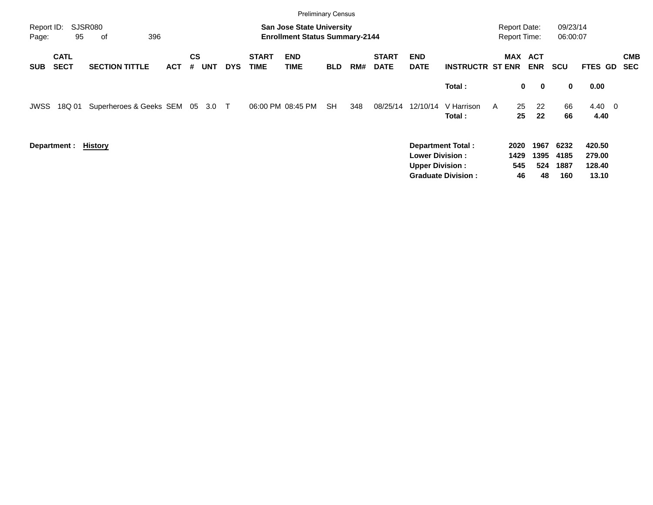|                     |                            |                            |            |                |            |            |                             | <b>Preliminary Census</b>                                                 |            |     |                             |                                                  |                           |                                     |                     |                     |                      |                            |                          |
|---------------------|----------------------------|----------------------------|------------|----------------|------------|------------|-----------------------------|---------------------------------------------------------------------------|------------|-----|-----------------------------|--------------------------------------------------|---------------------------|-------------------------------------|---------------------|---------------------|----------------------|----------------------------|--------------------------|
| Report ID:<br>Page: | 95                         | SJSR080<br>396<br>оf       |            |                |            |            |                             | <b>San Jose State University</b><br><b>Enrollment Status Summary-2144</b> |            |     |                             |                                                  |                           | <b>Report Date:</b><br>Report Time: |                     |                     | 09/23/14<br>06:00:07 |                            |                          |
| <b>SUB</b>          | <b>CATL</b><br><b>SECT</b> | <b>SECTION TITTLE</b>      | <b>ACT</b> | <b>CS</b><br># | <b>UNT</b> | <b>DYS</b> | <b>START</b><br><b>TIME</b> | <b>END</b><br><b>TIME</b>                                                 | <b>BLD</b> | RM# | <b>START</b><br><b>DATE</b> | <b>END</b><br><b>DATE</b>                        | <b>INSTRUCTR ST ENR</b>   |                                     | MAX ACT             | <b>ENR</b>          | <b>SCU</b>           | <b>FTES GD</b>             | <b>CMB</b><br><b>SEC</b> |
|                     |                            |                            |            |                |            |            |                             |                                                                           |            |     |                             |                                                  | Total:                    |                                     | 0                   | $\mathbf 0$         | $\mathbf 0$          | 0.00                       |                          |
| JWSS                | 18Q 01                     | Superheroes & Geeks SEM 05 |            |                | 3.0        | $\top$     | 06:00 PM 08:45 PM           |                                                                           | <b>SH</b>  | 348 | 08/25/14                    | 12/10/14                                         | V Harrison<br>Total:      | A                                   | 25<br>25            | 22<br>22            | 66<br>66             | $4.40 \quad 0$<br>4.40     |                          |
|                     | Department: History        |                            |            |                |            |            |                             |                                                                           |            |     |                             | <b>Lower Division:</b><br><b>Upper Division:</b> | <b>Department Total:</b>  |                                     | 2020<br>1429<br>545 | 1967<br>1395<br>524 | 6232<br>4185<br>1887 | 420.50<br>279.00<br>128.40 |                          |
|                     |                            |                            |            |                |            |            |                             |                                                                           |            |     |                             |                                                  | <b>Graduate Division:</b> |                                     | 46                  | 48                  | 160                  | 13.10                      |                          |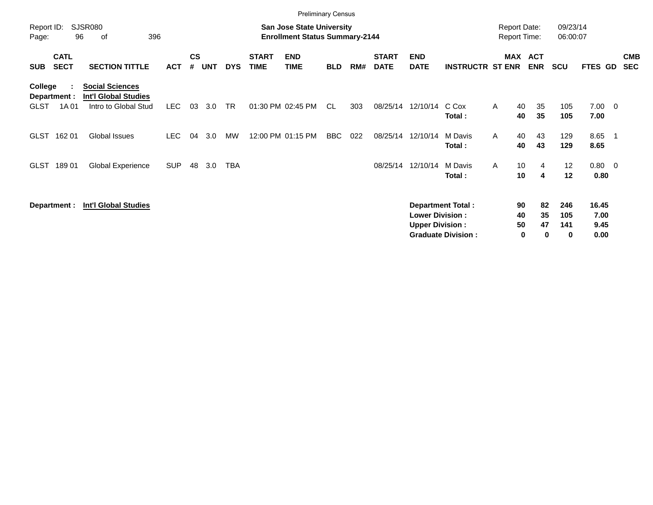|                        |                            |                                                                               |            |                    |            |            |                             | <b>Preliminary Census</b>                                                 |            |     |                             |                                                  |                                                       |                                     |                          |                        |                               |                          |
|------------------------|----------------------------|-------------------------------------------------------------------------------|------------|--------------------|------------|------------|-----------------------------|---------------------------------------------------------------------------|------------|-----|-----------------------------|--------------------------------------------------|-------------------------------------------------------|-------------------------------------|--------------------------|------------------------|-------------------------------|--------------------------|
| Report ID:<br>Page:    | 96                         | SJSR080<br>396<br>of                                                          |            |                    |            |            |                             | <b>San Jose State University</b><br><b>Enrollment Status Summary-2144</b> |            |     |                             |                                                  |                                                       | <b>Report Date:</b><br>Report Time: |                          | 09/23/14<br>06:00:07   |                               |                          |
| <b>SUB</b>             | <b>CATL</b><br><b>SECT</b> | <b>SECTION TITTLE</b>                                                         | <b>ACT</b> | $\mathsf{cs}$<br># | <b>UNT</b> | <b>DYS</b> | <b>START</b><br><b>TIME</b> | <b>END</b><br><b>TIME</b>                                                 | <b>BLD</b> | RM# | <b>START</b><br><b>DATE</b> | <b>END</b><br><b>DATE</b>                        | <b>INSTRUCTR ST ENR</b>                               | <b>MAX</b>                          | <b>ACT</b><br><b>ENR</b> | <b>SCU</b>             | FTES GD                       | <b>CMB</b><br><b>SEC</b> |
| College<br><b>GLST</b> | Department :<br>1A 01      | <b>Social Sciences</b><br><b>Int'l Global Studies</b><br>Intro to Global Stud | LEC        | 03                 | 3.0        | TR         |                             | 01:30 PM 02:45 PM                                                         | CL         | 303 | 08/25/14                    | 12/10/14                                         | C Cox<br>Total:                                       | $\mathsf{A}$<br>40<br>40            | 35<br>35                 | 105<br>105             | $7.00 \t 0$<br>7.00           |                          |
| <b>GLST</b>            | 162 01                     | Global Issues                                                                 | <b>LEC</b> | 04                 | 3.0        | <b>MW</b>  |                             | 12:00 PM 01:15 PM                                                         | <b>BBC</b> | 022 |                             | 08/25/14 12/10/14                                | M Davis<br>Total:                                     | 40<br>A<br>40                       | 43<br>43                 | 129<br>129             | 8.65<br>8.65                  |                          |
| <b>GLST</b>            | 18901                      | Global Experience                                                             | <b>SUP</b> | 48                 | 3.0        | <b>TBA</b> |                             |                                                                           |            |     | 08/25/14                    | 12/10/14                                         | M Davis<br>Total:                                     | A<br>10 <sup>1</sup><br>10          | 4<br>4                   | 12<br>12               | $0.80 \ 0$<br>0.80            |                          |
|                        | Department :               | <b>Int'l Global Studies</b>                                                   |            |                    |            |            |                             |                                                                           |            |     |                             | <b>Lower Division:</b><br><b>Upper Division:</b> | <b>Department Total:</b><br><b>Graduate Division:</b> | 90<br>40<br>50                      | 82<br>35<br>47<br>0<br>0 | 246<br>105<br>141<br>0 | 16.45<br>7.00<br>9.45<br>0.00 |                          |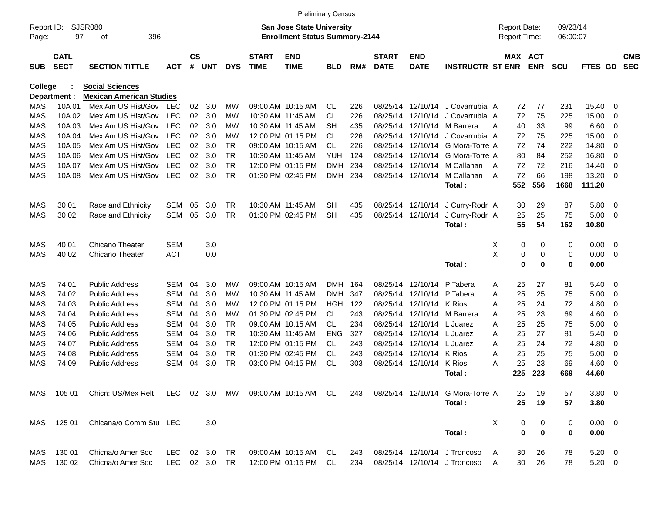|            |                            |                                 |            |                    |            |            |                             | <b>Preliminary Census</b>             |            |     |                             |                           |                                  |   |                     |             |             |                |                |                          |
|------------|----------------------------|---------------------------------|------------|--------------------|------------|------------|-----------------------------|---------------------------------------|------------|-----|-----------------------------|---------------------------|----------------------------------|---|---------------------|-------------|-------------|----------------|----------------|--------------------------|
| Report ID: |                            | <b>SJSR080</b>                  |            |                    |            |            |                             | <b>San Jose State University</b>      |            |     |                             |                           |                                  |   | <b>Report Date:</b> |             | 09/23/14    |                |                |                          |
| Page:      | 97                         | 396<br>οf                       |            |                    |            |            |                             | <b>Enrollment Status Summary-2144</b> |            |     |                             |                           |                                  |   | <b>Report Time:</b> |             | 06:00:07    |                |                |                          |
| <b>SUB</b> | <b>CATL</b><br><b>SECT</b> | <b>SECTION TITTLE</b>           | <b>ACT</b> | $\mathsf{cs}$<br># | <b>UNT</b> | <b>DYS</b> | <b>START</b><br><b>TIME</b> | <b>END</b><br><b>TIME</b>             | <b>BLD</b> | RM# | <b>START</b><br><b>DATE</b> | <b>END</b><br><b>DATE</b> | <b>INSTRUCTR ST ENR</b>          |   | MAX ACT             | <b>ENR</b>  | <b>SCU</b>  | FTES GD        |                | <b>CMB</b><br><b>SEC</b> |
| College    |                            | <b>Social Sciences</b>          |            |                    |            |            |                             |                                       |            |     |                             |                           |                                  |   |                     |             |             |                |                |                          |
|            | Department :               | <b>Mexican American Studies</b> |            |                    |            |            |                             |                                       |            |     |                             |                           |                                  |   |                     |             |             |                |                |                          |
| MAS        | 10A 01                     | Mex Am US Hist/Gov              | LEC        | 02                 | 3.0        | МW         |                             | 09:00 AM 10:15 AM                     | CL.        | 226 |                             | 08/25/14 12/10/14         | J Covarrubia A                   |   | 72                  | 77          | 231         | 15.40          | - 0            |                          |
| <b>MAS</b> | 10A 02                     | Mex Am US Hist/Gov              | <b>LEC</b> | 02                 | 3.0        | МW         |                             | 10:30 AM 11:45 AM                     | CL         | 226 | 08/25/14                    | 12/10/14                  | J Covarrubia A                   |   | 72                  | 75          | 225         | 15.00          | 0              |                          |
| <b>MAS</b> | 10A 03                     | Mex Am US Hist/Gov              | <b>LEC</b> | 02                 | 3.0        | МW         |                             | 10:30 AM 11:45 AM                     | <b>SH</b>  | 435 | 08/25/14                    | 12/10/14                  | M Barrera                        | A | 40                  | 33          | 99          | 6.60           | 0              |                          |
| <b>MAS</b> | 10A 04                     | Mex Am US Hist/Gov              | <b>LEC</b> | 02                 | 3.0        | МW         |                             | 12:00 PM 01:15 PM                     | <b>CL</b>  | 226 | 08/25/14                    | 12/10/14                  | J Covarrubia A                   |   | 72                  | 75          | 225         | 15.00          | 0              |                          |
| MAS        | 10A 05                     | Mex Am US Hist/Gov              | <b>LEC</b> | 02                 | 3.0        | <b>TR</b>  |                             | 09:00 AM 10:15 AM                     | <b>CL</b>  | 226 | 08/25/14                    | 12/10/14                  | G Mora-Torre A                   |   | 72                  | 74          | 222         | 14.80          | 0              |                          |
| MAS        | 10A 06                     | Mex Am US Hist/Gov              | <b>LEC</b> | 02                 | 3.0        | <b>TR</b>  |                             | 10:30 AM 11:45 AM                     | <b>YUH</b> | 124 | 08/25/14                    | 12/10/14                  | G Mora-Torre A                   |   | 80                  | 84          | 252         | 16.80          | 0              |                          |
| MAS        | 10A 07                     | Mex Am US Hist/Gov              | <b>LEC</b> | 02                 | 3.0        | <b>TR</b>  |                             | 12:00 PM 01:15 PM                     | <b>DMH</b> | 234 | 08/25/14                    | 12/10/14                  | M Callahan                       | A | 72                  | 72          | 216         | 14.40          | $\mathbf 0$    |                          |
| MAS        | 10A 08                     | Mex Am US Hist/Gov              | <b>LEC</b> | 02                 | 3.0        | <b>TR</b>  |                             | 01:30 PM 02:45 PM                     | <b>DMH</b> | 234 | 08/25/14                    | 12/10/14                  | M Callahan                       | A | 72                  | 66          | 198         | 13.20          | - 0            |                          |
|            |                            |                                 |            |                    |            |            |                             |                                       |            |     |                             |                           | Total:                           |   | 552                 | 556         | 1668        | 111.20         |                |                          |
|            |                            |                                 |            |                    |            |            |                             |                                       |            |     |                             |                           |                                  |   |                     |             |             |                |                |                          |
| MAS        | 30 01                      | Race and Ethnicity              | <b>SEM</b> | 05                 | 3.0        | <b>TR</b>  |                             | 10:30 AM 11:45 AM                     | SН         | 435 |                             | 08/25/14 12/10/14         | J Curry-Rodr A                   |   | 30                  | 29          | 87          | 5.80           | $\overline{0}$ |                          |
| MAS        | 30 02                      | Race and Ethnicity              | <b>SEM</b> | 05                 | 3.0        | <b>TR</b>  |                             | 01:30 PM 02:45 PM                     | <b>SH</b>  | 435 |                             | 08/25/14 12/10/14         | J Curry-Rodr A                   |   | 25                  | 25          | 75          | 5.00           | 0              |                          |
|            |                            |                                 |            |                    |            |            |                             |                                       |            |     |                             |                           | Total:                           |   | 55                  | 54          | 162         | 10.80          |                |                          |
| MAS        | 40 01                      | <b>Chicano Theater</b>          | <b>SEM</b> |                    | 3.0        |            |                             |                                       |            |     |                             |                           |                                  | Χ | 0                   | 0           | 0           | 0.00           | $\overline{0}$ |                          |
| MAS        | 40 02                      | <b>Chicano Theater</b>          | <b>ACT</b> |                    | 0.0        |            |                             |                                       |            |     |                             |                           |                                  | X | 0                   | 0           | 0           | 0.00           | $\mathbf 0$    |                          |
|            |                            |                                 |            |                    |            |            |                             |                                       |            |     |                             |                           | Total:                           |   | $\bf{0}$            | 0           | $\mathbf 0$ | 0.00           |                |                          |
|            |                            |                                 |            |                    |            |            |                             |                                       |            |     |                             |                           |                                  |   |                     |             |             |                |                |                          |
| MAS        | 74 01                      | <b>Public Address</b>           | <b>SEM</b> | 04                 | 3.0        | МW         |                             | 09:00 AM 10:15 AM                     | <b>DMH</b> | 164 | 08/25/14                    | 12/10/14                  | P Tabera                         | A | 25                  | 27          | 81          | 5.40           | 0              |                          |
| MAS        | 74 02                      | Public Address                  | <b>SEM</b> | 04                 | 3.0        | МW         |                             | 10:30 AM 11:45 AM                     | <b>DMH</b> | 347 | 08/25/14                    | 12/10/14                  | P Tabera                         | A | 25                  | 25          | 75          | 5.00           | 0              |                          |
| MAS        | 74 03                      | Public Address                  | <b>SEM</b> | 04                 | 3.0        | МW         |                             | 12:00 PM 01:15 PM                     | <b>HGH</b> | 122 | 08/25/14                    | 12/10/14                  | K Rios                           | Α | 25                  | 24          | 72          | 4.80           | 0              |                          |
| MAS        | 74 04                      | Public Address                  | <b>SEM</b> | 04                 | 3.0        | МW         |                             | 01:30 PM 02:45 PM                     | <b>CL</b>  | 243 | 08/25/14                    | 12/10/14                  | M Barrera                        | A | 25                  | 23          | 69          | 4.60           | 0              |                          |
| MAS        | 74 05                      | Public Address                  | <b>SEM</b> | 04                 | 3.0        | <b>TR</b>  |                             | 09:00 AM 10:15 AM                     | <b>CL</b>  | 234 | 08/25/14                    | 12/10/14                  | L Juarez                         | A | 25                  | 25          | 75          | 5.00           | 0              |                          |
| MAS        | 74 06                      | Public Address                  | <b>SEM</b> | 04                 | 3.0        | <b>TR</b>  |                             | 10:30 AM 11:45 AM                     | ENG        | 327 | 08/25/14                    | 12/10/14                  | L Juarez                         | A | 25                  | 27          | 81          | 5.40           | 0              |                          |
| MAS        | 74 07                      | Public Address                  | <b>SEM</b> | 04                 | 3.0        | <b>TR</b>  |                             | 12:00 PM 01:15 PM                     | CL         | 243 | 08/25/14                    | 12/10/14                  | L Juarez                         | A | 25                  | 24          | 72          | 4.80           | 0              |                          |
| MAS        | 74 08                      | <b>Public Address</b>           | <b>SEM</b> | 04                 | 3.0        | <b>TR</b>  |                             | 01:30 PM 02:45 PM                     | CL         | 243 | 08/25/14                    | 12/10/14                  | K Rios                           | A | 25                  | 25          | 75          | 5.00           | 0              |                          |
| MAS        | 74 09                      | <b>Public Address</b>           | <b>SEM</b> | 04                 | 3.0        | <b>TR</b>  |                             | 03:00 PM 04:15 PM                     | <b>CL</b>  | 303 | 08/25/14                    | 12/10/14                  | K Rios                           | Α | 25                  | 23          | 69          | 4.60           | 0              |                          |
|            |                            |                                 |            |                    |            |            |                             |                                       |            |     |                             |                           | Total:                           |   | 225                 | 223         | 669         | 44.60          |                |                          |
|            |                            |                                 |            |                    |            |            |                             |                                       |            |     |                             |                           |                                  |   |                     |             |             |                |                |                          |
| MAS        | 105 01                     | Chicn: US/Mex Relt LEC 02 3.0   |            |                    |            |            |                             |                                       |            | 243 |                             |                           | 08/25/14 12/10/14 G Mora-Torre A |   | 25                  | 19          | 57          | $3.80 \ 0$     |                |                          |
|            |                            |                                 |            |                    |            |            |                             |                                       |            |     |                             |                           | Total:                           |   | 25                  | 19          | 57          | 3.80           |                |                          |
|            |                            |                                 |            |                    |            |            |                             |                                       |            |     |                             |                           |                                  |   |                     |             |             |                |                |                          |
| MAS        | 125 01                     | Chicana/o Comm Stu LEC          |            |                    | 3.0        |            |                             |                                       |            |     |                             |                           |                                  | X | 0                   | 0           | 0           | $0.00 \quad 0$ |                |                          |
|            |                            |                                 |            |                    |            |            |                             |                                       |            |     |                             |                           | Total:                           |   | $\bf{0}$            | $\mathbf 0$ | $\bf{0}$    | 0.00           |                |                          |
| MAS        | 130 01                     | Chicna/o Amer Soc               | LEC.       | 02                 | 3.0        | TR         |                             | 09:00 AM 10:15 AM                     | CL         | 243 |                             |                           | 08/25/14 12/10/14 J Troncoso     |   | 30                  | 26          | 78          | $5.20 \ 0$     |                |                          |
| MAS        | 130 02                     | Chicna/o Amer Soc               | LEC 02 3.0 |                    |            | TR         |                             | 12:00 PM 01:15 PM                     | CL         | 234 |                             |                           | 08/25/14 12/10/14 J Troncoso     | A | 30                  | 26          | 78          | $5.20 \t 0$    |                |                          |
|            |                            |                                 |            |                    |            |            |                             |                                       |            |     |                             |                           |                                  |   |                     |             |             |                |                |                          |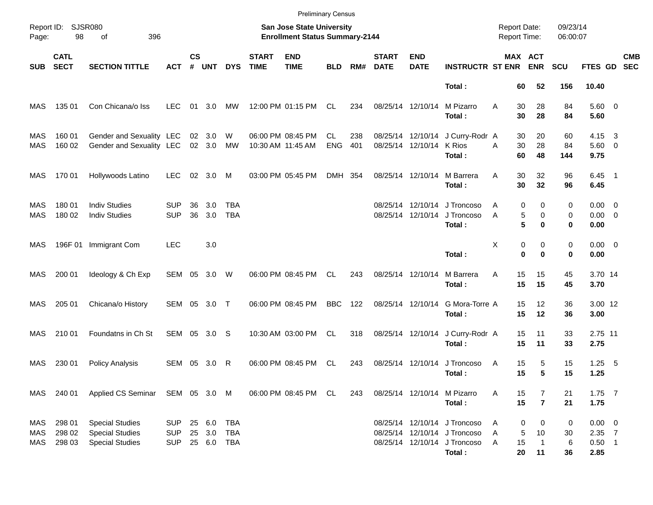|                   |                            |                                                                            |                                 |                    |                             |                          |                             | <b>Preliminary Census</b>                                          |                  |            |                             |                                        |                                                                                                        |                                            |                       |                               |                      |                                             |                         |                          |
|-------------------|----------------------------|----------------------------------------------------------------------------|---------------------------------|--------------------|-----------------------------|--------------------------|-----------------------------|--------------------------------------------------------------------|------------------|------------|-----------------------------|----------------------------------------|--------------------------------------------------------------------------------------------------------|--------------------------------------------|-----------------------|-------------------------------|----------------------|---------------------------------------------|-------------------------|--------------------------|
| Page:             | Report ID: SJSR080<br>98   | 396<br>οf                                                                  |                                 |                    |                             |                          |                             | San Jose State University<br><b>Enrollment Status Summary-2144</b> |                  |            |                             |                                        |                                                                                                        | <b>Report Date:</b><br><b>Report Time:</b> |                       |                               | 09/23/14<br>06:00:07 |                                             |                         |                          |
| <b>SUB</b>        | <b>CATL</b><br><b>SECT</b> | <b>SECTION TITTLE</b>                                                      | <b>ACT</b>                      | $\mathsf{cs}$<br># | <b>UNT</b>                  | <b>DYS</b>               | <b>START</b><br><b>TIME</b> | <b>END</b><br><b>TIME</b>                                          | <b>BLD</b>       | RM#        | <b>START</b><br><b>DATE</b> | <b>END</b><br><b>DATE</b>              | <b>INSTRUCTR ST ENR</b>                                                                                |                                            | MAX ACT<br><b>ENR</b> |                               | <b>SCU</b>           | <b>FTES GD</b>                              |                         | <b>CMB</b><br><b>SEC</b> |
|                   |                            |                                                                            |                                 |                    |                             |                          |                             |                                                                    |                  |            |                             |                                        | Total:                                                                                                 |                                            | 60                    | 52                            | 156                  | 10.40                                       |                         |                          |
| MAS               | 135 01                     | Con Chicana/o Iss                                                          | <b>LEC</b>                      | 01                 | 3.0                         | MW                       |                             | 12:00 PM 01:15 PM                                                  | CL               | 234        | 08/25/14 12/10/14           |                                        | M Pizarro<br>Total:                                                                                    | A                                          | 30<br>30              | 28<br>28                      | 84<br>84             | 5.60 0<br>5.60                              |                         |                          |
| MAS<br>MAS        | 160 01<br>160 02           | Gender and Sexuality LEC<br>Gender and Sexuality LEC                       |                                 |                    | 02 3.0<br>02 3.0            | W<br>МW                  |                             | 06:00 PM 08:45 PM<br>10:30 AM 11:45 AM                             | CL<br><b>ENG</b> | 238<br>401 |                             | 08/25/14 12/10/14<br>08/25/14 12/10/14 | J Curry-Rodr A<br>K Rios<br>Total:                                                                     | A                                          | 30<br>30<br>60        | 20<br>28<br>48                | 60<br>84<br>144      | 4.15<br>$5.60 \quad 0$<br>9.75              | $\overline{\mathbf{3}}$ |                          |
| MAS               | 170 01                     | Hollywoods Latino                                                          | <b>LEC</b>                      |                    | 02 3.0                      | M                        |                             | 03:00 PM 05:45 PM                                                  | DMH 354          |            | 08/25/14 12/10/14           |                                        | M Barrera<br>Total:                                                                                    | A                                          | 30<br>30              | 32<br>32                      | 96<br>96             | $6.45$ 1<br>6.45                            |                         |                          |
| MAS<br>MAS        | 180 01<br>180 02           | <b>Indiv Studies</b><br><b>Indiv Studies</b>                               | <b>SUP</b><br><b>SUP</b>        | 36<br>36           | 3.0<br>3.0                  | <b>TBA</b><br><b>TBA</b> |                             |                                                                    |                  |            |                             | 08/25/14 12/10/14<br>08/25/14 12/10/14 | J Troncoso<br>J Troncoso<br>Total:                                                                     | A<br>A                                     | 0<br>5<br>5           | 0<br>0<br>0                   | 0<br>0<br>0          | $0.00 \quad 0$<br>$0.00 \t 0$<br>0.00       |                         |                          |
| MAS               | 196F 01                    | Immigrant Com                                                              | <b>LEC</b>                      |                    | 3.0                         |                          |                             |                                                                    |                  |            |                             |                                        | Total:                                                                                                 | X                                          | 0<br>$\bf{0}$         | 0<br>$\bf{0}$                 | 0<br>0               | $0.00 \t 0$<br>0.00                         |                         |                          |
| MAS               | 200 01                     | Ideology & Ch Exp                                                          | SEM 05 3.0 W                    |                    |                             |                          |                             | 06:00 PM 08:45 PM                                                  | CL.              | 243        | 08/25/14 12/10/14           |                                        | M Barrera<br>Total:                                                                                    | A                                          | 15<br>15              | 15<br>15                      | 45<br>45             | 3.70 14<br>3.70                             |                         |                          |
| MAS               | 205 01                     | Chicana/o History                                                          | SEM 05 3.0 T                    |                    |                             |                          |                             | 06:00 PM 08:45 PM                                                  | <b>BBC</b>       | 122        | 08/25/14 12/10/14           |                                        | G Mora-Torre A<br>Total:                                                                               |                                            | 15<br>15              | 12<br>12                      | 36<br>36             | 3.00 12<br>3.00                             |                         |                          |
| MAS               | 210 01                     | Foundatns in Ch St                                                         | SEM 05 3.0 S                    |                    |                             |                          |                             | 10:30 AM 03:00 PM                                                  | CL.              | 318        |                             | 08/25/14 12/10/14                      | J Curry-Rodr A<br>Total:                                                                               |                                            | 15<br>15              | 11<br>11                      | 33<br>33             | 2.75 11<br>2.75                             |                         |                          |
| MAS               | 230 01                     | <b>Policy Analysis</b>                                                     | SEM 05                          |                    | 3.0                         | R                        |                             | 06:00 PM 08:45 PM                                                  | CL               | 243        | 08/25/14 12/10/14           |                                        | J Troncoso<br>Total:                                                                                   | A                                          | 15<br>15              | 5<br>5                        | 15<br>15             | $1.25 - 5$<br>1.25                          |                         |                          |
|                   | MAS 240 01                 | Applied CS Seminar SEM 05 3.0 M                                            |                                 |                    |                             |                          |                             | 06:00 PM 08:45 PM CL                                               |                  | 243        |                             |                                        | 08/25/14 12/10/14 M Pizarro<br>Total:                                                                  | A                                          | 15<br>15              | 7<br>$\overline{7}$           | 21<br>21             | $1.75$ 7<br>1.75                            |                         |                          |
| MAS<br>MAS<br>MAS | 298 01<br>298 02<br>298 03 | <b>Special Studies</b><br><b>Special Studies</b><br><b>Special Studies</b> | SUP<br><b>SUP</b><br><b>SUP</b> | 25                 | 25 6.0<br>3.0<br>25 6.0 TBA | <b>TBA</b><br>TBA        |                             |                                                                    |                  |            |                             |                                        | 08/25/14 12/10/14 J Troncoso<br>08/25/14 12/10/14 J Troncoso<br>08/25/14 12/10/14 J Troncoso<br>Total: | Α<br>Α<br>Α                                | 0<br>5<br>15<br>20    | 0<br>10<br>$\mathbf{1}$<br>11 | 0<br>30<br>6<br>36   | $0.00 \t 0$<br>$2.35$ 7<br>$0.50$ 1<br>2.85 |                         |                          |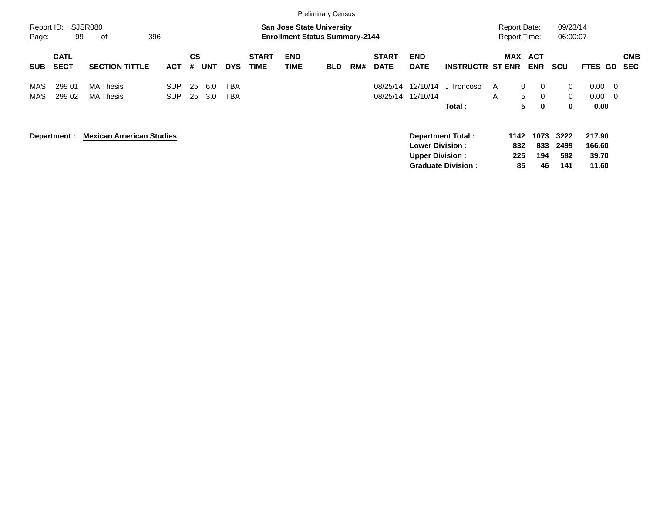|                     |                            |                                      |                          |          |            |                          |                             |                                                                           | <b>Preliminary Census</b> |     |                             |                                                  |                                                       |                                            |                                                                |                                   |                                                                            |                          |
|---------------------|----------------------------|--------------------------------------|--------------------------|----------|------------|--------------------------|-----------------------------|---------------------------------------------------------------------------|---------------------------|-----|-----------------------------|--------------------------------------------------|-------------------------------------------------------|--------------------------------------------|----------------------------------------------------------------|-----------------------------------|----------------------------------------------------------------------------|--------------------------|
| Report ID:<br>Page: | 99                         | <b>SJSR080</b><br>396<br>οf          |                          |          |            |                          |                             | <b>San Jose State University</b><br><b>Enrollment Status Summary-2144</b> |                           |     |                             |                                                  |                                                       | <b>Report Date:</b><br><b>Report Time:</b> |                                                                | 09/23/14<br>06:00:07              |                                                                            |                          |
| <b>SUB</b>          | <b>CATL</b><br><b>SECT</b> | <b>SECTION TITTLE</b>                | <b>ACT</b>               | CS<br>#  | <b>UNT</b> | <b>DYS</b>               | <b>START</b><br><b>TIME</b> | <b>END</b><br><b>TIME</b>                                                 | <b>BLD</b>                | RM# | <b>START</b><br><b>DATE</b> | <b>END</b><br><b>DATE</b>                        | <b>INSTRUCTR ST ENR</b>                               | MAX                                        | <b>ACT</b><br><b>ENR</b>                                       | <b>SCU</b>                        | FTES GD                                                                    | <b>CMB</b><br><b>SEC</b> |
| MAS<br>MAS          | 299 01<br>299 02           | <b>MA Thesis</b><br><b>MA Thesis</b> | <b>SUP</b><br><b>SUP</b> | 25<br>25 | 6.0<br>3.0 | <b>TBA</b><br><b>TBA</b> |                             |                                                                           |                           |     | 08/25/14<br>08/25/14        | 12/10/14<br>12/10/14                             | J Troncoso<br>Total:                                  | A<br>A                                     | $\mathbf{0}$<br>$\mathbf{0}$<br>5<br>$\Omega$<br>5<br>$\bf{0}$ | $\mathbf{0}$<br>$\mathbf{0}$<br>0 | 0.00<br>$\overline{\mathbf{0}}$<br>0.00<br>$\overline{\mathbf{0}}$<br>0.00 |                          |
|                     | Department :               | <b>Mexican American Studies</b>      |                          |          |            |                          |                             |                                                                           |                           |     |                             | <b>Lower Division:</b><br><b>Upper Division:</b> | <b>Department Total:</b><br><b>Graduate Division:</b> | 1142<br>832<br>225<br>85                   | 1073<br>833<br>194<br>46                                       | 3222<br>2499<br>582<br>141        | 217.90<br>166.60<br>39.70<br>11.60                                         |                          |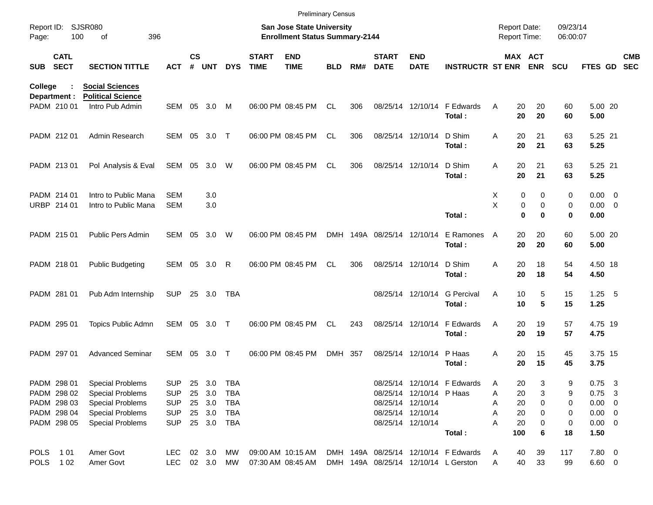|                     |                             |                                              |                          |               |            |            |                             | <b>Preliminary Census</b>                                          |            |     |                             |                           |                                      |                                            |                            |                      |                            |                          |
|---------------------|-----------------------------|----------------------------------------------|--------------------------|---------------|------------|------------|-----------------------------|--------------------------------------------------------------------|------------|-----|-----------------------------|---------------------------|--------------------------------------|--------------------------------------------|----------------------------|----------------------|----------------------------|--------------------------|
| Report ID:<br>Page: | 100                         | <b>SJSR080</b><br>396<br>of                  |                          |               |            |            |                             | San Jose State University<br><b>Enrollment Status Summary-2144</b> |            |     |                             |                           |                                      | <b>Report Date:</b><br><b>Report Time:</b> |                            | 09/23/14<br>06:00:07 |                            |                          |
| <b>SUB</b>          | <b>CATL</b><br><b>SECT</b>  | <b>SECTION TITTLE</b>                        | ACT                      | $\mathsf{cs}$ | # UNT      | <b>DYS</b> | <b>START</b><br><b>TIME</b> | <b>END</b><br><b>TIME</b>                                          | <b>BLD</b> | RM# | <b>START</b><br><b>DATE</b> | <b>END</b><br><b>DATE</b> | <b>INSTRUCTR ST ENR ENR</b>          |                                            | MAX ACT                    | <b>SCU</b>           | FTES GD                    | <b>CMB</b><br><b>SEC</b> |
| College             |                             | <b>Social Sciences</b>                       |                          |               |            |            |                             |                                                                    |            |     |                             |                           |                                      |                                            |                            |                      |                            |                          |
|                     | Department :<br>PADM 210 01 | <b>Political Science</b><br>Intro Pub Admin  | SEM 05                   |               | 3.0        | M          |                             | 06:00 PM 08:45 PM                                                  | <b>CL</b>  | 306 |                             | 08/25/14 12/10/14         | F Edwards<br>Total:                  | 20<br>A<br>20                              | 20<br>20                   | 60<br>60             | 5.00 20<br>5.00            |                          |
|                     | PADM 212 01                 | Admin Research                               | SEM 05                   |               | 3.0        | $\top$     |                             | 06:00 PM 08:45 PM                                                  | <b>CL</b>  | 306 |                             | 08/25/14 12/10/14         | D Shim<br>Total:                     | 20<br>Α<br>20                              | 21<br>21                   | 63<br>63             | 5.25 21<br>5.25            |                          |
|                     | PADM 213 01                 | Pol Analysis & Eval                          | SEM 05                   |               | 3.0        | W          |                             | 06:00 PM 08:45 PM                                                  | <b>CL</b>  | 306 |                             | 08/25/14 12/10/14         | D Shim<br>Total:                     | 20<br>Α<br>20                              | 21<br>21                   | 63<br>63             | 5.25 21<br>5.25            |                          |
|                     | PADM 214 01<br>URBP 214 01  | Intro to Public Mana<br>Intro to Public Mana | <b>SEM</b><br><b>SEM</b> |               | 3.0<br>3.0 |            |                             |                                                                    |            |     |                             |                           |                                      | Χ<br>X                                     | 0<br>0<br>0<br>$\mathbf 0$ | 0<br>0               | $0.00 \t 0$<br>$0.00 \t 0$ |                          |
|                     |                             |                                              |                          |               |            |            |                             |                                                                    |            |     |                             |                           | Total:                               |                                            | $\bf{0}$<br>$\bf{0}$       | 0                    | 0.00                       |                          |
|                     | PADM 215 01                 | Public Pers Admin                            | SEM                      | 05            | 3.0        | W          |                             | 06:00 PM 08:45 PM                                                  | <b>DMH</b> |     | 149A 08/25/14 12/10/14      |                           | E Ramones<br>Total:                  | 20<br>A<br>20                              | 20<br>20                   | 60<br>60             | 5.00 20<br>5.00            |                          |
|                     | PADM 218 01                 | <b>Public Budgeting</b>                      | SEM 05                   |               | 3.0        | R          |                             | 06:00 PM 08:45 PM                                                  | <b>CL</b>  | 306 |                             | 08/25/14 12/10/14         | D Shim<br>Total:                     | 20<br>Α<br>20                              | 18<br>18                   | 54<br>54             | 4.50 18<br>4.50            |                          |
|                     | PADM 281 01                 | Pub Adm Internship                           | <b>SUP</b>               | 25            | 3.0        | TBA        |                             |                                                                    |            |     |                             | 08/25/14 12/10/14         | <b>G</b> Percival<br>Total:          | Α<br>10<br>10                              | 5<br>5                     | 15<br>15             | $1.25$ 5<br>1.25           |                          |
|                     | PADM 295 01                 | Topics Public Admn                           | SEM 05                   |               | 3.0        | $\top$     |                             | 06:00 PM 08:45 PM                                                  | CL.        | 243 |                             | 08/25/14 12/10/14         | F Edwards<br>Total:                  | 20<br>A<br>20                              | 19<br>19                   | 57<br>57             | 4.75 19<br>4.75            |                          |
|                     | PADM 297 01                 | <b>Advanced Seminar</b>                      | SEM                      | 05            | 3.0        | $\top$     |                             | 06:00 PM 08:45 PM                                                  | DMH 357    |     |                             | 08/25/14 12/10/14         | P Haas<br>Total:                     | Α<br>20<br>20                              | 15<br>15                   | 45<br>45             | 3.75 15<br>3.75            |                          |
|                     | PADM 298 01                 | <b>Special Problems</b>                      | <b>SUP</b>               |               | 25 3.0     | TBA        |                             |                                                                    |            |     |                             |                           | 08/25/14 12/10/14 F Edwards          | 20<br>Α                                    | 3                          | 9                    | $0.75$ 3                   |                          |
|                     | PADM 298 02                 | <b>Special Problems</b>                      | <b>SUP</b>               | 25            | 3.0        | TBA        |                             |                                                                    |            |     |                             | 08/25/14 12/10/14 P Haas  |                                      | Α<br>20                                    | 3                          | 9                    | $0.75$ 3                   |                          |
|                     | PADM 298 03                 | <b>Special Problems</b>                      | <b>SUP</b>               |               | 25 3.0     | TBA        |                             |                                                                    |            |     |                             | 08/25/14 12/10/14         |                                      | 20<br>Α                                    | 0                          | 0                    | $0.00 \t 0$                |                          |
|                     | PADM 298 04                 | <b>Special Problems</b>                      | <b>SUP</b>               |               | 25 3.0     | TBA        |                             |                                                                    |            |     |                             | 08/25/14 12/10/14         |                                      | 20<br>Α                                    | 0                          | 0                    | $0.00 \t 0$                |                          |
|                     | PADM 298 05                 | <b>Special Problems</b>                      | <b>SUP</b>               |               | 25 3.0     | TBA        |                             |                                                                    |            |     |                             | 08/25/14 12/10/14         | Total:                               | 20<br>Α<br>100                             | 0<br>6                     | $\pmb{0}$<br>18      | $0.00 \t 0$<br>1.50        |                          |
|                     | POLS 101                    | Amer Govt                                    | LEC 02 3.0               |               |            | MW         |                             | 09:00 AM 10:15 AM                                                  |            |     |                             |                           | DMH 149A 08/25/14 12/10/14 F Edwards | 40<br>A                                    | 39                         | 117                  | 7.80 0                     |                          |
| <b>POLS</b>         | 1 0 2                       | Amer Govt                                    |                          |               | LEC 02 3.0 | MW         |                             | 07:30 AM 08:45 AM                                                  |            |     |                             |                           | DMH 149A 08/25/14 12/10/14 L Gerston | 40<br>A                                    | 33                         | 99                   | $6.60$ 0                   |                          |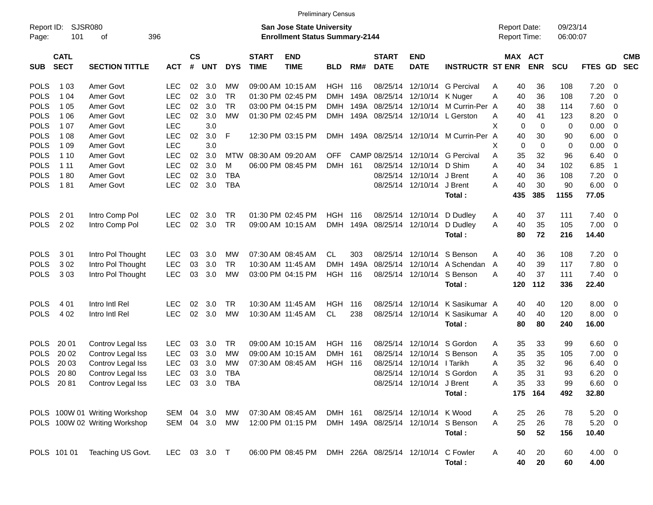| Report ID:<br>Page: | SJSR080<br>101             | 396<br>οf                     |            |                |               |            |                             | <b>San Jose State University</b><br><b>Enrollment Status Summary-2144</b> |                |      |                             |                            |                                       |   |             | <b>Report Date:</b><br><b>Report Time:</b> | 09/23/14<br>06:00:07 |                |                          |                          |
|---------------------|----------------------------|-------------------------------|------------|----------------|---------------|------------|-----------------------------|---------------------------------------------------------------------------|----------------|------|-----------------------------|----------------------------|---------------------------------------|---|-------------|--------------------------------------------|----------------------|----------------|--------------------------|--------------------------|
| <b>SUB</b>          | <b>CATL</b><br><b>SECT</b> | <b>SECTION TITTLE</b>         | <b>ACT</b> | <b>CS</b><br># | <b>UNT</b>    | <b>DYS</b> | <b>START</b><br><b>TIME</b> | <b>END</b><br><b>TIME</b>                                                 | <b>BLD</b>     | RM#  | <b>START</b><br><b>DATE</b> | <b>END</b><br><b>DATE</b>  | <b>INSTRUCTR ST ENR</b>               |   |             | MAX ACT<br><b>ENR</b>                      | SCU                  | FTES GD        |                          | <b>CMB</b><br><b>SEC</b> |
| <b>POLS</b>         | 1 0 3                      | Amer Govt                     | <b>LEC</b> | 02             | 3.0           | МW         |                             | 09:00 AM 10:15 AM                                                         | <b>HGH</b>     | 116  | 08/25/14                    | 12/10/14                   | <b>G</b> Percival                     | A | 40          | 36                                         | 108                  | $7.20 \ 0$     |                          |                          |
| <b>POLS</b>         | 1 0 4                      | Amer Govt                     | <b>LEC</b> | 02             | 3.0           | <b>TR</b>  |                             | 01:30 PM 02:45 PM                                                         | <b>DMH</b>     | 149A | 08/25/14                    | 12/10/14                   | K Nuger                               | Α | 40          | 36                                         | 108                  | 7.20           | $\overline{0}$           |                          |
| <b>POLS</b>         | 1 0 5                      | Amer Govt                     | <b>LEC</b> | 02             | 3.0           | <b>TR</b>  |                             | 03:00 PM 04:15 PM                                                         | <b>DMH</b>     | 149A | 08/25/14                    | 12/10/14                   | M Currin-Per A                        |   | 40          | 38                                         | 114                  | 7.60           | $\overline{0}$           |                          |
| <b>POLS</b>         | 1 0 6                      | Amer Govt                     | <b>LEC</b> | 02             | 3.0           | <b>MW</b>  |                             | 01:30 PM 02:45 PM                                                         | DMH            | 149A |                             |                            | 08/25/14 12/10/14 L Gerston           | A | 40          | 41                                         | 123                  | 8.20           | $\overline{0}$           |                          |
| <b>POLS</b>         | 1 0 7                      | Amer Govt                     | <b>LEC</b> |                | 3.0           |            |                             |                                                                           |                |      |                             |                            |                                       | X | $\mathbf 0$ | 0                                          | 0                    | 0.00           | $\overline{0}$           |                          |
| <b>POLS</b>         | 1 0 8                      | Amer Govt                     | <b>LEC</b> | 02             | 3.0           | F          |                             | 12:30 PM 03:15 PM                                                         | <b>DMH</b>     |      |                             |                            | 149A 08/25/14 12/10/14 M Currin-Per A |   | 40          | 30                                         | 90                   | 6.00           | $\overline{0}$           |                          |
| <b>POLS</b>         | 1 0 9                      | Amer Govt                     | <b>LEC</b> |                | 3.0           |            |                             |                                                                           |                |      |                             |                            |                                       | X | 0           | 0                                          | $\mathbf 0$          | 0.00           | $\overline{0}$           |                          |
| <b>POLS</b>         | 1 10                       | Amer Govt                     | <b>LEC</b> | 02             | 3.0           | MTW        | 08:30 AM 09:20 AM           |                                                                           | <b>OFF</b>     |      | CAMP 08/25/14               | 12/10/14                   | <b>G</b> Percival                     | A | 35          | 32                                         | 96                   | 6.40           | $\overline{0}$           |                          |
| <b>POLS</b>         | 1 1 1                      | Amer Govt                     | <b>LEC</b> | 02             | 3.0           | M          |                             | 06:00 PM 08:45 PM                                                         | <b>DMH</b>     | 161  | 08/25/14                    | 12/10/14                   | D Shim                                | Α | 40          | 34                                         | 102                  | 6.85           | $\overline{1}$           |                          |
| <b>POLS</b>         | 180                        | Amer Govt                     | <b>LEC</b> | 02             | 3.0           | <b>TBA</b> |                             |                                                                           |                |      |                             | 08/25/14 12/10/14          | J Brent                               | Α | 40          | 36                                         | 108                  | 7.20           | $\overline{0}$           |                          |
| <b>POLS</b>         | 181                        | Amer Govt                     | <b>LEC</b> | 02             | 3.0           | <b>TBA</b> |                             |                                                                           |                |      |                             | 08/25/14 12/10/14          | J Brent                               | A | 40          | 30                                         | 90                   | 6.00           | $\overline{\phantom{0}}$ |                          |
|                     |                            |                               |            |                |               |            |                             |                                                                           |                |      |                             |                            | Total:                                |   | 435         | 385                                        | 1155                 | 77.05          |                          |                          |
| <b>POLS</b>         | 201                        | Intro Comp Pol                | <b>LEC</b> | 02             | 3.0           | <b>TR</b>  |                             | 01:30 PM 02:45 PM                                                         | HGH            | 116  | 08/25/14                    | 12/10/14                   | D Dudley                              | A | 40          | 37                                         | 111                  | $7.40 \quad 0$ |                          |                          |
| <b>POLS</b>         | 202                        | Intro Comp Pol                | <b>LEC</b> | 02             | 3.0           | <b>TR</b>  |                             | 09:00 AM 10:15 AM                                                         | <b>DMH</b>     | 149A | 08/25/14                    | 12/10/14                   | D Dudlev                              | A | 40          | 35                                         | 105                  | $7.00 \t 0$    |                          |                          |
|                     |                            |                               |            |                |               |            |                             |                                                                           |                |      |                             |                            | Total:                                |   | 80          | 72                                         | 216                  | 14.40          |                          |                          |
| <b>POLS</b>         | 3 0 1                      | Intro Pol Thought             | <b>LEC</b> | 03             | 3.0           | МW         |                             | 07:30 AM 08:45 AM                                                         | <b>CL</b>      | 303  | 08/25/14                    | 12/10/14                   | S Benson                              | Α | 40          | 36                                         | 108                  | 7.20           | $\overline{\phantom{0}}$ |                          |
| <b>POLS</b>         | 302                        | Intro Pol Thought             | <b>LEC</b> | 03             | 3.0           | <b>TR</b>  |                             | 10:30 AM 11:45 AM                                                         | <b>DMH</b>     | 149A | 08/25/14                    | 12/10/14                   | A Schendan                            | A | 40          | 39                                         | 117                  | 7.80           | $\overline{0}$           |                          |
| <b>POLS</b>         | 303                        | Intro Pol Thought             | <b>LEC</b> | 03             | 3.0           | <b>MW</b>  |                             | 03:00 PM 04:15 PM                                                         | <b>HGH</b>     | 116  | 08/25/14                    | 12/10/14                   | S Benson                              | A | 40          | 37                                         | 111                  | $7.40 \quad 0$ |                          |                          |
|                     |                            |                               |            |                |               |            |                             |                                                                           |                |      |                             |                            | Total:                                |   | 120         | 112                                        | 336                  | 22.40          |                          |                          |
| <b>POLS</b>         | 4 0 1                      | Intro Intl Rel                | <b>LEC</b> | 02             | 3.0           | <b>TR</b>  |                             | 10:30 AM 11:45 AM                                                         | <b>HGH</b>     | 116  | 08/25/14                    | 12/10/14                   | K Sasikumar A                         |   | 40          | 40                                         | 120                  | 8.00           | $\overline{\mathbf{0}}$  |                          |
| <b>POLS</b>         | 4 0 2                      | Intro Intl Rel                | <b>LEC</b> | 02             | 3.0           | MW         |                             | 10:30 AM 11:45 AM                                                         | <b>CL</b>      | 238  | 08/25/14                    | 12/10/14                   | K Sasikumar A                         |   | 40          | 40                                         | 120                  | $8.00 \t 0$    |                          |                          |
|                     |                            |                               |            |                |               |            |                             |                                                                           |                |      |                             |                            | Total:                                |   | 80          | 80                                         | 240                  | 16.00          |                          |                          |
| <b>POLS</b>         | 20 01                      | Controv Legal Iss             | <b>LEC</b> | 03             | 3.0           | <b>TR</b>  |                             | 09:00 AM 10:15 AM                                                         | <b>HGH</b>     | 116  | 08/25/14                    | 12/10/14                   | S Gordon                              | Α | 35          | 33                                         | 99                   | $6.60$ 0       |                          |                          |
| <b>POLS</b>         | 20 02                      | Controv Legal Iss             | <b>LEC</b> | 03             | 3.0           | МW         |                             | 09:00 AM 10:15 AM                                                         | <b>DMH</b>     | 161  | 08/25/14                    | 12/10/14                   | S Benson                              | Α | 35          | 35                                         | 105                  | 7.00           | $\overline{\mathbf{0}}$  |                          |
| <b>POLS</b>         | 20 03                      | Controv Legal Iss             | <b>LEC</b> | 03             | 3.0           | МW         |                             | 07:30 AM 08:45 AM                                                         | <b>HGH 116</b> |      | 08/25/14                    | 12/10/14                   | I Tarikh                              | Α | 35          | 32                                         | 96                   | 6.40           | $\overline{\mathbf{0}}$  |                          |
| <b>POLS</b>         | 20 80                      | Controv Legal Iss             | <b>LEC</b> | 03             | 3.0           | <b>TBA</b> |                             |                                                                           |                |      | 08/25/14                    | 12/10/14                   | S Gordon                              | Α | 35          | 31                                         | 93                   | 6.20           | $\overline{\mathbf{0}}$  |                          |
| <b>POLS</b>         | 2081                       | Controv Legal Iss             | <b>LEC</b> | 03             | 3.0           | <b>TBA</b> |                             |                                                                           |                |      |                             | 08/25/14 12/10/14          | J Brent                               | Α | 35          | 33                                         | 99                   | 6.60           | - 0                      |                          |
|                     |                            |                               |            |                |               |            |                             |                                                                           |                |      |                             |                            | Total:                                |   |             | 175 164                                    | 492                  | 32.80          |                          |                          |
|                     |                            |                               |            |                |               |            |                             |                                                                           |                |      |                             |                            |                                       |   |             |                                            |                      |                |                          |                          |
|                     |                            | POLS 100W 01 Writing Workshop | SEM 04     |                | 3.0           | <b>MW</b>  |                             | 07:30 AM 08:45 AM                                                         | DMH 161        |      |                             | 08/25/14 12/10/14 K Wood   |                                       | A | 25          | 26                                         | 78                   | $5.20 \t 0$    |                          |                          |
|                     |                            | POLS 100W 02 Writing Workshop |            |                | SEM 04 3.0 MW |            |                             | 12:00 PM 01:15 PM                                                         |                |      |                             | DMH 149A 08/25/14 12/10/14 | S Benson                              | A | 25          | 26                                         | 78                   | $5.20 \ 0$     |                          |                          |
|                     |                            |                               |            |                |               |            |                             |                                                                           |                |      |                             |                            | Total:                                |   | 50          | 52                                         | 156                  | 10.40          |                          |                          |
|                     | POLS 101 01                | Teaching US Govt.             | LEC        |                | 03 3.0 T      |            |                             | 06:00 PM 08:45 PM                                                         |                |      | DMH 226A 08/25/14 12/10/14  |                            | C Fowler                              | Α | 40          | 20                                         | 60                   | $4.00 \ 0$     |                          |                          |
|                     |                            |                               |            |                |               |            |                             |                                                                           |                |      |                             |                            | Total:                                |   | 40          | 20                                         | 60                   | 4.00           |                          |                          |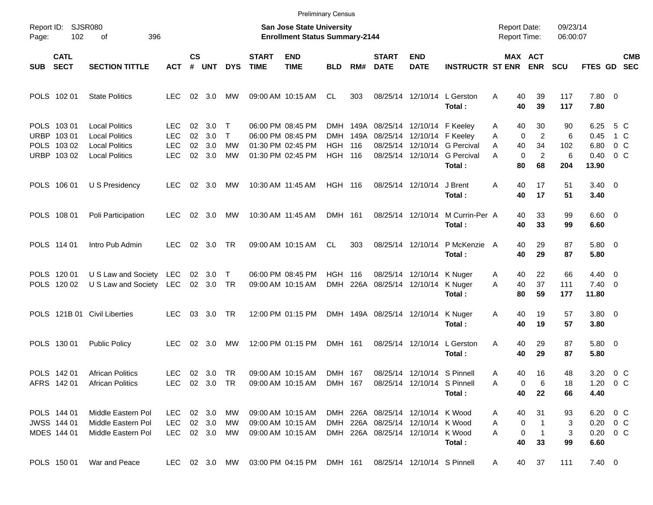|                     |                                                          |                                                                                                  |                                        |                      |                             |                              |                             |                                                                                  | <b>Preliminary Census</b>                         |             |                             |                                                                                                             |                                                                        |                                                        |                                                    |                            |                                                    |                                     |            |
|---------------------|----------------------------------------------------------|--------------------------------------------------------------------------------------------------|----------------------------------------|----------------------|-----------------------------|------------------------------|-----------------------------|----------------------------------------------------------------------------------|---------------------------------------------------|-------------|-----------------------------|-------------------------------------------------------------------------------------------------------------|------------------------------------------------------------------------|--------------------------------------------------------|----------------------------------------------------|----------------------------|----------------------------------------------------|-------------------------------------|------------|
| Report ID:<br>Page: | 102                                                      | <b>SJSR080</b><br>οf<br>396                                                                      |                                        |                      |                             |                              |                             | <b>San Jose State University</b><br><b>Enrollment Status Summary-2144</b>        |                                                   |             |                             |                                                                                                             |                                                                        | <b>Report Date:</b><br><b>Report Time:</b>             |                                                    | 09/23/14<br>06:00:07       |                                                    |                                     |            |
| <b>SUB</b>          | <b>CATL</b><br><b>SECT</b>                               | <b>SECTION TITTLE</b>                                                                            | <b>ACT</b>                             | $\mathsf{cs}$<br>#   | <b>UNT</b>                  | <b>DYS</b>                   | <b>START</b><br><b>TIME</b> | <b>END</b><br><b>TIME</b>                                                        | <b>BLD</b>                                        | RM#         | <b>START</b><br><b>DATE</b> | <b>END</b><br><b>DATE</b>                                                                                   | <b>INSTRUCTR ST ENR</b>                                                |                                                        | MAX ACT<br><b>ENR</b>                              | <b>SCU</b>                 | FTES GD SEC                                        |                                     | <b>CMB</b> |
|                     | POLS 102 01                                              | <b>State Politics</b>                                                                            | <b>LEC</b>                             | 02                   | - 3.0                       | MW                           |                             | 09:00 AM 10:15 AM                                                                | CL.                                               | 303         |                             |                                                                                                             | 08/25/14 12/10/14 L Gerston<br>Total:                                  | Α<br>40<br>40                                          | 39<br>39                                           | 117<br>117                 | 7.80 0<br>7.80                                     |                                     |            |
|                     | POLS 103 01<br>URBP 103 01<br>POLS 103 02<br>URBP 103 02 | <b>Local Politics</b><br><b>Local Politics</b><br><b>Local Politics</b><br><b>Local Politics</b> | LEC<br><b>LEC</b><br><b>LEC</b><br>LEC | 02<br>02<br>02<br>02 | 3.0<br>3.0<br>3.0<br>3.0    | $\top$<br>$\top$<br>МW<br>МW |                             | 06:00 PM 08:45 PM<br>06:00 PM 08:45 PM<br>01:30 PM 02:45 PM<br>01:30 PM 02:45 PM | DMH<br><b>DMH</b><br><b>HGH</b><br><b>HGH 116</b> | 149A<br>116 |                             | 149A 08/25/14 12/10/14 F Keeley<br>08/25/14 12/10/14 F Keeley                                               | 08/25/14 12/10/14 G Percival<br>08/25/14 12/10/14 G Percival<br>Total: | 40<br>Α<br>0<br>A<br>40<br>A<br>$\mathbf 0$<br>A<br>80 | 30<br>$\overline{2}$<br>34<br>$\overline{2}$<br>68 | 90<br>6<br>102<br>6<br>204 | 6.25<br>0.45<br>6.80<br>0.40<br>13.90              | 5 C<br>1 C<br>0 <sup>o</sup><br>0 C |            |
|                     | POLS 106 01                                              | U S Presidency                                                                                   | <b>LEC</b>                             | 02                   | 3.0                         | MW                           |                             | 10:30 AM 11:45 AM                                                                | <b>HGH 116</b>                                    |             |                             | 08/25/14 12/10/14                                                                                           | J Brent<br>Total:                                                      | Α<br>40<br>40                                          | 17<br>17                                           | 51<br>51                   | $3.40 \quad 0$<br>3.40                             |                                     |            |
|                     | POLS 108 01                                              | Poli Participation                                                                               | <b>LEC</b>                             | 02                   | 3.0                         | MW                           |                             | 10:30 AM 11:45 AM                                                                | DMH 161                                           |             |                             | 08/25/14 12/10/14                                                                                           | M Currin-Per A<br>Total:                                               | 40<br>40                                               | 33<br>33                                           | 99<br>99                   | $6.60$ 0<br>6.60                                   |                                     |            |
|                     | POLS 114 01                                              | Intro Pub Admin                                                                                  | LEC.                                   | 02                   | 3.0                         | . TR                         |                             | 09:00 AM 10:15 AM                                                                | CL                                                | 303         |                             | 08/25/14 12/10/14                                                                                           | P McKenzie<br>Total:                                                   | 40<br>A<br>40                                          | 29<br>29                                           | 87<br>87                   | 5.80 0<br>5.80                                     |                                     |            |
|                     | POLS 120 01<br>POLS 120 02                               | U S Law and Society<br>U S Law and Society LEC                                                   | LEC                                    |                      | $02 \quad 3.0$<br>02 3.0 TR | $\top$                       |                             | 06:00 PM 08:45 PM<br>09:00 AM 10:15 AM                                           | <b>HGH 116</b><br><b>DMH</b>                      |             |                             | 08/25/14 12/10/14 K Nuger<br>226A 08/25/14 12/10/14 K Nuger                                                 | Total:                                                                 | 40<br>A<br>40<br>Α<br>80                               | 22<br>37<br>59                                     | 66<br>111<br>177           | $4.40 \quad 0$<br>$7.40 \quad 0$<br>11.80          |                                     |            |
|                     |                                                          | POLS 121B 01 Civil Liberties                                                                     | <b>LEC</b>                             |                      | 03 3.0                      | TR                           |                             | 12:00 PM 01:15 PM                                                                |                                                   |             |                             | DMH 149A 08/25/14 12/10/14 K Nuger                                                                          | Total:                                                                 | 40<br>A<br>40                                          | 19<br>19                                           | 57<br>57                   | 3.80 0<br>3.80                                     |                                     |            |
|                     | POLS 130 01                                              | <b>Public Policy</b>                                                                             | LEC                                    | 02                   | 3.0                         | MW                           |                             | 12:00 PM 01:15 PM                                                                | DMH 161                                           |             |                             |                                                                                                             | 08/25/14 12/10/14 L Gerston<br>Total:                                  | Α<br>40<br>40                                          | 29<br>29                                           | 87<br>87                   | 5.80 0<br>5.80                                     |                                     |            |
|                     | POLS 142 01<br>AFRS 142 01                               | <b>African Politics</b><br><b>African Politics</b>                                               | LEC.                                   |                      | 02 3.0<br>LEC 02 3.0 TR     | TR                           |                             | 09:00 AM 10:15 AM<br>09:00 AM 10:15 AM                                           | DMH 167                                           | DMH 167     |                             | 08/25/14 12/10/14 S Pinnell<br>08/25/14 12/10/14 S Pinnell                                                  | Total:                                                                 | 40<br>A<br>0<br>Α<br>40                                | 16<br>6<br>22                                      | 48<br>18<br>66             | 3.20<br>1.20 $0 \, \text{C}$<br>4.40               | $0\,$ C                             |            |
|                     | POLS 144 01<br>JWSS 144 01<br>MDES 144 01                | Middle Eastern Pol<br>Middle Eastern Pol<br>Middle Eastern Pol                                   | LEC.<br><b>LEC</b><br>LEC.             |                      | 02 3.0<br>02 3.0<br>02 3.0  | МW<br>МW<br>MW               |                             | 09:00 AM 10:15 AM<br>09:00 AM 10:15 AM<br>09:00 AM 10:15 AM                      |                                                   |             |                             | DMH 226A 08/25/14 12/10/14 K Wood<br>DMH 226A 08/25/14 12/10/14 K Wood<br>DMH 226A 08/25/14 12/10/14 K Wood | Total:                                                                 | 40<br>A<br>Α<br>0<br>0<br>Α<br>40                      | 31<br>-1<br>1<br>33                                | 93<br>3<br>3<br>99         | 6.20 0 C<br>$0.20 \t 0 C$<br>$0.20 \t 0 C$<br>6.60 |                                     |            |
|                     | POLS 150 01                                              | War and Peace                                                                                    | LEC                                    |                      |                             | 02 3.0 MW                    |                             | 03:00 PM 04:15 PM                                                                | DMH 161                                           |             |                             | 08/25/14 12/10/14 S Pinnell                                                                                 |                                                                        | 40<br>A                                                | 37                                                 | 111                        | $7.40 \ 0$                                         |                                     |            |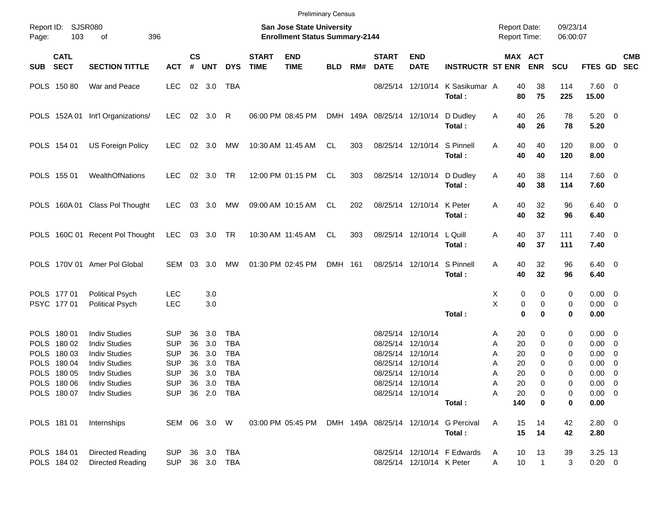|                                                                                                                      |                |                                                                                                                                                                      |                                                                                                                |                            |                                                         |                                                                    |                             | <b>Preliminary Census</b>                                                 |            |     |                                                                                                       |                                        |                                                 |                                                   |                                                                          |                                      |                                                                                                                  |                          |            |
|----------------------------------------------------------------------------------------------------------------------|----------------|----------------------------------------------------------------------------------------------------------------------------------------------------------------------|----------------------------------------------------------------------------------------------------------------|----------------------------|---------------------------------------------------------|--------------------------------------------------------------------|-----------------------------|---------------------------------------------------------------------------|------------|-----|-------------------------------------------------------------------------------------------------------|----------------------------------------|-------------------------------------------------|---------------------------------------------------|--------------------------------------------------------------------------|--------------------------------------|------------------------------------------------------------------------------------------------------------------|--------------------------|------------|
| Report ID:<br>Page:                                                                                                  | SJSR080<br>103 | 396<br>оf                                                                                                                                                            |                                                                                                                |                            |                                                         |                                                                    |                             | <b>San Jose State University</b><br><b>Enrollment Status Summary-2144</b> |            |     |                                                                                                       |                                        |                                                 | <b>Report Date:</b><br><b>Report Time:</b>        |                                                                          | 09/23/14<br>06:00:07                 |                                                                                                                  |                          |            |
| <b>CATL</b><br>SUB SECT                                                                                              |                | <b>SECTION TITTLE</b>                                                                                                                                                | <b>ACT</b>                                                                                                     | <b>CS</b><br>#             | <b>UNT</b>                                              | <b>DYS</b>                                                         | <b>START</b><br><b>TIME</b> | <b>END</b><br><b>TIME</b>                                                 | <b>BLD</b> | RM# | <b>START</b><br><b>DATE</b>                                                                           | <b>END</b><br><b>DATE</b>              | <b>INSTRUCTR ST ENR</b>                         |                                                   | MAX ACT<br><b>ENR</b>                                                    | <b>SCU</b>                           | FTES GD SEC                                                                                                      |                          | <b>CMB</b> |
| POLS 150 80                                                                                                          |                | War and Peace                                                                                                                                                        | LEC                                                                                                            |                            | 02 3.0                                                  | TBA                                                                |                             |                                                                           |            |     |                                                                                                       |                                        | 08/25/14 12/10/14 K Sasikumar A<br>Total:       | 40<br>80                                          | 38<br>75                                                                 | 114<br>225                           | 7.60 0<br>15.00                                                                                                  |                          |            |
|                                                                                                                      |                | POLS 152A 01 Int'l Organizations/                                                                                                                                    | LEC                                                                                                            |                            | 02 3.0 R                                                |                                                                    |                             | 06:00 PM 08:45 PM                                                         |            |     | DMH 149A 08/25/14 12/10/14                                                                            |                                        | D Dudley<br>Total:                              | 40<br>A                                           | 26<br>40<br>26                                                           | 78<br>78                             | $5.20 \ 0$<br>5.20                                                                                               |                          |            |
| POLS 154 01                                                                                                          |                | <b>US Foreign Policy</b>                                                                                                                                             | <b>LEC</b>                                                                                                     |                            | 02 3.0                                                  | MW                                                                 |                             | 10:30 AM 11:45 AM                                                         | CL         | 303 |                                                                                                       | 08/25/14 12/10/14 S Pinnell            | Total:                                          | 40<br>A                                           | 40<br>40<br>40                                                           | 120<br>120                           | $8.00 \t 0$<br>8.00                                                                                              |                          |            |
| POLS 155 01                                                                                                          |                | WealthOfNations                                                                                                                                                      | LEC                                                                                                            |                            | 02 3.0                                                  | TR                                                                 |                             | 12:00 PM 01:15 PM                                                         | CL         | 303 |                                                                                                       | 08/25/14 12/10/14                      | D Dudley<br>Total:                              | Α<br>40                                           | 38<br>40<br>38                                                           | 114<br>114                           | $7.60 \t 0$<br>7.60                                                                                              |                          |            |
|                                                                                                                      |                | POLS 160A 01 Class Pol Thought                                                                                                                                       | LEC                                                                                                            |                            | 03 3.0                                                  | MW                                                                 |                             | 09:00 AM 10:15 AM                                                         | CL         | 202 |                                                                                                       | 08/25/14 12/10/14 K Peter              | Total:                                          | 40<br>Α<br>40                                     | 32<br>32                                                                 | 96<br>96                             | $6.40 \quad 0$<br>6.40                                                                                           |                          |            |
|                                                                                                                      |                | POLS 160C 01 Recent Pol Thought                                                                                                                                      | LEC 03 3.0 TR                                                                                                  |                            |                                                         |                                                                    |                             | 10:30 AM 11:45 AM                                                         | CL         | 303 |                                                                                                       | 08/25/14 12/10/14                      | L Quill<br>Total:                               | 40<br>Α                                           | 37<br>40<br>37                                                           | 111<br>111                           | $7.40 \quad 0$<br>7.40                                                                                           |                          |            |
|                                                                                                                      |                | POLS 170V 01 Amer Pol Global                                                                                                                                         | <b>SEM</b>                                                                                                     | 03                         | 3.0                                                     | MW                                                                 |                             | 01:30 PM 02:45 PM                                                         | DMH 161    |     |                                                                                                       | 08/25/14 12/10/14                      | S Pinnell<br>Total:                             | 40<br>A                                           | 32<br>40<br>32                                                           | 96<br>96                             | $6.40 \quad 0$<br>6.40                                                                                           |                          |            |
| POLS 177 01<br>PSYC 177 01                                                                                           |                | <b>Political Psych</b><br><b>Political Psych</b>                                                                                                                     | LEC<br>LEC                                                                                                     |                            | 3.0<br>3.0                                              |                                                                    |                             |                                                                           |            |     |                                                                                                       |                                        | Total:                                          | Χ<br>X                                            | 0<br>0<br>0<br>$\pmb{0}$<br>$\bf{0}$<br>0                                | 0<br>0<br>0                          | $0.00 \quad 0$<br>$0.00 \t 0$<br>0.00                                                                            |                          |            |
| POLS 180 01<br>POLS 180 02<br>POLS 180 03<br>POLS 180 04<br>POLS 180 05<br>POLS 180 06<br>POLS 180 07<br>POLS 181 01 |                | <b>Indiv Studies</b><br><b>Indiv Studies</b><br><b>Indiv Studies</b><br><b>Indiv Studies</b><br><b>Indiv Studies</b><br><b>Indiv Studies</b><br><b>Indiv Studies</b> | <b>SUP</b><br><b>SUP</b><br><b>SUP</b><br><b>SUP</b><br><b>SUP</b><br><b>SUP</b><br><b>SUP</b><br>SEM 06 3.0 W | 36<br>36<br>36<br>36<br>36 | 3.0<br>3.0<br>3.0<br>3.0<br>3.0<br>36 3.0 TBA<br>36 2.0 | TBA<br><b>TBA</b><br><b>TBA</b><br><b>TBA</b><br><b>TBA</b><br>TBA |                             | 03:00 PM 05:45 PM                                                         |            |     | 08/25/14 12/10/14<br>08/25/14 12/10/14<br>08/25/14 12/10/14<br>08/25/14 12/10/14<br>08/25/14 12/10/14 | 08/25/14 12/10/14<br>08/25/14 12/10/14 | Total:<br>DMH 149A 08/25/14 12/10/14 G Percival | A<br>Α<br>Α<br>Α<br>Α<br>Α<br>20<br>Α<br>140<br>A | 20<br>0<br>20<br>0<br>20<br>0<br>20<br>0<br>20<br>0<br>0<br>20<br>0<br>0 | 0<br>0<br>0<br>0<br>0<br>0<br>0<br>0 | $0.00 \t 0$<br>$0.00 \t 0$<br>$0.00 \t 0$<br>0.00<br>$0.00 \t 0$<br>$0.00 \t 0$<br>$0.00 \t 0$<br>0.00<br>2.80 0 | $\overline{\phantom{0}}$ |            |
|                                                                                                                      |                | Internships                                                                                                                                                          |                                                                                                                |                            |                                                         |                                                                    |                             |                                                                           |            |     |                                                                                                       |                                        | Total:                                          |                                                   | 15<br>14<br>15<br>14                                                     | 42<br>42                             | 2.80                                                                                                             |                          |            |
| POLS 184 01<br>POLS 184 02                                                                                           |                | <b>Directed Reading</b><br><b>Directed Reading</b>                                                                                                                   | <b>SUP</b><br>SUP 36 3.0 TBA                                                                                   |                            |                                                         | 36 3.0 TBA                                                         |                             |                                                                           |            |     |                                                                                                       | 08/25/14 12/10/14 K Peter              | 08/25/14 12/10/14 F Edwards                     | A<br>A                                            | 13<br>10<br>10<br>$\mathbf{1}$                                           | 39<br>3                              | 3.25 13<br>$0.20 \ 0$                                                                                            |                          |            |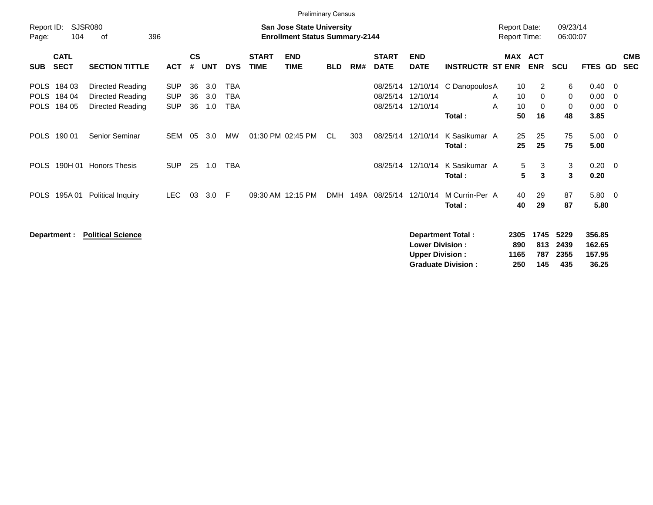|                                           |                            |                                                          |                                        |                |                   |                          |                             | <b>Preliminary Census</b>                                                 |            |      |                                  |                                  |                          |                                            |                             |                      |                                        |                                                      |                          |
|-------------------------------------------|----------------------------|----------------------------------------------------------|----------------------------------------|----------------|-------------------|--------------------------|-----------------------------|---------------------------------------------------------------------------|------------|------|----------------------------------|----------------------------------|--------------------------|--------------------------------------------|-----------------------------|----------------------|----------------------------------------|------------------------------------------------------|--------------------------|
| Report ID:<br>Page:                       | 104                        | <b>SJSR080</b><br>396<br>оf                              |                                        |                |                   |                          |                             | <b>San Jose State University</b><br><b>Enrollment Status Summary-2144</b> |            |      |                                  |                                  |                          | <b>Report Date:</b><br><b>Report Time:</b> |                             | 09/23/14<br>06:00:07 |                                        |                                                      |                          |
| <b>SUB</b>                                | <b>CATL</b><br><b>SECT</b> | <b>SECTION TITTLE</b>                                    | <b>ACT</b>                             | <b>CS</b><br># | <b>UNT</b>        | <b>DYS</b>               | <b>START</b><br><b>TIME</b> | <b>END</b><br><b>TIME</b>                                                 | <b>BLD</b> | RM#  | <b>START</b><br><b>DATE</b>      | <b>END</b><br><b>DATE</b>        | <b>INSTRUCTR ST ENR</b>  | <b>MAX</b>                                 | <b>ACT</b><br><b>ENR</b>    | <b>SCU</b>           | <b>FTES GD</b>                         |                                                      | <b>CMB</b><br><b>SEC</b> |
| <b>POLS</b><br><b>POLS</b><br><b>POLS</b> | 184 03<br>184 04<br>184 05 | Directed Reading<br>Directed Reading<br>Directed Reading | <b>SUP</b><br><b>SUP</b><br><b>SUP</b> | 36<br>36<br>36 | 3.0<br>3.0<br>1.0 | <b>TBA</b><br>TBA<br>TBA |                             |                                                                           |            |      | 08/25/14<br>08/25/14<br>08/25/14 | 12/10/14<br>12/10/14<br>12/10/14 | C DanopoulosA<br>Total:  | 10<br>10<br>A<br>10<br>A<br>50             | 2<br>0<br>$\mathbf 0$<br>16 | 6<br>0<br>0<br>48    | $0.40 \quad 0$<br>0.00<br>0.00<br>3.85 | $\overline{\phantom{0}}$<br>$\overline{\phantom{0}}$ |                          |
| <b>POLS</b>                               | 190 01                     | Senior Seminar                                           | <b>SEM</b>                             | 05             | 3.0               | MW                       |                             | 01:30 PM 02:45 PM                                                         | CL.        | 303  | 08/25/14                         | 12/10/14                         | K Sasikumar A<br>Total : | 25<br>25                                   | 25<br>25                    | 75<br>75             | $5.00 \t 0$<br>5.00                    |                                                      |                          |
| <b>POLS</b>                               | 190H 01                    | <b>Honors Thesis</b>                                     | <b>SUP</b>                             | 25             | 1.0               | <b>TBA</b>               |                             |                                                                           |            |      | 08/25/14                         | 12/10/14                         | K Sasikumar A<br>Total:  | 5<br>$5\phantom{.0}$                       | 3<br>3                      | 3<br>$\mathbf{3}$    | $0.20 \ 0$<br>0.20                     |                                                      |                          |
| <b>POLS</b>                               | 195A 01                    | Political Inquiry                                        | LEC.                                   | 03             | 3.0               | -F                       |                             | 09:30 AM 12:15 PM                                                         | <b>DMH</b> | 149A | 08/25/14                         | 12/10/14                         | M Currin-Per A<br>Total: | 40<br>40                                   | 29<br>29                    | 87<br>87             | $5.80\ 0$<br>5.80                      |                                                      |                          |

**Department : Political Science Department Total : 2305 1745 5229 356.85 Lower Division : 890 813 2439 162.65 Upper Division : 1165 787 2355 157.95 Graduate Division : 250 145 435 36.25**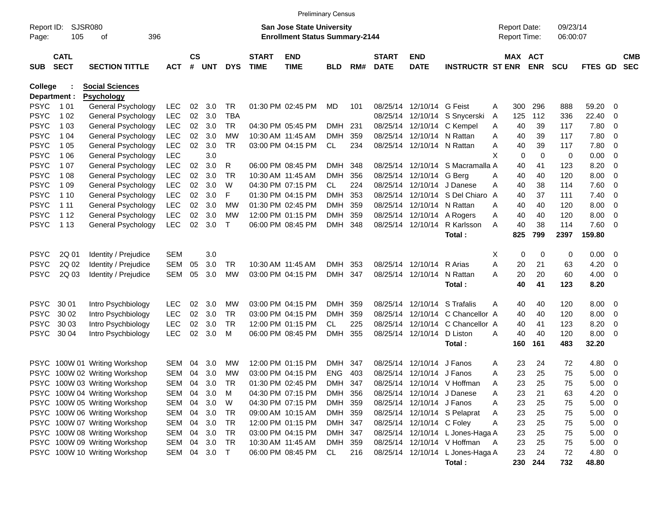|                            |                            |                               |            |                    |            |            |                             | <b>Preliminary Census</b>              |            |     |                             |                            |                                  |        |                     |            |            |                |                          |                          |
|----------------------------|----------------------------|-------------------------------|------------|--------------------|------------|------------|-----------------------------|----------------------------------------|------------|-----|-----------------------------|----------------------------|----------------------------------|--------|---------------------|------------|------------|----------------|--------------------------|--------------------------|
| Report ID:                 | SJSR080                    |                               |            |                    |            |            |                             | <b>San Jose State University</b>       |            |     |                             |                            |                                  |        | <b>Report Date:</b> |            | 09/23/14   |                |                          |                          |
| Page:                      | 396<br>105<br>оf           |                               |            |                    |            |            |                             | <b>Enrollment Status Summary-2144</b>  |            |     |                             |                            |                                  |        | <b>Report Time:</b> |            | 06:00:07   |                |                          |                          |
| <b>SUB</b>                 | <b>CATL</b><br><b>SECT</b> | <b>SECTION TITTLE</b>         | <b>ACT</b> | $\mathsf{cs}$<br># | <b>UNT</b> | <b>DYS</b> | <b>START</b><br><b>TIME</b> | <b>END</b><br><b>TIME</b>              | <b>BLD</b> | RM# | <b>START</b><br><b>DATE</b> | <b>END</b><br><b>DATE</b>  | <b>INSTRUCTR ST ENR</b>          |        | MAX ACT             | <b>ENR</b> | <b>SCU</b> | <b>FTES GD</b> |                          | <b>CMB</b><br><b>SEC</b> |
| College                    |                            | <b>Social Sciences</b>        |            |                    |            |            |                             |                                        |            |     |                             |                            |                                  |        |                     |            |            |                |                          |                          |
|                            | Department :               | <b>Psychology</b>             |            |                    |            |            |                             |                                        |            |     |                             |                            |                                  |        |                     |            |            |                |                          |                          |
| PSYC                       | 1 0 1                      | General Psychology            | <b>LEC</b> | 02                 | 3.0        | TR         |                             | 01:30 PM 02:45 PM                      | MD         | 101 | 08/25/14                    | 12/10/14 G Feist           |                                  | A      | 300                 | 296        | 888        | 59.20          | 0                        |                          |
| PSYC                       | 1 0 2                      | General Psychology            | <b>LEC</b> | 02                 | 3.0        | <b>TBA</b> |                             |                                        |            |     | 08/25/14                    |                            | 12/10/14 S Snycerski             | A      | 125                 | 112        | 336        | 22.40          | 0                        |                          |
| PSYC                       | 1 0 3                      | General Psychology            | <b>LEC</b> | $02\,$             | 3.0        | TR         |                             | 04:30 PM 05:45 PM                      | <b>DMH</b> | 231 |                             |                            | 08/25/14 12/10/14 C Kempel       | A      | 40                  | 39         | 117        | 7.80           | 0                        |                          |
| <b>PSYC</b>                | 1 04                       | General Psychology            | <b>LEC</b> | 02                 | 3.0        | МW         |                             | 10:30 AM 11:45 AM                      | <b>DMH</b> | 359 |                             | 08/25/14 12/10/14 N Rattan |                                  | A      | 40                  | 39         | 117        | 7.80           | 0                        |                          |
| <b>PSYC</b>                | 1 0 5                      | General Psychology            | <b>LEC</b> | 02                 | 3.0        | <b>TR</b>  |                             | 03:00 PM 04:15 PM                      | CL         | 234 |                             | 08/25/14 12/10/14 N Rattan |                                  | A      | 40                  | 39         | 117        | 7.80           | 0                        |                          |
| PSYC                       | 1 0 6                      | General Psychology            | <b>LEC</b> |                    | 3.0        |            |                             |                                        |            |     |                             |                            |                                  | X      | 0                   | 0          | 0          | 0.00           | 0                        |                          |
| <b>PSYC</b>                | 1 0 7                      | General Psychology            | <b>LEC</b> | 02                 | 3.0        | R          |                             | 06:00 PM 08:45 PM                      | <b>DMH</b> | 348 |                             |                            | 08/25/14 12/10/14 S Macramalla A |        | 40                  | 41         | 123        | 8.20           | 0                        |                          |
| <b>PSYC</b>                | 1 0 8                      | General Psychology            | <b>LEC</b> | 02                 | 3.0        | <b>TR</b>  |                             | 10:30 AM 11:45 AM                      | <b>DMH</b> | 356 | 08/25/14                    | 12/10/14 G Bera            |                                  | A      | 40                  | 40         | 120        | 8.00           | 0                        |                          |
| <b>PSYC</b>                | 1 0 9                      | General Psychology            | <b>LEC</b> | 02                 | 3.0        | W          |                             | 04:30 PM 07:15 PM                      | CL         | 224 | 08/25/14                    |                            | 12/10/14 J Danese                | A      | 40                  | 38         | 114        | 7.60           | 0                        |                          |
| <b>PSYC</b>                | 1 10                       | General Psychology            | <b>LEC</b> | 02                 | 3.0        | F          |                             | 01:30 PM 04:15 PM                      | <b>DMH</b> | 353 | 08/25/14                    |                            | 12/10/14 S Del Chiaro            | A      | 40                  | 37         | 111        | 7.40           | 0                        |                          |
| <b>PSYC</b>                | 1 1 1                      | General Psychology            | <b>LEC</b> | 02                 | 3.0        | МW         |                             | 01:30 PM 02:45 PM                      | <b>DMH</b> | 359 |                             | 08/25/14 12/10/14 N Rattan |                                  | A      | 40                  | 40         | 120        | 8.00           | 0                        |                          |
| <b>PSYC</b>                | 1 1 2                      | General Psychology            | <b>LEC</b> | 02                 | 3.0        | МW         |                             | 12:00 PM 01:15 PM                      | <b>DMH</b> | 359 |                             | 08/25/14 12/10/14 A Rogers |                                  | A      | 40                  | 40         | 120        | 8.00           | 0                        |                          |
| <b>PSYC</b>                | 1 1 3                      | General Psychology            | <b>LEC</b> | 02                 | 3.0        | Τ          |                             | 06:00 PM 08:45 PM                      | <b>DMH</b> | 348 |                             |                            | 08/25/14 12/10/14 R Karlsson     | Α      | 40                  | 38         | 114        | 7.60           | - 0                      |                          |
|                            |                            |                               |            |                    |            |            |                             |                                        |            |     |                             |                            | Total:                           |        | 825                 | 799        | 2397       | 159.80         |                          |                          |
|                            |                            |                               |            |                    |            |            |                             |                                        |            |     |                             |                            |                                  |        |                     |            |            |                |                          |                          |
| <b>PSYC</b><br><b>PSYC</b> | 2Q 01                      | Identity / Prejudice          | <b>SEM</b> |                    | 3.0        |            |                             |                                        |            |     |                             |                            | R Arias                          | Х      | 0                   | 0          | 0          | 0.00           | $\overline{\mathbf{0}}$  |                          |
|                            | 2Q 02                      | Identity / Prejudice          | <b>SEM</b> | 05                 | 3.0        | TR         |                             | 10:30 AM 11:45 AM<br>03:00 PM 04:15 PM | <b>DMH</b> | 353 |                             | 08/25/14 12/10/14          |                                  | A<br>Α | 20                  | 21         | 63         | 4.20           | 0                        |                          |
| <b>PSYC</b>                | 2Q 03                      | Identity / Prejudice          | <b>SEM</b> | 05                 | 3.0        | МW         |                             |                                        | DMH        | 347 |                             | 08/25/14 12/10/14          | N Rattan                         |        | 20<br>40            | 20<br>41   | 60<br>123  | 4.00<br>8.20   | 0                        |                          |
|                            |                            |                               |            |                    |            |            |                             |                                        |            |     |                             |                            | Total:                           |        |                     |            |            |                |                          |                          |
| <b>PSYC</b>                | 30 01                      | Intro Psychbiology            | <b>LEC</b> | 02                 | 3.0        | МW         |                             | 03:00 PM 04:15 PM                      | <b>DMH</b> | 359 |                             | 08/25/14 12/10/14          | S Trafalis                       | A      | 40                  | 40         | 120        | 8.00           | - 0                      |                          |
| <b>PSYC</b>                | 30 02                      | Intro Psychbiology            | <b>LEC</b> | 02                 | 3.0        | TR         |                             | 03:00 PM 04:15 PM                      | <b>DMH</b> | 359 | 08/25/14                    |                            | 12/10/14 C Chancellor A          |        | 40                  | 40         | 120        | 8.00           | 0                        |                          |
| <b>PSYC</b>                | 30 03                      | Intro Psychbiology            | <b>LEC</b> | 02                 | 3.0        | <b>TR</b>  |                             | 12:00 PM 01:15 PM                      | CL.        | 225 | 08/25/14                    |                            | 12/10/14 C Chancellor A          |        | 40                  | 41         | 123        | 8.20           | 0                        |                          |
| PSYC                       | 30 04                      | Intro Psychbiology            | <b>LEC</b> | 02                 | 3.0        | м          |                             | 06:00 PM 08:45 PM                      | <b>DMH</b> | 355 |                             | 08/25/14 12/10/14          | D Liston                         | A      | 40                  | 40         | 120        | 8.00           | - 0                      |                          |
|                            |                            |                               |            |                    |            |            |                             |                                        |            |     |                             |                            | Total:                           |        | 160                 | 161        | 483        | 32.20          |                          |                          |
| <b>PSYC</b>                |                            | 100W 01 Writing Workshop      | <b>SEM</b> | 04                 | 3.0        | МW         |                             | 12:00 PM 01:15 PM                      | <b>DMH</b> | 347 | 08/25/14                    | 12/10/14                   | J Fanos                          | A      | 23                  | 24         | 72         | 4.80           | - 0                      |                          |
|                            |                            | PSYC 100W 02 Writing Workshop | <b>SEM</b> | 04                 | 3.0        | МW         |                             | 03:00 PM 04:15 PM                      | <b>ENG</b> | 403 |                             | 08/25/14 12/10/14 J Fanos  |                                  | A      | 23                  | 25         | 75         | 5.00           | - 0                      |                          |
|                            |                            | PSYC 100W 03 Writing Workshop | SEM        | 04                 | 3.0        | TR         |                             | 01:30 PM 02:45 PM                      | DMH 347    |     |                             |                            | 08/25/14 12/10/14 V Hoffman      | A      | 23                  | 25         | 75         | 5.00           | 0                        |                          |
|                            |                            | PSYC 100W 04 Writing Workshop | SEM        | 04                 | 3.0        | M          |                             | 04:30 PM 07:15 PM                      | DMH 356    |     |                             |                            | 08/25/14 12/10/14 J Danese       | Α      | 23                  | 21         | 63         | 4.20           | $\overline{\mathbf{0}}$  |                          |
|                            |                            | PSYC 100W 05 Writing Workshop | SEM        | 04                 | 3.0        | W          |                             | 04:30 PM 07:15 PM                      | DMH 359    |     |                             | 08/25/14 12/10/14 J Fanos  |                                  | A      | 23                  | 25         | 75         | 5.00           | $\overline{\phantom{0}}$ |                          |
|                            |                            | PSYC 100W 06 Writing Workshop | SEM        | 04                 | 3.0        | TR         |                             | 09:00 AM 10:15 AM                      | DMH 359    |     |                             |                            | 08/25/14 12/10/14 S Pelaprat     | A      | 23                  | 25         | 75         | 5.00           | $\overline{\phantom{0}}$ |                          |
|                            |                            | PSYC 100W 07 Writing Workshop | SEM        | 04                 | 3.0        | TR         |                             | 12:00 PM 01:15 PM                      | DMH 347    |     |                             | 08/25/14 12/10/14 C Foley  |                                  | Α      | 23                  | 25         | 75         | 5.00           | $\overline{\phantom{0}}$ |                          |
|                            |                            | PSYC 100W 08 Writing Workshop | SEM        | 04                 | 3.0        | TR         |                             | 03:00 PM 04:15 PM                      | DMH 347    |     |                             |                            | 08/25/14 12/10/14 L Jones-Haga A |        | 23                  | 25         | 75         | 5.00           | $\overline{\mathbf{0}}$  |                          |
|                            |                            | PSYC 100W 09 Writing Workshop | SEM        | 04                 | 3.0        | TR         |                             | 10:30 AM 11:45 AM                      | DMH 359    |     |                             |                            | 08/25/14 12/10/14 V Hoffman      | A      | 23                  | 25         | 75         | 5.00           | $\overline{\mathbf{0}}$  |                          |
|                            |                            | PSYC 100W 10 Writing Workshop | SEM        | 04                 | 3.0        | $\top$     |                             | 06:00 PM 08:45 PM                      | CL         | 216 |                             |                            | 08/25/14 12/10/14 L Jones-Haga A |        | 23                  | 24         | 72         | 4.80           | $\overline{\mathbf{0}}$  |                          |
|                            |                            |                               |            |                    |            |            |                             |                                        |            |     |                             |                            | Total:                           |        | 230                 | 244        | 732        | 48.80          |                          |                          |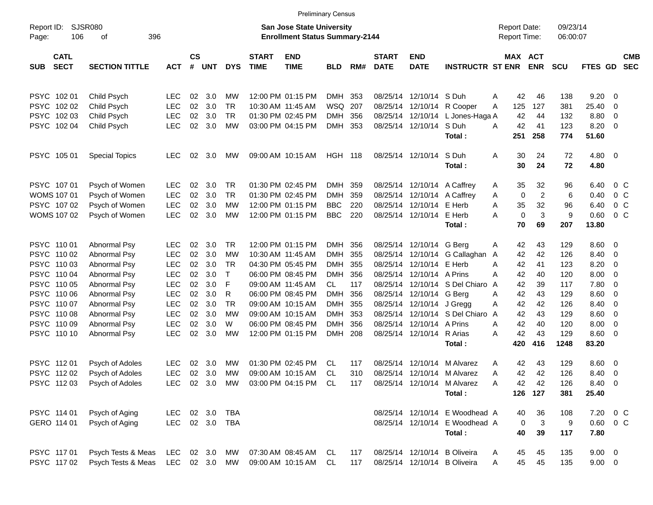| SJSR080<br>Report ID:<br>106<br>Page:<br>оf<br><b>CATL</b> |                       | 396        |                |            |            |                             | <b>San Jose State University</b><br><b>Enrollment Status Summary-2144</b> |                |     |                             |                           |                                  | <b>Report Date:</b><br><b>Report Time:</b> |                | 09/23/14<br>06:00:07 |                   |                          |                          |
|------------------------------------------------------------|-----------------------|------------|----------------|------------|------------|-----------------------------|---------------------------------------------------------------------------|----------------|-----|-----------------------------|---------------------------|----------------------------------|--------------------------------------------|----------------|----------------------|-------------------|--------------------------|--------------------------|
| <b>SECT</b><br><b>SUB</b>                                  | <b>SECTION TITTLE</b> | <b>ACT</b> | <b>CS</b><br># | <b>UNT</b> | <b>DYS</b> | <b>START</b><br><b>TIME</b> | <b>END</b><br><b>TIME</b>                                                 | <b>BLD</b>     | RM# | <b>START</b><br><b>DATE</b> | <b>END</b><br><b>DATE</b> | <b>INSTRUCTR ST ENR</b>          | MAX ACT                                    | <b>ENR</b>     | <b>SCU</b>           | FTES GD           |                          | <b>CMB</b><br><b>SEC</b> |
| PSYC 102 01                                                | Child Psych           | <b>LEC</b> | 02             | 3.0        | МW         |                             | 12:00 PM 01:15 PM                                                         | <b>DMH</b>     | 353 |                             | 08/25/14 12/10/14 S Duh   |                                  | Α<br>42                                    | 46             | 138                  | 9.20              | $\overline{\phantom{0}}$ |                          |
| PSYC 102 02                                                | Child Psych           | <b>LEC</b> | 02             | 3.0        | TR         |                             | 10:30 AM 11:45 AM                                                         | WSQ            | 207 | 08/25/14                    |                           | 12/10/14 R Cooper                | 125<br>A                                   | 127            | 381                  | 25.40             | 0                        |                          |
| PSYC 102 03                                                | Child Psych           | <b>LEC</b> | 02             | 3.0        | TR         |                             | 01:30 PM 02:45 PM                                                         | <b>DMH</b>     | 356 |                             |                           | 08/25/14 12/10/14 L Jones-Haga A | 42                                         | 44             | 132                  | 8.80              | 0                        |                          |
| PSYC 102 04                                                | Child Psych           | LEC        | 02             | 3.0        | MW         |                             | 03:00 PM 04:15 PM                                                         | <b>DMH</b>     | 353 |                             | 08/25/14 12/10/14 S Duh   | Total:                           | 42<br>A<br>251                             | 41<br>258      | 123<br>774           | 8.20<br>51.60     | $\overline{\mathbf{0}}$  |                          |
| PSYC 105 01                                                | <b>Special Topics</b> | <b>LEC</b> | 02             | 3.0        | МW         |                             | 09:00 AM 10:15 AM                                                         | <b>HGH 118</b> |     |                             | 08/25/14 12/10/14 S Duh   | Total:                           | Α<br>30<br>30                              | 24<br>24       | 72<br>72             | $4.80\ 0$<br>4.80 |                          |                          |
| PSYC 107 01                                                | Psych of Women        | <b>LEC</b> | 02             | 3.0        | TR         |                             | 01:30 PM 02:45 PM                                                         | <b>DMH</b>     | 359 |                             |                           | 08/25/14 12/10/14 A Caffrey      | 35<br>A                                    | 32             | 96                   | 6.40              | $0\,$ C                  |                          |
| <b>WOMS 107 01</b>                                         | Psych of Women        | LEC        | 02             | 3.0        | <b>TR</b>  |                             | 01:30 PM 02:45 PM                                                         | <b>DMH</b>     | 359 |                             |                           | 08/25/14 12/10/14 A Caffrey      | 0<br>A                                     | $\overline{2}$ | 6                    | 0.40              | 0 <sup>o</sup>           |                          |
| PSYC 107 02                                                | Psych of Women        | LEC        | 02             | 3.0        | МW         |                             | 12:00 PM 01:15 PM                                                         | <b>BBC</b>     | 220 |                             | 08/25/14 12/10/14 E Herb  |                                  | Α<br>35                                    | 32             | 96                   | 6.40              | 0 C                      |                          |
| WOMS 107 02                                                | Psych of Women        | LEC        | 02             | 3.0        | MW         |                             | 12:00 PM 01:15 PM                                                         | <b>BBC</b>     | 220 |                             | 08/25/14 12/10/14 E Herb  |                                  | $\mathbf 0$<br>A                           | 3              | 9                    | 0.60              | 0 <sup>o</sup>           |                          |
|                                                            |                       |            |                |            |            |                             |                                                                           |                |     |                             |                           | Total:                           | 70                                         | 69             | 207                  | 13.80             |                          |                          |
| PSYC 110 01                                                | Abnormal Psy          | <b>LEC</b> | 02             | 3.0        | TR         |                             | 12:00 PM 01:15 PM                                                         | <b>DMH</b>     | 356 |                             | 08/25/14 12/10/14 G Berg  |                                  | 42<br>A                                    | 43             | 129                  | 8.60              | $\overline{\phantom{0}}$ |                          |
| PSYC 110 02                                                | Abnormal Psy          | <b>LEC</b> | 02             | 3.0        | MW         |                             | 10:30 AM 11:45 AM                                                         | <b>DMH</b>     | 355 | 08/25/14                    |                           | 12/10/14 G Callaghan             | 42<br>A                                    | 42             | 126                  | 8.40              | $\overline{\mathbf{0}}$  |                          |
| PSYC 110 03                                                | Abnormal Psy          | LEC        | 02             | 3.0        | <b>TR</b>  |                             | 04:30 PM 05:45 PM                                                         | <b>DMH</b>     | 355 | 08/25/14                    | 12/10/14 E Herb           |                                  | A<br>42                                    | 41             | 123                  | 8.20              | $\overline{\mathbf{0}}$  |                          |
| PSYC 110 04                                                | Abnormal Psy          | LEC        | 02             | 3.0        | $\top$     |                             | 06:00 PM 08:45 PM                                                         | <b>DMH</b>     | 356 |                             | 08/25/14 12/10/14 A Prins |                                  | A<br>42                                    | 40             | 120                  | 8.00              | 0                        |                          |
| PSYC 110 05                                                | Abnormal Psy          | LEC        | 02             | 3.0        | F          |                             | 09:00 AM 11:45 AM                                                         | CL             | 117 | 08/25/14                    |                           | 12/10/14 S Del Chiaro            | A<br>42                                    | 39             | 117                  | 7.80              | 0                        |                          |
| PSYC 110 06                                                | Abnormal Psy          | LEC        | 02             | 3.0        | R          |                             | 06:00 PM 08:45 PM                                                         | <b>DMH</b>     | 356 |                             | 08/25/14 12/10/14 G Berg  |                                  | A<br>42                                    | 43             | 129                  | 8.60              | 0                        |                          |
| PSYC 110 07                                                | Abnormal Psy          | LEC        | 02             | 3.0        | <b>TR</b>  |                             | 09:00 AM 10:15 AM                                                         | <b>DMH</b>     | 355 |                             | 08/25/14 12/10/14 J Gregg |                                  | Α<br>42                                    | 42             | 126                  | 8.40              | 0                        |                          |
| PSYC 110 08                                                | Abnormal Psy          | <b>LEC</b> | 02             | 3.0        | MW         |                             | 09:00 AM 10:15 AM                                                         | <b>DMH</b>     | 353 |                             |                           | 08/25/14 12/10/14 S Del Chiaro   | A<br>42                                    | 43             | 129                  | 8.60              | 0                        |                          |
| PSYC 110 09                                                | Abnormal Psy          | <b>LEC</b> | 02             | 3.0        | W          |                             | 06:00 PM 08:45 PM                                                         | <b>DMH</b>     | 356 | 08/25/14                    | 12/10/14 A Prins          |                                  | 42<br>A                                    | 40             | 120                  | 8.00              | 0                        |                          |
| PSYC 110 10                                                | Abnormal Psy          | LEC        | 02             | 3.0        | MW         |                             | 12:00 PM 01:15 PM                                                         | <b>DMH</b>     | 208 |                             | 08/25/14 12/10/14 R Arias |                                  | 42<br>A                                    | 43             | 129                  | 8.60              | $\overline{\mathbf{0}}$  |                          |
|                                                            |                       |            |                |            |            |                             |                                                                           |                |     |                             |                           | Total:                           | 420                                        | 416            | 1248                 | 83.20             |                          |                          |
| PSYC 11201                                                 | Psych of Adoles       | <b>LEC</b> | 02             | 3.0        | МW         |                             | 01:30 PM 02:45 PM                                                         | CL             | 117 | 08/25/14                    |                           | 12/10/14 M Alvarez               | 42<br>A                                    | 43             | 129                  | 8.60              | $\overline{\phantom{0}}$ |                          |
| PSYC 112 02                                                | Psych of Adoles       | <b>LEC</b> | 02             | 3.0        | МW         |                             | 09:00 AM 10:15 AM                                                         | CL             | 310 | 08/25/14                    |                           | 12/10/14 M Alvarez               | 42<br>A                                    | 42             | 126                  | 8.40              | $\overline{\mathbf{0}}$  |                          |
| PSYC 11203                                                 | Psych of Adoles       | <b>LEC</b> | 02             | 3.0        | МW         |                             | 03:00 PM 04:15 PM                                                         | CL             | 117 |                             |                           | 08/25/14 12/10/14 M Alvarez      | 42<br>A                                    | 42             | 126                  | 8.40              | $\overline{\mathbf{0}}$  |                          |
|                                                            |                       |            |                |            |            |                             |                                                                           |                |     |                             |                           | Total :                          |                                            | 126 127        | 381                  | 25.40             |                          |                          |
| PSYC 114 01                                                | Psych of Aging        | LEC        |                | 02 3.0     | TBA        |                             |                                                                           |                |     |                             |                           | 08/25/14 12/10/14 E Woodhead A   | 40                                         | 36             | 108                  |                   | 7.20 0 C                 |                          |
| GERO 114 01                                                | Psych of Aging        | <b>LEC</b> |                | 02 3.0     | TBA        |                             |                                                                           |                |     |                             |                           | 08/25/14 12/10/14 E Woodhead A   | 0                                          | 3              | 9                    | $0.60 \t 0 C$     |                          |                          |
|                                                            |                       |            |                |            |            |                             |                                                                           |                |     |                             |                           | Total:                           | 40                                         | 39             | 117                  | 7.80              |                          |                          |
| PSYC 117 01                                                | Psych Tests & Meas    | LEC        |                | 02 3.0     | МW         |                             | 07:30 AM 08:45 AM                                                         | CL             | 117 |                             |                           | 08/25/14 12/10/14 B Oliveira     | 45<br>A                                    | 45             | 135                  | $9.00 \t 0$       |                          |                          |
| PSYC 11702                                                 | Psych Tests & Meas    | LEC 02 3.0 |                |            | MW         |                             | 09:00 AM 10:15 AM                                                         | CL             | 117 |                             |                           | 08/25/14 12/10/14 B Oliveira     | 45<br>A                                    | 45             | 135                  | $9.00 \t 0$       |                          |                          |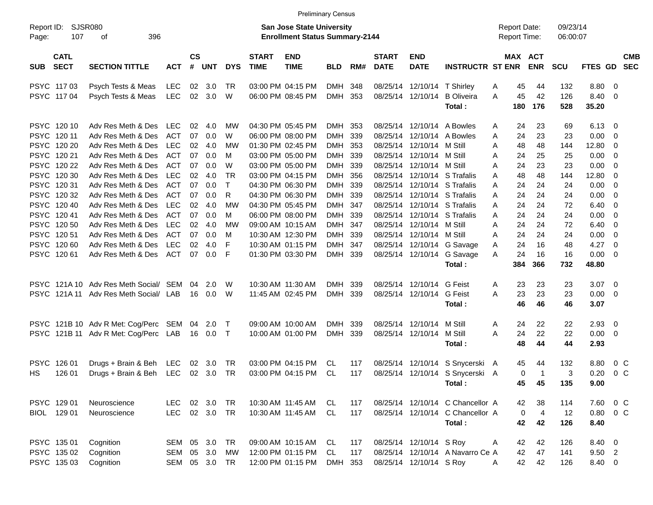|                     |                            |                                       |            |                |                |              |                             |                                                                           | <b>Preliminary Census</b> |     |                             |                           |                                  |                                            |                             |                      |                 |                          |
|---------------------|----------------------------|---------------------------------------|------------|----------------|----------------|--------------|-----------------------------|---------------------------------------------------------------------------|---------------------------|-----|-----------------------------|---------------------------|----------------------------------|--------------------------------------------|-----------------------------|----------------------|-----------------|--------------------------|
| Report ID:<br>Page: | 107                        | SJSR080<br>396<br>оf                  |            |                |                |              |                             | <b>San Jose State University</b><br><b>Enrollment Status Summary-2144</b> |                           |     |                             |                           |                                  | <b>Report Date:</b><br><b>Report Time:</b> |                             | 09/23/14<br>06:00:07 |                 |                          |
| <b>SUB</b>          | <b>CATL</b><br><b>SECT</b> | <b>SECTION TITTLE</b>                 | <b>ACT</b> | <b>CS</b><br># | <b>UNT</b>     | <b>DYS</b>   | <b>START</b><br><b>TIME</b> | <b>END</b><br><b>TIME</b>                                                 | <b>BLD</b>                | RM# | <b>START</b><br><b>DATE</b> | <b>END</b><br><b>DATE</b> | <b>INSTRUCTR ST ENR</b>          |                                            | MAX ACT<br><b>ENR</b>       | <b>SCU</b>           | FTES GD         | <b>CMB</b><br><b>SEC</b> |
|                     | PSYC 11703                 | Psych Tests & Meas                    | LEC        | 02             | 3.0            | TR           |                             | 03:00 PM 04:15 PM                                                         | DMH                       | 348 |                             | 08/25/14 12/10/14         | T Shirley                        | 45<br>A                                    | 44                          | 132                  | 8.80 0          |                          |
|                     | PSYC 117 04                | Psych Tests & Meas                    | LEC        |                | 02 3.0         | W            |                             | 06:00 PM 08:45 PM                                                         | DMH 353                   |     |                             | 08/25/14 12/10/14         | <b>B</b> Oliveira<br>Total:      | 45<br>A<br>180                             | 42<br>176                   | 126<br>528           | 8.40 0<br>35.20 |                          |
|                     |                            |                                       |            |                |                |              |                             |                                                                           |                           |     |                             |                           |                                  |                                            |                             |                      |                 |                          |
|                     | PSYC 120 10                | Adv Res Meth & Des                    | <b>LEC</b> | 02             | 4.0            | MW           |                             | 04:30 PM 05:45 PM                                                         | DMH                       | 353 |                             |                           | 08/25/14 12/10/14 A Bowles       | 24<br>A                                    | 23                          | 69                   | 6.13            | $\overline{\phantom{0}}$ |
|                     | PSYC 120 11                | Adv Res Meth & Des                    | ACT        | 07             | 0.0            | W            |                             | 06:00 PM 08:00 PM                                                         | DMH                       | 339 |                             |                           | 08/25/14 12/10/14 A Bowles       | Α<br>24                                    | 23                          | 23                   | 0.00            | $\overline{\mathbf{0}}$  |
|                     | PSYC 120 20                | Adv Res Meth & Des                    | <b>LEC</b> | 02             | 4.0            | MW           |                             | 01:30 PM 02:45 PM                                                         | DMH                       | 353 |                             | 08/25/14 12/10/14         | M Still                          | 48<br>Α                                    | 48                          | 144                  | 12.80           | 0                        |
|                     | PSYC 120 21                | Adv Res Meth & Des                    | ACT        | 07             | 0.0            | M            |                             | 03:00 PM 05:00 PM                                                         | DMH                       | 339 |                             | 08/25/14 12/10/14 M Still |                                  | 24<br>A                                    | 25                          | 25                   | 0.00            | $\overline{\mathbf{0}}$  |
|                     | PSYC 120 22                | Adv Res Meth & Des                    | ACT        | 07             | 0.0            | W            |                             | 03:00 PM 05:00 PM                                                         | DMH 339                   |     |                             | 08/25/14 12/10/14 M Still |                                  | 24<br>Α                                    | 23                          | 23                   | 0.00            | $\overline{\mathbf{0}}$  |
|                     | PSYC 120 30                | Adv Res Meth & Des                    | <b>LEC</b> | 02             | 4.0            | TR           |                             | 03:00 PM 04:15 PM                                                         | DMH                       | 356 |                             |                           | 08/25/14 12/10/14 S Trafalis     | 48<br>A                                    | 48                          | 144                  | 12.80           | 0                        |
|                     | PSYC 12031                 | Adv Res Meth & Des                    | ACT        | 07             | 0.0            | $\mathsf{T}$ |                             | 04:30 PM 06:30 PM                                                         | DMH                       | 339 |                             |                           | 08/25/14 12/10/14 S Trafalis     | 24<br>Α                                    | 24                          | 24                   | 0.00            | $\overline{\mathbf{0}}$  |
|                     | PSYC 120 32                | Adv Res Meth & Des                    | ACT        | 07             | 0.0            | R            |                             | 04:30 PM 06:30 PM                                                         | DMH                       | 339 |                             |                           | 08/25/14 12/10/14 S Trafalis     | 24<br>Α                                    | 24                          | 24                   | 0.00            | $\overline{\mathbf{0}}$  |
|                     | PSYC 120 40                | Adv Res Meth & Des                    | <b>LEC</b> | 02             | 4.0            | MW           |                             | 04:30 PM 05:45 PM                                                         | DMH 347                   |     |                             |                           | 08/25/14 12/10/14 S Trafalis     | 24<br>Α                                    | 24                          | 72                   | 6.40            | $\overline{\mathbf{0}}$  |
|                     | PSYC 12041                 | Adv Res Meth & Des                    | ACT        | 07             | 0.0            | M            |                             | 06:00 PM 08:00 PM                                                         | DMH                       | 339 |                             |                           | 08/25/14 12/10/14 S Trafalis     | 24<br>Α                                    | 24                          | 24                   | 0.00            | $\overline{\mathbf{0}}$  |
|                     | PSYC 120 50                | Adv Res Meth & Des                    | <b>LEC</b> | 02             | 4.0            | MW           |                             | 09:00 AM 10:15 AM                                                         | DMH 347                   |     |                             | 08/25/14 12/10/14         | M Still                          | 24<br>Α                                    | 24                          | 72                   | 6.40            | $\overline{\phantom{0}}$ |
|                     | PSYC 120 51                | Adv Res Meth & Des                    | ACT        | 07             | 0.0            | M            |                             | 10:30 AM 12:30 PM                                                         | DMH                       | 339 |                             | 08/25/14 12/10/14 M Still |                                  | 24<br>Α                                    | 24                          | 24                   | 0.00            | $\overline{\mathbf{0}}$  |
|                     | PSYC 12060                 | Adv Res Meth & Des                    | <b>LEC</b> | 02             | 4.0            | F            |                             | 10:30 AM 01:15 PM                                                         | DMH                       | 347 |                             |                           | 08/25/14 12/10/14 G Savage       | 24<br>Α                                    | 16                          | 48                   | 4.27            | $\overline{\mathbf{0}}$  |
|                     | PSYC 12061                 | Adv Res Meth & Des ACT                |            | 07             | 0.0            | F            |                             | 01:30 PM 03:30 PM                                                         | DMH 339                   |     |                             |                           | 08/25/14 12/10/14 G Savage       | 24<br>A                                    | 16                          | 16                   | 0.00            | $\overline{\mathbf{0}}$  |
|                     |                            |                                       |            |                |                |              |                             |                                                                           |                           |     |                             |                           | Total:                           | 384                                        | 366                         | 732                  | 48.80           |                          |
|                     |                            | PSYC 121A 10 Adv Res Meth Social/ SEM |            | 04             | 2.0            | W            |                             | 10:30 AM 11:30 AM                                                         | DMH                       | 339 |                             | 08/25/14 12/10/14         | G Feist                          | 23<br>A                                    | 23                          | 23                   | 3.07            | $\overline{\phantom{0}}$ |
|                     |                            | PSYC 121A 11 Adv Res Meth Social/ LAB |            | 16             | 0.0            | W            |                             | 11:45 AM 02:45 PM                                                         | DMH 339                   |     |                             | 08/25/14 12/10/14         | G Feist                          | 23<br>A                                    | 23                          | 23                   | $0.00 \t 0$     |                          |
|                     |                            |                                       |            |                |                |              |                             |                                                                           |                           |     |                             |                           | Total:                           | 46                                         | 46                          | 46                   | 3.07            |                          |
|                     |                            | PSYC 121B 10 Adv R Met: Cog/Perc SEM  |            | 04             | 2.0            | $\top$       |                             | 09:00 AM 10:00 AM                                                         | DMH                       | 339 | 08/25/14                    | 12/10/14                  | M Still                          | 24<br>A                                    | 22                          | 22                   | 2.93            | $\overline{\phantom{0}}$ |
|                     |                            | PSYC 121B 11 Adv R Met: Cog/Perc LAB  |            |                | 16  0.0        | $\top$       |                             | 10:00 AM 01:00 PM                                                         | DMH 339                   |     |                             | 08/25/14 12/10/14         | M Still                          | 24<br>A                                    | 22                          | 22                   | $0.00 \t 0$     |                          |
|                     |                            |                                       |            |                |                |              |                             |                                                                           |                           |     |                             |                           | Total:                           | 48                                         | 44                          | 44                   | 2.93            |                          |
|                     | PSYC 126 01                | Drugs + Brain & Beh                   | LEC        |                | 02 3.0         | TR           |                             | 03:00 PM 04:15 PM                                                         | CL                        | 117 | 08/25/14                    |                           | 12/10/14 S Snycerski             | 45<br>A                                    | 44                          | 132                  | 8.80            | $0\,$ C                  |
| НS                  | 126 01                     | Drugs + Brain & Beh LEC               |            |                | 02 3.0         | TR           |                             | 03:00 PM 04:15 PM                                                         | CL                        | 117 |                             |                           | 08/25/14 12/10/14 S Snycerski A  |                                            | 0<br>$\overline{1}$         | 3                    | 0.20            | $0\,C$                   |
|                     |                            |                                       |            |                |                |              |                             |                                                                           |                           |     |                             |                           | Total:                           | 45                                         | 45                          | 135                  | 9.00            |                          |
|                     | PSYC 129 01                | Neuroscience                          | <b>LEC</b> |                | $02 \quad 3.0$ | TR           |                             | 10:30 AM 11:45 AM                                                         | CL                        | 117 |                             |                           | 08/25/14 12/10/14 C Chancellor A | 42                                         | 38                          | 114                  |                 | 7.60 0 C                 |
|                     | BIOL 129 01                | Neuroscience                          | <b>LEC</b> |                | 02 3.0 TR      |              |                             | 10:30 AM 11:45 AM                                                         | CL                        | 117 |                             |                           | 08/25/14 12/10/14 C Chancellor A |                                            | $\overline{4}$<br>$\pmb{0}$ | 12                   | 0.80            | $0\,C$                   |
|                     |                            |                                       |            |                |                |              |                             |                                                                           |                           |     |                             |                           | Total:                           | 42                                         | 42                          | 126                  | 8.40            |                          |
|                     | PSYC 135 01                | Cognition                             | SEM 05     |                | 3.0            | TR           |                             | 09:00 AM 10:15 AM                                                         | CL                        | 117 |                             | 08/25/14 12/10/14 S Roy   |                                  | 42<br>A                                    | 42                          | 126                  | 8.40 0          |                          |
|                     | PSYC 135 02                | Cognition                             | SEM        | 05             | 3.0            | MW           |                             | 12:00 PM 01:15 PM                                                         | CL                        | 117 |                             |                           | 08/25/14 12/10/14 A Navarro Ce A | 42                                         | 47                          | 141                  | $9.50$ 2        |                          |
|                     | PSYC 135 03                | Cognition                             |            |                | SEM 05 3.0 TR  |              |                             | 12:00 PM 01:15 PM                                                         | DMH 353                   |     |                             | 08/25/14 12/10/14 S Roy   |                                  | 42<br>Α                                    | 42                          | 126                  | 8.40 0          |                          |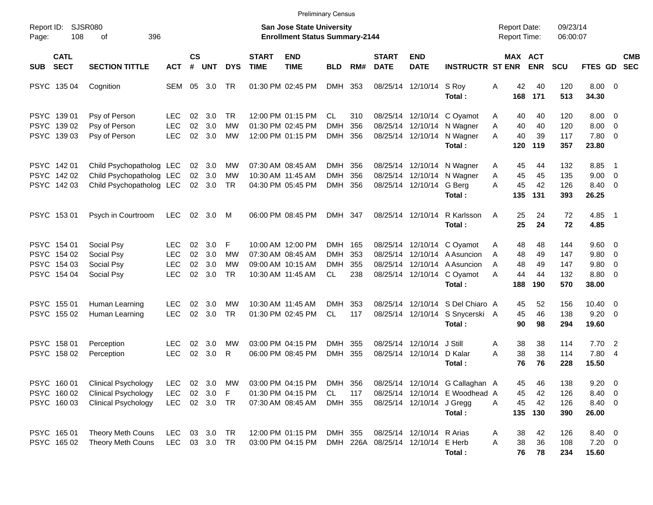|                                                          |                                                                                        |                                               |                      |                               |                              |                             |                                                                                  | <b>Preliminary Census</b>                  |                   |                                   |                                        |                                                                                                                                    |                  |                                                            |                                 |                                                     |                          |            |
|----------------------------------------------------------|----------------------------------------------------------------------------------------|-----------------------------------------------|----------------------|-------------------------------|------------------------------|-----------------------------|----------------------------------------------------------------------------------|--------------------------------------------|-------------------|-----------------------------------|----------------------------------------|------------------------------------------------------------------------------------------------------------------------------------|------------------|------------------------------------------------------------|---------------------------------|-----------------------------------------------------|--------------------------|------------|
| Report ID:<br>108<br>Page:                               | <b>SJSR080</b><br>396<br>οf                                                            |                                               |                      |                               |                              |                             | <b>San Jose State University</b><br><b>Enrollment Status Summary-2144</b>        |                                            |                   |                                   |                                        |                                                                                                                                    |                  | <b>Report Date:</b><br><b>Report Time:</b>                 | 09/23/14<br>06:00:07            |                                                     |                          |            |
| <b>CATL</b><br><b>SECT</b><br><b>SUB</b>                 | <b>SECTION TITTLE</b>                                                                  | <b>ACT</b>                                    | $\mathsf{cs}$<br>#   | <b>UNT</b>                    | <b>DYS</b>                   | <b>START</b><br><b>TIME</b> | <b>END</b><br><b>TIME</b>                                                        | <b>BLD</b>                                 | RM#               | <b>START</b><br><b>DATE</b>       | <b>END</b><br><b>DATE</b>              | <b>INSTRUCTR ST ENR</b>                                                                                                            |                  | MAX ACT<br><b>ENR</b>                                      | <b>SCU</b>                      | FTES GD SEC                                         |                          | <b>CMB</b> |
| PSYC 135 04                                              | Cognition                                                                              | SEM                                           | 05                   | 3.0                           | TR                           |                             | 01:30 PM 02:45 PM                                                                | <b>DMH</b>                                 | 353               |                                   | 08/25/14 12/10/14 S Roy                | Total:                                                                                                                             | Α                | 42<br>40<br>168<br>171                                     | 120<br>513                      | $8.00 \t 0$<br>34.30                                |                          |            |
| PSYC 139 01<br>PSYC 139 02<br>PSYC 139 03                | Psy of Person<br>Psy of Person<br>Psy of Person                                        | <b>LEC</b><br><b>LEC</b><br><b>LEC</b>        | 02<br>02<br>02       | 3.0<br>3.0<br>3.0             | TR.<br>МW<br><b>MW</b>       |                             | 12:00 PM 01:15 PM<br>01:30 PM 02:45 PM<br>12:00 PM 01:15 PM                      | <b>CL</b><br><b>DMH</b><br><b>DMH</b>      | 310<br>356<br>356 |                                   | 08/25/14 12/10/14<br>08/25/14 12/10/14 | 08/25/14 12/10/14 C Oyamot<br>N Wagner<br>N Wagner<br>Total:                                                                       | A<br>A<br>A      | 40<br>40<br>40<br>40<br>40<br>39<br>120<br>119             | 120<br>120<br>117<br>357        | $8.00 \t 0$<br>8.00<br>7.80 0<br>23.80              | $\overline{\phantom{0}}$ |            |
| PSYC 142 01<br>PSYC 142 02<br>PSYC 142 03                | Child Psychopatholog LEC<br>Child Psychopatholog LEC<br>Child Psychopatholog LEC       |                                               |                      | 02 3.0<br>02 3.0<br>02 3.0    | МW<br><b>MW</b><br><b>TR</b> |                             | 07:30 AM 08:45 AM<br>10:30 AM 11:45 AM<br>04:30 PM 05:45 PM                      | DMH<br><b>DMH</b><br>DMH                   | 356<br>356<br>356 |                                   | 08/25/14 12/10/14<br>08/25/14 12/10/14 | 08/25/14 12/10/14 N Wagner<br>N Wagner<br>G Berg<br>Total:                                                                         | A<br>Α<br>A      | 45<br>44<br>45<br>45<br>45<br>42<br>135<br>131             | 132<br>135<br>126<br>393        | 8.85<br>$9.00 \t 0$<br>8.40 0<br>26.25              | - 1                      |            |
| PSYC 153 01                                              | Psych in Courtroom                                                                     | LEC                                           | 02                   | 3.0                           | M                            |                             | 06:00 PM 08:45 PM                                                                | DMH 347                                    |                   |                                   | 08/25/14 12/10/14                      | R Karlsson<br>Total:                                                                                                               | A                | 25<br>24<br>25<br>24                                       | 72<br>72                        | 4.85 1<br>4.85                                      |                          |            |
| PSYC 154 01<br>PSYC 154 02<br>PSYC 154 03<br>PSYC 154 04 | Social Psy<br>Social Psy<br>Social Psy<br>Social Psy                                   | LEC<br><b>LEC</b><br><b>LEC</b><br><b>LEC</b> | 02<br>02<br>02<br>02 | 3.0<br>3.0<br>3.0<br>3.0      | F<br>МW<br>МW<br><b>TR</b>   |                             | 10:00 AM 12:00 PM<br>07:30 AM 08:45 AM<br>09:00 AM 10:15 AM<br>10:30 AM 11:45 AM | DMH 165<br><b>DMH</b><br><b>DMH</b><br>CL. | 353<br>355<br>238 |                                   |                                        | 08/25/14 12/10/14 C Oyamot<br>08/25/14 12/10/14 A Asuncion<br>08/25/14 12/10/14 A Asuncion<br>08/25/14 12/10/14 C Oyamot<br>Total: | Α<br>A<br>A<br>A | 48<br>48<br>49<br>48<br>48<br>49<br>44<br>44<br>188<br>190 | 144<br>147<br>147<br>132<br>570 | $9.60 \quad 0$<br>9.80 0<br>9.80<br>8.80 0<br>38.00 | - 0                      |            |
| PSYC 155 01<br>PSYC 155 02                               | Human Learning<br>Human Learning                                                       | <b>LEC</b><br>LEC                             | 02<br>02             | 3.0<br>3.0                    | МW<br><b>TR</b>              |                             | 10:30 AM 11:45 AM<br>01:30 PM 02:45 PM                                           | <b>DMH</b><br><b>CL</b>                    | 353<br>117        |                                   | 08/25/14 12/10/14                      | 08/25/14 12/10/14 S Del Chiaro A<br>S Snycerski A<br>Total:                                                                        |                  | 52<br>45<br>45<br>46<br>90<br>98                           | 156<br>138<br>294               | $10.40 \quad 0$<br>$9.20 \ 0$<br>19.60              |                          |            |
| PSYC 158 01<br>PSYC 158 02                               | Perception<br>Perception                                                               | LEC<br><b>LEC</b>                             | 02<br>02             | 3.0<br>3.0                    | MW<br>R                      |                             | 03:00 PM 04:15 PM<br>06:00 PM 08:45 PM                                           | DMH<br>DMH                                 | 355<br>355        |                                   | 08/25/14 12/10/14<br>08/25/14 12/10/14 | J Still<br>D Kalar<br>Total:                                                                                                       | A<br>A           | 38<br>38<br>38<br>38<br>76<br>76                           | 114<br>114<br>228               | 7.702<br>7.80 4<br>15.50                            |                          |            |
| PSYC 160 01<br>PSYC 160 02<br>PSYC 16003                 | <b>Clinical Psychology</b><br><b>Clinical Psychology</b><br><b>Clinical Psychology</b> | <b>LEC</b><br><b>LEC</b><br><b>LEC</b>        |                      | 02 3.0<br>02 3.0<br>02 3.0 TR | MW<br>$\mathsf F$            |                             | 03:00 PM 04:15 PM<br>01:30 PM 04:15 PM<br>07:30 AM 08:45 AM                      | DMH 356<br>CL.<br>DMH 355                  | 117               |                                   | 08/25/14 12/10/14 J Gregg              | 08/25/14 12/10/14 G Callaghan A<br>08/25/14 12/10/14 E Woodhead A<br>Total:                                                        | A                | 46<br>45<br>45<br>42<br>45<br>42<br>135<br>130             | 138<br>126<br>126<br>390        | 9.20<br>8.40 0<br>8.40 0<br>26.00                   | $\overline{\phantom{0}}$ |            |
| PSYC 165 01<br>PSYC 165 02                               | Theory Meth Couns<br><b>Theory Meth Couns</b>                                          | <b>LEC</b><br>LEC                             |                      | 03 3.0 TR<br>03 3.0 TR        |                              |                             | 12:00 PM 01:15 PM<br>03:00 PM 04:15 PM                                           | DMH 355                                    |                   | DMH 226A 08/25/14 12/10/14 E Herb | 08/25/14 12/10/14 R Arias              | Total:                                                                                                                             | Α<br>Α           | 38<br>42<br>38<br>36<br>76<br>78                           | 126<br>108<br>234               | 8.40 0<br>$7.20 \t 0$<br>15.60                      |                          |            |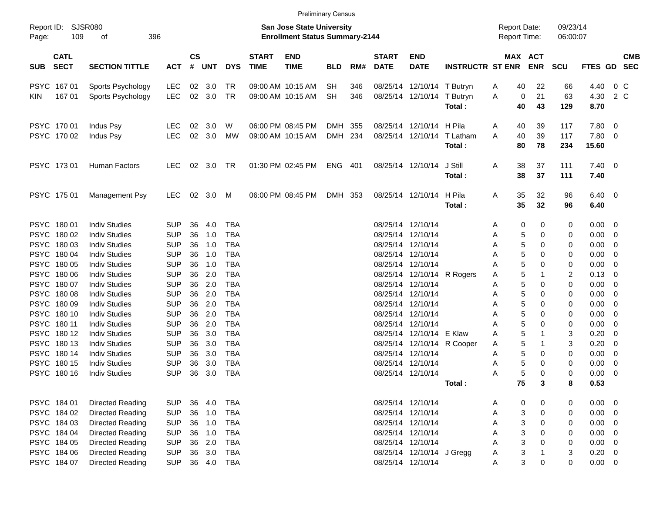| Report ID:<br>109<br>Page:               | SJSR080<br>396<br>оf    |            |                |        |            |                             | <b>San Jose State University</b><br><b>Enrollment Status Summary-2144</b> |            |     |                             |                            |                                      | <b>Report Date:</b><br><b>Report Time:</b> |            | 09/23/14<br>06:00:07 |                        |                          |            |
|------------------------------------------|-------------------------|------------|----------------|--------|------------|-----------------------------|---------------------------------------------------------------------------|------------|-----|-----------------------------|----------------------------|--------------------------------------|--------------------------------------------|------------|----------------------|------------------------|--------------------------|------------|
| <b>CATL</b><br><b>SECT</b><br><b>SUB</b> | <b>SECTION TITTLE</b>   | <b>ACT</b> | <b>CS</b><br># | UNT    | <b>DYS</b> | <b>START</b><br><b>TIME</b> | <b>END</b><br><b>TIME</b>                                                 | <b>BLD</b> | RM# | <b>START</b><br><b>DATE</b> | <b>END</b><br><b>DATE</b>  | <b>INSTRUCTR ST ENR</b>              | MAX ACT                                    | <b>ENR</b> | <b>SCU</b>           | FTES GD SEC            |                          | <b>CMB</b> |
| PSYC 167 01                              | Sports Psychology       | <b>LEC</b> |                | 02 3.0 | TR         |                             | 09:00 AM 10:15 AM                                                         | <b>SH</b>  | 346 |                             | 08/25/14 12/10/14 T Butryn |                                      | 40<br>A                                    | 22         | 66                   | 4.40                   |                          | 0 C        |
| 16701<br>KIN.                            | Sports Psychology       | LEC        |                | 02 3.0 | TR         |                             | 09:00 AM 10:15 AM                                                         | <b>SH</b>  | 346 |                             | 08/25/14 12/10/14 T Butryn | Total:                               | A<br>0<br>40                               | 21<br>43   | 63<br>129            | 4.30<br>8.70           |                          | 2 C        |
| PSYC 17001                               | Indus Psy               | <b>LEC</b> | 02             | 3.0    | W          |                             | 06:00 PM 08:45 PM                                                         | DMH        | 355 |                             | 08/25/14 12/10/14 H Pila   |                                      | 40<br>A                                    | 39         | 117                  | $7.80\quad 0$          |                          |            |
| PSYC 170 02                              | Indus Psy               | LEC        |                | 02 3.0 | MW         |                             | 09:00 AM 10:15 AM                                                         | DMH 234    |     |                             |                            | 08/25/14 12/10/14 T Latham<br>Total: | 40<br>A<br>80                              | 39<br>78   | 117<br>234           | 7.80 0<br>15.60        |                          |            |
| PSYC 17301                               | <b>Human Factors</b>    | LEC        |                | 02 3.0 | TR         |                             | 01:30 PM 02:45 PM                                                         | ENG 401    |     |                             | 08/25/14 12/10/14          | J Still<br>Total:                    | 38<br>Α<br>38                              | 37<br>37   | 111<br>111           | $7.40 \quad 0$<br>7.40 |                          |            |
| PSYC 175 01                              | Management Psy          | LEC        | 02             | 3.0    | M          |                             | 06:00 PM 08:45 PM                                                         | DMH 353    |     |                             | 08/25/14 12/10/14 H Pila   | Total:                               | 35<br>Α<br>35                              | 32<br>32   | 96<br>96             | $6.40 \quad 0$<br>6.40 |                          |            |
| PSYC 18001                               | <b>Indiv Studies</b>    | <b>SUP</b> | 36             | 4.0    | TBA        |                             |                                                                           |            |     |                             | 08/25/14 12/10/14          |                                      | 0<br>Α                                     | 0          | 0                    | $0.00 \t 0$            |                          |            |
| PSYC 180 02                              | <b>Indiv Studies</b>    | <b>SUP</b> | 36             | 1.0    | TBA        |                             |                                                                           |            |     |                             | 08/25/14 12/10/14          |                                      | 5<br>Α                                     | 0          | 0                    | $0.00 \t 0$            |                          |            |
| PSYC 180 03                              | <b>Indiv Studies</b>    | <b>SUP</b> | 36             | 1.0    | <b>TBA</b> |                             |                                                                           |            |     |                             | 08/25/14 12/10/14          |                                      | 5<br>A                                     | 0          | 0                    | 0.00                   | - 0                      |            |
| PSYC 180 04                              | <b>Indiv Studies</b>    | <b>SUP</b> | 36             | 1.0    | <b>TBA</b> |                             |                                                                           |            |     |                             | 08/25/14 12/10/14          |                                      | 5<br>A                                     | 0          | 0                    | 0.00                   | - 0                      |            |
| PSYC 180 05                              | <b>Indiv Studies</b>    | <b>SUP</b> | 36             | 1.0    | <b>TBA</b> |                             |                                                                           |            |     |                             | 08/25/14 12/10/14          |                                      | 5<br>Α                                     | 0          | 0                    | 0.00                   | - 0                      |            |
| PSYC 180 06                              | <b>Indiv Studies</b>    | <b>SUP</b> | 36             | 2.0    | <b>TBA</b> |                             |                                                                           |            |     |                             |                            | 08/25/14 12/10/14 R Rogers           | 5<br>A                                     |            | 2                    | 0.13                   | - 0                      |            |
| PSYC 18007                               | <b>Indiv Studies</b>    | <b>SUP</b> | 36             | 2.0    | <b>TBA</b> |                             |                                                                           |            |     |                             | 08/25/14 12/10/14          |                                      | 5<br>A                                     | 0          | 0                    | 0.00                   | - 0                      |            |
| PSYC 180 08                              | <b>Indiv Studies</b>    | <b>SUP</b> | 36             | 2.0    | <b>TBA</b> |                             |                                                                           |            |     |                             | 08/25/14 12/10/14          |                                      | 5<br>Α                                     | 0          | 0                    | 0.00                   | - 0                      |            |
| PSYC 180 09                              | <b>Indiv Studies</b>    | <b>SUP</b> | 36             | 2.0    | <b>TBA</b> |                             |                                                                           |            |     |                             | 08/25/14 12/10/14          |                                      | 5<br>Α                                     | 0          | 0                    | 0.00                   | - 0                      |            |
| PSYC 180 10                              | <b>Indiv Studies</b>    | <b>SUP</b> | 36             | 2.0    | <b>TBA</b> |                             |                                                                           |            |     |                             | 08/25/14 12/10/14          |                                      | 5<br>Α                                     | 0          | 0                    | 0.00                   | - 0                      |            |
| PSYC 180 11                              | <b>Indiv Studies</b>    | <b>SUP</b> | 36             | 2.0    | <b>TBA</b> |                             |                                                                           |            |     |                             | 08/25/14 12/10/14          |                                      | 5<br>Α                                     | 0          | 0                    | 0.00                   | - 0                      |            |
| PSYC 180 12                              | <b>Indiv Studies</b>    | <b>SUP</b> | 36             | 3.0    | <b>TBA</b> |                             |                                                                           |            |     |                             | 08/25/14 12/10/14 E Klaw   |                                      | 5<br>A                                     |            | 3                    | 0.20                   | 0                        |            |
| PSYC 18013                               | <b>Indiv Studies</b>    | <b>SUP</b> | 36             | 3.0    | TBA        |                             |                                                                           |            |     |                             |                            | 08/25/14 12/10/14 R Cooper           | 5<br>A                                     |            | 3                    | 0.20                   | - 0                      |            |
| PSYC 180 14                              | <b>Indiv Studies</b>    | <b>SUP</b> | 36             | 3.0    | <b>TBA</b> |                             |                                                                           |            |     |                             | 08/25/14 12/10/14          |                                      | 5<br>A                                     | 0          | 0                    | 0.00                   | $\overline{\mathbf{0}}$  |            |
| PSYC 180 15                              | <b>Indiv Studies</b>    | <b>SUP</b> | 36             | 3.0    | TBA        |                             |                                                                           |            |     |                             | 08/25/14 12/10/14          |                                      | 5<br>Α                                     | 0          | 0                    | 0.00                   | 0                        |            |
| PSYC 180 16                              | <b>Indiv Studies</b>    | <b>SUP</b> | 36             | 3.0    | TBA        |                             |                                                                           |            |     |                             | 08/25/14 12/10/14          |                                      | 5<br>Α                                     | 0          | 0                    | 0.00                   | - 0                      |            |
|                                          |                         |            |                |        |            |                             |                                                                           |            |     |                             |                            | Total:                               | 75                                         | 3          | 8                    | 0.53                   |                          |            |
| PSYC 184 01                              | <b>Directed Reading</b> | <b>SUP</b> | 36             | 4.0    | TBA        |                             |                                                                           |            |     |                             | 08/25/14 12/10/14          |                                      | 0<br>Α                                     | 0          | 0                    | $0.00 \t 0$            |                          |            |
| PSYC 184 02                              | Directed Reading        | <b>SUP</b> | 36             | 1.0    | <b>TBA</b> |                             |                                                                           |            |     |                             | 08/25/14 12/10/14          |                                      | 3<br>Α                                     | 0          | 0                    | 0.00                   | $\overline{\phantom{0}}$ |            |
| PSYC 184 03                              | <b>Directed Reading</b> | <b>SUP</b> | 36             | 1.0    | <b>TBA</b> |                             |                                                                           |            |     |                             | 08/25/14 12/10/14          |                                      | 3<br>Α                                     | 0          | 0                    | 0.00                   | $\overline{\phantom{0}}$ |            |
| PSYC 184 04                              | <b>Directed Reading</b> | <b>SUP</b> | 36             | 1.0    | <b>TBA</b> |                             |                                                                           |            |     |                             | 08/25/14 12/10/14          |                                      | 3<br>Α                                     | 0          | 0                    | 0.00                   | - 0                      |            |
| PSYC 184 05                              | <b>Directed Reading</b> | <b>SUP</b> | 36             | 2.0    | <b>TBA</b> |                             |                                                                           |            |     |                             | 08/25/14 12/10/14          |                                      | 3<br>Α                                     | $\Omega$   | 0                    | $0.00 \t 0$            |                          |            |
| PSYC 184 06                              | <b>Directed Reading</b> | <b>SUP</b> | 36             | 3.0    | <b>TBA</b> |                             |                                                                           |            |     |                             | 08/25/14 12/10/14 J Gregg  |                                      | 3<br>Α                                     |            | 3                    | $0.20 \ 0$             |                          |            |
| PSYC 184 07                              | <b>Directed Reading</b> | <b>SUP</b> | 36             | 4.0    | <b>TBA</b> |                             |                                                                           |            |     |                             | 08/25/14 12/10/14          |                                      | 3<br>Α                                     | 0          | 0                    | $0.00 \t 0$            |                          |            |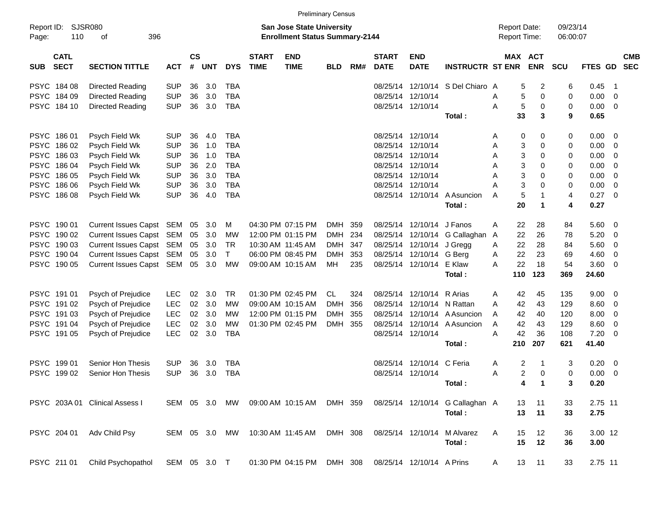|                     |                            |                                |               |                |            |               |                             |                                                                    | <b>Preliminary Census</b> |     |                             |                           |                         |                                            |             |                      |         |                         |                          |
|---------------------|----------------------------|--------------------------------|---------------|----------------|------------|---------------|-----------------------------|--------------------------------------------------------------------|---------------------------|-----|-----------------------------|---------------------------|-------------------------|--------------------------------------------|-------------|----------------------|---------|-------------------------|--------------------------|
| Report ID:<br>Page: | 110                        | <b>SJSR080</b><br>396<br>οf    |               |                |            |               |                             | San Jose State University<br><b>Enrollment Status Summary-2144</b> |                           |     |                             |                           |                         | <b>Report Date:</b><br><b>Report Time:</b> |             | 09/23/14<br>06:00:07 |         |                         |                          |
| <b>SUB</b>          | <b>CATL</b><br><b>SECT</b> | <b>SECTION TITTLE</b>          | <b>ACT</b>    | <b>CS</b><br># | <b>UNT</b> | <b>DYS</b>    | <b>START</b><br><b>TIME</b> | <b>END</b><br><b>TIME</b>                                          | <b>BLD</b>                | RM# | <b>START</b><br><b>DATE</b> | <b>END</b><br><b>DATE</b> | <b>INSTRUCTR ST ENR</b> | MAX ACT                                    | <b>ENR</b>  | <b>SCU</b>           | FTES GD |                         | <b>CMB</b><br><b>SEC</b> |
|                     | PSYC 184 08                | Directed Reading               | <b>SUP</b>    | 36             | 3.0        | <b>TBA</b>    |                             |                                                                    |                           |     | 08/25/14                    | 12/10/14                  | S Del Chiaro A          | 5                                          | 2           | 6                    | 0.45    | - 1                     |                          |
|                     | PSYC 184 09                | Directed Reading               | <b>SUP</b>    | 36             | 3.0        | <b>TBA</b>    |                             |                                                                    |                           |     |                             | 08/25/14 12/10/14         |                         | 5<br>Α                                     | 0           | 0                    | 0.00    | $\overline{0}$          |                          |
|                     | PSYC 184 10                | Directed Reading               | <b>SUP</b>    | 36             | 3.0        | <b>TBA</b>    |                             |                                                                    |                           |     |                             | 08/25/14 12/10/14         |                         | 5<br>Α                                     | 0           | 0                    | 0.00    | $\overline{0}$          |                          |
|                     |                            |                                |               |                |            |               |                             |                                                                    |                           |     |                             |                           | Total:                  | 33                                         | 3           | 9                    | 0.65    |                         |                          |
|                     | PSYC 186 01                | Psych Field Wk                 | <b>SUP</b>    | 36             | 4.0        | <b>TBA</b>    |                             |                                                                    |                           |     |                             | 08/25/14 12/10/14         |                         | 0<br>Α                                     | 0           | 0                    | 0.00    | $\overline{\mathbf{0}}$ |                          |
|                     | PSYC 186 02                | Psych Field Wk                 | <b>SUP</b>    | 36             | 1.0        | <b>TBA</b>    |                             |                                                                    |                           |     | 08/25/14                    | 12/10/14                  |                         | 3<br>Α                                     | 0           | 0                    | 0.00    | 0                       |                          |
|                     | PSYC 186 03                | Psych Field Wk                 | <b>SUP</b>    | 36             | 1.0        | <b>TBA</b>    |                             |                                                                    |                           |     | 08/25/14                    | 12/10/14                  |                         | 3<br>Α                                     | 0           | 0                    | 0.00    | 0                       |                          |
|                     | PSYC 186 04                | Psych Field Wk                 | <b>SUP</b>    | 36             | 2.0        | <b>TBA</b>    |                             |                                                                    |                           |     | 08/25/14                    | 12/10/14                  |                         | 3<br>Α                                     | 0           | 0                    | 0.00    | 0                       |                          |
|                     | PSYC 186 05                | Psych Field Wk                 | <b>SUP</b>    | 36             | 3.0        | <b>TBA</b>    |                             |                                                                    |                           |     | 08/25/14                    | 12/10/14                  |                         | 3<br>Α                                     | 0           | 0                    | 0.00    | 0                       |                          |
|                     | PSYC 186 06                | Psych Field Wk                 | <b>SUP</b>    | 36             | 3.0        | <b>TBA</b>    |                             |                                                                    |                           |     | 08/25/14                    | 12/10/14                  |                         | 3<br>Α                                     | 0           | 0                    | 0.00    | $\mathbf 0$             |                          |
|                     | PSYC 186 08                | Psych Field Wk                 | <b>SUP</b>    | 36             | 4.0        | <b>TBA</b>    |                             |                                                                    |                           |     |                             | 08/25/14 12/10/14         | A Asuncion              | 5<br>Α                                     | 1           | 4                    | 0.27    | - 0                     |                          |
|                     |                            |                                |               |                |            |               |                             |                                                                    |                           |     |                             |                           | Total:                  | 20                                         | $\mathbf 1$ | 4                    | 0.27    |                         |                          |
|                     | PSYC 190 01                | Current Issues Capst SEM       |               | 05             | 3.0        | м             |                             | 04:30 PM 07:15 PM                                                  | DMH                       | 359 |                             | 08/25/14 12/10/14         | J Fanos                 | 22<br>Α                                    | 28          | 84                   | 5.60    | $\overline{\mathbf{0}}$ |                          |
|                     | PSYC 190 02                | Current Issues Capst SEM       |               | 05             | 3.0        | MW            |                             | 12:00 PM 01:15 PM                                                  | <b>DMH</b>                | 234 |                             | 08/25/14 12/10/14         | G Callaghan             | 22<br>A                                    | 26          | 78                   | 5.20    | 0                       |                          |
|                     | PSYC 190 03                | Current Issues Capst SEM       |               | 05             | 3.0        | <b>TR</b>     |                             | 10:30 AM 11:45 AM                                                  | DMH                       | 347 |                             | 08/25/14 12/10/14 J Gregg |                         | 22<br>Α                                    | 28          | 84                   | 5.60    | 0                       |                          |
|                     | PSYC 190 04                | Current Issues Capst SEM       |               | 05             | 3.0        | T             |                             | 06:00 PM 08:45 PM                                                  | <b>DMH</b>                | 353 |                             | 08/25/14 12/10/14         | G Berg                  | 22<br>Α                                    | 23          | 69                   | 4.60    | 0                       |                          |
|                     | PSYC 190 05                | Current Issues Capst SEM       |               | 05             | 3.0        | MW            |                             | 09:00 AM 10:15 AM                                                  | МH                        | 235 |                             | 08/25/14 12/10/14 E Klaw  |                         | 22<br>А                                    | 18          | 54                   | 3.60    | $\overline{0}$          |                          |
|                     |                            |                                |               |                |            |               |                             |                                                                    |                           |     |                             |                           | Total:                  | 110                                        | 123         | 369                  | 24.60   |                         |                          |
|                     | PSYC 191 01                | Psych of Prejudice             | LEC           | 02             | 3.0        | TR            |                             | 01:30 PM 02:45 PM                                                  | CL                        | 324 |                             | 08/25/14 12/10/14         | R Arias                 | 42<br>Α                                    | 45          | 135                  | 9.00    | $\overline{\mathbf{0}}$ |                          |
|                     | PSYC 191 02                | Psych of Prejudice             | <b>LEC</b>    | 02             | 3.0        | <b>MW</b>     |                             | 09:00 AM 10:15 AM                                                  | <b>DMH</b>                | 356 |                             | 08/25/14 12/10/14         | N Rattan                | 42<br>Α                                    | 43          | 129                  | 8.60    | 0                       |                          |
|                     | PSYC 191 03                | Psych of Prejudice             | <b>LEC</b>    | 02             | 3.0        | MW            |                             | 12:00 PM 01:15 PM                                                  | <b>DMH</b>                | 355 |                             | 08/25/14 12/10/14         | A Asuncion              | 42<br>A                                    | 40          | 120                  | 8.00    | 0                       |                          |
|                     | PSYC 19104                 | Psych of Prejudice             | <b>LEC</b>    | 02             | 3.0        | <b>MW</b>     |                             | 01:30 PM 02:45 PM                                                  | DMH 355                   |     |                             | 08/25/14 12/10/14         | A Asuncion              | 42<br>Α                                    | 43          | 129                  | 8.60    | 0                       |                          |
|                     | PSYC 191 05                | Psych of Prejudice             | <b>LEC</b>    | 02             | 3.0        | <b>TBA</b>    |                             |                                                                    |                           |     |                             | 08/25/14 12/10/14         |                         | 42<br>Α                                    | 36          | 108                  | 7.20    | $\overline{0}$          |                          |
|                     |                            |                                |               |                |            |               |                             |                                                                    |                           |     |                             |                           | Total:                  | 210                                        | 207         | 621                  | 41.40   |                         |                          |
|                     | PSYC 19901                 | Senior Hon Thesis              | <b>SUP</b>    | 36             | 3.0        | <b>TBA</b>    |                             |                                                                    |                           |     |                             | 08/25/14 12/10/14 C Feria |                         | 2<br>Α                                     | -1          | 3                    | 0.20    | $\overline{\mathbf{0}}$ |                          |
|                     | PSYC 199 02                | Senior Hon Thesis              | <b>SUP</b>    | 36             | 3.0        | <b>TBA</b>    |                             |                                                                    |                           |     |                             | 08/25/14 12/10/14         |                         | 2<br>A                                     | 0           | 0                    | 0.00    | $\overline{\mathbf{0}}$ |                          |
|                     |                            |                                |               |                |            |               |                             |                                                                    |                           |     |                             |                           | Total:                  |                                            | 4           | 3                    | 0.20    |                         |                          |
|                     |                            | PSYC 203A 01 Clinical Assess I |               |                |            | SEM 05 3.0 MW |                             | 09:00 AM 10:15 AM DMH 359                                          |                           |     |                             | 08/25/14 12/10/14         | G Callaghan A           | 13                                         | 11          | 33                   | 2.75 11 |                         |                          |
|                     |                            |                                |               |                |            |               |                             |                                                                    |                           |     |                             |                           | Total:                  | 13                                         | 11          | 33                   | 2.75    |                         |                          |
|                     | PSYC 204 01                | Adv Child Psy                  | SEM 05 3.0 MW |                |            |               |                             | 10:30 AM 11:45 AM                                                  | DMH 308                   |     |                             | 08/25/14 12/10/14         | M Alvarez               | Α<br>15                                    | 12          | 36                   | 3.00 12 |                         |                          |
|                     |                            |                                |               |                |            |               |                             |                                                                    |                           |     |                             |                           | Total:                  | 15                                         | 12          | 36                   | 3.00    |                         |                          |
|                     | PSYC 211 01                | Child Psychopathol             | SEM 05 3.0 T  |                |            |               |                             | 01:30 PM 04:15 PM                                                  | DMH 308                   |     |                             | 08/25/14 12/10/14 A Prins |                         | A                                          | 13 11       | 33                   | 2.75 11 |                         |                          |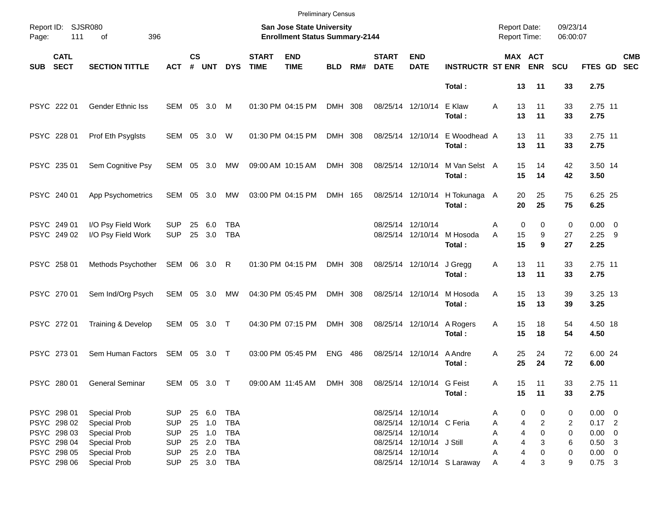|            |                                           |                                                            |                                        |                    |                            |                          |                             | <b>Preliminary Census</b>                                          |            |     |                             |                                                                     |                             |                                            |                            |                      |                                        |                          |
|------------|-------------------------------------------|------------------------------------------------------------|----------------------------------------|--------------------|----------------------------|--------------------------|-----------------------------|--------------------------------------------------------------------|------------|-----|-----------------------------|---------------------------------------------------------------------|-----------------------------|--------------------------------------------|----------------------------|----------------------|----------------------------------------|--------------------------|
| Page:      | Report ID: SJSR080<br>111                 | 396<br>of                                                  |                                        |                    |                            |                          |                             | San Jose State University<br><b>Enrollment Status Summary-2144</b> |            |     |                             |                                                                     |                             | <b>Report Date:</b><br><b>Report Time:</b> |                            | 09/23/14<br>06:00:07 |                                        |                          |
| <b>SUB</b> | <b>CATL</b><br><b>SECT</b>                | <b>SECTION TITTLE</b>                                      | ACT                                    | $\mathsf{cs}$<br># | <b>UNT</b>                 | <b>DYS</b>               | <b>START</b><br><b>TIME</b> | <b>END</b><br><b>TIME</b>                                          | <b>BLD</b> | RM# | <b>START</b><br><b>DATE</b> | <b>END</b><br><b>DATE</b>                                           | <b>INSTRUCTR ST ENR</b>     |                                            | MAX ACT<br><b>ENR</b>      | <b>SCU</b>           | FTES GD                                | <b>CMB</b><br><b>SEC</b> |
|            |                                           |                                                            |                                        |                    |                            |                          |                             |                                                                    |            |     |                             |                                                                     | Total:                      | 13                                         | 11                         | 33                   | 2.75                                   |                          |
|            | PSYC 222 01                               | <b>Gender Ethnic Iss</b>                                   | SEM                                    |                    | 05 3.0                     | M                        |                             | 01:30 PM 04:15 PM                                                  | DMH 308    |     |                             | 08/25/14 12/10/14                                                   | E Klaw<br>Total:            | A<br>13<br>13                              | 11<br>11                   | 33<br>33             | 2.75 11<br>2.75                        |                          |
|            | PSYC 228 01                               | Prof Eth Psyglsts                                          | SEM 05                                 |                    | 3.0                        | W                        |                             | 01:30 PM 04:15 PM                                                  | DMH 308    |     |                             | 08/25/14 12/10/14                                                   | E Woodhead A<br>Total:      | 13<br>13                                   | 11<br>11                   | 33<br>33             | 2.75 11<br>2.75                        |                          |
|            | PSYC 235 01                               | Sem Cognitive Psy                                          | SEM                                    |                    | 05 3.0                     | МW                       |                             | 09:00 AM 10:15 AM                                                  | DMH 308    |     |                             | 08/25/14 12/10/14                                                   | M Van Selst A<br>Total:     | 15<br>15                                   | 14<br>14                   | 42<br>42             | 3.50 14<br>3.50                        |                          |
|            | PSYC 240 01                               | App Psychometrics                                          | SEM                                    | 05                 | 3.0                        | МW                       |                             | 03:00 PM 04:15 PM                                                  | DMH 165    |     |                             | 08/25/14 12/10/14                                                   | H Tokunaga A<br>Total:      | 20<br>20                                   | 25<br>25                   | 75<br>75             | 6.25 25<br>6.25                        |                          |
|            | PSYC 249 01<br>PSYC 249 02                | I/O Psy Field Work<br>I/O Psy Field Work                   | <b>SUP</b><br><b>SUP</b>               | 25                 | 6.0<br>25 3.0              | TBA<br><b>TBA</b>        |                             |                                                                    |            |     |                             | 08/25/14 12/10/14<br>08/25/14 12/10/14                              | M Hosoda<br>Total:          | Α<br>15<br>A<br>15                         | 0<br>0<br>9<br>9           | 0<br>27<br>27        | $0.00 \t 0$<br>$2.25$ 9<br>2.25        |                          |
|            | PSYC 258 01                               | Methods Psychother                                         | SEM 06 3.0 R                           |                    |                            |                          |                             | 01:30 PM 04:15 PM                                                  | DMH 308    |     |                             | 08/25/14 12/10/14                                                   | J Gregg<br>Total:           | 13<br>Α<br>13                              | 11<br>11                   | 33<br>33             | 2.75 11<br>2.75                        |                          |
|            | PSYC 270 01                               | Sem Ind/Org Psych                                          | SEM 05 3.0                             |                    |                            | МW                       |                             | 04:30 PM 05:45 PM                                                  | DMH 308    |     | 08/25/14 12/10/14           |                                                                     | M Hosoda<br>Total:          | 15<br>A<br>15                              | 13<br>13                   | 39<br>39             | 3.25 13<br>3.25                        |                          |
|            | PSYC 272 01                               | Training & Develop                                         | SEM 05 3.0 T                           |                    |                            |                          |                             | 04:30 PM 07:15 PM                                                  | DMH 308    |     |                             | 08/25/14 12/10/14                                                   | A Rogers<br>Total:          | 15<br>Α<br>15                              | 18<br>18                   | 54<br>54             | 4.50 18<br>4.50                        |                          |
|            | PSYC 273 01                               | Sem Human Factors                                          | SEM 05 3.0 T                           |                    |                            |                          |                             | 03:00 PM 05:45 PM                                                  | <b>ENG</b> | 486 |                             | 08/25/14 12/10/14                                                   | A Andre<br>Total:           | 25<br>A<br>25                              | 24<br>24                   | 72<br>72             | 6.00 24<br>6.00                        |                          |
|            | PSYC 280 01                               | <b>General Seminar</b>                                     | SEM 05 3.0 T                           |                    |                            |                          |                             | 09:00 AM 11:45 AM                                                  | DMH 308    |     | 08/25/14 12/10/14 G Feist   |                                                                     | Total:                      | Α<br>15<br>15                              | 11<br>11                   | 33<br>33             | 2.75 11<br>2.75                        |                          |
|            | PSYC 298 01<br>PSYC 298 02<br>PSYC 298 03 | Special Prob<br><b>Special Prob</b><br><b>Special Prob</b> | SUP<br><b>SUP</b><br><b>SUP</b>        |                    | 25 6.0<br>25 1.0<br>25 1.0 | <b>TBA</b><br>TBA<br>TBA |                             |                                                                    |            |     |                             | 08/25/14 12/10/14<br>08/25/14 12/10/14 C Feria<br>08/25/14 12/10/14 |                             | A<br>Α<br>Α                                | 0<br>0<br>4<br>2<br>0<br>4 | 0<br>2<br>0          | $0.00 \t 0$<br>$0.17$ 2<br>$0.00 \t 0$ |                          |
|            | PSYC 298 04<br>PSYC 298 05<br>PSYC 298 06 | Special Prob<br>Special Prob<br>Special Prob               | <b>SUP</b><br><b>SUP</b><br><b>SUP</b> |                    | 25 2.0<br>25 2.0           | TBA<br>TBA<br>25 3.0 TBA |                             |                                                                    |            |     |                             | 08/25/14 12/10/14 J Still<br>08/25/14 12/10/14                      | 08/25/14 12/10/14 S Laraway | Α<br>A                                     | 3<br>4<br>0<br>4<br>4<br>3 | 6<br>0<br>9          | $0.50$ 3<br>$0.00 \t 0$<br>$0.75$ 3    |                          |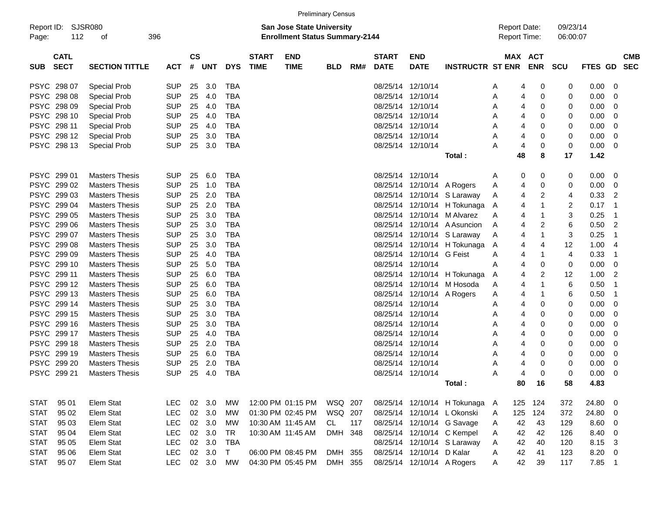|             |                            |                       |            |                    |            |            |                             |                                                                           | <b>Preliminary Census</b> |     |                             |                            |                              |                                     |                       |                      |              |                          |            |
|-------------|----------------------------|-----------------------|------------|--------------------|------------|------------|-----------------------------|---------------------------------------------------------------------------|---------------------------|-----|-----------------------------|----------------------------|------------------------------|-------------------------------------|-----------------------|----------------------|--------------|--------------------------|------------|
| Page:       | Report ID: SJSR080<br>112  | οf                    | 396        |                    |            |            |                             | <b>San Jose State University</b><br><b>Enrollment Status Summary-2144</b> |                           |     |                             |                            |                              | <b>Report Date:</b><br>Report Time: |                       | 09/23/14<br>06:00:07 |              |                          |            |
|             |                            |                       |            |                    |            |            |                             |                                                                           |                           |     |                             |                            |                              |                                     |                       |                      |              |                          |            |
| <b>SUB</b>  | <b>CATL</b><br><b>SECT</b> | <b>SECTION TITTLE</b> | <b>ACT</b> | $\mathsf{cs}$<br># | <b>UNT</b> | <b>DYS</b> | <b>START</b><br><b>TIME</b> | <b>END</b><br><b>TIME</b>                                                 | <b>BLD</b>                | RM# | <b>START</b><br><b>DATE</b> | <b>END</b><br><b>DATE</b>  | <b>INSTRUCTR ST ENR</b>      |                                     | MAX ACT<br><b>ENR</b> | <b>SCU</b>           | FTES GD SEC  |                          | <b>CMB</b> |
|             | PSYC 298 07                | <b>Special Prob</b>   | <b>SUP</b> | 25                 | 3.0        | <b>TBA</b> |                             |                                                                           |                           |     | 08/25/14                    | 12/10/14                   |                              | 4<br>A                              | 0                     | 0                    | $0.00 \t 0$  |                          |            |
|             | PSYC 298 08                | <b>Special Prob</b>   | <b>SUP</b> | 25                 | 4.0        | <b>TBA</b> |                             |                                                                           |                           |     |                             | 08/25/14 12/10/14          |                              | Α<br>4                              | 0                     | 0                    | 0.00         | - 0                      |            |
|             | PSYC 298 09                | <b>Special Prob</b>   | <b>SUP</b> | 25                 | 4.0        | <b>TBA</b> |                             |                                                                           |                           |     |                             | 08/25/14 12/10/14          |                              | 4<br>Α                              | 0                     | 0                    | 0.00         | - 0                      |            |
|             | PSYC 298 10                | <b>Special Prob</b>   | <b>SUP</b> | 25                 | 4.0        | <b>TBA</b> |                             |                                                                           |                           |     |                             | 08/25/14 12/10/14          |                              | Α<br>4                              | 0                     | 0                    | 0.00         | - 0                      |            |
|             | PSYC 298 11                |                       | <b>SUP</b> | 25                 | 4.0        | <b>TBA</b> |                             |                                                                           |                           |     |                             | 08/25/14 12/10/14          |                              | Α<br>4                              | 0                     | 0                    | 0.00         | - 0                      |            |
|             |                            | <b>Special Prob</b>   |            |                    |            |            |                             |                                                                           |                           |     |                             |                            |                              |                                     |                       |                      |              |                          |            |
|             | PSYC 298 12                | <b>Special Prob</b>   | <b>SUP</b> | 25                 | 3.0        | <b>TBA</b> |                             |                                                                           |                           |     |                             | 08/25/14 12/10/14          |                              | Α<br>4                              | 0                     | 0                    | 0.00         | - 0                      |            |
|             | PSYC 298 13                | <b>Special Prob</b>   | <b>SUP</b> | 25                 | 3.0        | TBA        |                             |                                                                           |                           |     |                             | 08/25/14 12/10/14          |                              | А<br>4                              | 0                     | 0                    | 0.00         | $\overline{\phantom{0}}$ |            |
|             |                            |                       |            |                    |            |            |                             |                                                                           |                           |     |                             |                            | Total:                       | 48                                  | 8                     | 17                   | 1.42         |                          |            |
|             | PSYC 299 01                | <b>Masters Thesis</b> | <b>SUP</b> | 25                 | 6.0        | TBA        |                             |                                                                           |                           |     |                             | 08/25/14 12/10/14          |                              | 0<br>A                              | 0                     | 0                    | $0.00 \t 0$  |                          |            |
|             | PSYC 299 02                | <b>Masters Thesis</b> | <b>SUP</b> | 25                 | 1.0        | <b>TBA</b> |                             |                                                                           |                           |     |                             | 08/25/14 12/10/14 A Rogers |                              | Α<br>4                              | 0                     | 0                    | 0.00         | $\overline{\phantom{0}}$ |            |
|             | PSYC 299 03                | <b>Masters Thesis</b> | <b>SUP</b> | 25                 | 2.0        | <b>TBA</b> |                             |                                                                           |                           |     |                             |                            | 08/25/14 12/10/14 S Laraway  | 4<br>A                              | 2                     | 4                    | 0.33         | $\overline{2}$           |            |
|             | PSYC 299 04                | <b>Masters Thesis</b> | <b>SUP</b> | 25                 | 2.0        | <b>TBA</b> |                             |                                                                           |                           |     |                             |                            | 08/25/14 12/10/14 H Tokunaga | 4<br>A                              | 1                     | 2                    | 0.17         | - 1                      |            |
|             | PSYC 299 05                | <b>Masters Thesis</b> | <b>SUP</b> | 25                 | 3.0        | <b>TBA</b> |                             |                                                                           |                           |     |                             | 08/25/14 12/10/14          | M Alvarez                    | Α<br>4                              | 1                     | 3                    | 0.25         | - 1                      |            |
|             | PSYC 299 06                | <b>Masters Thesis</b> | <b>SUP</b> | 25                 | 3.0        | <b>TBA</b> |                             |                                                                           |                           |     |                             |                            | 08/25/14 12/10/14 A Asuncion | 4<br>Α                              | 2                     | 6                    | 0.50         | $\overline{2}$           |            |
|             | PSYC 299 07                | <b>Masters Thesis</b> | <b>SUP</b> | 25                 | 3.0        | <b>TBA</b> |                             |                                                                           |                           |     |                             |                            | 08/25/14 12/10/14 S Laraway  | A<br>4                              | 1                     | 3                    | 0.25         | -1                       |            |
|             | PSYC 299 08                | <b>Masters Thesis</b> | <b>SUP</b> | 25                 | 3.0        | <b>TBA</b> |                             |                                                                           |                           |     |                             |                            | 08/25/14 12/10/14 H Tokunaga | 4<br>Α                              | 4                     | 12                   | 1.00         | - 4                      |            |
|             | PSYC 299 09                | <b>Masters Thesis</b> | <b>SUP</b> | 25                 | 4.0        | <b>TBA</b> |                             |                                                                           |                           |     |                             | 08/25/14 12/10/14 G Feist  |                              | Α<br>4                              | 1                     | 4                    | 0.33         | -1                       |            |
|             | PSYC 299 10                | <b>Masters Thesis</b> | <b>SUP</b> | 25                 | 5.0        | <b>TBA</b> |                             |                                                                           |                           |     |                             | 08/25/14 12/10/14          |                              | 4<br>А                              | 0                     | 0                    | 0.00         | $\overline{\mathbf{0}}$  |            |
|             | PSYC 299 11                | <b>Masters Thesis</b> | <b>SUP</b> | 25                 | 6.0        | <b>TBA</b> |                             |                                                                           |                           |     |                             | 08/25/14 12/10/14          | H Tokunaga                   | 4<br>Α                              | 2                     | 12                   | 1.00         | $\overline{2}$           |            |
|             | PSYC 299 12                | <b>Masters Thesis</b> | <b>SUP</b> | 25                 | 6.0        | <b>TBA</b> |                             |                                                                           |                           |     |                             | 08/25/14 12/10/14          | M Hosoda                     | 4<br>Α                              | 1                     | 6                    | 0.50         | -1                       |            |
|             | PSYC 299 13                | <b>Masters Thesis</b> | <b>SUP</b> | 25                 | 6.0        | <b>TBA</b> |                             |                                                                           |                           |     |                             | 08/25/14 12/10/14 A Rogers |                              | Α<br>4                              | 1                     | 6                    | 0.50         | - 1                      |            |
|             | PSYC 299 14                | <b>Masters Thesis</b> | <b>SUP</b> | 25                 | 3.0        | <b>TBA</b> |                             |                                                                           |                           |     |                             | 08/25/14 12/10/14          |                              | Α<br>4                              | 0                     | 0                    | 0.00         | $\overline{\phantom{0}}$ |            |
|             | PSYC 299 15                | <b>Masters Thesis</b> | <b>SUP</b> | 25                 | 3.0        | <b>TBA</b> |                             |                                                                           |                           |     |                             | 08/25/14 12/10/14          |                              | Α<br>4                              | 0                     | 0                    | 0.00         | - 0                      |            |
|             | PSYC 299 16                | <b>Masters Thesis</b> | <b>SUP</b> | 25                 | 3.0        | <b>TBA</b> |                             |                                                                           |                           |     |                             | 08/25/14 12/10/14          |                              | Α<br>4                              | 0                     | 0                    | 0.00         | - 0                      |            |
|             | PSYC 299 17                | <b>Masters Thesis</b> | <b>SUP</b> | 25                 | 4.0        | <b>TBA</b> |                             |                                                                           |                           |     |                             | 08/25/14 12/10/14          |                              | 4                                   | 0                     | 0                    | 0.00         | - 0                      |            |
|             | PSYC 299 18                | <b>Masters Thesis</b> | <b>SUP</b> | 25                 | 2.0        | <b>TBA</b> |                             |                                                                           |                           |     |                             | 08/25/14 12/10/14          |                              | Α<br>4                              | 0                     | 0                    |              | - 0                      |            |
|             | PSYC 299 19                | <b>Masters Thesis</b> | <b>SUP</b> |                    | 6.0        | <b>TBA</b> |                             |                                                                           |                           |     |                             | 08/25/14 12/10/14          |                              | Α                                   |                       |                      | 0.00         |                          |            |
|             |                            |                       |            | 25                 |            |            |                             |                                                                           |                           |     |                             |                            |                              | Α<br>4                              | 0                     | 0                    | 0.00         | - 0                      |            |
|             | PSYC 299 20                | <b>Masters Thesis</b> | <b>SUP</b> | 25                 | 2.0        | <b>TBA</b> |                             |                                                                           |                           |     |                             | 08/25/14 12/10/14          |                              | Α<br>4                              | 0                     | 0                    | 0.00         | - 0                      |            |
|             | PSYC 299 21                | Masters Thesis        | <b>SUP</b> | 25                 | 4.0        | <b>TBA</b> |                             |                                                                           |                           |     |                             | 08/25/14 12/10/14          | Total:                       | Α<br>4<br>80                        | 0<br>16               | 0<br>58              | 0.00<br>4.83 | $\overline{\phantom{0}}$ |            |
|             |                            |                       |            |                    |            |            |                             |                                                                           |                           |     |                             |                            |                              |                                     |                       |                      |              |                          |            |
| <b>STAT</b> | 95 01                      | Elem Stat             | <b>LEC</b> |                    | 02 3.0     | МW         |                             | 12:00 PM 01:15 PM                                                         | WSQ 207                   |     |                             |                            | 08/25/14 12/10/14 H Tokunaga | A                                   | 125 124               | 372                  | 24.80 0      |                          |            |
| <b>STAT</b> | 95 02                      | Elem Stat             | <b>LEC</b> |                    | 02 3.0     | МW         |                             | 01:30 PM 02:45 PM                                                         | WSQ 207                   |     |                             |                            | 08/25/14 12/10/14 L Okonski  | 125<br>A                            | 124                   | 372                  | 24.80 0      |                          |            |
| <b>STAT</b> | 95 03                      | Elem Stat             | <b>LEC</b> |                    | 02 3.0     | МW         |                             | 10:30 AM 11:45 AM                                                         | CL                        | 117 |                             |                            | 08/25/14 12/10/14 G Savage   | 42<br>A                             | 43                    | 129                  | $8.60$ 0     |                          |            |
| <b>STAT</b> | 95 04                      | Elem Stat             | <b>LEC</b> |                    | 02 3.0     | TR         |                             | 10:30 AM 11:45 AM                                                         | DMH 348                   |     |                             |                            | 08/25/14 12/10/14 C Kempel   | 42<br>Α                             | 42                    | 126                  | 8.40 0       |                          |            |
| <b>STAT</b> | 95 05                      | Elem Stat             | <b>LEC</b> |                    | 02 3.0     | TBA        |                             |                                                                           |                           |     |                             |                            | 08/25/14 12/10/14 S Laraway  | 42<br>Α                             | 40                    | 120                  | 8.15 3       |                          |            |
| <b>STAT</b> | 95 06                      | Elem Stat             | <b>LEC</b> |                    | 02 3.0     | $\top$     |                             | 06:00 PM 08:45 PM                                                         | DMH 355                   |     |                             | 08/25/14 12/10/14 D Kalar  |                              | 42<br>A                             | 41                    | 123                  | 8.20 0       |                          |            |
| <b>STAT</b> | 95 07                      | Elem Stat             | <b>LEC</b> |                    | 02 3.0 MW  |            |                             | 04:30 PM 05:45 PM                                                         | DMH 355                   |     |                             | 08/25/14 12/10/14 A Rogers |                              | 42<br>A                             | 39                    | 117                  | 7.85 1       |                          |            |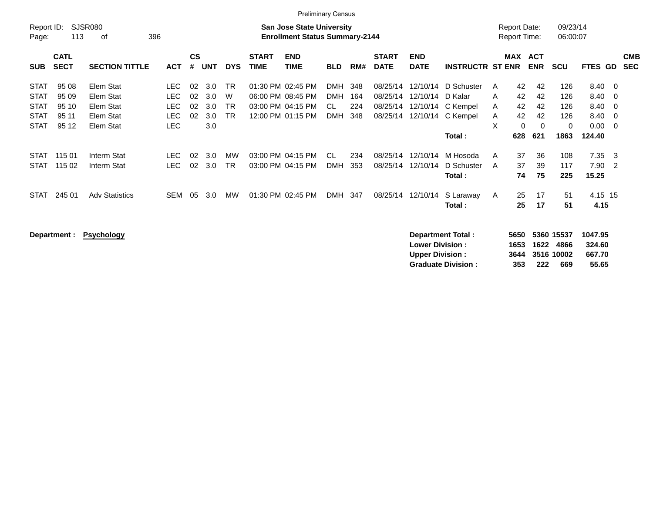| Report ID:<br>Page:                                                     | 113                                       | SJSR080<br>396<br>οf                                          |                                                  |                      |                                 |                                     |                             | <b>San Jose State University</b><br><b>Enrollment Status Summary-2144</b>        |                                               |                          |                                              |                                  |                                                                   | <b>Report Date:</b><br><b>Report Time:</b> |                                         |                                         | 09/23/14<br>06:00:07                            |                                                    |                                                              |                          |
|-------------------------------------------------------------------------|-------------------------------------------|---------------------------------------------------------------|--------------------------------------------------|----------------------|---------------------------------|-------------------------------------|-----------------------------|----------------------------------------------------------------------------------|-----------------------------------------------|--------------------------|----------------------------------------------|----------------------------------|-------------------------------------------------------------------|--------------------------------------------|-----------------------------------------|-----------------------------------------|-------------------------------------------------|----------------------------------------------------|--------------------------------------------------------------|--------------------------|
| <b>SUB</b>                                                              | <b>CATL</b><br><b>SECT</b>                | <b>SECTION TITTLE</b>                                         | <b>ACT</b>                                       | <b>CS</b><br>#       | <b>UNT</b>                      | <b>DYS</b>                          | <b>START</b><br><b>TIME</b> | <b>END</b><br><b>TIME</b>                                                        | <b>BLD</b>                                    | RM#                      | <b>START</b><br><b>DATE</b>                  | <b>END</b><br><b>DATE</b>        | <b>INSTRUCTR ST ENR</b>                                           |                                            |                                         | MAX ACT<br><b>ENR</b>                   | <b>SCU</b>                                      | <b>FTES GD</b>                                     |                                                              | <b>CMB</b><br><b>SEC</b> |
| <b>STAT</b><br><b>STAT</b><br><b>STAT</b><br><b>STAT</b><br><b>STAT</b> | 95 08<br>95 09<br>95 10<br>95 11<br>95 12 | Elem Stat<br>Elem Stat<br>Elem Stat<br>Elem Stat<br>Elem Stat | LEC.<br>LEC.<br><b>LEC</b><br>LEC.<br><b>LEC</b> | 02<br>02<br>02<br>02 | 3.0<br>3.0<br>3.0<br>3.0<br>3.0 | <b>TR</b><br>W<br><b>TR</b><br>TR.  |                             | 01:30 PM 02:45 PM<br>06:00 PM 08:45 PM<br>03:00 PM 04:15 PM<br>12:00 PM 01:15 PM | <b>DMH</b><br><b>DMH</b><br>CL.<br><b>DMH</b> | 348<br>164<br>224<br>348 | 08/25/14<br>08/25/14<br>08/25/14<br>08/25/14 | 12/10/14<br>12/10/14<br>12/10/14 | D Schuster<br>D Kalar<br>C Kempel<br>12/10/14 C Kempel<br>Total : | A<br>A<br>A<br>A<br>X                      | 42<br>42<br>42<br>42<br>$\Omega$<br>628 | 42<br>42<br>42<br>42<br>$\Omega$<br>621 | 126<br>126<br>126<br>126<br>$\mathbf 0$<br>1863 | 8.40 0<br>8.40 0<br>8.40<br>8.40<br>0.00<br>124.40 | $\overline{\phantom{0}}$<br>$\overline{0}$<br>$\overline{0}$ |                          |
| <b>STAT</b><br><b>STAT</b><br><b>STAT</b>                               | 115 01<br>115 02<br>245 01                | Interm Stat<br>Interm Stat<br><b>Adv Statistics</b>           | LEC.<br>LEC.<br><b>SEM</b>                       | 02<br>02<br>05       | 3.0<br>3.0<br>3.0               | <b>MW</b><br><b>TR</b><br><b>MW</b> |                             | 03:00 PM 04:15 PM<br>03:00 PM 04:15 PM<br>01:30 PM 02:45 PM                      | CL.<br><b>DMH</b><br>DMH                      | 234<br>353<br>347        | 08/25/14<br>08/25/14<br>08/25/14             | 12/10/14<br>12/10/14<br>12/10/14 | M Hosoda<br>D Schuster<br>Total :<br>S Laraway<br>Total :         | A<br>A<br>A                                | 37<br>37<br>74<br>25<br>25              | 36<br>39<br>75<br>17<br>17              | 108<br>117<br>225<br>51<br>51                   | 7.35<br>7.90<br>15.25<br>4.15 15<br>4.15           | - 3<br>$\overline{\phantom{0}}^2$                            |                          |

**Department : Psychology Department Total : 5650 5360 15537 1047.95 Lower Division : 1653 1622 4866 324.60 Upper Division : 3644 3516 10002 667.70 Graduate Division : 353 222 669 55.65**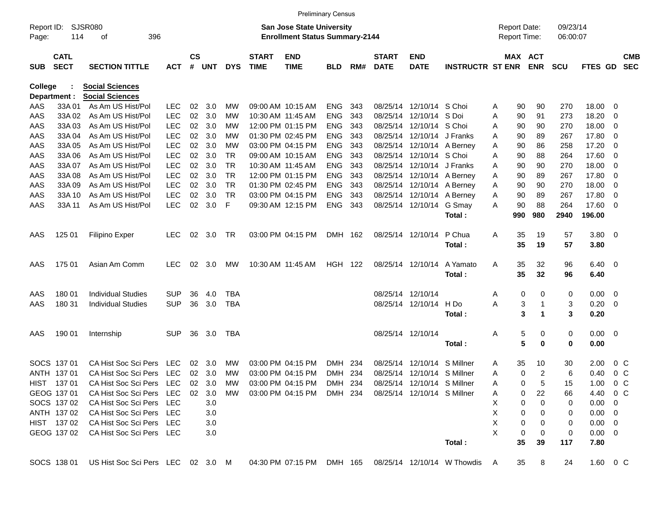|                     |                            |                                   |            |                    |            |            |                             |                                                                           | <b>Preliminary Census</b> |      |                             |                             |                             |    |                                            |                |                      |                |                         |                          |
|---------------------|----------------------------|-----------------------------------|------------|--------------------|------------|------------|-----------------------------|---------------------------------------------------------------------------|---------------------------|------|-----------------------------|-----------------------------|-----------------------------|----|--------------------------------------------|----------------|----------------------|----------------|-------------------------|--------------------------|
| Report ID:<br>Page: | 114                        | SJSR080<br>396<br>оf              |            |                    |            |            |                             | <b>San Jose State University</b><br><b>Enrollment Status Summary-2144</b> |                           |      |                             |                             |                             |    | <b>Report Date:</b><br><b>Report Time:</b> |                | 09/23/14<br>06:00:07 |                |                         |                          |
| <b>SUB</b>          | <b>CATL</b><br><b>SECT</b> | <b>SECTION TITTLE</b>             | <b>ACT</b> | $\mathsf{cs}$<br># | <b>UNT</b> | <b>DYS</b> | <b>START</b><br><b>TIME</b> | <b>END</b><br><b>TIME</b>                                                 | <b>BLD</b>                | RM#  | <b>START</b><br><b>DATE</b> | <b>END</b><br><b>DATE</b>   | <b>INSTRUCTR ST ENR</b>     |    | MAX ACT                                    | <b>ENR</b>     | <b>SCU</b>           | <b>FTES GD</b> |                         | <b>CMB</b><br><b>SEC</b> |
| College             |                            | <b>Social Sciences</b>            |            |                    |            |            |                             |                                                                           |                           |      |                             |                             |                             |    |                                            |                |                      |                |                         |                          |
|                     | Department :               | <b>Social Sciences</b>            |            |                    |            |            |                             |                                                                           |                           |      |                             |                             |                             |    |                                            |                |                      |                |                         |                          |
| AAS                 | 33A01                      | As Am US Hist/Pol                 | <b>LEC</b> | 02                 | 3.0        | МW         |                             | 09:00 AM 10:15 AM                                                         | <b>ENG</b>                | 343  |                             | 08/25/14 12/10/14 S Choi    |                             | A  | 90                                         | 90             | 270                  | 18.00          | 0                       |                          |
| AAS                 | 33A 02                     | As Am US Hist/Pol                 | <b>LEC</b> | 02                 | 3.0        | МW         |                             | 10:30 AM 11:45 AM                                                         | <b>ENG</b>                | 343  | 08/25/14                    | 12/10/14 S Doi              |                             | Α  | 90                                         | 91             | 273                  | 18.20          | 0                       |                          |
| AAS                 | 33A03                      | As Am US Hist/Pol                 | <b>LEC</b> | 02                 | 3.0        | МW         |                             | 12:00 PM 01:15 PM                                                         | <b>ENG</b>                | 343  |                             | 08/25/14 12/10/14 S Choi    |                             | A  | 90                                         | 90             | 270                  | 18.00          | 0                       |                          |
| AAS                 | 33A 04                     | As Am US Hist/Pol                 | <b>LEC</b> | 02                 | 3.0        | МW         |                             | 01:30 PM 02:45 PM                                                         | <b>ENG</b>                | 343  |                             | 08/25/14 12/10/14 J Franks  |                             | A  | 90                                         | 89             | 267                  | 17.80          | 0                       |                          |
| AAS                 | 33A 05                     | As Am US Hist/Pol                 | <b>LEC</b> | 02                 | 3.0        | МW         |                             | 03:00 PM 04:15 PM                                                         | <b>ENG</b>                | 343  |                             | 08/25/14 12/10/14 A Berney  |                             | A  | 90                                         | 86             | 258                  | 17.20          | 0                       |                          |
| AAS                 | 33A 06                     | As Am US Hist/Pol                 | <b>LEC</b> | 02                 | 3.0        | TR         |                             | 09:00 AM 10:15 AM                                                         | <b>ENG</b>                | 343  |                             | 08/25/14 12/10/14 S Choi    |                             | A  | 90                                         | 88             | 264                  | 17.60          | - 0                     |                          |
| AAS                 | 33A 07                     | As Am US Hist/Pol                 | <b>LEC</b> | 02                 | 3.0        | <b>TR</b>  |                             | 10:30 AM 11:45 AM                                                         | <b>ENG</b>                | 343  |                             | 08/25/14 12/10/14 J Franks  |                             | A  | 90                                         | 90             | 270                  | 18.00          | 0                       |                          |
| AAS                 | 33A 08                     | As Am US Hist/Pol                 | <b>LEC</b> | 02                 | 3.0        | <b>TR</b>  |                             | 12:00 PM 01:15 PM                                                         | <b>ENG</b>                | 343  |                             | 08/25/14 12/10/14 A Berney  |                             | A  | 90                                         | 89             | 267                  | 17.80          | 0                       |                          |
| AAS                 | 33A 09                     | As Am US Hist/Pol                 | <b>LEC</b> | 02                 | 3.0        | <b>TR</b>  |                             | 01:30 PM 02:45 PM                                                         | <b>ENG</b>                | 343  |                             | 08/25/14 12/10/14 A Berney  |                             | A  | 90                                         | 90             | 270                  | 18.00          | 0                       |                          |
| AAS                 | 33A 10                     | As Am US Hist/Pol                 | <b>LEC</b> | 02                 | 3.0        | <b>TR</b>  |                             | 03:00 PM 04:15 PM                                                         | <b>ENG</b>                | 343  |                             | 08/25/14 12/10/14 A Berney  |                             | Α  | 90                                         | 89             | 267                  | 17.80          | 0                       |                          |
| AAS                 | 33A 11                     | As Am US Hist/Pol                 | <b>LEC</b> | 02                 | 3.0        | F          |                             | 09:30 AM 12:15 PM                                                         | <b>ENG</b>                | 343  |                             | 08/25/14 12/10/14 G Smay    |                             | A  | 90<br>990                                  | 88             | 264                  | 17.60          | - 0                     |                          |
|                     |                            |                                   |            |                    |            |            |                             |                                                                           |                           |      |                             |                             | Total:                      |    |                                            | 980            | 2940                 | 196.00         |                         |                          |
| AAS                 | 125 01                     | <b>Filipino Exper</b>             | <b>LEC</b> | 02                 | 3.0        | TR         |                             | 03:00 PM 04:15 PM                                                         | DMH 162                   |      |                             | 08/25/14 12/10/14           | P Chua                      | Α  | 35                                         | 19             | 57                   | 3.80           | $\overline{\mathbf{0}}$ |                          |
|                     |                            |                                   |            |                    |            |            |                             |                                                                           |                           |      |                             |                             | Total:                      |    | 35                                         | 19             | 57                   | 3.80           |                         |                          |
|                     |                            |                                   |            |                    |            |            |                             |                                                                           |                           |      |                             |                             |                             |    |                                            |                |                      |                |                         |                          |
| AAS                 | 175 01                     | Asian Am Comm                     | <b>LEC</b> | 02                 | 3.0        | MW         |                             | 10:30 AM 11:45 AM                                                         | HGH 122                   |      |                             | 08/25/14 12/10/14           | A Yamato                    | Α  | 35                                         | 32             | 96                   | $6.40 \quad 0$ |                         |                          |
|                     |                            |                                   |            |                    |            |            |                             |                                                                           |                           |      |                             |                             | Total:                      |    | 35                                         | 32             | 96                   | 6.40           |                         |                          |
|                     |                            |                                   |            |                    |            |            |                             |                                                                           |                           |      |                             |                             |                             |    |                                            |                |                      |                |                         |                          |
| AAS                 | 180 01                     | <b>Individual Studies</b>         | <b>SUP</b> | 36                 | 4.0        | <b>TBA</b> |                             |                                                                           |                           |      |                             | 08/25/14 12/10/14           |                             | Α  | 0                                          | 0              | 0                    | 0.00           | $\overline{\mathbf{0}}$ |                          |
| AAS                 | 180 31                     | <b>Individual Studies</b>         | <b>SUP</b> | 36                 | 3.0        | <b>TBA</b> |                             |                                                                           |                           |      |                             | 08/25/14 12/10/14           | H Do                        | A  | 3                                          | 1              | 3                    | 0.20           | $\overline{\mathbf{0}}$ |                          |
|                     |                            |                                   |            |                    |            |            |                             |                                                                           |                           |      |                             |                             | Total:                      |    | 3                                          | 1              | 3                    | 0.20           |                         |                          |
|                     |                            |                                   |            |                    |            |            |                             |                                                                           |                           |      |                             |                             |                             |    |                                            |                |                      |                |                         |                          |
| AAS                 | 190 01                     | Internship                        | <b>SUP</b> | 36                 | 3.0        | TBA        |                             |                                                                           |                           |      |                             | 08/25/14 12/10/14           |                             | A  | 5                                          | 0              | 0                    | $0.00 \t 0$    |                         |                          |
|                     |                            |                                   |            |                    |            |            |                             |                                                                           |                           |      |                             |                             | Total:                      |    | 5                                          | 0              | $\mathbf 0$          | 0.00           |                         |                          |
|                     |                            |                                   |            |                    |            |            |                             |                                                                           |                           |      |                             |                             |                             |    |                                            |                |                      |                |                         |                          |
|                     | SOCS 137 01                | CA Hist Soc Sci Pers              | LEC        | 02                 | 3.0        | MW         |                             | 03:00 PM 04:15 PM                                                         | <b>DMH</b>                | -234 | 08/25/14                    | 12/10/14                    | S Millner                   | A  | 35                                         | 10             | 30                   | 2.00           | $0\,$ C                 |                          |
|                     | ANTH 137 01                | CA Hist Soc Sci Pers              | LEC        |                    | 02 3.0     | MW         |                             | 03:00 PM 04:15 PM                                                         | DMH 234                   |      |                             | 08/25/14 12/10/14 S Millner |                             | A  | 0                                          | $\overline{c}$ | 6                    | 0.40           | $0\,C$                  |                          |
|                     | HIST 137 01                | CA Hist Soc Sci Pers LEC          |            |                    | 02 3.0     | МW         |                             | 03:00 PM 04:15 PM                                                         | DMH 234                   |      |                             | 08/25/14 12/10/14 S Millner |                             | Α  | 0                                          | 5              | 15                   | $1.00 \t 0 C$  |                         |                          |
|                     | GEOG 137 01                | CA Hist Soc Sci Pers LEC          |            |                    | 02 3.0     | MW         |                             | 03:00 PM 04:15 PM                                                         | DMH 234                   |      |                             | 08/25/14 12/10/14 S Millner |                             | A  | 0                                          | 22             | 66                   | 4.40 0 C       |                         |                          |
|                     | SOCS 137 02                | CA Hist Soc Sci Pers LEC          |            |                    | 3.0        |            |                             |                                                                           |                           |      |                             |                             |                             | х  | 0                                          | 0              | 0                    | $0.00 \t 0$    |                         |                          |
|                     | ANTH 137 02                | CA Hist Soc Sci Pers LEC          |            |                    | 3.0        |            |                             |                                                                           |                           |      |                             |                             |                             | X  | 0                                          | 0              | 0                    | $0.00 \t 0$    |                         |                          |
|                     | HIST 137 02                | CA Hist Soc Sci Pers LEC          |            |                    | 3.0        |            |                             |                                                                           |                           |      |                             |                             |                             | X  | 0                                          | 0              | 0                    | $0.00 \quad 0$ |                         |                          |
|                     | GEOG 137 02                | CA Hist Soc Sci Pers LEC          |            |                    | 3.0        |            |                             |                                                                           |                           |      |                             |                             |                             | X  | 0                                          | 0              | 0                    | $0.00 \t 0$    |                         |                          |
|                     |                            |                                   |            |                    |            |            |                             |                                                                           |                           |      |                             |                             | Total:                      |    | 35                                         | 39             | 117                  | 7.80           |                         |                          |
|                     | SOCS 138 01                | US Hist Soc Sci Pers LEC 02 3.0 M |            |                    |            |            |                             | 04:30 PM 07:15 PM DMH 165                                                 |                           |      |                             |                             | 08/25/14 12/10/14 W Thowdis | A, | 35                                         | 8              | 24                   | 1.60 0 C       |                         |                          |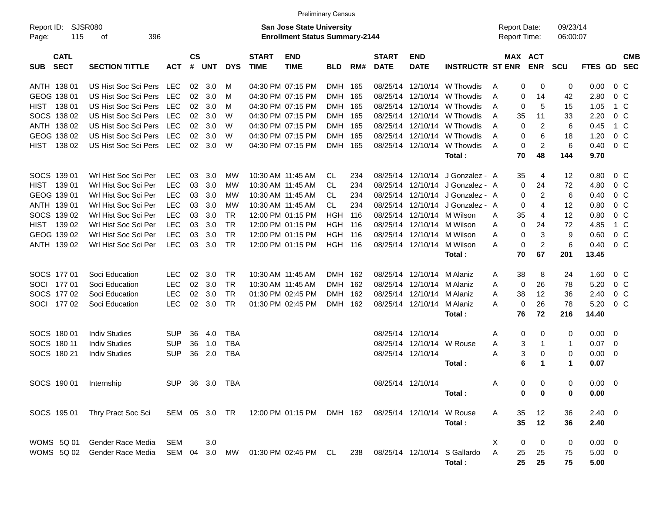|                                          |                                |                |                   |            |            |                             |                                                                           | <b>Preliminary Census</b> |       |                             |                           |                              |   |                                     |                   |                      |             |                         |                          |
|------------------------------------------|--------------------------------|----------------|-------------------|------------|------------|-----------------------------|---------------------------------------------------------------------------|---------------------------|-------|-----------------------------|---------------------------|------------------------------|---|-------------------------------------|-------------------|----------------------|-------------|-------------------------|--------------------------|
| Report ID:<br>115<br>Page:               | SJSR080<br>396<br>οf           |                |                   |            |            |                             | <b>San Jose State University</b><br><b>Enrollment Status Summary-2144</b> |                           |       |                             |                           |                              |   | <b>Report Date:</b><br>Report Time: |                   | 09/23/14<br>06:00:07 |             |                         |                          |
| <b>CATL</b><br><b>SECT</b><br><b>SUB</b> | <b>SECTION TITTLE</b>          | <b>ACT</b>     | <b>CS</b><br>$\#$ | <b>UNT</b> | <b>DYS</b> | <b>START</b><br><b>TIME</b> | <b>END</b><br><b>TIME</b>                                                 | <b>BLD</b>                | RM#   | <b>START</b><br><b>DATE</b> | <b>END</b><br><b>DATE</b> | <b>INSTRUCTR ST ENR</b>      |   | MAX ACT                             | <b>ENR</b>        | SCU                  | FTES GD     |                         | <b>CMB</b><br><b>SEC</b> |
| ANTH 138 01                              | US Hist Soc Sci Pers           | <b>LEC</b>     | 02                | 3.0        | м          |                             | 04:30 PM 07:15 PM                                                         | <b>DMH</b>                | -165  | 08/25/14                    |                           | 12/10/14 W Thowdis           | A | 0                                   | 0                 | 0                    | 0.00        | $0\,C$                  |                          |
| GEOG 138 01                              | US Hist Soc Sci Pers           | <b>LEC</b>     | 02                | 3.0        | м          |                             | 04:30 PM 07:15 PM                                                         | <b>DMH</b>                | 165   | 08/25/14                    | 12/10/14                  | W Thowdis                    | A | 0                                   | 14                | 42                   | 2.80        | $0\,C$                  |                          |
| 138 01<br><b>HIST</b>                    | US Hist Soc Sci Pers           | <b>LEC</b>     | 02                | 3.0        | M          |                             | 04:30 PM 07:15 PM                                                         | <b>DMH</b>                | 165   | 08/25/14                    | 12/10/14                  | W Thowdis                    | A | 0                                   | 5                 | 15                   | 1.05        | 1 C                     |                          |
| SOCS 138 02                              | US Hist Soc Sci Pers           | <b>LEC</b>     | 02                | 3.0        | W          |                             | 04:30 PM 07:15 PM                                                         | <b>DMH</b>                | - 165 | 08/25/14                    | 12/10/14                  | W Thowdis                    | A | 35                                  | 11                | 33                   | 2.20        | $0\,C$                  |                          |
| ANTH 138 02                              | US Hist Soc Sci Pers           | <b>LEC</b>     | 02                | 3.0        | W          |                             | 04:30 PM 07:15 PM                                                         | <b>DMH</b>                | - 165 | 08/25/14                    | 12/10/14                  | W Thowdis                    | A | 0                                   | $\overline{c}$    | 6                    | 0.45        | 1 C                     |                          |
| GEOG 138 02                              | US Hist Soc Sci Pers           | <b>LEC</b>     | 02                | 3.0        | W          |                             | 04:30 PM 07:15 PM                                                         | <b>DMH</b>                | 165   | 08/25/14                    | 12/10/14                  | W Thowdis                    | A | 0                                   | 6                 | 18                   | 1.20        | $0\,C$                  |                          |
| <b>HIST</b><br>138 02                    | US Hist Soc Sci Pers           | <b>LEC</b>     | 02                | 3.0        | W          |                             | 04:30 PM 07:15 PM                                                         | <b>DMH</b>                | 165   |                             | 08/25/14 12/10/14         | W Thowdis                    | A | $\mathbf 0$                         | $\boldsymbol{2}$  | 6                    | 0.40        | $0\,C$                  |                          |
|                                          |                                |                |                   |            |            |                             |                                                                           |                           |       |                             |                           | Total:                       |   | 70                                  | 48                | 144                  | 9.70        |                         |                          |
| SOCS 139 01                              | Wrl Hist Soc Sci Per           | <b>LEC</b>     | 03                | 3.0        | MW         |                             | 10:30 AM 11:45 AM                                                         | CL                        | 234   |                             | 08/25/14 12/10/14         | J Gonzalez - A               |   | 35                                  | 4                 | 12                   | 0.80        | 0 <sup>C</sup>          |                          |
| 139 01<br><b>HIST</b>                    | Wrl Hist Soc Sci Per           | <b>LEC</b>     | 03                | 3.0        | <b>MW</b>  |                             | 10:30 AM 11:45 AM                                                         | <b>CL</b>                 | 234   | 08/25/14                    | 12/10/14                  | J Gonzalez - A               |   | 0                                   | 24                | 72                   | 4.80        | $0\,C$                  |                          |
| GEOG 139 01                              | Wrl Hist Soc Sci Per           | <b>LEC</b>     | 03                | 3.0        | <b>MW</b>  |                             | 10:30 AM 11:45 AM                                                         | CL.                       | 234   | 08/25/14                    | 12/10/14                  | J Gonzalez - A               |   | 0                                   | $\overline{c}$    | 6                    | 0.40        | 0 <sup>C</sup>          |                          |
| ANTH 139 01                              | Wrl Hist Soc Sci Per           | <b>LEC</b>     | 03                | 3.0        | <b>MW</b>  |                             | 10:30 AM 11:45 AM                                                         | <b>CL</b>                 | 234   | 08/25/14                    | 12/10/14                  | J Gonzalez - A               |   | 0                                   | $\overline{4}$    | 12                   | 0.80        | 0 <sup>C</sup>          |                          |
| SOCS 139 02                              | Wrl Hist Soc Sci Per           | <b>LEC</b>     | 03                | 3.0        | <b>TR</b>  |                             | 12:00 PM 01:15 PM                                                         | <b>HGH</b>                | 116   | 08/25/14                    | 12/10/14                  | M Wilson                     | A | 35                                  | $\overline{4}$    | 12                   | 0.80        | $0\,C$                  |                          |
| 139 02<br>HIST                           | Wrl Hist Soc Sci Per           | <b>LEC</b>     | 03                | 3.0        | <b>TR</b>  |                             | 12:00 PM 01:15 PM                                                         | <b>HGH</b>                | 116   | 08/25/14                    |                           | 12/10/14 M Wilson            | A | 0                                   | 24                | 72                   | 4.85        | 1 C                     |                          |
| GEOG 139 02                              | Wrl Hist Soc Sci Per           | <b>LEC</b>     | 03                | 3.0        | <b>TR</b>  |                             | 12:00 PM 01:15 PM                                                         | <b>HGH</b>                | 116   | 08/25/14                    |                           | 12/10/14 M Wilson            | A | 0                                   | $\mathbf{3}$      | 9                    | 0.60        | $0\,C$                  |                          |
| ANTH 139 02                              | Wrl Hist Soc Sci Per           | <b>LEC</b>     | 03                | 3.0        | <b>TR</b>  |                             | 12:00 PM 01:15 PM                                                         | <b>HGH 116</b>            |       |                             | 08/25/14 12/10/14         | M Wilson                     | A | $\mathbf 0$                         | $\boldsymbol{2}$  | 6                    | 0.40        | 0 <sup>C</sup>          |                          |
|                                          |                                |                |                   |            |            |                             |                                                                           |                           |       |                             |                           | Total:                       |   | 70                                  | 67                | 201                  | 13.45       |                         |                          |
| SOCS 177 01                              | Soci Education                 | <b>LEC</b>     | 02                | 3.0        | <b>TR</b>  |                             | 10:30 AM 11:45 AM                                                         | <b>DMH</b>                | - 162 |                             | 08/25/14 12/10/14         | M Alaniz                     | Α | 38                                  | 8                 | 24                   | 1.60        | 0 <sup>C</sup>          |                          |
| <b>SOCI</b><br>17701                     | Soci Education                 | <b>LEC</b>     | 02                | 3.0        | <b>TR</b>  |                             | 10:30 AM 11:45 AM                                                         | <b>DMH</b>                | 162   | 08/25/14                    | 12/10/14                  | M Alaniz                     | A | 0                                   | 26                | 78                   | 5.20        | $0\,C$                  |                          |
| SOCS 177 02                              | Soci Education                 | <b>LEC</b>     | 02                | 3.0        | <b>TR</b>  |                             | 01:30 PM 02:45 PM                                                         | <b>DMH</b>                | 162   | 08/25/14                    | 12/10/14                  | M Alaniz                     | A | 38                                  | 12                | 36                   | 2.40        | $0\,C$                  |                          |
| SOCI<br>17702                            | Soci Education                 | <b>LEC</b>     | 02                | 3.0        | <b>TR</b>  |                             | 01:30 PM 02:45 PM                                                         | DMH.                      | 162   |                             | 08/25/14 12/10/14         | M Alaniz                     | A | 0                                   | 26                | 78                   | 5.20        | 0 <sup>C</sup>          |                          |
|                                          |                                |                |                   |            |            |                             |                                                                           |                           |       |                             |                           | Total:                       |   | 76                                  | 72                | 216                  | 14.40       |                         |                          |
| SOCS 180 01                              | <b>Indiv Studies</b>           | <b>SUP</b>     | 36                | 4.0        | <b>TBA</b> |                             |                                                                           |                           |       |                             | 08/25/14 12/10/14         |                              | Α | 0                                   | 0                 | 0                    | 0.00        | $\overline{\mathbf{0}}$ |                          |
| SOCS 180 11                              | <b>Indiv Studies</b>           | <b>SUP</b>     | 36                | 1.0        | <b>TBA</b> |                             |                                                                           |                           |       |                             | 08/25/14 12/10/14         | W Rouse                      | A | 3                                   | $\mathbf{1}$      | $\mathbf{1}$         | 0.07        | $\overline{0}$          |                          |
| SOCS 180 21                              | <b>Indiv Studies</b>           | <b>SUP</b>     | 36                | 2.0        | <b>TBA</b> |                             |                                                                           |                           |       |                             | 08/25/14 12/10/14         |                              | A | 3                                   | 0                 | 0                    | 0.00        | $\overline{0}$          |                          |
|                                          |                                |                |                   |            |            |                             |                                                                           |                           |       |                             |                           | Total:                       |   | 6                                   | 1                 | $\mathbf 1$          | 0.07        |                         |                          |
|                                          |                                |                |                   |            |            |                             |                                                                           |                           |       |                             |                           |                              |   |                                     |                   |                      |             |                         |                          |
| SOCS 190 01 Internship                   |                                | SUP 36 3.0 TBA |                   |            |            |                             |                                                                           |                           |       |                             | 08/25/14 12/10/14         |                              |   | 0                                   | 0                 | 0                    | $0.00 \t 0$ |                         |                          |
|                                          |                                |                |                   |            |            |                             |                                                                           |                           |       |                             |                           | Total:                       |   | 0                                   | 0                 | 0                    | 0.00        |                         |                          |
|                                          | SOCS 195 01 Thry Pract Soc Sci |                |                   |            |            |                             | SEM 05 3.0 TR  12:00 PM 01:15 PM DMH 162  08/25/14  12/10/14  W Rouse     |                           |       |                             |                           |                              | A | 35                                  | 12                | 36                   | $2.40 \ 0$  |                         |                          |
|                                          |                                |                |                   |            |            |                             |                                                                           |                           |       |                             |                           | Total:                       |   | 35                                  | 12                | 36                   | 2.40        |                         |                          |
| WOMS 5Q 01                               | Gender Race Media              | <b>SEM</b>     |                   | 3.0        |            |                             |                                                                           |                           |       |                             |                           |                              | X |                                     |                   |                      | $0.00 \t 0$ |                         |                          |
|                                          | WOMS 5Q 02 Gender Race Media   |                |                   |            |            |                             | SEM 04 3.0 MW 01:30 PM 02:45 PM CL                                        |                           | 238   |                             |                           | 08/25/14 12/10/14 S Gallardo | A | 0<br>25                             | $\mathbf 0$<br>25 | 0<br>75              | $5.00 \t 0$ |                         |                          |
|                                          |                                |                |                   |            |            |                             |                                                                           |                           |       |                             |                           | Total:                       |   | 25                                  | 25                | 75                   | 5.00        |                         |                          |
|                                          |                                |                |                   |            |            |                             |                                                                           |                           |       |                             |                           |                              |   |                                     |                   |                      |             |                         |                          |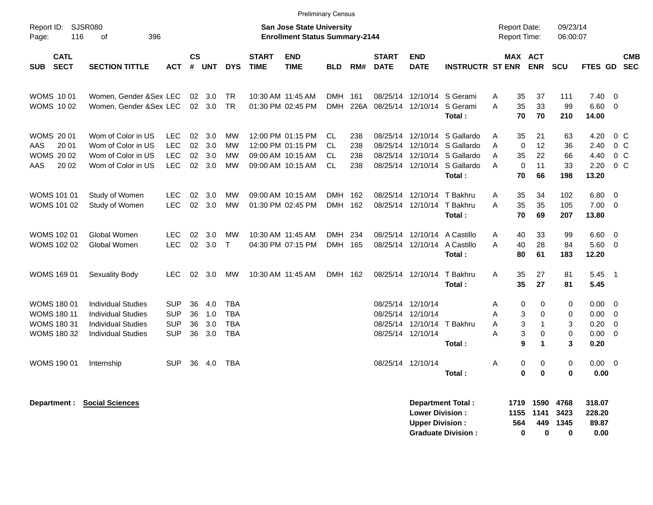|                                                                               |                                                                                                                  |                                                      |                         |                          |                                                      |                             | <b>Preliminary Census</b>                                                        |                                            |                          |                             |                                                                                  |                                                                                                                      |                                                                  |                                                                                   |                                           |                                       |                                                                      |
|-------------------------------------------------------------------------------|------------------------------------------------------------------------------------------------------------------|------------------------------------------------------|-------------------------|--------------------------|------------------------------------------------------|-----------------------------|----------------------------------------------------------------------------------|--------------------------------------------|--------------------------|-----------------------------|----------------------------------------------------------------------------------|----------------------------------------------------------------------------------------------------------------------|------------------------------------------------------------------|-----------------------------------------------------------------------------------|-------------------------------------------|---------------------------------------|----------------------------------------------------------------------|
| Report ID: SJSR080<br>Page:                                                   | <b>San Jose State University</b><br>116<br>396<br><b>Enrollment Status Summary-2144</b><br>οf                    |                                                      |                         |                          |                                                      |                             |                                                                                  |                                            |                          |                             |                                                                                  |                                                                                                                      |                                                                  | <b>Report Date:</b><br><b>Report Time:</b>                                        | 09/23/14<br>06:00:07                      |                                       |                                                                      |
| <b>CATL</b><br><b>SECT</b><br><b>SUB</b>                                      | <b>SECTION TITTLE</b>                                                                                            | <b>ACT</b>                                           | <b>CS</b><br>$\pmb{\#}$ | <b>UNT</b>               | <b>DYS</b>                                           | <b>START</b><br><b>TIME</b> | <b>END</b><br><b>TIME</b>                                                        | <b>BLD</b>                                 | RM#                      | <b>START</b><br><b>DATE</b> | <b>END</b><br><b>DATE</b>                                                        | <b>INSTRUCTR ST ENR</b>                                                                                              |                                                                  | MAX ACT<br><b>ENR</b>                                                             | SCU                                       | <b>FTES GD</b>                        | <b>CMB</b><br><b>SEC</b>                                             |
| <b>WOMS 1001</b><br><b>WOMS 1002</b>                                          | Women, Gender &Sex LEC<br>Women, Gender &Sex LEC                                                                 |                                                      | 02                      | 3.0<br>02 3.0            | <b>TR</b><br><b>TR</b>                               |                             | 10:30 AM 11:45 AM<br>01:30 PM 02:45 PM                                           | <b>DMH</b><br><b>DMH</b>                   | 161<br>226A              | 08/25/14                    | 12/10/14<br>08/25/14 12/10/14                                                    | S Gerami<br>S Gerami<br>Total:                                                                                       | 35<br>A<br>35<br>A<br>70                                         | 37<br>33<br>70                                                                    | 111<br>99<br>210                          | 7.40<br>6.60<br>14.00                 | $\overline{0}$<br>$\overline{0}$                                     |
| <b>WOMS 2001</b><br>20 01<br>AAS<br><b>WOMS 2002</b><br>20 02<br>AAS          | Wom of Color in US<br>Wom of Color in US<br>Wom of Color in US<br>Wom of Color in US                             | <b>LEC</b><br><b>LEC</b><br><b>LEC</b><br><b>LEC</b> | 02<br>02<br>02<br>02    | 3.0<br>3.0<br>3.0<br>3.0 | <b>MW</b><br><b>MW</b><br><b>MW</b><br><b>MW</b>     |                             | 12:00 PM 01:15 PM<br>12:00 PM 01:15 PM<br>09:00 AM 10:15 AM<br>09:00 AM 10:15 AM | <b>CL</b><br>CL.<br><b>CL</b><br><b>CL</b> | 238<br>238<br>238<br>238 |                             | 08/25/14 12/10/14                                                                | S Gallardo<br>08/25/14 12/10/14 S Gallardo<br>08/25/14 12/10/14 S Gallardo<br>08/25/14 12/10/14 S Gallardo<br>Total: | A<br>35<br>$\mathbf 0$<br>A<br>35<br>A<br>$\mathbf 0$<br>A<br>70 | 21<br>12<br>22<br>11<br>66                                                        | 63<br>36<br>66<br>33<br>198               | 4.20<br>2.40<br>4.40<br>2.20<br>13.20 | 0 <sup>o</sup><br>0 <sup>o</sup><br>0 <sup>o</sup><br>0 <sup>o</sup> |
| <b>WOMS 101 01</b><br>WOMS 101 02                                             | Study of Women<br>Study of Women                                                                                 | LEC.<br><b>LEC</b>                                   | 02<br>02                | 3.0<br>3.0               | <b>MW</b><br><b>MW</b>                               |                             | 09:00 AM 10:15 AM<br>01:30 PM 02:45 PM                                           | <b>DMH</b><br>DMH 162                      | 162                      |                             | 08/25/14 12/10/14<br>08/25/14 12/10/14                                           | T Bakhru<br>T Bakhru<br>Total:                                                                                       | 35<br>A<br>A<br>35<br>70                                         | 34<br>35<br>69                                                                    | 102<br>105<br>207                         | 6.80<br>7.00<br>13.80                 | $\overline{\mathbf{0}}$<br>$\overline{0}$                            |
| <b>WOMS 102 01</b><br>WOMS 102 02                                             | Global Women<br>Global Women                                                                                     | <b>LEC</b><br><b>LEC</b>                             | 02<br>$02\,$            | 3.0<br>3.0               | <b>MW</b><br>$\mathsf{T}$                            |                             | 10:30 AM 11:45 AM<br>04:30 PM 07:15 PM                                           | <b>DMH</b><br>DMH 165                      | 234                      |                             | 08/25/14 12/10/14                                                                | 08/25/14 12/10/14 A Castillo<br>A Castillo<br>Total:                                                                 | A<br>40<br>40<br>A<br>80                                         | 33<br>28<br>61                                                                    | 99<br>84<br>183                           | 6.60<br>5.60<br>12.20                 | $\overline{0}$<br>$\overline{\mathbf{0}}$                            |
| <b>WOMS 169 01</b>                                                            | Sexuality Body                                                                                                   | LEC.                                                 |                         | 02 3.0                   | MW                                                   |                             | 10:30 AM 11:45 AM                                                                | DMH 162                                    |                          |                             | 08/25/14 12/10/14                                                                | T Bakhru<br>Total:                                                                                                   | A<br>35<br>35                                                    | 27<br>27                                                                          | 81<br>81                                  | $5.45$ 1<br>5.45                      |                                                                      |
| WOMS 180 01<br><b>WOMS 180 11</b><br><b>WOMS 180 31</b><br><b>WOMS 180 32</b> | <b>Individual Studies</b><br><b>Individual Studies</b><br><b>Individual Studies</b><br><b>Individual Studies</b> | <b>SUP</b><br><b>SUP</b><br><b>SUP</b><br><b>SUP</b> | 36<br>36<br>36<br>36    | 4.0<br>1.0<br>3.0<br>3.0 | <b>TBA</b><br><b>TBA</b><br><b>TBA</b><br><b>TBA</b> |                             |                                                                                  |                                            |                          |                             | 08/25/14 12/10/14<br>08/25/14 12/10/14<br>08/25/14 12/10/14<br>08/25/14 12/10/14 | T Bakhru<br>Total:                                                                                                   | 0<br>Α<br>A<br>3<br>A<br>A<br>9                                  | 0<br>3<br>$\mathbf 0$<br>$\mathbf{1}$<br>3<br>$\mathbf 0$<br>$\blacktriangleleft$ | 0<br>$\mathbf 0$<br>3<br>$\mathbf 0$<br>3 | 0.00<br>0.00<br>0.20<br>0.00<br>0.20  | $\overline{0}$<br>$\overline{0}$<br>$\overline{0}$<br>$\overline{0}$ |
| WOMS 190 01                                                                   | Internship                                                                                                       | <b>SUP</b>                                           | 36                      | 4.0                      | <b>TBA</b>                                           |                             |                                                                                  |                                            |                          |                             | 08/25/14 12/10/14                                                                | Total:                                                                                                               | Α<br>0<br>$\bf{0}$                                               | 0<br>$\mathbf 0$                                                                  | $\mathbf 0$<br>$\bf{0}$                   | $0.00 \t 0$<br>0.00                   |                                                                      |

| Department Total:         |     | 1719 1590 4768 |          | 318.07 |
|---------------------------|-----|----------------|----------|--------|
| <b>Lower Division:</b>    |     | 1155 1141 3423 |          | 228.20 |
| Upper Division:           | 564 |                | 449 1345 | 89.87  |
| <b>Graduate Division:</b> | 0   | n              | 0        | 0.00   |

**Department : Social Sciences**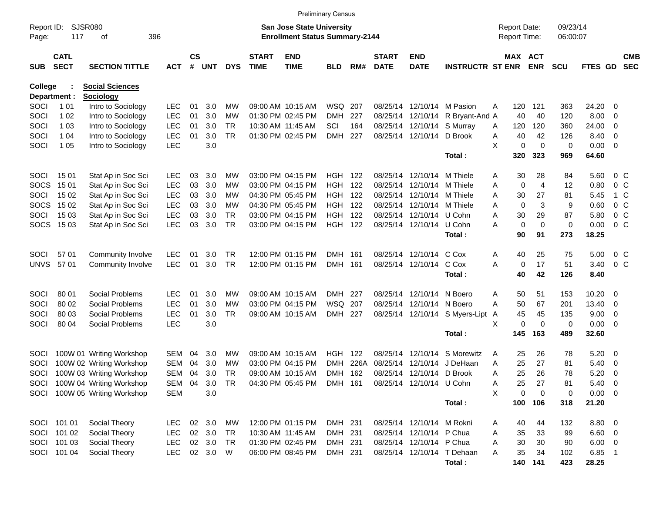|                     |                            |                               |            |                    |            |            |                             |                                                                           | <b>Preliminary Census</b> |      |                             |                            |                                |                                     |                       |                      |                |                          |                          |
|---------------------|----------------------------|-------------------------------|------------|--------------------|------------|------------|-----------------------------|---------------------------------------------------------------------------|---------------------------|------|-----------------------------|----------------------------|--------------------------------|-------------------------------------|-----------------------|----------------------|----------------|--------------------------|--------------------------|
| Report ID:<br>Page: | 117                        | <b>SJSR080</b><br>396<br>οf   |            |                    |            |            |                             | <b>San Jose State University</b><br><b>Enrollment Status Summary-2144</b> |                           |      |                             |                            |                                | <b>Report Date:</b><br>Report Time: |                       | 09/23/14<br>06:00:07 |                |                          |                          |
| <b>SUB</b>          | <b>CATL</b><br><b>SECT</b> | <b>SECTION TITTLE</b>         | <b>ACT</b> | $\mathsf{cs}$<br># | <b>UNT</b> | <b>DYS</b> | <b>START</b><br><b>TIME</b> | <b>END</b><br><b>TIME</b>                                                 | <b>BLD</b>                | RM#  | <b>START</b><br><b>DATE</b> | <b>END</b><br><b>DATE</b>  | <b>INSTRUCTR ST ENR</b>        |                                     | MAX ACT<br><b>ENR</b> | <b>SCU</b>           | <b>FTES GD</b> |                          | <b>CMB</b><br><b>SEC</b> |
| College             |                            | <b>Social Sciences</b>        |            |                    |            |            |                             |                                                                           |                           |      |                             |                            |                                |                                     |                       |                      |                |                          |                          |
| Department :        |                            | <b>Sociology</b>              |            |                    |            |            |                             |                                                                           |                           |      |                             |                            |                                |                                     |                       |                      |                |                          |                          |
| SOCI                | 1 0 1                      | Intro to Sociology            | <b>LEC</b> | 01                 | 3.0        | MW         |                             | 09:00 AM 10:15 AM                                                         | WSQ                       | 207  | 08/25/14                    |                            | 12/10/14 M Pasion              | 120<br>Α                            | 121                   | 363                  | 24.20          | - 0                      |                          |
| SOCI                | 1 0 2                      | Intro to Sociology            | <b>LEC</b> | 01                 | 3.0        | MW         |                             | 01:30 PM 02:45 PM                                                         | <b>DMH</b>                | 227  | 08/25/14                    | 12/10/14                   | R Bryant-And A                 | 40                                  | 40                    | 120                  | 8.00           | - 0                      |                          |
| SOCI                | 1 0 3                      | Intro to Sociology            | <b>LEC</b> | 01                 | 3.0        | TR.        |                             | 10:30 AM 11:45 AM                                                         | SCI                       | 164  |                             | 08/25/14 12/10/14 S Murray |                                | 120<br>A                            | 120                   | 360                  | 24.00          | 0                        |                          |
| SOCI                | 1 04                       | Intro to Sociology            | <b>LEC</b> | 01                 | 3.0        | <b>TR</b>  |                             | 01:30 PM 02:45 PM                                                         | <b>DMH</b>                | 227  |                             | 08/25/14 12/10/14 D Brook  |                                | 40<br>Α                             | 42                    | 126                  | 8.40           | $\overline{\mathbf{0}}$  |                          |
| SOCI                | 1 0 5                      | Intro to Sociology            | <b>LEC</b> |                    | 3.0        |            |                             |                                                                           |                           |      |                             |                            |                                | X                                   | 0<br>$\mathbf 0$      | 0                    | $0.00 \t 0$    |                          |                          |
|                     |                            |                               |            |                    |            |            |                             |                                                                           |                           |      |                             |                            | Total:                         | 320                                 | 323                   | 969                  | 64.60          |                          |                          |
| SOCI                | 15 01                      | Stat Ap in Soc Sci            | <b>LEC</b> | 03                 | 3.0        | MW         |                             | 03:00 PM 04:15 PM                                                         | HGH                       | 122  | 08/25/14                    | 12/10/14                   | M Thiele                       | 30<br>Α                             | 28                    | 84                   | 5.60           | $0\,$ C                  |                          |
| <b>SOCS</b>         | 15 01                      | Stat Ap in Soc Sci            | <b>LEC</b> | 03                 | 3.0        | MW         |                             | 03:00 PM 04:15 PM                                                         | <b>HGH</b>                | 122  | 08/25/14                    | 12/10/14                   | M Thiele                       | $\mathbf 0$<br>A                    | $\overline{4}$        | 12                   | 0.80           | 0 <sup>o</sup>           |                          |
| SOCI                | 15 02                      | Stat Ap in Soc Sci            | <b>LEC</b> | 03                 | 3.0        | MW         |                             | 04:30 PM 05:45 PM                                                         | HGH                       | 122  |                             | 08/25/14 12/10/14 M Thiele |                                | Α<br>30                             | 27                    | 81                   | 5.45           | 1 C                      |                          |
| <b>SOCS</b>         | 15 02                      | Stat Ap in Soc Sci            | <b>LEC</b> | 03                 | 3.0        | MW         |                             | 04:30 PM 05:45 PM                                                         | HGH                       | 122  |                             | 08/25/14 12/10/14 M Thiele |                                | $\mathbf 0$<br>Α                    | 3                     | 9                    | 0.60           | 0 <sup>o</sup>           |                          |
| SOCI                | 15 03                      | Stat Ap in Soc Sci            | <b>LEC</b> | 03                 | 3.0        | <b>TR</b>  |                             | 03:00 PM 04:15 PM                                                         | HGH.                      | 122  |                             | 08/25/14 12/10/14 U Cohn   |                                | A<br>30                             | 29                    | 87                   | 5.80           | $0\,C$                   |                          |
|                     | SOCS 1503                  | Stat Ap in Soc Sci            | <b>LEC</b> | 03                 | 3.0        | <b>TR</b>  |                             | 03:00 PM 04:15 PM                                                         | HGH                       | 122  |                             | 08/25/14 12/10/14          | U Cohn                         | $\mathbf 0$<br>А                    | $\mathbf 0$           | 0                    | 0.00           | 0 <sup>o</sup>           |                          |
|                     |                            |                               |            |                    |            |            |                             |                                                                           |                           |      |                             |                            | Total:                         | 90                                  | 91                    | 273                  | 18.25          |                          |                          |
| SOCI                | 57 01                      | Community Involve             | <b>LEC</b> | 01                 | 3.0        | TR.        |                             | 12:00 PM 01:15 PM                                                         | DMH 161                   |      |                             | 08/25/14 12/10/14 C Cox    |                                | 40<br>A                             | 25                    | 75                   | 5.00           | $0\,C$                   |                          |
| <b>UNVS</b>         | 5701                       | Community Involve             | <b>LEC</b> | 01                 | 3.0        | <b>TR</b>  |                             | 12:00 PM 01:15 PM                                                         | DMH 161                   |      |                             | 08/25/14 12/10/14 C Cox    |                                | A<br>0                              | 17                    | 51                   | 3.40           | 0 <sup>o</sup>           |                          |
|                     |                            |                               |            |                    |            |            |                             |                                                                           |                           |      |                             |                            | Total:                         | 40                                  | 42                    | 126                  | 8.40           |                          |                          |
| SOCI                | 80 01                      | Social Problems               | LEC        | 01                 | 3.0        | MW         |                             | 09:00 AM 10:15 AM                                                         | DMH 227                   |      | 08/25/14                    | 12/10/14                   | N Boero                        | 50<br>Α                             | 51                    | 153                  | 10.20          | $\overline{\mathbf{0}}$  |                          |
| SOCI                | 80 02                      | Social Problems               | <b>LEC</b> | 01                 | 3.0        | MW         |                             | 03:00 PM 04:15 PM                                                         | WSQ                       | 207  |                             | 08/25/14 12/10/14 N Boero  |                                | А<br>50                             | 67                    | 201                  | 13.40          | $\overline{\mathbf{0}}$  |                          |
| SOCI                | 80 03                      | Social Problems               | <b>LEC</b> | 01                 | 3.0        | TR.        |                             | 09:00 AM 10:15 AM                                                         | DMH 227                   |      |                             |                            | 08/25/14 12/10/14 S Myers-Lipt | 45<br>A                             | 45                    | 135                  | 9.00           | $\overline{\mathbf{0}}$  |                          |
| SOCI                | 80 04                      | Social Problems               | <b>LEC</b> |                    | 3.0        |            |                             |                                                                           |                           |      |                             |                            |                                | х                                   | 0<br>$\mathbf 0$      | 0                    | $0.00 \t 0$    |                          |                          |
|                     |                            |                               |            |                    |            |            |                             |                                                                           |                           |      |                             |                            | Total:                         | 145                                 | 163                   | 489                  | 32.60          |                          |                          |
| SOCI                |                            | 100W 01 Writing Workshop      | <b>SEM</b> | 04                 | 3.0        | MW         |                             | 09:00 AM 10:15 AM                                                         | HGH.                      | 122  | 08/25/14                    | 12/10/14                   | S Morewitz                     | 25<br>Α                             | 26                    | 78                   | 5.20           | $\overline{\phantom{0}}$ |                          |
| SOCI                |                            | 100W 02 Writing Workshop      | SEM        | 04                 | 3.0        | MW         |                             | 03:00 PM 04:15 PM                                                         | <b>DMH</b>                | 226A | 08/25/14                    | 12/10/14                   | J DeHaan                       | 25<br>Α                             | 27                    | 81                   | 5.40           | $\overline{\mathbf{0}}$  |                          |
| SOCI                |                            | 100W 03 Writing Workshop      | <b>SEM</b> | 04                 | 3.0        | TR         |                             | 09:00 AM 10:15 AM                                                         | <b>DMH</b>                | 162  |                             | 08/25/14 12/10/14 D Brook  |                                | 25<br>Α                             | 26                    | 78                   | 5.20           | - 0                      |                          |
|                     |                            | SOCI 100W 04 Writing Workshop | SEM        | 04                 | 3.0        | TR         |                             | 04:30 PM 05:45 PM DMH 161                                                 |                           |      |                             | 08/25/14 12/10/14 U Cohn   |                                | 25<br>A                             | 27                    | 81                   | 5.40 0         |                          |                          |
|                     |                            | SOCI 100W 05 Writing Workshop | <b>SEM</b> |                    | 3.0        |            |                             |                                                                           |                           |      |                             |                            |                                | X                                   | 0<br>$\mathbf 0$      | 0                    | $0.00 \t 0$    |                          |                          |
|                     |                            |                               |            |                    |            |            |                             |                                                                           |                           |      |                             |                            | Total:                         | 100                                 | 106                   | 318                  | 21.20          |                          |                          |
|                     | SOCI 101 01                | Social Theory                 | <b>LEC</b> |                    | 02 3.0     | МW         |                             | 12:00 PM 01:15 PM                                                         | DMH 231                   |      |                             | 08/25/14 12/10/14 M Rokni  |                                | 40<br>Α                             | 44                    | 132                  | 8.80 0         |                          |                          |
|                     | SOCI 101 02                | Social Theory                 | <b>LEC</b> |                    | 02 3.0     | TR         |                             | 10:30 AM 11:45 AM                                                         | DMH 231                   |      |                             | 08/25/14 12/10/14 P Chua   |                                | 35<br>Α                             | 33                    | 99                   | $6.60$ 0       |                          |                          |
|                     | SOCI 101 03                | Social Theory                 | <b>LEC</b> |                    | 02 3.0     | TR         |                             | 01:30 PM 02:45 PM                                                         | DMH 231                   |      |                             | 08/25/14 12/10/14 P Chua   |                                | 30<br>Α                             | 30                    | 90                   | $6.00 \t 0$    |                          |                          |
|                     | SOCI 101 04                | Social Theory                 | <b>LEC</b> |                    | 02 3.0 W   |            |                             | 06:00 PM 08:45 PM                                                         | DMH 231                   |      |                             |                            | 08/25/14 12/10/14 T Dehaan     | 35<br>Α                             | 34                    | 102                  | 6.85 1         |                          |                          |
|                     |                            |                               |            |                    |            |            |                             |                                                                           |                           |      |                             |                            | Total:                         |                                     | 140 141               | 423                  | 28.25          |                          |                          |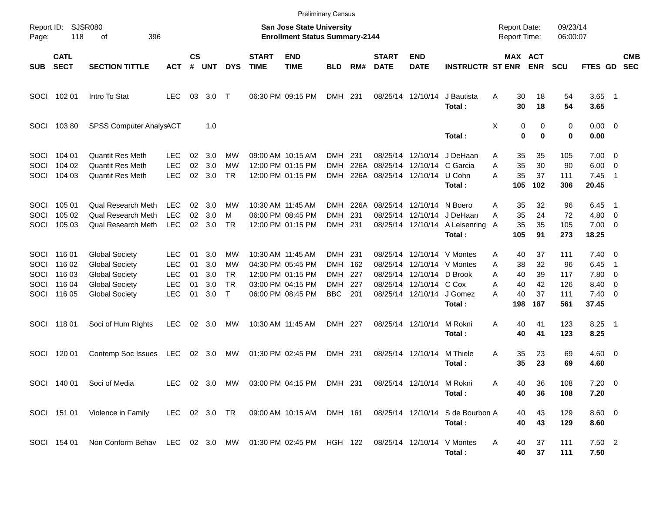|                                    |                                                          |                                                                                                                           |                                                                    |                            |                                 |                                              |                             |                                                                                                       | <b>Preliminary Census</b>               |                                 |                                  |                                                                            |                                                               |                                                            |                                   |                                       |                                                         |                                                                            |                          |
|------------------------------------|----------------------------------------------------------|---------------------------------------------------------------------------------------------------------------------------|--------------------------------------------------------------------|----------------------------|---------------------------------|----------------------------------------------|-----------------------------|-------------------------------------------------------------------------------------------------------|-----------------------------------------|---------------------------------|----------------------------------|----------------------------------------------------------------------------|---------------------------------------------------------------|------------------------------------------------------------|-----------------------------------|---------------------------------------|---------------------------------------------------------|----------------------------------------------------------------------------|--------------------------|
| Page:                              | Report ID: SJSR080<br>118                                | 396<br>οf                                                                                                                 |                                                                    |                            |                                 |                                              |                             | San Jose State University<br><b>Enrollment Status Summary-2144</b>                                    |                                         |                                 |                                  |                                                                            |                                                               | <b>Report Date:</b><br><b>Report Time:</b>                 |                                   | 09/23/14<br>06:00:07                  |                                                         |                                                                            |                          |
| SUB                                | <b>CATL</b><br><b>SECT</b>                               | <b>SECTION TITTLE</b>                                                                                                     | <b>ACT</b>                                                         | $\mathsf{cs}$<br>#         | <b>UNT</b>                      | <b>DYS</b>                                   | <b>START</b><br><b>TIME</b> | <b>END</b><br><b>TIME</b>                                                                             | <b>BLD</b>                              | RM#                             | <b>START</b><br><b>DATE</b>      | <b>END</b><br><b>DATE</b>                                                  | <b>INSTRUCTR ST ENR</b>                                       |                                                            | <b>MAX ACT</b><br><b>ENR</b>      | <b>SCU</b>                            | FTES GD                                                 |                                                                            | <b>CMB</b><br><b>SEC</b> |
|                                    | SOCI 102 01                                              | Intro To Stat                                                                                                             | <b>LEC</b>                                                         | 03                         | 3.0                             | $\top$                                       |                             | 06:30 PM 09:15 PM                                                                                     | DMH 231                                 |                                 |                                  | 08/25/14 12/10/14                                                          | J Bautista<br>Total:                                          | A<br>30<br>30                                              | 18<br>18                          | 54<br>54                              | $3.65$ 1<br>3.65                                        |                                                                            |                          |
| SOCI                               | 10380                                                    | <b>SPSS Computer AnalysACT</b>                                                                                            |                                                                    |                            | 1.0                             |                                              |                             |                                                                                                       |                                         |                                 |                                  |                                                                            | Total:                                                        | X                                                          | 0<br>0<br>0<br>$\bf{0}$           | 0<br>0                                | $0.00 \t 0$<br>0.00                                     |                                                                            |                          |
| <b>SOCI</b><br>SOCI<br><b>SOCI</b> | 104 01<br>104 02<br>104 03                               | <b>Quantit Res Meth</b><br><b>Quantit Res Meth</b><br><b>Quantit Res Meth</b>                                             | <b>LEC</b><br><b>LEC</b><br><b>LEC</b>                             | 02<br>02<br>02             | 3.0<br>3.0<br>3.0               | МW<br>МW<br>TR                               |                             | 09:00 AM 10:15 AM<br>12:00 PM 01:15 PM<br>12:00 PM 01:15 PM                                           | <b>DMH</b><br><b>DMH</b><br><b>DMH</b>  | 231<br>226A<br>226A             | 08/25/14<br>08/25/14             | 12/10/14<br>12/10/14<br>08/25/14 12/10/14                                  | J DeHaan<br>C Garcia<br>U Cohn<br>Total:                      | 35<br>A<br>35<br>Α<br>35<br>А<br>105                       | 35<br>30<br>37<br>102             | 105<br>90<br>111<br>306               | $7.00 \t 0$<br>6.00<br>7.45<br>20.45                    | $\overline{\mathbf{0}}$<br>$\overline{\phantom{1}}$                        |                          |
| <b>SOCI</b><br>SOCI<br><b>SOCI</b> | 105 01<br>105 02<br>105 03                               | Qual Research Meth<br><b>Qual Research Meth</b><br><b>Qual Research Meth</b>                                              | <b>LEC</b><br><b>LEC</b><br><b>LEC</b>                             | 02<br>02<br>02             | 3.0<br>3.0<br>3.0               | МW<br>м<br><b>TR</b>                         |                             | 10:30 AM 11:45 AM<br>06:00 PM 08:45 PM<br>12:00 PM 01:15 PM                                           | <b>DMH</b><br><b>DMH</b><br>DMH 231     | 226A<br>231                     | 08/25/14<br>08/25/14             | 12/10/14<br>12/10/14<br>08/25/14 12/10/14                                  | N Boero<br>J DeHaan<br>A Leisenring<br>Total:                 | 35<br>Α<br>35<br>А<br>35<br>A<br>105                       | 32<br>24<br>35<br>91              | 96<br>72<br>105<br>273                | 6.45<br>4.80<br>$7.00 \t 0$<br>18.25                    | - 1<br>$\overline{\phantom{0}}$                                            |                          |
| SOCI<br>SOCI<br>SOCI               | SOCI 116 01<br>116 02<br>116 03<br>116 04<br>SOCI 116 05 | <b>Global Society</b><br><b>Global Society</b><br><b>Global Society</b><br><b>Global Society</b><br><b>Global Society</b> | <b>LEC</b><br><b>LEC</b><br><b>LEC</b><br><b>LEC</b><br><b>LEC</b> | 01<br>01<br>01<br>01<br>01 | 3.0<br>3.0<br>3.0<br>3.0<br>3.0 | МW<br>МW<br><b>TR</b><br><b>TR</b><br>$\top$ |                             | 10:30 AM 11:45 AM<br>04:30 PM 05:45 PM<br>12:00 PM 01:15 PM<br>03:00 PM 04:15 PM<br>06:00 PM 08:45 PM | DMH<br>DMH<br>DMH.<br>DMH<br><b>BBC</b> | 231<br>162<br>227<br>227<br>201 | 08/25/14<br>08/25/14<br>08/25/14 | 12/10/14<br>12/10/14<br>12/10/14<br>08/25/14 12/10/14<br>08/25/14 12/10/14 | V Montes<br>V Montes<br>D Brook<br>C Cox<br>J Gomez<br>Total: | 40<br>Α<br>38<br>A<br>Α<br>40<br>40<br>Α<br>40<br>А<br>198 | 37<br>32<br>39<br>42<br>37<br>187 | 111<br>96<br>117<br>126<br>111<br>561 | $7.40 \quad 0$<br>6.45<br>7.80<br>8.40<br>7.40<br>37.45 | $\overline{1}$<br>$\overline{\mathbf{0}}$<br>0<br>$\overline{\phantom{0}}$ |                          |
|                                    | SOCI 118 01                                              | Soci of Hum Rights                                                                                                        | <b>LEC</b>                                                         | 02                         | 3.0                             | МW                                           |                             | 10:30 AM 11:45 AM                                                                                     | DMH 227                                 |                                 |                                  | 08/25/14 12/10/14                                                          | M Rokni<br>Total:                                             | A<br>40<br>40                                              | 41<br>41                          | 123<br>123                            | 8.25<br>8.25                                            | $\overline{\phantom{0}}$                                                   |                          |
| SOCI                               | 120 01                                                   | Contemp Soc Issues                                                                                                        | LEC                                                                |                            | 02 3.0                          | MW                                           |                             | 01:30 PM 02:45 PM                                                                                     | DMH 231                                 |                                 |                                  | 08/25/14 12/10/14                                                          | M Thiele<br>Total:                                            | Α<br>35<br>35                                              | 23<br>23                          | 69<br>69                              | $4.60$ 0<br>4.60                                        |                                                                            |                          |
|                                    |                                                          | SOCI 140 01 Soci of Media                                                                                                 |                                                                    |                            |                                 |                                              |                             | LEC 02 3.0 MW 03:00 PM 04:15 PM DMH 231 08/25/14 12/10/14 M Rokni                                     |                                         |                                 |                                  |                                                                            | Total:                                                        | 40<br>A<br>40                                              | 36<br>36                          | 108<br>108                            | $7.20 \t 0$<br>7.20                                     |                                                                            |                          |
|                                    |                                                          | SOCI 151 01 Violence in Family                                                                                            | LEC 02 3.0 TR                                                      |                            |                                 |                                              |                             | 09:00 AM 10:15 AM                                                                                     |                                         | DMH 161                         |                                  |                                                                            | 08/25/14 12/10/14 S de Bourbon A<br>Total:                    | 40<br>40                                                   | 43<br>43                          | 129<br>129                            | $8.60$ 0<br>8.60                                        |                                                                            |                          |
|                                    | SOCI 154 01                                              | Non Conform Behav LEC 02 3.0 MW 01:30 PM 02:45 PM HGH 122 08/25/14 12/10/14 V Montes                                      |                                                                    |                            |                                 |                                              |                             |                                                                                                       |                                         |                                 |                                  |                                                                            | Total:                                                        | 40<br>A<br>40                                              | 37<br>37                          | 111<br>111                            | $7.50$ 2<br>7.50                                        |                                                                            |                          |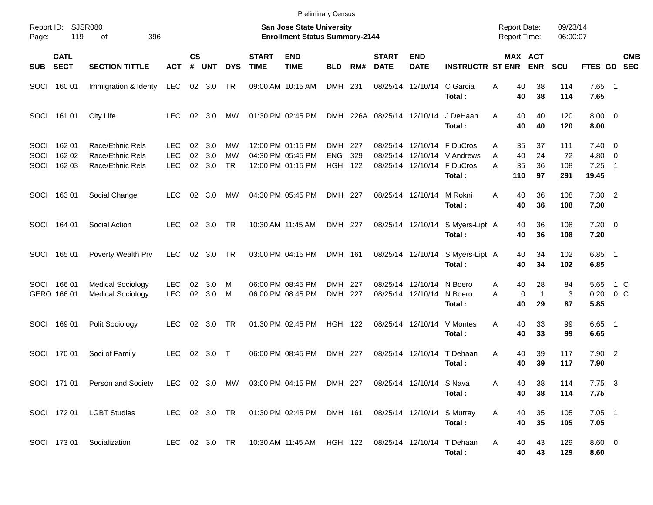|                      |                            |                                                                                                 |                                        |                |                   |                              |                             | <b>Preliminary Census</b>                                          |                          |                   |                             |                                        |                                                                        |                                            |                                                     |                         |                                              |                           |
|----------------------|----------------------------|-------------------------------------------------------------------------------------------------|----------------------------------------|----------------|-------------------|------------------------------|-----------------------------|--------------------------------------------------------------------|--------------------------|-------------------|-----------------------------|----------------------------------------|------------------------------------------------------------------------|--------------------------------------------|-----------------------------------------------------|-------------------------|----------------------------------------------|---------------------------|
| Report ID:<br>Page:  | 119                        | SJSR080<br>396<br>οf                                                                            |                                        |                |                   |                              |                             | San Jose State University<br><b>Enrollment Status Summary-2144</b> |                          |                   |                             |                                        |                                                                        | <b>Report Date:</b><br><b>Report Time:</b> |                                                     | 09/23/14<br>06:00:07    |                                              |                           |
| <b>SUB</b>           | <b>CATL</b><br><b>SECT</b> | <b>SECTION TITTLE</b>                                                                           | АСТ                                    | <b>CS</b><br># | <b>UNT</b>        | <b>DYS</b>                   | <b>START</b><br><b>TIME</b> | <b>END</b><br><b>TIME</b>                                          | <b>BLD</b>               | RM#               | <b>START</b><br><b>DATE</b> | <b>END</b><br><b>DATE</b>              | <b>INSTRUCTR ST ENR</b>                                                |                                            | <b>MAX ACT</b><br><b>ENR</b>                        | <b>SCU</b>              |                                              | <b>CMB</b><br>FTES GD SEC |
|                      | SOCI 160 01                | Immigration & Identy                                                                            | LEC                                    |                | 02 3.0            | TR                           |                             | 09:00 AM 10:15 AM                                                  | DMH 231                  |                   |                             | 08/25/14 12/10/14                      | C Garcia<br>Total:                                                     | A                                          | 40<br>38<br>40<br>38                                | 114<br>114              | $7.65$ 1<br>7.65                             |                           |
|                      | SOCI 161 01                | City Life                                                                                       | <b>LEC</b>                             | 02             | - 3.0             | МW                           |                             | 01:30 PM 02:45 PM                                                  |                          |                   | DMH 226A 08/25/14 12/10/14  |                                        | J DeHaan<br>Total:                                                     | A                                          | 40<br>40<br>40<br>40                                | 120<br>120              | $8.00 \t 0$<br>8.00                          |                           |
| SOCI<br>SOCI<br>SOCI | 162 01<br>162 02<br>162 03 | Race/Ethnic Rels<br>Race/Ethnic Rels<br>Race/Ethnic Rels                                        | <b>LEC</b><br><b>LEC</b><br><b>LEC</b> | 02<br>02<br>02 | 3.0<br>3.0<br>3.0 | МW<br><b>MW</b><br><b>TR</b> |                             | 12:00 PM 01:15 PM<br>04:30 PM 05:45 PM<br>12:00 PM 01:15 PM        | DMH<br><b>ENG</b><br>HGH | 227<br>329<br>122 | 08/25/14                    | 08/25/14 12/10/14                      | 08/25/14 12/10/14 F DuCros<br>12/10/14 V Andrews<br>F DuCros<br>Total: | A<br>A<br>A<br>110                         | 35<br>37<br>40<br>24<br>35<br>36<br>97              | 111<br>72<br>108<br>291 | $7.40 \quad 0$<br>$4.80\ 0$<br>7.25<br>19.45 | $\overline{\phantom{1}}$  |
|                      | SOCI 163 01                | Social Change                                                                                   | <b>LEC</b>                             |                | $02 \quad 3.0$    | МW                           |                             | 04:30 PM 05:45 PM                                                  | DMH 227                  |                   |                             | 08/25/14 12/10/14                      | M Rokni<br>Total:                                                      | A                                          | 40<br>36<br>40<br>36                                | 108<br>108              | $7.30\quad 2$<br>7.30                        |                           |
|                      | SOCI 164 01                | Social Action                                                                                   | LEC.                                   |                | 02 3.0            | <b>TR</b>                    |                             | 10:30 AM 11:45 AM                                                  | DMH 227                  |                   |                             | 08/25/14 12/10/14                      | S Myers-Lipt A<br>Total:                                               |                                            | 40<br>36<br>40<br>36                                | 108<br>108              | $7.20 \t 0$<br>7.20                          |                           |
|                      | SOCI 165 01                | Poverty Wealth Prv                                                                              | <b>LEC</b>                             |                | 02 3.0            | TR                           |                             | 03:00 PM 04:15 PM                                                  | DMH 161                  |                   |                             | 08/25/14 12/10/14                      | S Myers-Lipt A<br>Total:                                               |                                            | 40<br>34<br>40<br>34                                | 102<br>102              | $6.85$ 1<br>6.85                             |                           |
|                      | SOCI 166 01<br>GERO 166 01 | <b>Medical Sociology</b><br><b>Medical Sociology</b>                                            | <b>LEC</b><br><b>LEC</b>               | 02<br>02       | 3.0<br>3.0        | M<br>M                       |                             | 06:00 PM 08:45 PM<br>06:00 PM 08:45 PM                             | DMH<br>DMH 227           | 227               |                             | 08/25/14 12/10/14<br>08/25/14 12/10/14 | N Boero<br>N Boero<br>Total:                                           | A<br>A                                     | 40<br>28<br>$\mathbf 0$<br>$\mathbf{1}$<br>40<br>29 | 84<br>3<br>87           | 5.65<br>0.20<br>5.85                         | 1 C<br>0 <sup>o</sup>     |
|                      | SOCI 169 01                | Polit Sociology                                                                                 | <b>LEC</b>                             |                | $02 \quad 3.0$    | <b>TR</b>                    |                             | 01:30 PM 02:45 PM                                                  | <b>HGH 122</b>           |                   |                             | 08/25/14 12/10/14                      | V Montes<br>Total:                                                     | A                                          | 40<br>33<br>33<br>40                                | 99<br>99                | $6.65$ 1<br>6.65                             |                           |
|                      | SOCI 170 01                | Soci of Family                                                                                  | <b>LEC</b>                             | 02             | 3.0               | $\top$                       |                             | 06:00 PM 08:45 PM                                                  | DMH 227                  |                   |                             | 08/25/14 12/10/14                      | T Dehaan<br>Total:                                                     | Α                                          | 39<br>40<br>40<br>39                                | 117<br>117              | 7.90 2<br>7.90                               |                           |
|                      |                            | SOCI 171 01 Person and Society LEC 02 3.0 MW 03:00 PM 04:15 PM DMH 227 08/25/14 12/10/14 S Nava |                                        |                |                   |                              |                             |                                                                    |                          |                   |                             |                                        | Total:                                                                 | Α                                          | 40<br>38<br>40<br>38                                | 114<br>114              | 7.75 3<br>7.75                               |                           |
|                      |                            | SOCI 172 01 LGBT Studies                                                                        | LEC 02 3.0 TR                          |                |                   |                              |                             | 01:30 PM 02:45 PM DMH 161 08/25/14 12/10/14 S Murray               |                          |                   |                             |                                        | Total:                                                                 | A                                          | 35<br>40<br>40<br>35                                | 105<br>105              | $7.05$ 1<br>7.05                             |                           |
|                      |                            | SOCI 173 01 Socialization                                                                       | LEC 02 3.0 TR                          |                |                   |                              |                             | 10:30 AM 11:45 AM HGH 122 08/25/14 12/10/14 T Dehaan               |                          |                   |                             |                                        | Total:                                                                 | A                                          | 43<br>40<br>43<br>40                                | 129<br>129              | $8.60$ 0<br>8.60                             |                           |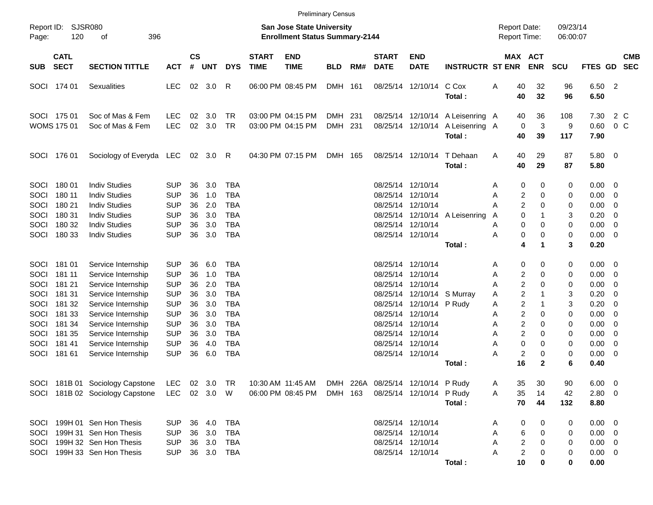|                                      |                                                |                                                                                                                      |                                                                    |                            |                                 |                                                                    |                             |                                                                           | <b>Preliminary Census</b> |     |                             |                                                                                                              |                                                              |                                            |                                                                                                    |                       |                                                                  |                                                                                                                                      |                          |
|--------------------------------------|------------------------------------------------|----------------------------------------------------------------------------------------------------------------------|--------------------------------------------------------------------|----------------------------|---------------------------------|--------------------------------------------------------------------|-----------------------------|---------------------------------------------------------------------------|---------------------------|-----|-----------------------------|--------------------------------------------------------------------------------------------------------------|--------------------------------------------------------------|--------------------------------------------|----------------------------------------------------------------------------------------------------|-----------------------|------------------------------------------------------------------|--------------------------------------------------------------------------------------------------------------------------------------|--------------------------|
| Report ID:<br>Page:                  | 120                                            | SJSR080<br>396<br>οf                                                                                                 |                                                                    |                            |                                 |                                                                    |                             | <b>San Jose State University</b><br><b>Enrollment Status Summary-2144</b> |                           |     |                             |                                                                                                              |                                                              | <b>Report Date:</b><br><b>Report Time:</b> |                                                                                                    | 09/23/14<br>06:00:07  |                                                                  |                                                                                                                                      |                          |
| <b>SUB</b>                           | <b>CATL</b><br><b>SECT</b>                     | <b>SECTION TITTLE</b>                                                                                                | <b>ACT</b>                                                         | <b>CS</b><br>#             | <b>UNT</b>                      | <b>DYS</b>                                                         | <b>START</b><br><b>TIME</b> | <b>END</b><br><b>TIME</b>                                                 | <b>BLD</b>                | RM# | <b>START</b><br><b>DATE</b> | <b>END</b><br><b>DATE</b>                                                                                    | <b>INSTRUCTR ST ENR</b>                                      |                                            | MAX ACT<br><b>ENR</b>                                                                              | <b>SCU</b>            | <b>FTES GD</b>                                                   |                                                                                                                                      | <b>CMB</b><br><b>SEC</b> |
| SOCI                                 | 174 01                                         | <b>Sexualities</b>                                                                                                   | <b>LEC</b>                                                         |                            | 02 3.0                          | R                                                                  |                             | 06:00 PM 08:45 PM                                                         | DMH 161                   |     |                             | 08/25/14 12/10/14                                                                                            | C Cox<br>Total:                                              | Α<br>40<br>40                              | 32<br>32                                                                                           | 96<br>96              | 6.50 2<br>6.50                                                   |                                                                                                                                      |                          |
|                                      | SOCI 175 01<br><b>WOMS 175 01</b>              | Soc of Mas & Fem<br>Soc of Mas & Fem                                                                                 | <b>LEC</b><br><b>LEC</b>                                           | 02<br>02                   | 3.0<br>3.0                      | TR<br>TR                                                           |                             | 03:00 PM 04:15 PM<br>03:00 PM 04:15 PM                                    | DMH 231<br>DMH 231        |     |                             | 08/25/14 12/10/14                                                                                            | 08/25/14 12/10/14 A Leisenring A<br>A Leisenring A<br>Total: | 40<br>40                                   | 36<br>3<br>$\mathbf 0$<br>39                                                                       | 108<br>9<br>117       | 7.30<br>0.60<br>7.90                                             |                                                                                                                                      | 2 C<br>$0\,$ C           |
| SOCI                                 | 176 01                                         | Sociology of Everyda LEC 02 3.0                                                                                      |                                                                    |                            |                                 | R                                                                  |                             | 04:30 PM 07:15 PM                                                         | DMH 165                   |     |                             | 08/25/14 12/10/14                                                                                            | T Dehaan<br>Total:                                           | A<br>40<br>40                              | 29<br>29                                                                                           | 87<br>87              | 5.80 0<br>5.80                                                   |                                                                                                                                      |                          |
| SOCI<br>SOCI<br>SOCI<br>SOCI<br>SOCI | 180 01<br>180 11<br>180 21<br>180 31<br>180 32 | <b>Indiv Studies</b><br><b>Indiv Studies</b><br><b>Indiv Studies</b><br><b>Indiv Studies</b><br><b>Indiv Studies</b> | <b>SUP</b><br><b>SUP</b><br><b>SUP</b><br><b>SUP</b><br><b>SUP</b> | 36<br>36<br>36<br>36<br>36 | 3.0<br>1.0<br>2.0<br>3.0<br>3.0 | <b>TBA</b><br><b>TBA</b><br><b>TBA</b><br><b>TBA</b><br><b>TBA</b> |                             |                                                                           |                           |     | 08/25/14 12/10/14           | 08/25/14 12/10/14<br>08/25/14 12/10/14<br>08/25/14 12/10/14                                                  | 08/25/14 12/10/14 A Leisenring                               | A<br>A<br>А<br>A<br>Α                      | 0<br>0<br>2<br>0<br>$\overline{2}$<br>0<br>0<br>1<br>0<br>0                                        | 0<br>0<br>0<br>3<br>0 | $0.00 \t 0$<br>0.00<br>0.00<br>0.20<br>0.00                      | $\overline{\phantom{0}}$<br>$\overline{\mathbf{0}}$<br>$\overline{\mathbf{0}}$<br>$\overline{\phantom{0}}$                           |                          |
| SOCI                                 | 180 33                                         | <b>Indiv Studies</b>                                                                                                 | <b>SUP</b>                                                         | 36                         | 3.0                             | <b>TBA</b>                                                         |                             |                                                                           |                           |     |                             | 08/25/14 12/10/14                                                                                            | Total:                                                       | Α                                          | 0<br>0<br>4<br>1                                                                                   | 0<br>3                | $0.00 \t 0$<br>0.20                                              |                                                                                                                                      |                          |
| SOCI<br>SOCI<br>SOCI<br>SOCI         | 181 01<br>181 11<br>181 21<br>181 31           | Service Internship<br>Service Internship<br>Service Internship<br>Service Internship                                 | <b>SUP</b><br><b>SUP</b><br><b>SUP</b><br><b>SUP</b>               | 36<br>36<br>36<br>36       | 6.0<br>1.0<br>2.0<br>3.0        | TBA<br><b>TBA</b><br><b>TBA</b><br><b>TBA</b>                      |                             |                                                                           |                           |     | 08/25/14 12/10/14           | 08/25/14 12/10/14<br>08/25/14 12/10/14<br>08/25/14 12/10/14 S Murray                                         |                                                              | A<br>Α<br>Α<br>A                           | 0<br>0<br>2<br>0<br>$\overline{2}$<br>0<br>$\overline{2}$<br>1                                     | 0<br>0<br>0<br>3      | $0.00 \ 0$<br>0.00<br>0.00<br>0.20                               | $\overline{\phantom{0}}$<br>$\overline{\phantom{0}}$<br>$\overline{\mathbf{0}}$                                                      |                          |
| SOCI<br>SOCI<br>SOCI<br>SOCI<br>SOCI | 181 32<br>181 33<br>181 34<br>181 35<br>18141  | Service Internship<br>Service Internship<br>Service Internship<br>Service Internship<br>Service Internship           | <b>SUP</b><br><b>SUP</b><br><b>SUP</b><br><b>SUP</b><br><b>SUP</b> | 36<br>36<br>36<br>36<br>36 | 3.0<br>3.0<br>3.0<br>3.0<br>4.0 | <b>TBA</b><br><b>TBA</b><br><b>TBA</b><br><b>TBA</b><br><b>TBA</b> |                             |                                                                           |                           |     |                             | 08/25/14 12/10/14 P Rudy<br>08/25/14 12/10/14<br>08/25/14 12/10/14<br>08/25/14 12/10/14<br>08/25/14 12/10/14 |                                                              | A<br>Α<br>Α<br>Α<br>Α                      | $\overline{c}$<br>1<br>$\overline{c}$<br>0<br>$\overline{2}$<br>0<br>$\overline{2}$<br>0<br>0<br>0 | 3<br>0<br>0<br>0<br>0 | 0.20<br>0.00<br>0.00<br>0.00<br>0.00                             | $\overline{\mathbf{0}}$<br>$\overline{\mathbf{0}}$<br>$\overline{\mathbf{0}}$<br>$\overline{\mathbf{0}}$<br>$\overline{\phantom{0}}$ |                          |
| SOCI                                 | 181 61                                         | Service Internship                                                                                                   | <b>SUP</b>                                                         | 36                         | 6.0                             | <b>TBA</b>                                                         |                             |                                                                           |                           |     |                             | 08/25/14 12/10/14                                                                                            | Total :                                                      | Α<br>16                                    | 2<br>0<br>$\mathbf{2}$                                                                             | 0<br>6                | $0.00 \t 0$<br>0.40                                              |                                                                                                                                      |                          |
|                                      |                                                | SOCI 181B 01 Sociology Capstone<br>SOCI 181B 02 Sociology Capstone                                                   | LEC<br>LEC 02 3.0 W                                                |                            | 02 3.0 TR                       |                                                                    |                             | 10:30 AM 11:45 AM<br>06:00 PM 08:45 PM                                    | DMH 163                   |     |                             | DMH 226A 08/25/14 12/10/14 P Rudy<br>08/25/14 12/10/14 P Rudy                                                | Total:                                                       | 35<br>A<br>35<br>A<br>70                   | 30<br>14<br>44                                                                                     | 90<br>42<br>132       | $6.00 \t 0$<br>2.80 0<br>8.80                                    |                                                                                                                                      |                          |
| SOCI<br>SOCI<br>SOCI<br>SOCI         |                                                | 199H 01 Sen Hon Thesis<br>199H 31 Sen Hon Thesis<br>199H 32 Sen Hon Thesis<br>199H 33 Sen Hon Thesis                 | <b>SUP</b><br><b>SUP</b><br><b>SUP</b><br><b>SUP</b>               |                            | 36 4.0<br>36 3.0<br>36 3.0      | <b>TBA</b><br>TBA<br>TBA<br>36 3.0 TBA                             |                             |                                                                           |                           |     |                             | 08/25/14 12/10/14<br>08/25/14 12/10/14<br>08/25/14 12/10/14<br>08/25/14 12/10/14                             | Total:                                                       | A<br>Α<br>Α<br>Α<br>10                     | 0<br>0<br>6<br>0<br>2<br>0<br>$\overline{c}$<br>0<br>0                                             | 0<br>0<br>0<br>0<br>0 | $0.00 \t 0$<br>$0.00 \t 0$<br>$0.00 \t 0$<br>$0.00 \t 0$<br>0.00 |                                                                                                                                      |                          |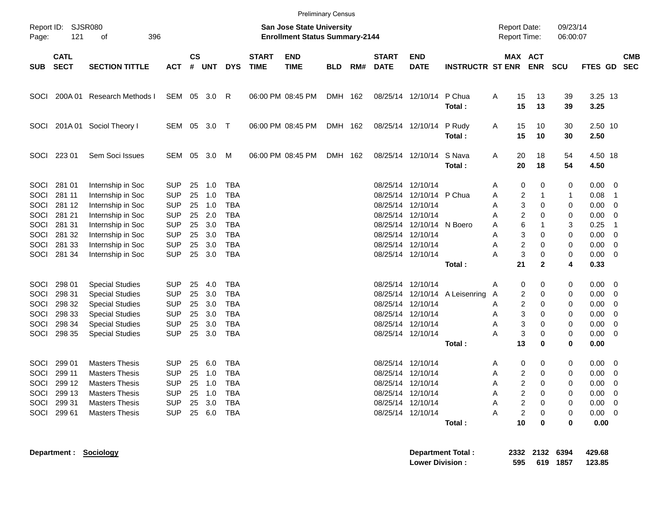|                                              |                                                                              |                                                                                                                                                          |                                                                                  |                                  |                                          |                                                                                  |                             |                                                                           | <b>Preliminary Census</b> |     |                             |                                                                                                                            |                                          |                            |                                                                       |                                        |                                  |                                                                                  |                                                  |            |
|----------------------------------------------|------------------------------------------------------------------------------|----------------------------------------------------------------------------------------------------------------------------------------------------------|----------------------------------------------------------------------------------|----------------------------------|------------------------------------------|----------------------------------------------------------------------------------|-----------------------------|---------------------------------------------------------------------------|---------------------------|-----|-----------------------------|----------------------------------------------------------------------------------------------------------------------------|------------------------------------------|----------------------------|-----------------------------------------------------------------------|----------------------------------------|----------------------------------|----------------------------------------------------------------------------------|--------------------------------------------------|------------|
| Report ID:<br>Page:                          | 121                                                                          | SJSR080<br>οf<br>396                                                                                                                                     |                                                                                  |                                  |                                          |                                                                                  |                             | <b>San Jose State University</b><br><b>Enrollment Status Summary-2144</b> |                           |     |                             |                                                                                                                            |                                          |                            | <b>Report Date:</b><br>Report Time:                                   |                                        | 09/23/14<br>06:00:07             |                                                                                  |                                                  |            |
| <b>SUB</b>                                   | <b>CATL</b><br><b>SECT</b>                                                   | <b>SECTION TITTLE</b>                                                                                                                                    | <b>ACT</b>                                                                       | <b>CS</b><br>#                   | <b>UNT</b>                               | <b>DYS</b>                                                                       | <b>START</b><br><b>TIME</b> | <b>END</b><br><b>TIME</b>                                                 | <b>BLD</b>                | RM# | <b>START</b><br><b>DATE</b> | <b>END</b><br><b>DATE</b>                                                                                                  | <b>INSTRUCTR ST ENR ENR</b>              |                            | MAX ACT                                                               |                                        | <b>SCU</b>                       | FTES GD SEC                                                                      |                                                  | <b>CMB</b> |
| <b>SOCI</b>                                  | 200A 01                                                                      | Research Methods I                                                                                                                                       | SEM 05 3.0                                                                       |                                  |                                          | R                                                                                |                             | 06:00 PM 08:45 PM                                                         | DMH 162                   |     |                             | 08/25/14 12/10/14                                                                                                          | P Chua<br>Total:                         | Α                          | 15<br>13<br>15<br>13                                                  |                                        | 39<br>39                         | 3.25 13<br>3.25                                                                  |                                                  |            |
| <b>SOCI</b>                                  |                                                                              | 201A 01 Sociol Theory I                                                                                                                                  | SEM 05 3.0 T                                                                     |                                  |                                          |                                                                                  |                             | 06:00 PM 08:45 PM                                                         | DMH 162                   |     |                             | 08/25/14 12/10/14                                                                                                          | P Rudy<br>Total:                         | A                          | 15<br>10<br>15<br>10                                                  |                                        | 30<br>30                         | 2.50 10<br>2.50                                                                  |                                                  |            |
|                                              | SOCI 223 01                                                                  | Sem Soci Issues                                                                                                                                          | SEM 05 3.0 M                                                                     |                                  |                                          |                                                                                  |                             | 06:00 PM 08:45 PM                                                         | DMH 162                   |     |                             | 08/25/14 12/10/14                                                                                                          | S Nava<br>Total:                         | A                          | 20<br>18<br>20<br>18                                                  |                                        | 54<br>54                         | 4.50 18<br>4.50                                                                  |                                                  |            |
| <b>SOCI</b><br>SOCI<br>SOCI<br>SOCI<br>SOCI  | 281 01<br>281 11<br>281 12<br>281 21<br>281 31                               | Internship in Soc<br>Internship in Soc<br>Internship in Soc<br>Internship in Soc<br>Internship in Soc                                                    | <b>SUP</b><br><b>SUP</b><br><b>SUP</b><br><b>SUP</b><br><b>SUP</b>               | 25<br>25<br>25<br>25<br>25       | 1.0<br>1.0<br>1.0<br>2.0<br>3.0          | <b>TBA</b><br><b>TBA</b><br><b>TBA</b><br><b>TBA</b><br><b>TBA</b>               |                             |                                                                           |                           |     |                             | 08/25/14 12/10/14<br>08/25/14 12/10/14 P Chua<br>08/25/14 12/10/14<br>08/25/14 12/10/14<br>08/25/14 12/10/14 N Boero       |                                          | Α<br>Α<br>A<br>A<br>A      | 0<br>2<br>3<br>2<br>6                                                 | 0<br>0<br>0                            | 0<br>$\mathbf{1}$<br>0<br>0<br>3 | 0.00<br>0.08<br>0.00<br>0.00<br>0.25                                             | $\overline{\phantom{0}}$<br>-1<br>0<br>0<br>-1   |            |
| SOCI<br>SOCI<br>SOCI                         | 281 32<br>281 33<br>281 34                                                   | Internship in Soc<br>Internship in Soc<br>Internship in Soc                                                                                              | <b>SUP</b><br><b>SUP</b><br><b>SUP</b>                                           | 25<br>25<br>25                   | 3.0<br>3.0<br>3.0                        | <b>TBA</b><br><b>TBA</b><br><b>TBA</b>                                           |                             |                                                                           |                           |     |                             | 08/25/14 12/10/14<br>08/25/14 12/10/14<br>08/25/14 12/10/14                                                                | Total:                                   | Α<br>A<br>А                | 3<br>$\overline{\mathbf{c}}$<br>3<br>21                               | 0<br>0<br>0<br>$\mathbf{2}$            | 0<br>0<br>0<br>4                 | 0.00<br>0.00<br>0.00<br>0.33                                                     | 0<br>0<br>$\overline{\mathbf{0}}$                |            |
| SOCI<br>SOCI<br>SOCI<br>SOCI<br>SOCI<br>SOCI | 298 01<br>298 31<br>298 32<br>298 33<br>298 34<br>298 35                     | <b>Special Studies</b><br><b>Special Studies</b><br><b>Special Studies</b><br><b>Special Studies</b><br><b>Special Studies</b><br><b>Special Studies</b> | <b>SUP</b><br><b>SUP</b><br><b>SUP</b><br><b>SUP</b><br><b>SUP</b><br><b>SUP</b> | 25<br>25<br>25<br>25<br>25<br>25 | 4.0<br>3.0<br>3.0<br>3.0<br>3.0<br>3.0   | <b>TBA</b><br><b>TBA</b><br><b>TBA</b><br><b>TBA</b><br><b>TBA</b><br><b>TBA</b> |                             |                                                                           |                           |     |                             | 08/25/14 12/10/14<br>08/25/14 12/10/14<br>08/25/14 12/10/14<br>08/25/14 12/10/14<br>08/25/14 12/10/14                      | 08/25/14 12/10/14 A Leisenring<br>Total: | Α<br>A<br>A<br>Α<br>Α<br>А | 0<br>2<br>2<br>3<br>3<br>3<br>13                                      | 0<br>0<br>0<br>0<br>0<br>0<br>0        | 0<br>0<br>0<br>0<br>0<br>0<br>0  | 0.00<br>0.00<br>0.00<br>0.00<br>0.00<br>0.00<br>0.00                             | $\overline{\mathbf{0}}$<br>0<br>0<br>0<br>0<br>0 |            |
| SOCI<br>SOCI                                 | 299 01<br>299 11<br>SOCI 299 12<br>SOCI 299 13<br>SOCI 299 31<br>SOCI 299 61 | <b>Masters Thesis</b><br><b>Masters Thesis</b><br><b>Masters Thesis</b><br><b>Masters Thesis</b><br><b>Masters Thesis</b><br><b>Masters Thesis</b>       | SUP<br><b>SUP</b><br><b>SUP</b><br><b>SUP</b><br><b>SUP</b><br><b>SUP</b>        | 25<br>25                         | 6.0<br>1.0<br>25 1.0<br>25 1.0<br>25 3.0 | TBA<br><b>TBA</b><br>TBA<br>TBA<br>TBA<br>25 6.0 TBA                             |                             |                                                                           |                           |     |                             | 08/25/14 12/10/14<br>08/25/14 12/10/14<br>08/25/14 12/10/14<br>08/25/14 12/10/14<br>08/25/14 12/10/14<br>08/25/14 12/10/14 | Total:                                   | Α<br>Α<br>A<br>Α<br>Α      | 0<br>2<br>2<br>2<br>$\boldsymbol{2}$<br>$\overline{\mathbf{c}}$<br>10 | 0<br>$\Omega$<br>0<br>0<br>0<br>0<br>0 | 0<br>0<br>0<br>0<br>0<br>0<br>0  | 0.00<br>0.00<br>$0.00 \t 0$<br>$0.00 \t 0$<br>$0.00 \t 0$<br>$0.00 \t 0$<br>0.00 | $\overline{\mathbf{0}}$<br>$\overline{0}$        |            |
|                                              |                                                                              | Department : Sociology                                                                                                                                   |                                                                                  |                                  |                                          |                                                                                  |                             |                                                                           |                           |     |                             |                                                                                                                            | <b>Department Total:</b>                 |                            | 2332 2132 6394                                                        |                                        |                                  | 429.68                                                                           |                                                  |            |

**Lower Division : 595 619 1857 123.85**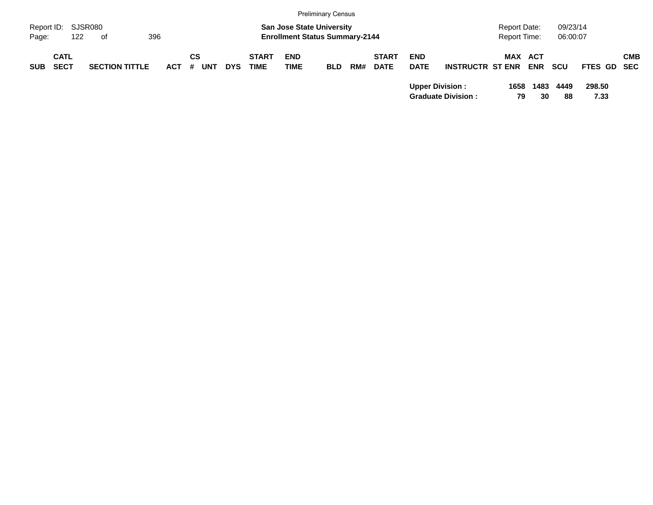|            |             |                       |         |            |            |              |                                       | <b>Preliminary Census</b> |     |              |             |                           |                     |            |          |             |            |
|------------|-------------|-----------------------|---------|------------|------------|--------------|---------------------------------------|---------------------------|-----|--------------|-------------|---------------------------|---------------------|------------|----------|-------------|------------|
| Report ID: |             | SJSR080               |         |            |            |              | <b>San Jose State University</b>      |                           |     |              |             |                           | <b>Report Date:</b> |            | 09/23/14 |             |            |
| Page:      | 122         | of                    | 396     |            |            |              | <b>Enrollment Status Summary-2144</b> |                           |     |              |             |                           | <b>Report Time:</b> |            | 06:00:07 |             |            |
|            | <b>CATL</b> |                       |         | СS         |            | <b>START</b> | <b>END</b>                            |                           |     | <b>START</b> | <b>END</b>  |                           | <b>MAX ACT</b>      |            |          |             | <b>CMB</b> |
| <b>SUB</b> | <b>SECT</b> | <b>SECTION TITTLE</b> | $ACT$ # | <b>UNT</b> | <b>DYS</b> | <b>TIME</b>  | <b>TIME</b>                           | <b>BLD</b>                | RM# | <b>DATE</b>  | <b>DATE</b> | <b>INSTRUCTR ST ENR</b>   |                     | <b>ENR</b> | scu      | FTES GD SEC |            |
|            |             |                       |         |            |            |              |                                       |                           |     |              |             | <b>Upper Division:</b>    | 1658                | 1483       | 4449     | 298.50      |            |
|            |             |                       |         |            |            |              |                                       |                           |     |              |             | <b>Graduate Division:</b> | 79                  | 30         | 88       | 7.33        |            |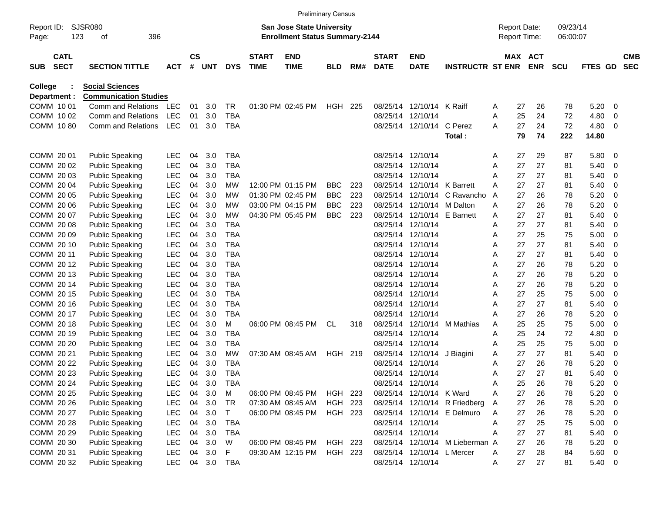|                     |                            |     |                              |            |                |            |            |                             | <b>Preliminary Census</b>                                                 |                |     |                             |                            |                                 |   |    |                                     |                      |         |                          |                          |
|---------------------|----------------------------|-----|------------------------------|------------|----------------|------------|------------|-----------------------------|---------------------------------------------------------------------------|----------------|-----|-----------------------------|----------------------------|---------------------------------|---|----|-------------------------------------|----------------------|---------|--------------------------|--------------------------|
| Report ID:<br>Page: |                            | 123 | SJSR080<br>396<br>οf         |            |                |            |            |                             | <b>San Jose State University</b><br><b>Enrollment Status Summary-2144</b> |                |     |                             |                            |                                 |   |    | <b>Report Date:</b><br>Report Time: | 09/23/14<br>06:00:07 |         |                          |                          |
| <b>SUB</b>          | <b>CATL</b><br><b>SECT</b> |     | <b>SECTION TITTLE</b>        | <b>ACT</b> | <b>CS</b><br># | <b>UNT</b> | <b>DYS</b> | <b>START</b><br><b>TIME</b> | <b>END</b><br><b>TIME</b>                                                 | <b>BLD</b>     | RM# | <b>START</b><br><b>DATE</b> | <b>END</b><br><b>DATE</b>  | <b>INSTRUCTR ST ENR</b>         |   |    | MAX ACT<br><b>ENR</b>               | <b>SCU</b>           | FTES GD |                          | <b>CMB</b><br><b>SEC</b> |
| <b>College</b>      |                            |     | <b>Social Sciences</b>       |            |                |            |            |                             |                                                                           |                |     |                             |                            |                                 |   |    |                                     |                      |         |                          |                          |
| Department :        |                            |     | <b>Communication Studies</b> |            |                |            |            |                             |                                                                           |                |     |                             |                            |                                 |   |    |                                     |                      |         |                          |                          |
| COMM 1001           |                            |     | Comm and Relations           | <b>LEC</b> | 01             | 3.0        | TR         |                             | 01:30 PM 02:45 PM                                                         | HGH            | 225 | 08/25/14                    | 12/10/14 K Raiff           |                                 | A | 27 | 26                                  | 78                   | 5.20    | 0                        |                          |
| COMM 10 02          |                            |     | Comm and Relations           | <b>LEC</b> | 01             | 3.0        | <b>TBA</b> |                             |                                                                           |                |     | 08/25/14                    | 12/10/14                   |                                 | A | 25 | 24                                  | 72                   | 4.80    | 0                        |                          |
| COMM 1080           |                            |     | Comm and Relations           | <b>LEC</b> | 01             | 3.0        | TBA        |                             |                                                                           |                |     |                             | 08/25/14 12/10/14          | C Perez                         | A | 27 | 24                                  | 72                   | 4.80    | 0                        |                          |
|                     |                            |     |                              |            |                |            |            |                             |                                                                           |                |     |                             |                            | Total:                          |   | 79 | 74                                  | 222                  | 14.80   |                          |                          |
| COMM 20 01          |                            |     | <b>Public Speaking</b>       | <b>LEC</b> | 04             | 3.0        | <b>TBA</b> |                             |                                                                           |                |     | 08/25/14                    | 12/10/14                   |                                 | Α | 27 | 29                                  | 87                   | 5.80    | 0                        |                          |
| COMM 2002           |                            |     | <b>Public Speaking</b>       | <b>LEC</b> | 04             | 3.0        | <b>TBA</b> |                             |                                                                           |                |     | 08/25/14                    | 12/10/14                   |                                 | Α | 27 | 27                                  | 81                   | 5.40    | 0                        |                          |
| COMM 2003           |                            |     | <b>Public Speaking</b>       | <b>LEC</b> | 04             | 3.0        | <b>TBA</b> |                             |                                                                           |                |     | 08/25/14                    | 12/10/14                   |                                 | A | 27 | 27                                  | 81                   | 5.40    | 0                        |                          |
| COMM 2004           |                            |     | <b>Public Speaking</b>       | <b>LEC</b> | 04             | 3.0        | МW         |                             | 12:00 PM 01:15 PM                                                         | BBC.           | 223 | 08/25/14                    | 12/10/14                   | K Barrett                       | A | 27 | 27                                  | 81                   | 5.40    | 0                        |                          |
| COMM 20 05          |                            |     | <b>Public Speaking</b>       | <b>LEC</b> | 04             | 3.0        | МW         |                             | 01:30 PM 02:45 PM                                                         | <b>BBC</b>     | 223 | 08/25/14                    | 12/10/14                   | C Ravancho                      | A | 27 | 26                                  | 78                   | 5.20    | 0                        |                          |
| COMM 20 06          |                            |     | <b>Public Speaking</b>       | <b>LEC</b> | 04             | 3.0        | МW         |                             | 03:00 PM 04:15 PM                                                         | <b>BBC</b>     | 223 | 08/25/14                    | 12/10/14                   | M Dalton                        | A | 27 | 26                                  | 78                   | 5.20    | 0                        |                          |
| COMM 2007           |                            |     | <b>Public Speaking</b>       | <b>LEC</b> | 04             | 3.0        | МW         |                             | 04:30 PM 05:45 PM                                                         | <b>BBC</b>     | 223 | 08/25/14                    | 12/10/14                   | <b>E</b> Barnett                | Α | 27 | 27                                  | 81                   | 5.40    | 0                        |                          |
| COMM 2008           |                            |     | <b>Public Speaking</b>       | <b>LEC</b> | 04             | 3.0        | TBA        |                             |                                                                           |                |     | 08/25/14                    | 12/10/14                   |                                 | A | 27 | 27                                  | 81                   | 5.40    | 0                        |                          |
| COMM 20 09          |                            |     | <b>Public Speaking</b>       | <b>LEC</b> | 04             | 3.0        | TBA        |                             |                                                                           |                |     | 08/25/14                    | 12/10/14                   |                                 | A | 27 | 25                                  | 75                   | 5.00    | 0                        |                          |
| COMM 20 10          |                            |     | <b>Public Speaking</b>       | <b>LEC</b> | 04             | 3.0        | <b>TBA</b> |                             |                                                                           |                |     | 08/25/14                    | 12/10/14                   |                                 | A | 27 | 27                                  | 81                   | 5.40    | 0                        |                          |
| COMM 20 11          |                            |     | <b>Public Speaking</b>       | <b>LEC</b> | 04             | 3.0        | <b>TBA</b> |                             |                                                                           |                |     | 08/25/14                    | 12/10/14                   |                                 | A | 27 | 27                                  | 81                   | 5.40    | 0                        |                          |
| COMM 2012           |                            |     | <b>Public Speaking</b>       | <b>LEC</b> | 04             | 3.0        | TBA        |                             |                                                                           |                |     | 08/25/14                    | 12/10/14                   |                                 | A | 27 | 26                                  | 78                   | 5.20    | 0                        |                          |
| COMM 2013           |                            |     | <b>Public Speaking</b>       | <b>LEC</b> | 04             | 3.0        | <b>TBA</b> |                             |                                                                           |                |     | 08/25/14                    | 12/10/14                   |                                 | A | 27 | 26                                  | 78                   | 5.20    | 0                        |                          |
| COMM 2014           |                            |     | <b>Public Speaking</b>       | <b>LEC</b> | 04             | 3.0        | TBA        |                             |                                                                           |                |     | 08/25/14                    | 12/10/14                   |                                 | A | 27 | 26                                  | 78                   | 5.20    | 0                        |                          |
| COMM 2015           |                            |     | <b>Public Speaking</b>       | <b>LEC</b> | 04             | 3.0        | <b>TBA</b> |                             |                                                                           |                |     | 08/25/14                    | 12/10/14                   |                                 | Α | 27 | 25                                  | 75                   | 5.00    | 0                        |                          |
| COMM 2016           |                            |     | <b>Public Speaking</b>       | <b>LEC</b> | 04             | 3.0        | <b>TBA</b> |                             |                                                                           |                |     | 08/25/14                    | 12/10/14                   |                                 | A | 27 | 27                                  | 81                   | 5.40    | 0                        |                          |
| COMM 2017           |                            |     | <b>Public Speaking</b>       | <b>LEC</b> | 04             | 3.0        | TBA        |                             |                                                                           |                |     | 08/25/14                    | 12/10/14                   |                                 | А | 27 | 26                                  | 78                   | 5.20    | 0                        |                          |
| COMM 2018           |                            |     | <b>Public Speaking</b>       | <b>LEC</b> | 04             | 3.0        | м          |                             | 06:00 PM 08:45 PM                                                         | CL             | 318 | 08/25/14                    | 12/10/14                   | M Mathias                       | Α | 25 | 25                                  | 75                   | 5.00    | 0                        |                          |
| COMM 20 19          |                            |     | <b>Public Speaking</b>       | <b>LEC</b> | 04             | 3.0        | <b>TBA</b> |                             |                                                                           |                |     | 08/25/14                    | 12/10/14                   |                                 | A | 25 | 24                                  | 72                   | 4.80    | 0                        |                          |
| COMM 20 20          |                            |     | <b>Public Speaking</b>       | <b>LEC</b> | 04             | 3.0        | TBA        |                             |                                                                           |                |     | 08/25/14                    | 12/10/14                   |                                 | A | 25 | 25                                  | 75                   | 5.00    | 0                        |                          |
| COMM 20 21          |                            |     | <b>Public Speaking</b>       | <b>LEC</b> | 04             | 3.0        | МW         |                             | 07:30 AM 08:45 AM                                                         | HGH            | 219 | 08/25/14                    | 12/10/14                   | J Biagini                       | Α | 27 | 27                                  | 81                   | 5.40    | 0                        |                          |
| COMM 20 22          |                            |     | <b>Public Speaking</b>       | <b>LEC</b> | 04             | 3.0        | <b>TBA</b> |                             |                                                                           |                |     | 08/25/14                    | 12/10/14                   |                                 | A | 27 | 26                                  | 78                   | 5.20    | 0                        |                          |
| COMM 20 23          |                            |     | <b>Public Speaking</b>       | <b>LEC</b> | 04             | 3.0        | TBA        |                             |                                                                           |                |     |                             | 08/25/14 12/10/14          |                                 | A | 27 | 27                                  | 81                   | 5.40    | 0                        |                          |
| COMM 20 24          |                            |     | <b>Public Speaking</b>       | <b>LEC</b> | 04             | 3.0        | TBA        |                             |                                                                           |                |     |                             | 08/25/14 12/10/14          |                                 | A | 25 | 26                                  | 78                   | 5.20    | 0                        |                          |
| COMM 20 25          |                            |     | <b>Public Speaking</b>       | <b>LEC</b> | 04             | 3.0        | M          |                             | 06:00 PM 08:45 PM                                                         | HGH 223        |     |                             | 08/25/14 12/10/14 K Ward   |                                 | Α | 27 | 26                                  | 78                   | 5.20    | $\overline{\mathbf{0}}$  |                          |
| COMM 20 26          |                            |     | <b>Public Speaking</b>       | <b>LEC</b> | 04             | 3.0        | TR         |                             | 07:30 AM 08:45 AM                                                         | <b>HGH 223</b> |     |                             |                            | 08/25/14 12/10/14 R Friedberg   | Α | 27 | 26                                  | 78                   | 5.20    | - 0                      |                          |
| COMM 20 27          |                            |     | <b>Public Speaking</b>       | <b>LEC</b> | 04             | 3.0        | T          |                             | 06:00 PM 08:45 PM                                                         | HGH 223        |     |                             |                            | 08/25/14 12/10/14 E Delmuro     | Α | 27 | 26                                  | 78                   | 5.20    | - 0                      |                          |
| COMM 20 28          |                            |     | <b>Public Speaking</b>       | <b>LEC</b> | 04             | 3.0        | <b>TBA</b> |                             |                                                                           |                |     |                             | 08/25/14 12/10/14          |                                 | Α | 27 | 25                                  | 75                   | 5.00    | - 0                      |                          |
| COMM 20 29          |                            |     | <b>Public Speaking</b>       | <b>LEC</b> | 04             | 3.0        | <b>TBA</b> |                             |                                                                           |                |     |                             | 08/25/14 12/10/14          |                                 | A | 27 | 27                                  | 81                   | 5.40    | - 0                      |                          |
| COMM 20 30          |                            |     | <b>Public Speaking</b>       | <b>LEC</b> | 04             | 3.0        | W          |                             | 06:00 PM 08:45 PM                                                         | HGH 223        |     |                             |                            | 08/25/14 12/10/14 M Lieberman A |   | 27 | 26                                  | 78                   | 5.20    | $\overline{\mathbf{0}}$  |                          |
| COMM 20 31          |                            |     | <b>Public Speaking</b>       | <b>LEC</b> | 04             | 3.0        | F          |                             | 09:30 AM 12:15 PM                                                         | HGH 223        |     |                             | 08/25/14 12/10/14 L Mercer |                                 | Α | 27 | 28                                  | 84                   | 5.60    | $\overline{\phantom{0}}$ |                          |
| COMM 20 32          |                            |     | <b>Public Speaking</b>       | <b>LEC</b> | 04             | 3.0        | TBA        |                             |                                                                           |                |     |                             | 08/25/14 12/10/14          |                                 | A | 27 | 27                                  | 81                   | 5.40 0  |                          |                          |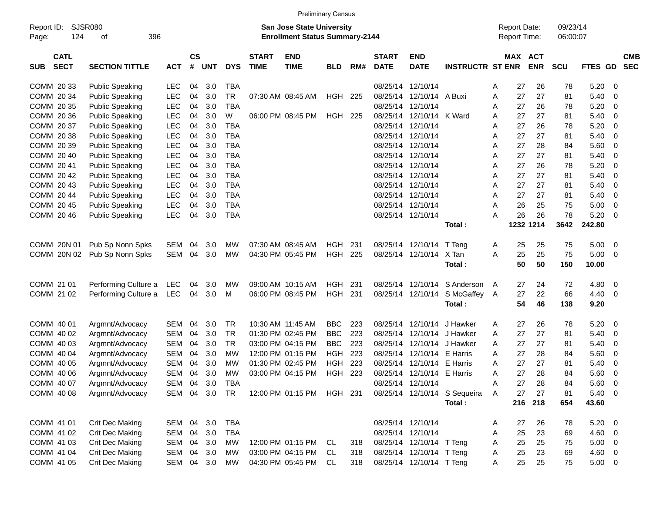|                                          |                             |            |                |            |            |                             |                                                                           | <b>Preliminary Census</b> |     |                             |                            |                              |   |                                     |            |                      |             |                          |                          |
|------------------------------------------|-----------------------------|------------|----------------|------------|------------|-----------------------------|---------------------------------------------------------------------------|---------------------------|-----|-----------------------------|----------------------------|------------------------------|---|-------------------------------------|------------|----------------------|-------------|--------------------------|--------------------------|
| Report ID:<br>124<br>Page:               | <b>SJSR080</b><br>396<br>οf |            |                |            |            |                             | <b>San Jose State University</b><br><b>Enrollment Status Summary-2144</b> |                           |     |                             |                            |                              |   | <b>Report Date:</b><br>Report Time: |            | 09/23/14<br>06:00:07 |             |                          |                          |
| <b>CATL</b><br><b>SECT</b><br><b>SUB</b> | <b>SECTION TITTLE</b>       | <b>ACT</b> | <b>CS</b><br># | <b>UNT</b> | <b>DYS</b> | <b>START</b><br><b>TIME</b> | <b>END</b><br><b>TIME</b>                                                 | <b>BLD</b>                | RM# | <b>START</b><br><b>DATE</b> | <b>END</b><br><b>DATE</b>  | <b>INSTRUCTR ST ENR</b>      |   | MAX ACT                             | <b>ENR</b> | <b>SCU</b>           | <b>FTES</b> | GD                       | <b>CMB</b><br><b>SEC</b> |
| COMM 20 33                               | <b>Public Speaking</b>      | <b>LEC</b> | 04             | 3.0        | <b>TBA</b> |                             |                                                                           |                           |     |                             | 08/25/14 12/10/14          |                              | Α | 27                                  | 26         | 78                   | 5.20        | 0                        |                          |
| COMM 20 34                               | <b>Public Speaking</b>      | <b>LEC</b> | 04             | 3.0        | <b>TR</b>  |                             | 07:30 AM 08:45 AM                                                         | <b>HGH</b>                | 225 | 08/25/14                    | 12/10/14                   | A Buxi                       | A | 27                                  | 27         | 81                   | 5.40        | 0                        |                          |
| COMM 20 35                               | <b>Public Speaking</b>      | LEC        | 04             | 3.0        | <b>TBA</b> |                             |                                                                           |                           |     | 08/25/14                    | 12/10/14                   |                              | Α | 27                                  | 26         | 78                   | 5.20        | 0                        |                          |
| COMM 20 36                               | <b>Public Speaking</b>      | LEC        | 04             | 3.0        | W          |                             | 06:00 PM 08:45 PM                                                         | <b>HGH</b>                | 225 | 08/25/14                    | 12/10/14                   | K Ward                       | Α | 27                                  | 27         | 81                   | 5.40        | 0                        |                          |
| COMM 20 37                               | <b>Public Speaking</b>      | LEC        | 04             | 3.0        | <b>TBA</b> |                             |                                                                           |                           |     | 08/25/14                    | 12/10/14                   |                              | Α | 27                                  | 26         | 78                   | 5.20        | 0                        |                          |
| COMM 20 38                               | <b>Public Speaking</b>      | LEC        | 04             | 3.0        | <b>TBA</b> |                             |                                                                           |                           |     | 08/25/14                    | 12/10/14                   |                              | Α | 27                                  | 27         | 81                   | 5.40        | 0                        |                          |
| COMM 20 39                               | <b>Public Speaking</b>      | LEC        | 04             | 3.0        | <b>TBA</b> |                             |                                                                           |                           |     | 08/25/14                    | 12/10/14                   |                              | Α | 27                                  | 28         | 84                   | 5.60        | 0                        |                          |
| COMM 20 40                               | <b>Public Speaking</b>      | LEC        | 04             | 3.0        | <b>TBA</b> |                             |                                                                           |                           |     | 08/25/14                    | 12/10/14                   |                              | Α | 27                                  | 27         | 81                   | 5.40        | $\mathbf 0$              |                          |
| COMM 2041                                | <b>Public Speaking</b>      | LEC        | 04             | 3.0        | <b>TBA</b> |                             |                                                                           |                           |     | 08/25/14                    | 12/10/14                   |                              | Α | 27                                  | 26         | 78                   | 5.20        | 0                        |                          |
| COMM 2042                                | <b>Public Speaking</b>      | LEC        | 04             | 3.0        | <b>TBA</b> |                             |                                                                           |                           |     | 08/25/14                    | 12/10/14                   |                              | Α | 27                                  | 27         | 81                   | 5.40        | 0                        |                          |
| COMM 20 43                               | <b>Public Speaking</b>      | LEC        | 04             | 3.0        | <b>TBA</b> |                             |                                                                           |                           |     | 08/25/14                    | 12/10/14                   |                              | Α | 27                                  | 27         | 81                   | 5.40        | 0                        |                          |
| COMM 20 44                               | <b>Public Speaking</b>      | LEC        | 04             | 3.0        | <b>TBA</b> |                             |                                                                           |                           |     | 08/25/14                    | 12/10/14                   |                              | Α | 27                                  | 27         | 81                   | 5.40        | 0                        |                          |
| COMM 2045                                | <b>Public Speaking</b>      | LEC        | 04             | 3.0        | <b>TBA</b> |                             |                                                                           |                           |     | 08/25/14                    | 12/10/14                   |                              | A | 26                                  | 25         | 75                   | 5.00        | 0                        |                          |
| COMM 20 46                               | <b>Public Speaking</b>      | LEC        | 04             | 3.0        | <b>TBA</b> |                             |                                                                           |                           |     |                             | 08/25/14 12/10/14          |                              | A | 26                                  | 26         | 78                   | 5.20        | 0                        |                          |
|                                          |                             |            |                |            |            |                             |                                                                           |                           |     |                             |                            | Total:                       |   | 1232                                | 1214       | 3642                 | 242.80      |                          |                          |
| COMM 20N 01                              | Pub Sp Nonn Spks            | <b>SEM</b> | 04             | 3.0        | МW         |                             | 07:30 AM 08:45 AM                                                         | <b>HGH</b>                | 231 |                             | 08/25/14 12/10/14          | T Teng                       | A | 25                                  | 25         | 75                   | 5.00        | 0                        |                          |
| COMM 20N 02                              | Pub Sp Nonn Spks            | <b>SEM</b> | 04             | 3.0        | МW         |                             | 04:30 PM 05:45 PM                                                         | <b>HGH</b>                | 225 |                             | 08/25/14 12/10/14          | X Tan                        | A | 25                                  | 25         | 75                   | 5.00        | 0                        |                          |
|                                          |                             |            |                |            |            |                             |                                                                           |                           |     |                             |                            | Total:                       |   | 50                                  | 50         | 150                  | 10.00       |                          |                          |
|                                          |                             |            |                |            |            |                             |                                                                           |                           |     |                             |                            |                              |   |                                     |            |                      |             |                          |                          |
| COMM 21 01                               | Performing Culture a        | LEC        | 04             | 3.0        | МW         |                             | 09:00 AM 10:15 AM                                                         | <b>HGH</b>                | 231 | 08/25/14                    | 12/10/14                   | S Anderson                   | A | 27                                  | 24         | 72                   | 4.80        | 0                        |                          |
| COMM 21 02                               | Performing Culture a        | LEC        | 04             | 3.0        | м          |                             | 06:00 PM 08:45 PM                                                         | <b>HGH</b>                | 231 |                             | 08/25/14 12/10/14          | S McGaffey A                 |   | 27                                  | 22         | 66                   | 4.40        | 0                        |                          |
|                                          |                             |            |                |            |            |                             |                                                                           |                           |     |                             |                            | Total:                       |   | 54                                  | 46         | 138                  | 9.20        |                          |                          |
| COMM 40 01                               | Argmnt/Advocacy             | <b>SEM</b> | 04             | 3.0        | <b>TR</b>  |                             | 10:30 AM 11:45 AM                                                         | <b>BBC</b>                | 223 | 08/25/14                    | 12/10/14                   | J Hawker                     | A | 27                                  | 26         | 78                   | 5.20        | 0                        |                          |
| COMM 40 02                               | Argmnt/Advocacy             | <b>SEM</b> | 04             | 3.0        | <b>TR</b>  |                             | 01:30 PM 02:45 PM                                                         | <b>BBC</b>                | 223 | 08/25/14                    | 12/10/14                   | J Hawker                     | Α | 27                                  | 27         | 81                   | 5.40        | 0                        |                          |
| COMM 40 03                               | Argmnt/Advocacy             | <b>SEM</b> | 04             | 3.0        | <b>TR</b>  |                             | 03:00 PM 04:15 PM                                                         | <b>BBC</b>                | 223 | 08/25/14                    | 12/10/14                   | J Hawker                     | Α | 27                                  | 27         | 81                   | 5.40        | 0                        |                          |
| COMM 40 04                               | Argmnt/Advocacy             | <b>SEM</b> | 04             | 3.0        | МW         |                             | 12:00 PM 01:15 PM                                                         | <b>HGH</b>                | 223 | 08/25/14                    | 12/10/14                   | E Harris                     | Α | 27                                  | 28         | 84                   | 5.60        | 0                        |                          |
| COMM 40 05                               | Argmnt/Advocacy             | <b>SEM</b> | 04             | 3.0        | МW         |                             | 01:30 PM 02:45 PM                                                         | <b>HGH</b>                | 223 | 08/25/14                    | 12/10/14                   | E Harris                     | Α | 27                                  | 27         | 81                   | 5.40        | 0                        |                          |
| COMM 40 06                               | Argmnt/Advocacy             | <b>SEM</b> | 04             | 3.0        | МW         |                             | 03:00 PM 04:15 PM                                                         | <b>HGH</b>                | 223 |                             | 08/25/14 12/10/14 E Harris |                              | Α | 27                                  | 28         | 84                   | 5.60        | 0                        |                          |
| COMM 40 07                               | Argmnt/Advocacy             | SEM        | 04             | 3.0        | TBA        |                             |                                                                           |                           |     |                             | 08/25/14 12/10/14          |                              | Α | 27                                  | 28         | 84                   | 5.60        | $\overline{\phantom{0}}$ |                          |
| COMM 40 08                               | Argmnt/Advocacy             | SEM        |                | 04 3.0     | TR         |                             | 12:00 PM 01:15 PM HGH 231                                                 |                           |     |                             |                            | 08/25/14 12/10/14 S Sequeira | A | 27                                  | 27         | 81                   | 5.40        | $\overline{\phantom{0}}$ |                          |
|                                          |                             |            |                |            |            |                             |                                                                           |                           |     |                             |                            | Total:                       |   | 216                                 | 218        | 654                  | 43.60       |                          |                          |
|                                          |                             |            |                |            |            |                             |                                                                           |                           |     |                             |                            |                              |   |                                     |            |                      |             |                          |                          |
| COMM 41 01                               | Crit Dec Making             | SEM        | 04             | 3.0        | <b>TBA</b> |                             |                                                                           |                           |     |                             | 08/25/14 12/10/14          |                              | A | 27                                  | 26         | 78                   | 5.20        | $\overline{\phantom{0}}$ |                          |
| COMM 41 02                               | Crit Dec Making             | SEM        |                | 04 3.0     | <b>TBA</b> |                             |                                                                           |                           |     |                             | 08/25/14 12/10/14          |                              | Α | 25                                  | 23         | 69                   | $4.60$ 0    |                          |                          |
| COMM 41 03                               | Crit Dec Making             | <b>SEM</b> |                | 04 3.0     | МW         |                             | 12:00 PM 01:15 PM                                                         | -CL                       | 318 |                             | 08/25/14 12/10/14 T Teng   |                              | Α | 25                                  | 25         | 75                   | $5.00 \t 0$ |                          |                          |
| COMM 41 04                               | Crit Dec Making             | <b>SEM</b> |                | 04 3.0     | МW         |                             | 03:00 PM 04:15 PM                                                         | CL.                       | 318 |                             | 08/25/14 12/10/14 T Teng   |                              | Α | 25                                  | 23         | 69                   | 4.60 0      |                          |                          |
| COMM 41 05                               | Crit Dec Making             | SEM 04 3.0 |                |            | МW         |                             | 04:30 PM 05:45 PM                                                         | CL                        | 318 |                             | 08/25/14 12/10/14 T Teng   |                              | Α | 25                                  | 25         | 75                   | $5.00 \t 0$ |                          |                          |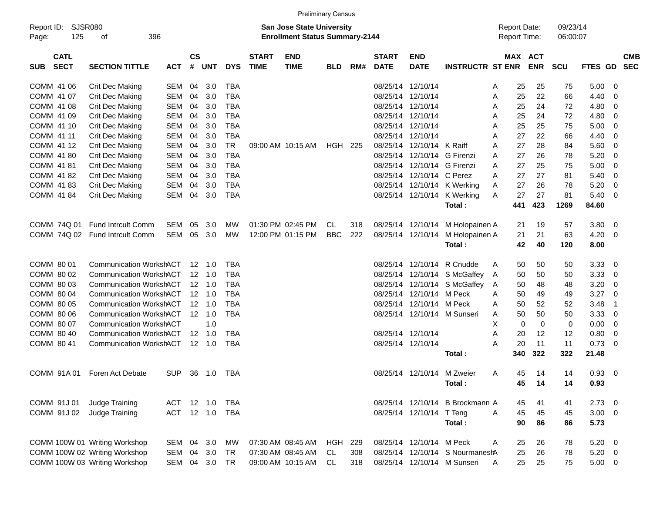|                                          |                                             |               |           |                |            |                             |                                       | <b>Preliminary Census</b> |     |              |                             |                                 |              |                       |            |             |                         |            |
|------------------------------------------|---------------------------------------------|---------------|-----------|----------------|------------|-----------------------------|---------------------------------------|---------------------------|-----|--------------|-----------------------------|---------------------------------|--------------|-----------------------|------------|-------------|-------------------------|------------|
| Report ID:                               | SJSR080<br><b>San Jose State University</b> |               |           |                |            |                             |                                       |                           |     |              |                             |                                 |              | <b>Report Date:</b>   | 09/23/14   |             |                         |            |
| 125<br>Page:                             | 396<br>оf                                   |               |           |                |            |                             | <b>Enrollment Status Summary-2144</b> |                           |     |              |                             |                                 | Report Time: |                       | 06:00:07   |             |                         |            |
|                                          |                                             |               | <b>CS</b> |                |            |                             |                                       |                           |     | <b>START</b> | <b>END</b>                  |                                 |              |                       |            |             |                         |            |
| <b>CATL</b><br><b>SECT</b><br><b>SUB</b> | <b>SECTION TITTLE</b>                       | <b>ACT</b>    | #         | <b>UNT</b>     | <b>DYS</b> | <b>START</b><br><b>TIME</b> | <b>END</b><br><b>TIME</b>             | <b>BLD</b>                | RM# | <b>DATE</b>  | <b>DATE</b>                 | <b>INSTRUCTR ST ENR</b>         |              | MAX ACT<br><b>ENR</b> | <b>SCU</b> | FTES GD SEC |                         | <b>CMB</b> |
| COMM 41 06                               | <b>Crit Dec Making</b>                      | SEM           | 04        | 3.0            | TBA        |                             |                                       |                           |     |              | 08/25/14 12/10/14           |                                 | Α            | 25<br>25              | 75         | 5.00        | - 0                     |            |
| COMM 41 07                               | <b>Crit Dec Making</b>                      | <b>SEM</b>    | 04        | 3.0            | <b>TBA</b> |                             |                                       |                           |     |              | 08/25/14 12/10/14           |                                 | Α            | 25<br>22              | 66         | 4.40        | 0                       |            |
| COMM 41 08                               | Crit Dec Making                             | SEM           | 04        | 3.0            | TBA        |                             |                                       |                           |     |              | 08/25/14 12/10/14           |                                 | 25<br>Α      | 24                    | 72         | 4.80        | 0                       |            |
| COMM 41 09                               | Crit Dec Making                             | SEM           | 04        | 3.0            | <b>TBA</b> |                             |                                       |                           |     |              | 08/25/14 12/10/14           |                                 | 25<br>Α      | 24                    | 72         | 4.80        | 0                       |            |
| COMM 41 10                               | <b>Crit Dec Making</b>                      | SEM           | 04        | 3.0            | <b>TBA</b> |                             |                                       |                           |     |              | 08/25/14 12/10/14           |                                 | 25<br>Α      | 25                    | 75         | 5.00        | 0                       |            |
| COMM 41 11                               | Crit Dec Making                             | SEM           | 04        | 3.0            | <b>TBA</b> |                             |                                       |                           |     |              | 08/25/14 12/10/14           |                                 | 27<br>Α      | 22                    | 66         | 4.40        | 0                       |            |
| COMM 41 12                               | Crit Dec Making                             | SEM           | 04        | 3.0            | <b>TR</b>  |                             | 09:00 AM 10:15 AM                     | <b>HGH 225</b>            |     |              | 08/25/14 12/10/14 K Raiff   |                                 | 27<br>A      | 28                    | 84         | 5.60        | 0                       |            |
| COMM 41 80                               | <b>Crit Dec Making</b>                      | SEM           | 04        | 3.0            | <b>TBA</b> |                             |                                       |                           |     |              | 08/25/14 12/10/14 G Firenzi |                                 | 27<br>A      | 26                    | 78         | 5.20        | 0                       |            |
| COMM 41 81                               | Crit Dec Making                             | SEM           | 04        | 3.0            | <b>TBA</b> |                             |                                       |                           |     |              | 08/25/14 12/10/14 G Firenzi |                                 | 27<br>A      | 25                    | 75         | 5.00        | 0                       |            |
| COMM 4182                                | Crit Dec Making                             | SEM           | 04        | 3.0            | <b>TBA</b> |                             |                                       |                           |     |              | 08/25/14 12/10/14 C Perez   |                                 | 27<br>A      | 27                    | 81         | 5.40        | 0                       |            |
| COMM 41 83                               | Crit Dec Making                             | SEM           | 04        | 3.0            | TBA        |                             |                                       |                           |     |              |                             | 08/25/14 12/10/14 K Werking     | 27<br>A      | 26                    | 78         | 5.20        | 0                       |            |
| COMM 41 84                               | Crit Dec Making                             | SEM           | 04        | 3.0            | <b>TBA</b> |                             |                                       |                           |     |              |                             | 08/25/14 12/10/14 K Werking     | A            | 27<br>27              | 81         | 5.40        | - 0                     |            |
|                                          |                                             |               |           |                |            |                             |                                       |                           |     |              |                             | Total:                          | 441          | 423                   | 1269       | 84.60       |                         |            |
|                                          |                                             |               |           |                |            |                             |                                       |                           |     |              |                             |                                 |              |                       |            |             |                         |            |
| COMM 74Q 01                              | <b>Fund Intrcult Comm</b>                   | SEM           | 05        | 3.0            | МW         |                             | 01:30 PM 02:45 PM                     | CL.                       | 318 |              | 08/25/14 12/10/14           | M Holopainen A                  | 21           | 19                    | 57         | 3.80        | $\overline{\mathbf{0}}$ |            |
|                                          | COMM 74Q 02 Fund Introult Comm              | SEM           | 05        | 3.0            | МW         |                             | 12:00 PM 01:15 PM                     | <b>BBC</b>                | 222 |              | 08/25/14 12/10/14           | M Holopainen A                  | 21           | 21                    | 63         | 4.20        | - 0                     |            |
|                                          |                                             |               |           |                |            |                             |                                       |                           |     |              |                             | Total:                          |              | 42<br>40              | 120        | 8.00        |                         |            |
|                                          |                                             |               |           |                |            |                             |                                       |                           |     |              |                             |                                 |              |                       |            |             |                         |            |
| COMM 80 01                               | <b>Communication WorkshACT</b>              |               |           | $12 \quad 1.0$ | TBA        |                             |                                       |                           |     |              | 08/25/14 12/10/14           | R Cnudde                        | 50<br>Α      | 50                    | 50         | 3.33        | - 0                     |            |
| COMM 80 02                               | <b>Communication WorkshACT</b>              |               |           | $12 \quad 1.0$ | <b>TBA</b> |                             |                                       |                           |     |              |                             | 08/25/14 12/10/14 S McGaffey    | 50<br>A      | 50                    | 50         | 3.33        | 0                       |            |
| COMM 80 03                               | <b>Communication WorkshACT</b>              |               |           | $12 \quad 1.0$ | TBA        |                             |                                       |                           |     |              |                             | 08/25/14 12/10/14 S McGaffey    | 50<br>A      | 48                    | 48         | 3.20        | 0                       |            |
| COMM 80 04                               | <b>Communication WorkshACT</b>              |               |           | $12 \quad 1.0$ | TBA        |                             |                                       |                           |     |              | 08/25/14 12/10/14 M Peck    |                                 | 50<br>A      | 49                    | 49         | 3.27        | 0                       |            |
| COMM 80 05                               | <b>Communication WorkshACT</b>              |               |           | $12 \quad 1.0$ | TBA        |                             |                                       |                           |     |              | 08/25/14 12/10/14 M Peck    |                                 | 50<br>Α      | 52                    | 52         | 3.48        | -1                      |            |
| COMM 80 06                               | <b>Communication WorkshACT</b>              |               |           | $12 \quad 1.0$ | <b>TBA</b> |                             |                                       |                           |     |              |                             | 08/25/14 12/10/14 M Sunseri     | 50<br>Α      | 50                    | 50         | 3.33        | 0                       |            |
| COMM 80 07                               | <b>Communication WorkshACT</b>              |               |           | 1.0            |            |                             |                                       |                           |     |              |                             |                                 | х            | 0                     | 0<br>0     | 0.00        | 0                       |            |
| COMM 80 40                               | <b>Communication WorkshACT</b>              |               |           | $12 \quad 1.0$ | TBA        |                             |                                       |                           |     |              | 08/25/14 12/10/14           |                                 | 20<br>Α      | 12                    | 12         | 0.80        | 0                       |            |
| COMM 80 41                               | Communication WorkshACT                     |               |           | 12 1.0         | TBA        |                             |                                       |                           |     |              | 08/25/14 12/10/14           |                                 | Α            | 20<br>11              | 11         | 0.73        | - 0                     |            |
|                                          |                                             |               |           |                |            |                             |                                       |                           |     |              |                             | Total :                         | 340          | 322                   | 322        | 21.48       |                         |            |
| COMM 91A01                               | Foren Act Debate                            | <b>SUP</b>    | 36        | 1.0            | TBA        |                             |                                       |                           |     |              | 08/25/14 12/10/14 M Zweier  |                                 | Α            | 45<br>14              | 14         | 0.93        | $\overline{\mathbf{0}}$ |            |
|                                          |                                             |               |           |                |            |                             |                                       |                           |     |              |                             | Total:                          |              | 45<br>14              | 14         | 0.93        |                         |            |
|                                          |                                             |               |           |                |            |                             |                                       |                           |     |              |                             |                                 |              |                       |            |             |                         |            |
| COMM 91J 01                              | Judge Training                              | ACT           |           | 12 1.0         | TBA        |                             |                                       |                           |     |              |                             | 08/25/14 12/10/14 B Brockmann A |              | 45<br>41              | 41         | $2.73$ 0    |                         |            |
| COMM 91J 02                              | Judge Training                              | ACT           |           | 12 1.0         | TBA        |                             |                                       |                           |     |              | 08/25/14 12/10/14 T Teng    |                                 | 45<br>A      | 45                    | 45         | $3.00 \ 0$  |                         |            |
|                                          |                                             |               |           |                |            |                             |                                       |                           |     |              |                             | Total:                          |              | 90<br>86              | 86         | 5.73        |                         |            |
|                                          |                                             |               |           |                |            |                             |                                       |                           |     |              |                             |                                 |              |                       |            |             |                         |            |
|                                          | COMM 100W 01 Writing Workshop               | SEM           | 04        | 3.0            | МW         |                             | 07:30 AM 08:45 AM                     | <b>HGH</b>                | 229 |              | 08/25/14 12/10/14 M Peck    |                                 | A            | 25<br>26              | 78         | $5.20 \ 0$  |                         |            |
|                                          | COMM 100W 02 Writing Workshop               | SEM           |           | 04 3.0         | TR         |                             | 07:30 AM 08:45 AM                     | CL.                       | 308 |              |                             | 08/25/14 12/10/14 S NourmaneshA |              | 25<br>26              | 78         | $5.20 \t 0$ |                         |            |
|                                          | COMM 100W 03 Writing Workshop               | SEM 04 3.0 TR |           |                |            |                             | 09:00 AM 10:15 AM                     | CL.                       | 318 |              |                             | 08/25/14 12/10/14 M Sunseri     | A            | 25<br>25              | 75         | $5.00 \t 0$ |                         |            |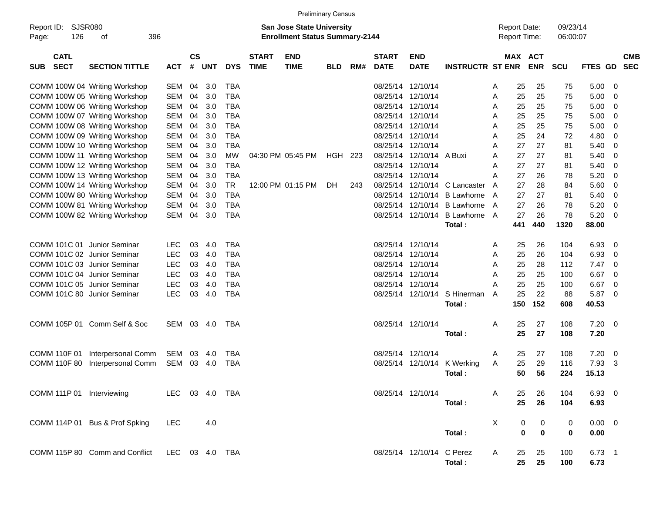|                                       |                                |                |                    |            |            |                             |                                                                           | <b>Preliminary Census</b> |     |                             |                           |                         |   |                                            |                          |                      |             |                          |
|---------------------------------------|--------------------------------|----------------|--------------------|------------|------------|-----------------------------|---------------------------------------------------------------------------|---------------------------|-----|-----------------------------|---------------------------|-------------------------|---|--------------------------------------------|--------------------------|----------------------|-------------|--------------------------|
| SJSR080<br>Report ID:<br>126<br>Page: | 396<br>οf                      |                |                    |            |            |                             | <b>San Jose State University</b><br><b>Enrollment Status Summary-2144</b> |                           |     |                             |                           |                         |   | <b>Report Date:</b><br><b>Report Time:</b> |                          | 09/23/14<br>06:00:07 |             |                          |
| <b>CATL</b><br><b>SECT</b><br>SUB     | <b>SECTION TITTLE</b>          | <b>ACT</b>     | $\mathsf{cs}$<br># | <b>UNT</b> | <b>DYS</b> | <b>START</b><br><b>TIME</b> | <b>END</b><br><b>TIME</b>                                                 | <b>BLD</b>                | RM# | <b>START</b><br><b>DATE</b> | <b>END</b><br><b>DATE</b> | <b>INSTRUCTR ST ENR</b> |   | MAX                                        | <b>ACT</b><br><b>ENR</b> | <b>SCU</b>           | FTES GD     | <b>CMB</b><br><b>SEC</b> |
|                                       | COMM 100W 04 Writing Workshop  | SEM            | 04                 | 3.0        | <b>TBA</b> |                             |                                                                           |                           |     | 08/25/14                    | 12/10/14                  |                         | A | 25                                         | 25                       | 75                   | 5.00        | - 0                      |
|                                       | COMM 100W 05 Writing Workshop  | <b>SEM</b>     | 04                 | 3.0        | <b>TBA</b> |                             |                                                                           |                           |     | 08/25/14                    | 12/10/14                  |                         | Α | 25                                         | 25                       | 75                   | 5.00        | 0                        |
|                                       | COMM 100W 06 Writing Workshop  | <b>SEM</b>     | 04                 | 3.0        | <b>TBA</b> |                             |                                                                           |                           |     | 08/25/14                    | 12/10/14                  |                         | Α | 25                                         | 25                       | 75                   | 5.00        | 0                        |
|                                       | COMM 100W 07 Writing Workshop  | <b>SEM</b>     | 04                 | 3.0        | <b>TBA</b> |                             |                                                                           |                           |     | 08/25/14                    | 12/10/14                  |                         | A | 25                                         | 25                       | 75                   | 5.00        | 0                        |
|                                       | COMM 100W 08 Writing Workshop  | <b>SEM</b>     | 04                 | 3.0        | <b>TBA</b> |                             |                                                                           |                           |     | 08/25/14                    | 12/10/14                  |                         | Α | 25                                         | 25                       | 75                   | 5.00        | 0                        |
|                                       | COMM 100W 09 Writing Workshop  | <b>SEM</b>     | 04                 | 3.0        | <b>TBA</b> |                             |                                                                           |                           |     | 08/25/14                    | 12/10/14                  |                         | Α | 25                                         | 24                       | 72                   | 4.80        | 0                        |
|                                       | COMM 100W 10 Writing Workshop  | <b>SEM</b>     | 04                 | 3.0        | <b>TBA</b> |                             |                                                                           |                           |     | 08/25/14                    | 12/10/14                  |                         | A | 27                                         | 27                       | 81                   | 5.40        | 0                        |
|                                       | COMM 100W 11 Writing Workshop  | <b>SEM</b>     | 04                 | 3.0        | MW         |                             | 04:30 PM 05:45 PM                                                         | HGH 223                   |     | 08/25/14                    | 12/10/14                  | A Buxi                  | A | 27                                         | 27                       | 81                   | 5.40        | 0                        |
|                                       | COMM 100W 12 Writing Workshop  | <b>SEM</b>     | 04                 | 3.0        | TBA        |                             |                                                                           |                           |     | 08/25/14                    | 12/10/14                  |                         | A | 27                                         | 27                       | 81                   | 5.40        | 0                        |
|                                       | COMM 100W 13 Writing Workshop  | <b>SEM</b>     | 04                 | 3.0        | <b>TBA</b> |                             |                                                                           |                           |     | 08/25/14                    | 12/10/14                  |                         | A | 27                                         | 26                       | 78                   | 5.20        | 0                        |
|                                       | COMM 100W 14 Writing Workshop  | <b>SEM</b>     | 04                 | 3.0        | <b>TR</b>  |                             | 12:00 PM 01:15 PM                                                         | DH.                       | 243 | 08/25/14                    | 12/10/14                  | C Lancaster             | A | 27                                         | 28                       | 84                   | 5.60        | 0                        |
|                                       | COMM 100W 80 Writing Workshop  | <b>SEM</b>     | 04                 | 3.0        | TBA        |                             |                                                                           |                           |     | 08/25/14                    | 12/10/14                  | <b>B</b> Lawhorne       | A | 27                                         | 27                       | 81                   | 5.40        | 0                        |
|                                       | COMM 100W 81 Writing Workshop  | <b>SEM</b>     | 04                 | 3.0        | <b>TBA</b> |                             |                                                                           |                           |     | 08/25/14                    | 12/10/14                  | <b>B</b> Lawhorne       | A | 27                                         | 26                       | 78                   | 5.20        | 0                        |
|                                       | COMM 100W 82 Writing Workshop  | <b>SEM</b>     | 04                 | 3.0        | <b>TBA</b> |                             |                                                                           |                           |     |                             | 08/25/14 12/10/14         | <b>B Lawhorne</b>       | A | 27                                         | 26                       | 78                   | 5.20        | - 0                      |
|                                       |                                |                |                    |            |            |                             |                                                                           |                           |     |                             |                           | Total:                  |   | 441                                        | 440                      | 1320                 | 88.00       |                          |
|                                       |                                |                |                    |            |            |                             |                                                                           |                           |     |                             |                           |                         |   |                                            |                          |                      |             |                          |
| COMM 101C 01 Junior Seminar           |                                | <b>LEC</b>     | 03                 | 4.0        | TBA        |                             |                                                                           |                           |     |                             | 08/25/14 12/10/14         |                         | A | 25                                         | 26                       | 104                  | 6.93        | - 0                      |
| COMM 101C 02 Junior Seminar           |                                | <b>LEC</b>     | 03                 | 4.0        | <b>TBA</b> |                             |                                                                           |                           |     |                             | 08/25/14 12/10/14         |                         | A | 25                                         | 26                       | 104                  | 6.93        | 0                        |
| COMM 101C 03 Junior Seminar           |                                | <b>LEC</b>     | 03                 | 4.0        | <b>TBA</b> |                             |                                                                           |                           |     |                             | 08/25/14 12/10/14         |                         | Α | 25                                         | 28                       | 112                  | 7.47        | 0                        |
| COMM 101C 04 Junior Seminar           |                                | <b>LEC</b>     | 03                 | 4.0        | <b>TBA</b> |                             |                                                                           |                           |     | 08/25/14                    | 12/10/14                  |                         | A | 25                                         | 25                       | 100                  | 6.67        | 0                        |
| COMM 101C 05 Junior Seminar           |                                | <b>LEC</b>     | 03                 | 4.0        | <b>TBA</b> |                             |                                                                           |                           |     | 08/25/14                    | 12/10/14                  |                         | Α | 25                                         | 25                       | 100                  | 6.67        | 0                        |
| COMM 101C 80 Junior Seminar           |                                | <b>LEC</b>     | 03                 | 4.0        | <b>TBA</b> |                             |                                                                           |                           |     |                             | 08/25/14 12/10/14         | S Hinerman              | A | 25                                         | 22                       | 88                   | 5.87        | - 0                      |
|                                       |                                |                |                    |            |            |                             |                                                                           |                           |     |                             |                           | Total:                  |   | 150                                        | 152                      | 608                  | 40.53       |                          |
|                                       |                                |                |                    |            |            |                             |                                                                           |                           |     |                             |                           |                         |   |                                            |                          |                      |             |                          |
|                                       | COMM 105P 01 Comm Self & Soc   | SEM            | 03                 | -4.0       | TBA        |                             |                                                                           |                           |     |                             | 08/25/14 12/10/14         |                         | A | 25                                         | 27                       | 108                  | 7.20        | $\overline{\mathbf{0}}$  |
|                                       |                                |                |                    |            |            |                             |                                                                           |                           |     |                             |                           | Total:                  |   | 25                                         | 27                       | 108                  | 7.20        |                          |
|                                       |                                |                |                    |            |            |                             |                                                                           |                           |     |                             |                           |                         |   |                                            |                          |                      |             |                          |
| COMM 110F 01                          | Interpersonal Comm             | SEM            | 03                 | 4.0        | <b>TBA</b> |                             |                                                                           |                           |     |                             | 08/25/14 12/10/14         |                         | A | 25                                         | 27                       | 108                  | 7.20        | 0                        |
| <b>COMM 110F 80</b>                   | Interpersonal Comm             | <b>SEM</b>     | 03                 | -4.0       | <b>TBA</b> |                             |                                                                           |                           |     |                             | 08/25/14 12/10/14         | K Werking               | A | 25                                         | 29                       | 116                  | 7.93        | -3                       |
|                                       |                                |                |                    |            |            |                             |                                                                           |                           |     |                             |                           | Total :                 |   | 50                                         | 56                       | 224                  | 15.13       |                          |
|                                       |                                |                |                    |            |            |                             |                                                                           |                           |     |                             |                           |                         |   |                                            |                          |                      |             |                          |
| COMM 111P 01 Interviewing             |                                | LEC 03 4.0 TBA |                    |            |            |                             |                                                                           |                           |     |                             | 08/25/14 12/10/14         |                         | A | 25                                         | 26                       | 104                  | $6.93$ 0    |                          |
|                                       |                                |                |                    |            |            |                             |                                                                           |                           |     |                             |                           | Total:                  |   | 25                                         | 26                       | 104                  | 6.93        |                          |
|                                       |                                |                |                    |            |            |                             |                                                                           |                           |     |                             |                           |                         |   |                                            |                          |                      |             |                          |
|                                       | COMM 114P 01 Bus & Prof Spking | LEC.           |                    | 4.0        |            |                             |                                                                           |                           |     |                             |                           |                         | X | 0                                          | 0                        | 0                    | $0.00 \t 0$ |                          |
|                                       |                                |                |                    |            |            |                             |                                                                           |                           |     |                             |                           | Total:                  |   | 0                                          | $\bf{0}$                 | 0                    | 0.00        |                          |
|                                       |                                |                |                    |            |            |                             |                                                                           |                           |     |                             |                           |                         |   |                                            |                          |                      |             |                          |
|                                       | COMM 115P 80 Comm and Conflict | LEC 03 4.0 TBA |                    |            |            |                             |                                                                           |                           |     |                             | 08/25/14 12/10/14         | C Perez                 | A | 25                                         | 25                       | 100                  | $6.73$ 1    |                          |
|                                       |                                |                |                    |            |            |                             |                                                                           |                           |     |                             |                           | Total:                  |   | 25                                         | 25                       | 100                  | 6.73        |                          |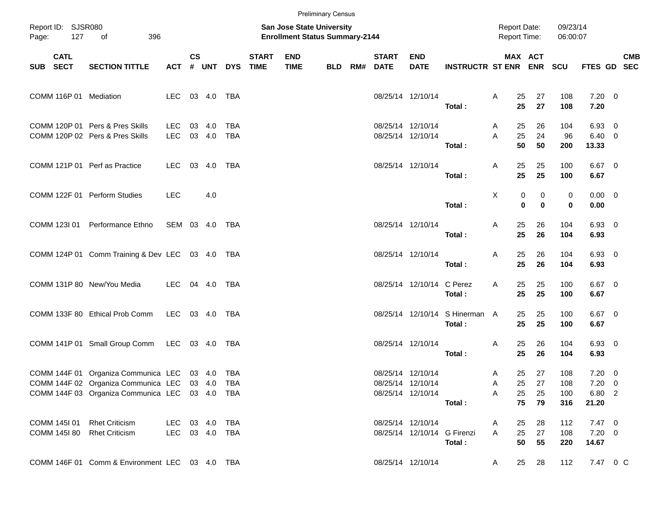|                              |             |                                                                                                                                                    |                                  |               |               |                   |                          |                                                                    | <b>Preliminary Census</b> |                          |                                                             |                                          |                                            |                                |                          |                                               |            |
|------------------------------|-------------|----------------------------------------------------------------------------------------------------------------------------------------------------|----------------------------------|---------------|---------------|-------------------|--------------------------|--------------------------------------------------------------------|---------------------------|--------------------------|-------------------------------------------------------------|------------------------------------------|--------------------------------------------|--------------------------------|--------------------------|-----------------------------------------------|------------|
| Report ID: SJSR080<br>Page:  | 127         | 396<br>of                                                                                                                                          |                                  |               |               |                   |                          | San Jose State University<br><b>Enrollment Status Summary-2144</b> |                           |                          |                                                             |                                          | <b>Report Date:</b><br><b>Report Time:</b> |                                | 09/23/14<br>06:00:07     |                                               |            |
| SUB SECT                     | <b>CATL</b> | <b>SECTION TITTLE</b>                                                                                                                              | <b>ACT</b>                       | $\mathsf{cs}$ | # UNT         |                   | <b>START</b><br>DYS TIME | <b>END</b><br><b>TIME</b>                                          | <b>BLD</b>                | <b>START</b><br>RM# DATE | <b>END</b><br><b>DATE</b>                                   | <b>INSTRUCTR ST ENR ENR SCU</b>          |                                            | MAX ACT                        |                          | FTES GD SEC                                   | <b>CMB</b> |
|                              |             | COMM 116P 01 Mediation                                                                                                                             | LEC 03 4.0 TBA                   |               |               |                   |                          |                                                                    |                           |                          | 08/25/14 12/10/14                                           | Total:                                   | 25<br>Α<br>25                              | 27<br>27                       | 108<br>108               | $7.20 \t 0$<br>7.20                           |            |
|                              |             | COMM 120P 01 Pers & Pres Skills<br>COMM 120P 02 Pers & Pres Skills                                                                                 | <b>LEC</b><br><b>LEC</b>         | 03            | 4.0<br>03 4.0 | TBA<br><b>TBA</b> |                          |                                                                    |                           |                          | 08/25/14 12/10/14<br>08/25/14 12/10/14                      | Total:                                   | 25<br>Α<br>25<br>A<br>50                   | 26<br>24<br>50                 | 104<br>96<br>200         | $6.93$ 0<br>$6.40 \quad 0$<br>13.33           |            |
|                              |             | COMM 121P 01 Perf as Practice                                                                                                                      | LEC.                             |               |               |                   |                          |                                                                    |                           |                          | 08/25/14 12/10/14                                           | Total:                                   | 25<br>Α<br>25                              | 25<br>25                       | 100<br>100               | $6.67$ 0<br>6.67                              |            |
|                              |             | COMM 122F 01 Perform Studies                                                                                                                       | <b>LEC</b>                       |               | 4.0           |                   |                          |                                                                    |                           |                          |                                                             | Total:                                   | Χ                                          | 0<br>0<br>$\bf{0}$<br>$\bf{0}$ | 0<br>0                   | $0.00 \t 0$<br>0.00                           |            |
| COMM 123I 01                 |             | Performance Ethno                                                                                                                                  | SEM 03 4.0 TBA                   |               |               |                   |                          |                                                                    |                           |                          | 08/25/14 12/10/14                                           | Total:                                   | 25<br>Α<br>25                              | 26<br>26                       | 104<br>104               | 6.93 0<br>6.93                                |            |
|                              |             | COMM 124P 01 Comm Training & Dev LEC 03 4.0 TBA                                                                                                    |                                  |               |               |                   |                          |                                                                    |                           |                          | 08/25/14 12/10/14                                           | Total:                                   | 25<br>Α<br>25                              | 26<br>26                       | 104<br>104               | 6.93 0<br>6.93                                |            |
|                              |             | COMM 131P 80 New/You Media                                                                                                                         | LEC                              |               |               |                   |                          |                                                                    |                           |                          | 08/25/14 12/10/14 C Perez                                   | Total:                                   | 25<br>Α<br>25                              | 25<br>25                       | 100<br>100               | $6.67$ 0<br>6.67                              |            |
|                              |             | COMM 133F 80 Ethical Prob Comm                                                                                                                     | LEC 03 4.0 TBA                   |               |               |                   |                          |                                                                    |                           |                          |                                                             | 08/25/14 12/10/14 S Hinerman A<br>Total: | 25<br>25                                   | 25<br>25                       | 100<br>100               | $6.67$ 0<br>6.67                              |            |
|                              |             | COMM 141P 01 Small Group Comm                                                                                                                      | LEC 03 4.0 TBA                   |               |               |                   |                          |                                                                    |                           |                          | 08/25/14 12/10/14                                           | Total:                                   | 25<br>Α<br>25                              | 26<br>26                       | 104<br>104               | 6.93 0<br>6.93                                |            |
|                              |             | COMM 144F 01 Organiza Communica LEC 03 4.0 TBA<br>COMM 144F 02 Organiza Communica LEC 03 4.0 TBA<br>COMM 144F 03 Organiza Communica LEC 03 4.0 TBA |                                  |               |               |                   |                          |                                                                    |                           |                          | 08/25/14 12/10/14<br>08/25/14 12/10/14<br>08/25/14 12/10/14 | Total:                                   | 25<br>A<br>25<br>Α<br>25<br>Α<br>75        | 27<br>27<br>25<br>79           | 108<br>108<br>100<br>316 | $7.20 \t 0$<br>$7.20 \t 0$<br>6.80 2<br>21.20 |            |
| COMM 145I 01<br>COMM 145I 80 |             | <b>Rhet Criticism</b><br><b>Rhet Criticism</b>                                                                                                     | LEC 03 4.0 TBA<br>LEC 03 4.0 TBA |               |               |                   |                          |                                                                    |                           |                          | 08/25/14 12/10/14<br>08/25/14 12/10/14 G Firenzi            | Total:                                   | 25<br>A<br>25<br>A<br>50                   | 28<br>27<br>55                 | 112<br>108<br>220        | $7.47\ 0$<br>$7.20 \t 0$<br>14.67             |            |
|                              |             | COMM 146F 01 Comm & Environment LEC 03 4.0 TBA                                                                                                     |                                  |               |               |                   |                          |                                                                    |                           |                          | 08/25/14 12/10/14                                           |                                          | 25<br>A                                    | 28                             | 112                      | 7.47 0 C                                      |            |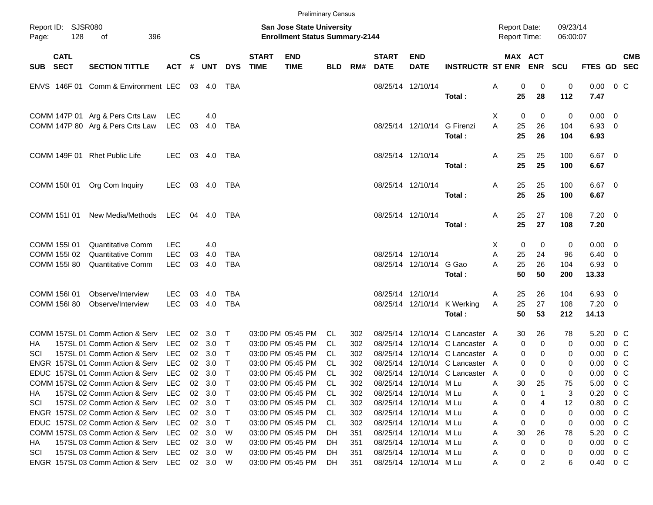|       |                            |                                               |            |                    |                |              |                             | <b>Preliminary Census</b>                                                 |     |     |                             |                             |                                       |   |                                     |                        |                        |                |            |
|-------|----------------------------|-----------------------------------------------|------------|--------------------|----------------|--------------|-----------------------------|---------------------------------------------------------------------------|-----|-----|-----------------------------|-----------------------------|---------------------------------------|---|-------------------------------------|------------------------|------------------------|----------------|------------|
| Page: | Report ID: SJSR080<br>128  | 396<br>of                                     |            |                    |                |              |                             | <b>San Jose State University</b><br><b>Enrollment Status Summary-2144</b> |     |     |                             |                             |                                       |   | <b>Report Date:</b><br>Report Time: | 09/23/14<br>06:00:07   |                        |                |            |
| SUB   | <b>CATL</b><br><b>SECT</b> | <b>SECTION TITTLE</b>                         | <b>ACT</b> | $\mathsf{cs}$<br># | UNT            | <b>DYS</b>   | <b>START</b><br><b>TIME</b> | <b>END</b><br><b>TIME</b>                                                 | BLD | RM# | <b>START</b><br><b>DATE</b> | <b>END</b><br><b>DATE</b>   | <b>INSTRUCTR ST ENR</b>               |   | MAX ACT<br><b>ENR</b>               | <b>SCU</b>             | FTES GD SEC            |                | <b>CMB</b> |
|       |                            | ENVS 146F 01 Comm & Environment LEC           |            |                    | 03 4.0         | TBA          |                             |                                                                           |     |     |                             | 08/25/14 12/10/14           | Total:                                | Α | 0<br>25<br>28                       | 0<br>0<br>112          | 0.00<br>7.47           | $0\,$ C        |            |
|       |                            | COMM 147P 01 Arg & Pers Crts Law              | LEC        |                    | 4.0            |              |                             |                                                                           |     |     |                             |                             |                                       | Χ | 0                                   | 0<br>0                 | $0.00 \quad 0$         |                |            |
|       |                            | COMM 147P 80 Arg & Pers Crts Law              | LEC        | 03                 | 4.0            | TBA          |                             |                                                                           |     |     |                             | 08/25/14 12/10/14 G Firenzi | Total:                                | A | 25<br>26<br>25<br>26                | 104<br>104             | 6.93 0<br>6.93         |                |            |
|       |                            | COMM 149F 01 Rhet Public Life                 | LEC.       |                    | 03 4.0         | TBA          |                             |                                                                           |     |     |                             | 08/25/14 12/10/14           | Total:                                | Α | 25<br>25<br>25<br>25                | 100<br>100             | $6.67$ 0<br>6.67       |                |            |
|       | COMM 150I 01               | Org Com Inquiry                               | LEC        |                    | 03 4.0         | TBA          |                             |                                                                           |     |     |                             | 08/25/14 12/10/14           | Total:                                | Α | 25<br>25<br>25<br>25                | 100<br>100             | $6.67$ 0<br>6.67       |                |            |
|       | COMM 151I 01               | New Media/Methods LEC                         |            |                    | 04 4.0         | TBA          |                             |                                                                           |     |     |                             | 08/25/14 12/10/14           | Total:                                | Α | 27<br>25<br>25<br>27                | 108<br>108             | $7.20 \t 0$<br>7.20    |                |            |
|       | COMM 155I 01               | <b>Quantitative Comm</b>                      | <b>LEC</b> |                    | 4.0            |              |                             |                                                                           |     |     |                             |                             |                                       | Χ | 0                                   | 0<br>0                 | $0.00 \quad 0$         |                |            |
|       | COMM 155I 02               | <b>Quantitative Comm</b>                      | <b>LEC</b> | 03                 | 4.0            | <b>TBA</b>   |                             |                                                                           |     |     |                             | 08/25/14 12/10/14           |                                       | Α | 25<br>24                            | 96                     | $6.40\ 0$              |                |            |
|       | COMM 155180                | <b>Quantitative Comm</b>                      | <b>LEC</b> |                    | 03 4.0         | <b>TBA</b>   |                             |                                                                           |     |     |                             | 08/25/14 12/10/14 G Gao     | Total:                                | A | 25<br>26<br>50<br>50                | 104<br>200             | 6.93 0<br>13.33        |                |            |
|       | COMM 156I 01               | Observe/Interview                             | <b>LEC</b> | 03                 | 4.0            | TBA          |                             |                                                                           |     |     |                             | 08/25/14 12/10/14           |                                       | Α | 26<br>25                            | 104                    | 6.93 0                 |                |            |
|       | COMM 156I 80               | Observe/Interview                             | <b>LEC</b> |                    | 03 4.0         | <b>TBA</b>   |                             |                                                                           |     |     |                             |                             | 08/25/14 12/10/14 K Werking<br>Total: | Α | 25<br>27<br>50<br>53                | 108<br>212             | $7.20 \t 0$<br>14.13   |                |            |
|       |                            | COMM 157SL 01 Comm Action & Serv              | LEC        |                    | $02 \quad 3.0$ | T            |                             | 03:00 PM 05:45 PM                                                         | CL. | 302 |                             |                             | 08/25/14 12/10/14 C Lancaster A       |   | 30<br>26                            | 78                     | 5.20                   | $0\,$ C        |            |
| ΗA    |                            | 157SL 01 Comm Action & Serv                   | <b>LEC</b> | 02 <sub>o</sub>    | 3.0            | $\mathsf{T}$ |                             | 03:00 PM 05:45 PM                                                         | CL. | 302 |                             |                             | 08/25/14 12/10/14 C Lancaster A       |   | 0                                   | $\mathbf 0$<br>0       | 0.00                   | $0\,$ C        |            |
| SCI   |                            | 157SL 01 Comm Action & Serv                   | <b>LEC</b> |                    | 02 3.0         | $\mathsf{T}$ |                             | 03:00 PM 05:45 PM                                                         | CL. | 302 |                             |                             | 08/25/14 12/10/14 C Lancaster A       |   | 0                                   | 0<br>0                 | 0.00                   | $0\,$ C        |            |
|       |                            | ENGR 157SL 01 Comm Action & Serv              | <b>LEC</b> | 02                 | 3.0            | $\mathsf{T}$ |                             | 03:00 PM 05:45 PM                                                         | CL  | 302 |                             |                             | 08/25/14 12/10/14 C Lancaster A       |   | 0                                   | 0<br>0                 | 0.00                   | 0 <sup>o</sup> |            |
|       |                            | EDUC 157SL 01 Comm Action & Serv LEC          |            |                    | 02 3.0         | $\top$       |                             | 03:00 PM 05:45 PM                                                         | CL  | 302 |                             |                             | 08/25/14 12/10/14 C Lancaster A       |   | 0                                   | 0<br>0                 | 0.00                   | 0 <sup>o</sup> |            |
|       |                            | COMM 157SL 02 Comm Action & Serv              | LEC        |                    | 02 3.0         |              |                             | 03:00 PM 05:45 PM                                                         | CL  | 302 |                             | 08/25/14 12/10/14 M Lu      |                                       | Α | 30<br>25                            | 75                     | 5.00                   | $0\,$ C        |            |
| HA.   |                            | 157SL 02 Comm Action & Serv                   | LEC.       |                    | 02 3.0         | $\top$       |                             | 03:00 PM 05:45 PM                                                         | CL. | 302 |                             | 08/25/14 12/10/14 M Lu      |                                       | A | 0                                   | 3                      | 0.20                   | $0\,$ C        |            |
| SCI   |                            | 157SL 02 Comm Action & Serv                   | LEC        |                    | 02 3.0         | $\top$       |                             | 03:00 PM 05:45 PM                                                         | CL. | 302 |                             | 08/25/14 12/10/14 M Lu      |                                       | A | 0                                   | 4<br>$12 \overline{ }$ | 0.80                   | $0\,$ C        |            |
|       |                            | ENGR 157SL 02 Comm Action & Serv              | <b>LEC</b> |                    | 02 3.0         | $\top$       |                             | 03:00 PM 05:45 PM                                                         | CL. | 302 |                             | 08/25/14 12/10/14 M Lu      |                                       | Α | 0                                   | 0<br>0                 | 0.00                   | $0\,$ C        |            |
|       |                            | EDUC 157SL 02 Comm Action & Serv              | <b>LEC</b> |                    | 02 3.0         | $\top$       |                             | 03:00 PM 05:45 PM                                                         | CL. | 302 |                             | 08/25/14 12/10/14 M Lu      |                                       | Α | 0                                   | 0<br>0                 | 0.00                   | $0\,$ C        |            |
|       |                            | COMM 157SL 03 Comm Action & Serv              | <b>LEC</b> |                    | 02 3.0         | W            |                             | 03:00 PM 05:45 PM                                                         | DH. | 351 |                             | 08/25/14 12/10/14 M Lu      |                                       | A | 30<br>26                            | 78                     | 5.20                   | $0\,$ C        |            |
| HA    |                            | 157SL 03 Comm Action & Serv                   | <b>LEC</b> |                    | 02 3.0         | W            |                             | 03:00 PM 05:45 PM                                                         | DH. | 351 |                             | 08/25/14 12/10/14 M Lu      |                                       | Α | 0                                   | $\Omega$<br>0          | 0.00                   | $0\,$ C        |            |
| SCI   |                            | 157SL 03 Comm Action & Serv                   | LEC.       |                    | 02 3.0         | - W          |                             | 03:00 PM 05:45 PM                                                         | DH. | 351 |                             | 08/25/14 12/10/14 M Lu      |                                       | A | 0                                   | 0                      | 0.00                   | $0\,$ C        |            |
|       |                            | ENGR 157SL 03 Comm Action & Serv LEC 02 3.0 W |            |                    |                |              |                             | 03:00 PM 05:45 PM                                                         | DH  | 351 |                             | 08/25/14 12/10/14 M Lu      |                                       | Α | 0                                   | 2<br>6                 | $0.40 \quad 0 \quad C$ |                |            |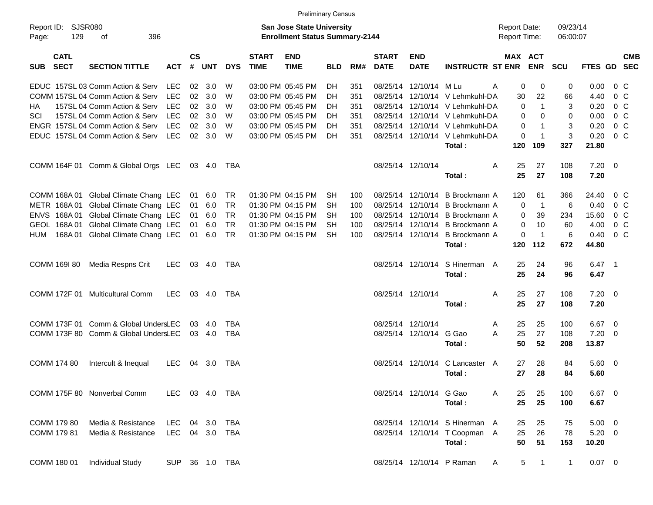|                     |                            |                                      |                |                    |              |            |                             |                                                                           | <b>Preliminary Census</b> |     |                             |                           |                                 |                                     |                |                      |             |                         |            |
|---------------------|----------------------------|--------------------------------------|----------------|--------------------|--------------|------------|-----------------------------|---------------------------------------------------------------------------|---------------------------|-----|-----------------------------|---------------------------|---------------------------------|-------------------------------------|----------------|----------------------|-------------|-------------------------|------------|
| Report ID:<br>Page: | 129                        | <b>SJSR080</b><br>396<br>оf          |                |                    |              |            |                             | <b>San Jose State University</b><br><b>Enrollment Status Summary-2144</b> |                           |     |                             |                           |                                 | <b>Report Date:</b><br>Report Time: |                | 09/23/14<br>06:00:07 |             |                         |            |
| <b>SUB</b>          | <b>CATL</b><br><b>SECT</b> | <b>SECTION TITTLE</b>                | <b>ACT</b>     | $\mathsf{cs}$<br># | <b>UNT</b>   | <b>DYS</b> | <b>START</b><br><b>TIME</b> | <b>END</b><br><b>TIME</b>                                                 | <b>BLD</b>                | RM# | <b>START</b><br><b>DATE</b> | <b>END</b><br><b>DATE</b> | <b>INSTRUCTR ST ENR ENR</b>     | <b>MAX ACT</b>                      |                | <b>SCU</b>           | FTES GD SEC |                         | <b>CMB</b> |
|                     |                            | EDUC 157SL 03 Comm Action & Serv     | LEC            | 02                 | 3.0          | W          |                             | 03:00 PM 05:45 PM                                                         | DH                        | 351 |                             | 08/25/14 12/10/14 M Lu    |                                 | 0<br>Α                              | 0              | 0                    | 0.00        | $0\,$ C                 |            |
|                     |                            | COMM 157SL 04 Comm Action & Serv     | <b>LEC</b>     | 02                 | 3.0          | W          |                             | 03:00 PM 05:45 PM                                                         | DH                        | 351 |                             |                           | 08/25/14 12/10/14 V Lehmkuhl-DA | 30                                  | 22             | 66                   | 4.40        | 0 <sup>o</sup>          |            |
| ΗA                  |                            | 157SL 04 Comm Action & Serv          | <b>LEC</b>     | 02                 | 3.0          | W          |                             | 03:00 PM 05:45 PM                                                         | DН                        | 351 |                             |                           | 08/25/14 12/10/14 V Lehmkuhl-DA | 0                                   | $\mathbf{1}$   | 3                    | 0.20        | 0 <sup>o</sup>          |            |
| SCI                 |                            | 157SL 04 Comm Action & Serv          | <b>LEC</b>     | 02                 | 3.0          | W          |                             | 03:00 PM 05:45 PM                                                         | DН                        | 351 |                             |                           | 08/25/14 12/10/14 V Lehmkuhl-DA | 0                                   | 0              | 0                    | 0.00        | 0 <sup>o</sup>          |            |
|                     |                            | ENGR 157SL 04 Comm Action & Serv     | <b>LEC</b>     | 02                 | 3.0          | W          |                             | 03:00 PM 05:45 PM                                                         | DН                        | 351 |                             |                           | 08/25/14 12/10/14 V Lehmkuhl-DA | 0                                   | -1             | 3                    | 0.20        | 0 <sup>o</sup>          |            |
|                     |                            | EDUC 157SL 04 Comm Action & Serv     | <b>LEC</b>     | 02 <sub>o</sub>    | 3.0          | W          |                             | 03:00 PM 05:45 PM                                                         | <b>DH</b>                 | 351 |                             |                           | 08/25/14 12/10/14 V Lehmkuhl-DA | 0                                   | -1             | 3                    | 0.20        | $0\,C$                  |            |
|                     |                            |                                      |                |                    |              |            |                             |                                                                           |                           |     |                             |                           | Total:                          | 120                                 | 109            | 327                  | 21.80       |                         |            |
|                     |                            | COMM 164F 01 Comm & Global Orgs LEC  |                |                    | 03 4.0       | TBA        |                             |                                                                           |                           |     |                             | 08/25/14 12/10/14         |                                 | A<br>25                             | 27             | 108                  | 7.20        | $\overline{\mathbf{0}}$ |            |
|                     |                            |                                      |                |                    |              |            |                             |                                                                           |                           |     |                             |                           | Total:                          | 25                                  | 27             | 108                  | 7.20        |                         |            |
|                     | COMM 168A 01               | Global Climate Chang LEC             |                | 01                 | 6.0          | <b>TR</b>  |                             | 01:30 PM 04:15 PM                                                         | <b>SH</b>                 | 100 |                             | 08/25/14 12/10/14         | B Brockmann A                   | 120                                 | 61             | 366                  | 24.40       | $0\,$ C                 |            |
|                     | METR 168A01                | Global Climate Chang LEC             |                | 01                 | 6.0          | <b>TR</b>  |                             | 01:30 PM 04:15 PM                                                         | <b>SH</b>                 | 100 |                             | 08/25/14 12/10/14         | <b>B</b> Brockmann A            | 0                                   | $\overline{1}$ | 6                    | 0.40        | 0 <sup>o</sup>          |            |
|                     | ENVS 168A01                | Global Climate Chang LEC             |                | 01                 | 6.0          | <b>TR</b>  |                             | 01:30 PM 04:15 PM                                                         | <b>SH</b>                 | 100 |                             | 08/25/14 12/10/14         | B Brockmann A                   | 0                                   | 39             | 234                  | 15.60       | 0 <sup>o</sup>          |            |
|                     | GEOL 168A01                | Global Climate Chang LEC             |                | 01                 | 6.0          | <b>TR</b>  |                             | 01:30 PM 04:15 PM                                                         | SH                        | 100 |                             | 08/25/14 12/10/14         | B Brockmann A                   | 0                                   | 10             | 60                   | 4.00        | 0 <sup>o</sup>          |            |
| HUM                 | 168A01                     | Global Climate Chang LEC             |                | 01                 | 6.0          | <b>TR</b>  |                             | 01:30 PM 04:15 PM                                                         | <b>SH</b>                 | 100 |                             | 08/25/14 12/10/14         | B Brockmann A                   | 0                                   | $\overline{1}$ | 6                    | 0.40        | 0 <sup>o</sup>          |            |
|                     |                            |                                      |                |                    |              |            |                             |                                                                           |                           |     |                             |                           | Total:                          | 120                                 | 112            | 672                  | 44.80       |                         |            |
|                     | COMM 169I 80               | Media Respns Crit                    | <b>LEC</b>     |                    | 03 4.0       | TBA        |                             |                                                                           |                           |     |                             | 08/25/14 12/10/14         | S Hinerman A                    | 25                                  | 24             | 96                   | $6.47$ 1    |                         |            |
|                     |                            |                                      |                |                    |              |            |                             |                                                                           |                           |     |                             |                           | Total:                          | 25                                  | 24             | 96                   | 6.47        |                         |            |
|                     | COMM 172F 01               | <b>Multicultural Comm</b>            | LEC            |                    | 03 4.0       | TBA        |                             |                                                                           |                           |     |                             | 08/25/14 12/10/14         |                                 | 25<br>A                             | 27             | 108                  | $7.20 \t 0$ |                         |            |
|                     |                            |                                      |                |                    |              |            |                             |                                                                           |                           |     |                             |                           | Total:                          | 25                                  | 27             | 108                  | 7.20        |                         |            |
|                     | COMM 173F 01               | Comm & Global UndersLEC              |                | 03                 | 4.0          | <b>TBA</b> |                             |                                                                           |                           |     | 08/25/14 12/10/14           |                           |                                 | 25<br>A                             | 25             | 100                  | 6.67        | $\overline{\mathbf{0}}$ |            |
|                     |                            | COMM 173F 80 Comm & Global UndersLEC |                |                    | 03 4.0       | <b>TBA</b> |                             |                                                                           |                           |     |                             | 08/25/14 12/10/14         | G Gao                           | А<br>25                             | 27             | 108                  | 7.20        | 0                       |            |
|                     |                            |                                      |                |                    |              |            |                             |                                                                           |                           |     |                             |                           | Total:                          | 50                                  | 52             | 208                  | 13.87       |                         |            |
|                     | <b>COMM 174 80</b>         | Intercult & Inequal                  | <b>LEC</b>     | 04                 | 3.0          | TBA        |                             |                                                                           |                           |     |                             | 08/25/14 12/10/14         | C Lancaster A                   | 27                                  | 28             | 84                   | $5.60 \ 0$  |                         |            |
|                     |                            |                                      |                |                    |              |            |                             |                                                                           |                           |     |                             |                           | Total:                          | 27                                  | 28             | 84                   | 5.60        |                         |            |
|                     |                            | COMM 175F 80 Nonverbal Comm          | LEC 03 4.0 TBA |                    |              |            |                             |                                                                           |                           |     |                             | 08/25/14 12/10/14 G Gao   |                                 | A<br>25                             | 25             | 100                  | 6.67 0      |                         |            |
|                     |                            |                                      |                |                    |              |            |                             |                                                                           |                           |     |                             |                           | Total:                          | 25                                  | 25             | 100                  | 6.67        |                         |            |
|                     | COMM 179 80                | Media & Resistance                   | LEC            |                    | 04 3.0       | TBA        |                             |                                                                           |                           |     |                             |                           | 08/25/14 12/10/14 S Hinerman A  | 25                                  | 25             | 75                   | $5.00 \t 0$ |                         |            |
|                     | COMM 179 81                | Media & Resistance                   | <b>LEC</b>     |                    | 04 3.0 TBA   |            |                             |                                                                           |                           |     |                             |                           | 08/25/14 12/10/14 T Coopman A   | 25                                  | 26             | 78                   | $5.20 \t 0$ |                         |            |
|                     |                            |                                      |                |                    |              |            |                             |                                                                           |                           |     |                             |                           | Total:                          | 50                                  | 51             | 153                  | 10.20       |                         |            |
|                     | COMM 180 01                | <b>Individual Study</b>              | <b>SUP</b>     |                    | 36  1.0  TBA |            |                             |                                                                           |                           |     |                             |                           | 08/25/14 12/10/14 P Raman       | 5<br>A                              | $\overline{1}$ | $\mathbf{1}$         | $0.07$ 0    |                         |            |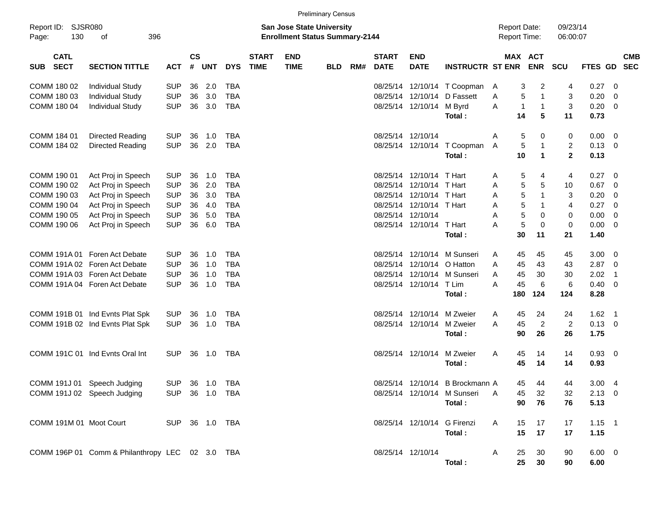|                                    |                                                 |                |                    |                |            |                             |                                                                           | <b>Preliminary Census</b> |     |                             |                            |                                 |                                     |                      |                      |                      |                    |                          |                          |
|------------------------------------|-------------------------------------------------|----------------|--------------------|----------------|------------|-----------------------------|---------------------------------------------------------------------------|---------------------------|-----|-----------------------------|----------------------------|---------------------------------|-------------------------------------|----------------------|----------------------|----------------------|--------------------|--------------------------|--------------------------|
| Report ID: SJSR080<br>130<br>Page: | 396<br>οf                                       |                |                    |                |            |                             | <b>San Jose State University</b><br><b>Enrollment Status Summary-2144</b> |                           |     |                             |                            |                                 | <b>Report Date:</b><br>Report Time: |                      |                      | 09/23/14<br>06:00:07 |                    |                          |                          |
| <b>CATL</b><br><b>SECT</b><br>SUB  | <b>SECTION TITTLE</b>                           | <b>ACT</b>     | $\mathsf{cs}$<br># | <b>UNT</b>     | <b>DYS</b> | <b>START</b><br><b>TIME</b> | <b>END</b><br><b>TIME</b>                                                 | <b>BLD</b>                | RM# | <b>START</b><br><b>DATE</b> | <b>END</b><br><b>DATE</b>  | <b>INSTRUCTR ST ENR</b>         | MAX ACT                             |                      | <b>ENR</b>           | <b>SCU</b>           | <b>FTES GD</b>     |                          | <b>CMB</b><br><b>SEC</b> |
| COMM 180 02                        | <b>Individual Study</b>                         | <b>SUP</b>     | 36                 | 2.0            | TBA        |                             |                                                                           |                           |     |                             |                            | 08/25/14 12/10/14 T Coopman     | A                                   | 3                    | 2                    | 4                    | $0.27 \ 0$         |                          |                          |
| COMM 180 03                        | <b>Individual Study</b>                         | <b>SUP</b>     | 36                 | 3.0            | <b>TBA</b> |                             |                                                                           |                           |     |                             |                            | 08/25/14 12/10/14 D Fassett     | A                                   | 5                    | $\mathbf{1}$         | 3                    | 0.20               | $\overline{\phantom{0}}$ |                          |
| COMM 180 04                        | <b>Individual Study</b>                         | <b>SUP</b>     | 36                 | 3.0            | <b>TBA</b> |                             |                                                                           |                           |     |                             | 08/25/14 12/10/14 M Byrd   | Total:                          | Α                                   | $\overline{1}$<br>14 | $\mathbf{1}$<br>5    | 3<br>11              | $0.20 \ 0$<br>0.73 |                          |                          |
| COMM 184 01                        | Directed Reading                                | <b>SUP</b>     | 36                 | 1.0            | TBA        |                             |                                                                           |                           |     |                             | 08/25/14 12/10/14          |                                 | Α                                   | 5                    | 0                    | 0                    | $0.00 \t 0$        |                          |                          |
| COMM 184 02                        | Directed Reading                                | <b>SUP</b>     | 36                 | 2.0            | <b>TBA</b> |                             |                                                                           |                           |     |                             |                            | 08/25/14 12/10/14 T Coopman     | Α                                   | 5                    | 1                    | 2                    | $0.13 \ 0$         |                          |                          |
|                                    |                                                 |                |                    |                |            |                             |                                                                           |                           |     |                             |                            | Total:                          |                                     | 10                   | $\blacktriangleleft$ | $\overline{2}$       | 0.13               |                          |                          |
| COMM 190 01                        | Act Proj in Speech                              | <b>SUP</b>     | 36                 | 1.0            | TBA        |                             |                                                                           |                           |     |                             | 08/25/14 12/10/14 T Hart   |                                 | Α                                   | 5                    | 4                    | 4                    | $0.27 \ 0$         |                          |                          |
| COMM 190 02                        | Act Proj in Speech                              | <b>SUP</b>     | 36                 | 2.0            | <b>TBA</b> |                             |                                                                           |                           |     |                             | 08/25/14 12/10/14          | T Hart                          | A                                   | 5                    | 5                    | 10                   | 0.67               | $\overline{\phantom{0}}$ |                          |
| COMM 190 03                        | Act Proj in Speech                              | <b>SUP</b>     | 36                 | 3.0            | <b>TBA</b> |                             |                                                                           |                           |     |                             | 08/25/14 12/10/14          | T Hart                          | A                                   | 5                    | $\mathbf{1}$         | 3                    | 0.20               | $\overline{\phantom{0}}$ |                          |
| COMM 190 04                        | Act Proj in Speech                              | <b>SUP</b>     | 36                 | 4.0            | <b>TBA</b> |                             |                                                                           |                           |     |                             | 08/25/14 12/10/14 T Hart   |                                 | A                                   | 5                    | 1                    | 4                    | 0.27               | $\overline{\phantom{0}}$ |                          |
| COMM 190 05                        | Act Proj in Speech                              | <b>SUP</b>     | 36                 | 5.0            | <b>TBA</b> |                             |                                                                           |                           |     |                             | 08/25/14 12/10/14          |                                 | Α                                   | 5                    | 0                    | 0                    | $0.00 \t 0$        |                          |                          |
| COMM 190 06                        | Act Proj in Speech                              | <b>SUP</b>     | 36                 | 6.0            | <b>TBA</b> |                             |                                                                           |                           |     |                             | 08/25/14 12/10/14 T Hart   |                                 | Α                                   | 5                    | $\mathbf 0$          | 0                    | $0.00 \t 0$        |                          |                          |
|                                    |                                                 |                |                    |                |            |                             |                                                                           |                           |     |                             |                            | Total:                          |                                     | 30                   | 11                   | 21                   | 1.40               |                          |                          |
| COMM 191A 01                       | Foren Act Debate                                | <b>SUP</b>     | 36                 | 1.0            | TBA        |                             |                                                                           |                           |     |                             |                            | 08/25/14 12/10/14 M Sunseri     | A                                   | 45                   | 45                   | 45                   | $3.00 \ 0$         |                          |                          |
|                                    | COMM 191A 02 Foren Act Debate                   | <b>SUP</b>     | 36                 | 1.0            | <b>TBA</b> |                             |                                                                           |                           |     |                             | 08/25/14 12/10/14 O Hatton |                                 | A                                   | 45                   | 43                   | 43                   | $2.87$ 0           |                          |                          |
|                                    | COMM 191A 03 Foren Act Debate                   | <b>SUP</b>     | 36                 | 1.0            | <b>TBA</b> |                             |                                                                           |                           |     |                             |                            | 08/25/14 12/10/14 M Sunseri     | A                                   | 45                   | 30                   | 30                   | 2.02               | $\overline{\phantom{0}}$ |                          |
|                                    | COMM 191A 04 Foren Act Debate                   | <b>SUP</b>     | 36                 | 1.0            | <b>TBA</b> |                             |                                                                           |                           |     |                             | 08/25/14 12/10/14          | T Lim                           | A                                   | 45                   | 6                    | 6                    | $0.40 \quad 0$     |                          |                          |
|                                    |                                                 |                |                    |                |            |                             |                                                                           |                           |     |                             |                            | Total:                          |                                     | 180                  | 124                  | 124                  | 8.28               |                          |                          |
|                                    | COMM 191B 01 Ind Evnts Plat Spk                 | <b>SUP</b>     | 36                 | 1.0            | TBA        |                             |                                                                           |                           |     |                             |                            | 08/25/14 12/10/14 M Zweier      | A                                   | 45                   | 24                   | 24                   | $1.62$ 1           |                          |                          |
|                                    | COMM 191B 02 Ind Evnts Plat Spk                 | <b>SUP</b>     | 36                 | 1.0            | <b>TBA</b> |                             |                                                                           |                           |     |                             | 08/25/14 12/10/14          | M Zweier                        | A                                   | 45                   | $\overline{2}$       | 2                    | $0.13 \ 0$         |                          |                          |
|                                    |                                                 |                |                    |                |            |                             |                                                                           |                           |     |                             |                            | Total:                          |                                     | 90                   | 26                   | 26                   | 1.75               |                          |                          |
|                                    | COMM 191C 01 Ind Evnts Oral Int                 | <b>SUP</b>     |                    | 36 1.0         | TBA        |                             |                                                                           |                           |     |                             | 08/25/14 12/10/14          | M Zweier                        | Α                                   | 45                   | 14                   | 14                   | $0.93$ 0           |                          |                          |
|                                    |                                                 |                |                    |                |            |                             |                                                                           |                           |     |                             |                            | Total:                          |                                     | 45                   | 14                   | 14                   | 0.93               |                          |                          |
|                                    | COMM 191J 01 Speech Judging                     |                |                    | SUP 36 1.0 TBA |            |                             |                                                                           |                           |     |                             |                            | 08/25/14 12/10/14 B Brockmann A |                                     | 45                   | 44                   | 44                   | 3.004              |                          |                          |
|                                    | COMM 191J 02 Speech Judging                     | SUP 36 1.0 TBA |                    |                |            |                             |                                                                           |                           |     |                             |                            | 08/25/14 12/10/14 M Sunseri     | A                                   | 45                   | 32                   | 32                   | $2.13 \t 0$        |                          |                          |
|                                    |                                                 |                |                    |                |            |                             |                                                                           |                           |     |                             |                            | Total:                          |                                     | 90                   | 76                   | 76                   | 5.13               |                          |                          |
| COMM 191M 01 Moot Court            |                                                 | SUP 36 1.0 TBA |                    |                |            |                             |                                                                           |                           |     |                             |                            | 08/25/14 12/10/14 G Firenzi     | A                                   | 15                   | 17                   | 17                   | $1.15$ 1           |                          |                          |
|                                    |                                                 |                |                    |                |            |                             |                                                                           |                           |     |                             |                            | Total:                          |                                     | 15                   | 17                   | 17                   | 1.15               |                          |                          |
|                                    | COMM 196P 01 Comm & Philanthropy LEC 02 3.0 TBA |                |                    |                |            |                             |                                                                           |                           |     |                             | 08/25/14 12/10/14          |                                 | A                                   | 25                   | 30                   | 90                   | $6.00 \t 0$        |                          |                          |

**Total : 25 30 90 6.00**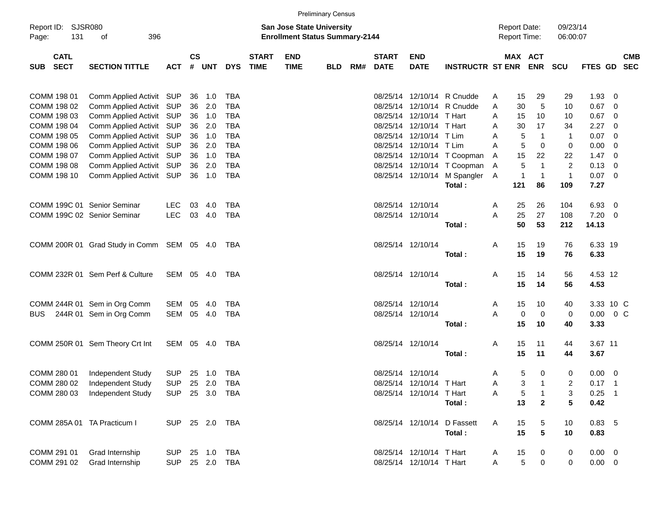|                                    |                                                      |                                                                           |               |               |                          |                             |                           | <b>Preliminary Census</b> |     |                             |                                            |                                                             |        |                      |                      |              |                        |                         |                          |
|------------------------------------|------------------------------------------------------|---------------------------------------------------------------------------|---------------|---------------|--------------------------|-----------------------------|---------------------------|---------------------------|-----|-----------------------------|--------------------------------------------|-------------------------------------------------------------|--------|----------------------|----------------------|--------------|------------------------|-------------------------|--------------------------|
| Report ID: SJSR080<br>131<br>Page: | of<br>396                                            | <b>San Jose State University</b><br><b>Enrollment Status Summary-2144</b> |               |               |                          |                             |                           |                           |     |                             | <b>Report Date:</b><br><b>Report Time:</b> |                                                             |        | 09/23/14<br>06:00:07 |                      |              |                        |                         |                          |
| <b>CATL</b><br>SUB SECT            | <b>SECTION TITTLE</b>                                | <b>ACT</b>                                                                | $\mathsf{cs}$ |               | # UNT DYS                | <b>START</b><br><b>TIME</b> | <b>END</b><br><b>TIME</b> | <b>BLD</b>                | RM# | <b>START</b><br><b>DATE</b> | <b>END</b><br><b>DATE</b>                  | <b>INSTRUCTR ST ENR ENR</b>                                 |        | MAX ACT              |                      | <b>SCU</b>   | <b>FTES GD</b>         |                         | <b>CMB</b><br><b>SEC</b> |
| COMM 198 01                        | Comm Applied Activit SUP                             |                                                                           |               | 36 1.0        | TBA                      |                             |                           |                           |     |                             |                                            | 08/25/14 12/10/14 R Cnudde                                  | A      | 15                   | 29                   | 29           | $1.93 \ 0$             |                         |                          |
| COMM 198 02                        | Comm Applied Activit SUP                             |                                                                           | 36            | 2.0           | <b>TBA</b>               |                             |                           |                           |     |                             |                                            | 08/25/14 12/10/14 R Cnudde                                  | Α      | 30                   | 5                    | 10           | $0.67$ 0               |                         |                          |
| COMM 198 03                        | Comm Applied Activit SUP                             |                                                                           |               | 36 1.0        | <b>TBA</b>               |                             |                           |                           |     |                             | 08/25/14 12/10/14 T Hart                   |                                                             | A      | 15                   | 10                   | 10           | $0.67$ 0               |                         |                          |
| COMM 198 04                        | Comm Applied Activit SUP                             |                                                                           | 36            | 2.0           | <b>TBA</b>               |                             |                           |                           |     |                             | 08/25/14 12/10/14 T Hart                   |                                                             | A      | 30                   | 17                   | 34           | $2.27$ 0               |                         |                          |
| COMM 198 05                        | Comm Applied Activit SUP                             |                                                                           |               | 36 1.0        | <b>TBA</b>               |                             |                           |                           |     |                             | 08/25/14 12/10/14 T Lim                    |                                                             | A      | 5                    | $\overline{1}$       | $\mathbf{1}$ | $0.07$ 0               |                         |                          |
| COMM 198 06                        | Comm Applied Activit SUP                             |                                                                           | 36            | 2.0           | <b>TBA</b>               |                             |                           |                           |     |                             | 08/25/14 12/10/14 T Lim                    |                                                             | A      | 5                    | $\mathbf 0$          | $\mathbf 0$  | 0.00                   | $\overline{\mathbf{0}}$ |                          |
| COMM 198 07                        | Comm Applied Activit SUP                             |                                                                           |               | 36 1.0        | <b>TBA</b>               |                             |                           |                           |     |                             |                                            | 08/25/14 12/10/14 T Coopman                                 | A      | 15<br>5              | 22<br>$\overline{1}$ | 22<br>2      | $1.47 \quad 0$         |                         |                          |
| COMM 198 08<br>COMM 198 10         | Comm Applied Activit SUP<br>Comm Applied Activit SUP |                                                                           | 36            | 2.0<br>36 1.0 | <b>TBA</b><br><b>TBA</b> |                             |                           |                           |     |                             |                                            | 08/25/14 12/10/14 T Coopman<br>08/25/14 12/10/14 M Spangler | A<br>A | 1                    | $\overline{1}$       | $\mathbf{1}$ | $0.13 \ 0$<br>$0.07$ 0 |                         |                          |
|                                    |                                                      |                                                                           |               |               |                          |                             |                           |                           |     |                             |                                            | Total:                                                      |        | 121                  | 86                   | 109          | 7.27                   |                         |                          |
|                                    | COMM 199C 01 Senior Seminar                          | <b>LEC</b>                                                                | 03            | 4.0           | TBA                      |                             |                           |                           |     |                             | 08/25/14 12/10/14                          |                                                             | A      | 25                   | 26                   | 104          | 6.93                   | $\overline{\mathbf{0}}$ |                          |
|                                    | COMM 199C 02 Senior Seminar                          | <b>LEC</b>                                                                |               | 03 4.0        | <b>TBA</b>               |                             |                           |                           |     |                             | 08/25/14 12/10/14                          |                                                             | A      | 25                   | 27                   | 108          | $7.20 \t 0$            |                         |                          |
|                                    |                                                      |                                                                           |               |               |                          |                             |                           |                           |     |                             |                                            | Total:                                                      |        | 50                   | 53                   | 212          | 14.13                  |                         |                          |
|                                    |                                                      |                                                                           |               |               |                          |                             |                           |                           |     |                             |                                            |                                                             |        |                      |                      |              |                        |                         |                          |
|                                    | COMM 200R 01 Grad Study in Comm SEM 05 4.0 TBA       |                                                                           |               |               |                          |                             |                           |                           |     |                             | 08/25/14 12/10/14                          | Total:                                                      | Α      | 15<br>15             | 19<br>19             | 76<br>76     | 6.33 19<br>6.33        |                         |                          |
|                                    |                                                      |                                                                           |               |               |                          |                             |                           |                           |     |                             |                                            |                                                             |        |                      |                      |              |                        |                         |                          |
|                                    | COMM 232R 01 Sem Perf & Culture                      | SEM 05 4.0                                                                |               |               | TBA                      |                             |                           |                           |     |                             | 08/25/14 12/10/14                          | Total:                                                      | Α      | 15<br>15             | 14<br>14             | 56<br>56     | 4.53 12<br>4.53        |                         |                          |
|                                    |                                                      |                                                                           |               |               |                          |                             |                           |                           |     |                             |                                            |                                                             |        |                      |                      |              |                        |                         |                          |
|                                    | COMM 244R 01 Sem in Org Comm                         | SEM                                                                       | 05            | 4.0           | <b>TBA</b>               |                             |                           |                           |     |                             | 08/25/14 12/10/14                          |                                                             | A      | 15                   | 10                   | 40           | 3.33 10 C              |                         |                          |
| BUS.                               | 244R 01 Sem in Org Comm                              | SEM                                                                       |               | 05 4.0        | TBA                      |                             |                           |                           |     |                             | 08/25/14 12/10/14                          |                                                             | A      | 0                    | $\mathbf 0$          | 0            | $0.00 \t 0 C$          |                         |                          |
|                                    |                                                      |                                                                           |               |               |                          |                             |                           |                           |     |                             |                                            | Total:                                                      |        | 15                   | 10                   | 40           | 3.33                   |                         |                          |
|                                    | COMM 250R 01 Sem Theory Crt Int                      | SEM 05 4.0                                                                |               |               | TBA                      |                             |                           |                           |     |                             | 08/25/14 12/10/14                          |                                                             | Α      | 15                   | 11                   | 44           | 3.67 11                |                         |                          |
|                                    |                                                      |                                                                           |               |               |                          |                             |                           |                           |     |                             |                                            | Total:                                                      |        | 15                   | 11                   | 44           | 3.67                   |                         |                          |
| COMM 280 01                        | Independent Study                                    | SUP                                                                       |               |               |                          |                             |                           |                           |     |                             | 08/25/14 12/10/14                          |                                                             | A      | 5                    | 0                    | 0            | $0.00 \t 0$            |                         |                          |
| COMM 280 02                        | Independent Study                                    | <b>SUP</b>                                                                |               |               | 25  2.0  TBA             |                             |                           |                           |     |                             | 08/25/14 12/10/14 T Hart                   |                                                             | A      | 3                    | 1                    | 2            | $0.17$ 1               |                         |                          |
| COMM 280 03                        | Independent Study                                    | <b>SUP</b>                                                                |               |               | 25 3.0 TBA               |                             |                           |                           |     |                             | 08/25/14 12/10/14 T Hart                   |                                                             | Α      | 5                    | $\overline{1}$       | 3            | $0.25$ 1               |                         |                          |
|                                    |                                                      |                                                                           |               |               |                          |                             |                           |                           |     |                             |                                            | Total:                                                      |        | 13                   | $\overline{2}$       | 5            | 0.42                   |                         |                          |
| COMM 285A 01 TA Practicum I        |                                                      | SUP 25 2.0 TBA                                                            |               |               |                          |                             |                           |                           |     |                             | 08/25/14 12/10/14                          | D Fassett                                                   | Α      | 15                   | 5                    | 10           | 0.83, 5                |                         |                          |
|                                    |                                                      |                                                                           |               |               |                          |                             |                           |                           |     |                             |                                            | Total:                                                      |        | 15                   | 5                    | 10           | 0.83                   |                         |                          |
| COMM 291 01                        | Grad Internship                                      | <b>SUP</b>                                                                |               | 25 1.0        | <b>TBA</b>               |                             |                           |                           |     |                             | 08/25/14 12/10/14 T Hart                   |                                                             | A      | 15                   | 0                    | 0            | $0.00 \t 0$            |                         |                          |
| COMM 291 02                        | Grad Internship                                      | <b>SUP</b>                                                                |               |               | 25  2.0  TBA             |                             |                           |                           |     |                             | 08/25/14 12/10/14 T Hart                   |                                                             | Α      | $\sqrt{5}$           | 0                    | 0            | $0.00\quad$ $0$        |                         |                          |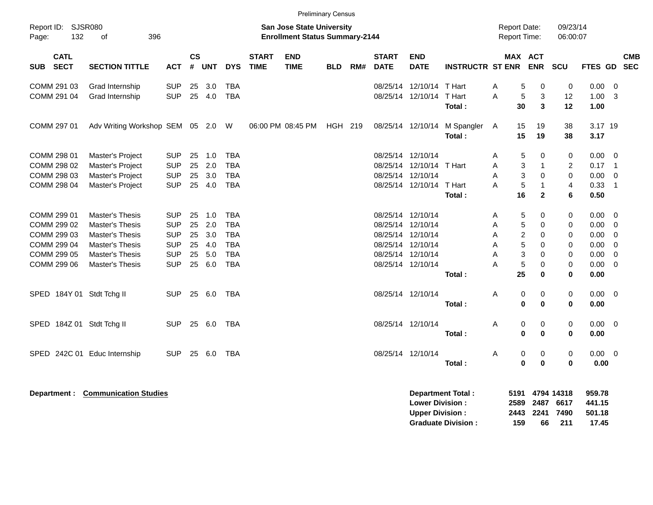|                                                                                        |                                                                                                                       |                                                                                  |                                  |                                        |                                                                                  |                             | <b>Preliminary Census</b> |            |     |                                        |                                                                                                       |                                            |                                                                |                                                                                                 |                                                                      |                                                      |                                                                                   |                          |
|----------------------------------------------------------------------------------------|-----------------------------------------------------------------------------------------------------------------------|----------------------------------------------------------------------------------|----------------------------------|----------------------------------------|----------------------------------------------------------------------------------|-----------------------------|---------------------------|------------|-----|----------------------------------------|-------------------------------------------------------------------------------------------------------|--------------------------------------------|----------------------------------------------------------------|-------------------------------------------------------------------------------------------------|----------------------------------------------------------------------|------------------------------------------------------|-----------------------------------------------------------------------------------|--------------------------|
| Page:                                                                                  | Report ID: SJSR080<br><b>San Jose State University</b><br>132<br><b>Enrollment Status Summary-2144</b><br>396<br>of   |                                                                                  |                                  |                                        |                                                                                  |                             |                           |            |     |                                        |                                                                                                       | <b>Report Date:</b><br><b>Report Time:</b> |                                                                | 09/23/14<br>06:00:07                                                                            |                                                                      |                                                      |                                                                                   |                          |
| <b>CATL</b><br><b>SECT</b><br>SUB                                                      | <b>SECTION TITTLE</b>                                                                                                 | ACT                                                                              | <b>CS</b>                        | # UNT                                  | <b>DYS</b>                                                                       | <b>START</b><br><b>TIME</b> | <b>END</b><br><b>TIME</b> | <b>BLD</b> | RM# | <b>START</b><br><b>DATE</b>            | <b>END</b><br><b>DATE</b>                                                                             | <b>INSTRUCTR ST ENR</b>                    | <b>MAX ACT</b>                                                 | <b>ENR</b>                                                                                      | <b>SCU</b>                                                           | <b>FTES GD</b>                                       |                                                                                   | <b>CMB</b><br><b>SEC</b> |
| COMM 291 03<br>COMM 291 04                                                             | Grad Internship<br>Grad Internship                                                                                    | <b>SUP</b><br><b>SUP</b>                                                         | 25<br>25                         | 3.0<br>4.0                             | <b>TBA</b><br><b>TBA</b>                                                         |                             |                           |            |     | 08/25/14                               | 12/10/14 T Hart<br>08/25/14 12/10/14 T Hart                                                           | Total:                                     | 5<br>A<br>A<br>5<br>30                                         | $\mathbf 0$<br>3<br>$\overline{\mathbf{3}}$                                                     | $\mathbf 0$<br>12<br>12                                              | 0.00<br>1.00<br>1.00                                 | $\overline{0}$<br>- 3                                                             |                          |
| COMM 297 01                                                                            | Adv Writing Workshop SEM 05 2.0 W                                                                                     |                                                                                  |                                  |                                        |                                                                                  |                             | 06:00 PM 08:45 PM         | HGH 219    |     |                                        | 08/25/14 12/10/14                                                                                     | M Spangler<br>Total:                       | 15<br>A<br>15                                                  | 19<br>19                                                                                        | 38<br>38                                                             | 3.17 19<br>3.17                                      |                                                                                   |                          |
| COMM 298 01<br>COMM 298 02<br>COMM 298 03<br>COMM 298 04                               | Master's Project<br>Master's Project<br>Master's Project<br>Master's Project                                          | <b>SUP</b><br><b>SUP</b><br><b>SUP</b><br><b>SUP</b>                             | 25<br>25<br>25<br>25             | 1.0<br>2.0<br>3.0<br>4.0               | <b>TBA</b><br><b>TBA</b><br><b>TBA</b><br><b>TBA</b>                             |                             |                           |            |     | 08/25/14 12/10/14<br>08/25/14 12/10/14 | 08/25/14 12/10/14<br>08/25/14 12/10/14                                                                | T Hart<br>T Hart<br>Total:                 | 5<br>A<br>A<br>3<br>A<br>3<br>5<br>A<br>16                     | $\mathbf 0$<br>$\mathbf{1}$<br>$\mathbf 0$<br>$\mathbf{1}$<br>$\mathbf{2}$                      | 0<br>$\overline{c}$<br>$\mathbf 0$<br>$\overline{4}$<br>6            | 0.00<br>0.17<br>0.00<br>0.33<br>0.50                 | - 0<br>$\overline{1}$<br>$\overline{0}$<br>$\overline{1}$                         |                          |
| COMM 299 01<br>COMM 299 02<br>COMM 299 03<br>COMM 299 04<br>COMM 299 05<br>COMM 299 06 | Master's Thesis<br><b>Master's Thesis</b><br>Master's Thesis<br>Master's Thesis<br>Master's Thesis<br>Master's Thesis | <b>SUP</b><br><b>SUP</b><br><b>SUP</b><br><b>SUP</b><br><b>SUP</b><br><b>SUP</b> | 25<br>25<br>25<br>25<br>25<br>25 | 1.0<br>2.0<br>3.0<br>4.0<br>5.0<br>6.0 | <b>TBA</b><br><b>TBA</b><br><b>TBA</b><br><b>TBA</b><br><b>TBA</b><br><b>TBA</b> |                             |                           |            |     | 08/25/14 12/10/14                      | 08/25/14 12/10/14<br>08/25/14 12/10/14<br>08/25/14 12/10/14<br>08/25/14 12/10/14<br>08/25/14 12/10/14 | Total:                                     | A<br>5<br>5<br>A<br>A<br>2<br>5<br>A<br>3<br>A<br>5<br>A<br>25 | $\mathbf 0$<br>$\mathbf 0$<br>$\mathbf 0$<br>$\mathbf 0$<br>$\Omega$<br>$\mathbf 0$<br>$\bf{0}$ | 0<br>0<br>0<br>$\mathbf 0$<br>$\mathbf 0$<br>$\mathbf 0$<br>$\bf{0}$ | 0.00<br>0.00<br>0.00<br>0.00<br>0.00<br>0.00<br>0.00 | $\overline{0}$<br>$\overline{0}$<br>- 0<br>$\overline{0}$<br>$\Omega$<br>$\Omega$ |                          |
| SPED 184Y 01 Stdt Tchg II                                                              |                                                                                                                       | <b>SUP</b>                                                                       | 25                               | 6.0                                    | TBA                                                                              |                             |                           |            |     |                                        | 08/25/14 12/10/14                                                                                     | Total:                                     | Α<br>0<br>$\bf{0}$                                             | 0<br>$\mathbf{0}$                                                                               | $\pmb{0}$<br>0                                                       | $0.00 \ 0$<br>0.00                                   |                                                                                   |                          |
| SPED 184Z 01 Stdt Tchg II                                                              |                                                                                                                       | <b>SUP</b>                                                                       | 25                               | 6.0                                    | <b>TBA</b>                                                                       |                             |                           |            |     |                                        | 08/25/14 12/10/14                                                                                     | Total:                                     | 0<br>Α<br>0                                                    | $\pmb{0}$<br>$\pmb{0}$                                                                          | $\mathbf 0$<br>$\bf{0}$                                              | 0.00<br>0.00                                         | $\overline{0}$                                                                    |                          |
| SPED 242C 01                                                                           | Educ Internship                                                                                                       | <b>SUP</b>                                                                       | 25                               | 6.0                                    | TBA                                                                              |                             |                           |            |     |                                        | 08/25/14 12/10/14                                                                                     | Total:                                     | 0<br>A<br>0                                                    | 0<br>$\bf{0}$                                                                                   | 0<br>$\mathbf 0$                                                     | $0.00 \t 0$<br>0.00                                  |                                                                                   |                          |

**Department : Communication Studies (2018)**<br>
Department Total : 5191 4794 14318 959.78<br>
Lower Division : 2589 2487 6617 441.15 **Lower Division : 2589 2487 6617 441.15 Upper Division : 2443 2241 7490 501.18 Graduate Division : 159 66 211 17.45**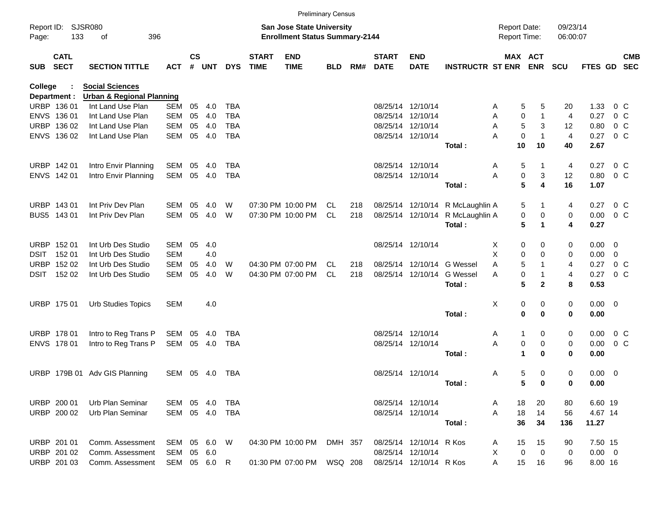|                |                            |                                      |            |                                                                    |            |            |                             |                           | <b>Preliminary Census</b> |     |                             |                            |                                     |                        |                              |                      |                |                |                          |
|----------------|----------------------------|--------------------------------------|------------|--------------------------------------------------------------------|------------|------------|-----------------------------|---------------------------|---------------------------|-----|-----------------------------|----------------------------|-------------------------------------|------------------------|------------------------------|----------------------|----------------|----------------|--------------------------|
| Page:          | Report ID: SJSR080<br>133  | 396<br>οf                            |            | San Jose State University<br><b>Enrollment Status Summary-2144</b> |            |            |                             |                           |                           |     |                             |                            | <b>Report Date:</b><br>Report Time: |                        | 09/23/14<br>06:00:07         |                      |                |                |                          |
| <b>SUB</b>     | <b>CATL</b><br><b>SECT</b> | <b>SECTION TITTLE</b>                | <b>ACT</b> | $\mathsf{cs}$<br>#                                                 | <b>UNT</b> | <b>DYS</b> | <b>START</b><br><b>TIME</b> | <b>END</b><br><b>TIME</b> | <b>BLD</b>                | RM# | <b>START</b><br><b>DATE</b> | <b>END</b><br><b>DATE</b>  | <b>INSTRUCTR ST ENR</b>             |                        | <b>MAX ACT</b><br><b>ENR</b> | <b>SCU</b>           | <b>FTES GD</b> |                | <b>CMB</b><br><b>SEC</b> |
| <b>College</b> |                            | <b>Social Sciences</b>               |            |                                                                    |            |            |                             |                           |                           |     |                             |                            |                                     |                        |                              |                      |                |                |                          |
|                | Department :               | <b>Urban &amp; Regional Planning</b> |            |                                                                    |            |            |                             |                           |                           |     |                             |                            |                                     |                        |                              |                      |                |                |                          |
|                | URBP 136 01                | Int Land Use Plan                    | <b>SEM</b> | 05                                                                 | 4.0        | TBA        |                             |                           |                           |     |                             | 08/25/14 12/10/14          |                                     | Α                      | 5<br>5                       | 20                   | 1.33           |                | $0\,$ C                  |
|                | ENVS 136 01                | Int Land Use Plan                    | <b>SEM</b> | 05                                                                 | 4.0        | <b>TBA</b> |                             |                           |                           |     |                             | 08/25/14 12/10/14          |                                     | Α                      | 0<br>1                       | 4                    | 0.27           |                | $0\,C$                   |
|                | URBP 136 02                | Int Land Use Plan                    | <b>SEM</b> | 05                                                                 | 4.0        | <b>TBA</b> |                             |                           |                           |     |                             | 08/25/14 12/10/14          |                                     | Α                      | 5<br>3                       | 12                   | 0.80           | $0\,C$         |                          |
|                | ENVS 136 02                | Int Land Use Plan                    | <b>SEM</b> | 05                                                                 | 4.0        | <b>TBA</b> |                             |                           |                           |     |                             | 08/25/14 12/10/14          | Total:                              | $\mathbf 0$<br>Α<br>10 | $\mathbf{1}$<br>10           | $\overline{4}$<br>40 | 0.27<br>2.67   | $0\,C$         |                          |
|                |                            |                                      |            |                                                                    |            |            |                             |                           |                           |     |                             |                            |                                     |                        |                              |                      |                |                |                          |
|                | URBP 142 01                | Intro Envir Planning                 | SEM        | 05                                                                 | 4.0        | TBA        |                             |                           |                           |     |                             | 08/25/14 12/10/14          |                                     | Α                      | 5<br>1                       | 4                    | 0.27           | $0\,C$         |                          |
|                | ENVS 142 01                | Intro Envir Planning                 | <b>SEM</b> | 05                                                                 | 4.0        | TBA        |                             |                           |                           |     |                             | 08/25/14 12/10/14          |                                     | Α                      | 0<br>3                       | 12                   | 0.80           |                | 0 <sup>o</sup>           |
|                |                            |                                      |            |                                                                    |            |            |                             |                           |                           |     |                             |                            | Total:                              |                        | 5<br>4                       | 16                   | 1.07           |                |                          |
|                | URBP 143 01                | Int Priv Dev Plan                    | SEM        | 05                                                                 | 4.0        | W          |                             | 07:30 PM 10:00 PM         | CL.                       | 218 |                             |                            | 08/25/14 12/10/14 R McLaughlin A    |                        | 5<br>1                       | 4                    | 0.27           | $0\,$ C        |                          |
|                | BUS5 143 01                | Int Priv Dev Plan                    | <b>SEM</b> | 05                                                                 | 4.0        | W          |                             | 07:30 PM 10:00 PM         | <b>CL</b>                 | 218 |                             | 08/25/14 12/10/14          | R McLaughlin A                      |                        | 0<br>0                       | 0                    | 0.00           | 0 <sup>o</sup> |                          |
|                |                            |                                      |            |                                                                    |            |            |                             |                           |                           |     |                             |                            | Total:                              |                        | 5<br>$\mathbf 1$             | 4                    | 0.27           |                |                          |
|                | URBP 152 01                | Int Urb Des Studio                   | SEM        | 05                                                                 | 4.0        |            |                             |                           |                           |     |                             | 08/25/14 12/10/14          |                                     | X                      | 0<br>0                       | 0                    | $0.00 \t 0$    |                |                          |
| DSIT           | 152 01                     | Int Urb Des Studio                   | <b>SEM</b> |                                                                    | 4.0        |            |                             |                           |                           |     |                             |                            |                                     | X                      | 0<br>0                       | 0                    | 0.00           | - 0            |                          |
|                | URBP 152 02                | Int Urb Des Studio                   | <b>SEM</b> | 05                                                                 | 4.0        | W          |                             | 04:30 PM 07:00 PM         | CL                        | 218 |                             | 08/25/14 12/10/14 G Wessel |                                     | A                      | 5<br>1                       | 4                    | 0.27           | $0\,C$         |                          |
|                | DSIT 152 02                | Int Urb Des Studio                   | <b>SEM</b> | 05                                                                 | 4.0        | W          |                             | 04:30 PM 07:00 PM         | <b>CL</b>                 | 218 |                             | 08/25/14 12/10/14          | <b>G</b> Wessel                     | A                      | 0<br>1                       | 4                    | 0.27           | $0\,$ C        |                          |
|                |                            |                                      |            |                                                                    |            |            |                             |                           |                           |     |                             |                            | Total:                              |                        | 5<br>$\overline{2}$          | 8                    | 0.53           |                |                          |
|                | URBP 175 01                | <b>Urb Studies Topics</b>            | <b>SEM</b> |                                                                    | 4.0        |            |                             |                           |                           |     |                             |                            |                                     | х                      | 0<br>0                       | 0                    | $0.00 \t 0$    |                |                          |
|                |                            |                                      |            |                                                                    |            |            |                             |                           |                           |     |                             |                            | Total:                              |                        | 0<br>0                       | 0                    | 0.00           |                |                          |
|                | URBP 178 01                | Intro to Reg Trans P                 | SEM        | 05                                                                 | 4.0        | TBA        |                             |                           |                           |     |                             | 08/25/14 12/10/14          |                                     | Α                      | 0<br>1                       | 0                    | 0.00           | $0\,C$         |                          |
|                | ENVS 178 01                | Intro to Reg Trans P                 | <b>SEM</b> |                                                                    | 05 4.0     | TBA        |                             |                           |                           |     |                             | 08/25/14 12/10/14          |                                     | Α                      | 0<br>0                       | 0                    | 0.00           |                | 0 <sup>o</sup>           |
|                |                            |                                      |            |                                                                    |            |            |                             |                           |                           |     |                             |                            | Total:                              |                        | 1<br>$\bf{0}$                | 0                    | 0.00           |                |                          |
|                |                            | URBP 179B 01 Adv GIS Planning        | SEM        |                                                                    | 05 4.0     | TBA        |                             |                           |                           |     |                             | 08/25/14 12/10/14          |                                     | Α                      | 5<br>0                       | 0                    | $0.00 \t 0$    |                |                          |
|                |                            |                                      |            |                                                                    |            |            |                             |                           |                           |     |                             |                            | Total:                              |                        | 5<br>0                       | 0                    | 0.00           |                |                          |
|                | URBP 200 01                | Urb Plan Seminar                     | SEM        |                                                                    | 05 4.0     | TBA        |                             |                           |                           |     |                             | 08/25/14 12/10/14          |                                     | 18<br>Α                | 20                           | 80                   | 6.60 19        |                |                          |
|                | URBP 200 02                | Urb Plan Seminar                     | SEM        |                                                                    | 05 4.0     | TBA        |                             |                           |                           |     |                             | 08/25/14 12/10/14          |                                     | 18<br>Α                | 14                           | 56                   | 4.67 14        |                |                          |
|                |                            |                                      |            |                                                                    |            |            |                             |                           |                           |     |                             |                            | Total:                              | 36                     | 34                           | 136                  | 11.27          |                |                          |
|                | URBP 201 01                | Comm. Assessment                     | SEM        |                                                                    | 05 6.0 W   |            |                             | 04:30 PM 10:00 PM         | DMH 357                   |     |                             | 08/25/14 12/10/14 R Kos    |                                     | 15<br>A                | 15                           | 90                   | 7.50 15        |                |                          |
|                | URBP 201 02                | Comm. Assessment                     | SEM        |                                                                    | 05 6.0     |            |                             |                           |                           |     |                             | 08/25/14 12/10/14          |                                     | 0<br>X                 | 0                            | 0                    | $0.00 \t 0$    |                |                          |
|                | URBP 201 03                | Comm. Assessment                     | SEM        |                                                                    | 05 6.0 R   |            |                             | 01:30 PM 07:00 PM         | WSQ 208                   |     |                             | 08/25/14 12/10/14 R Kos    |                                     | 15<br>Α                | 16                           | 96                   | 8.00 16        |                |                          |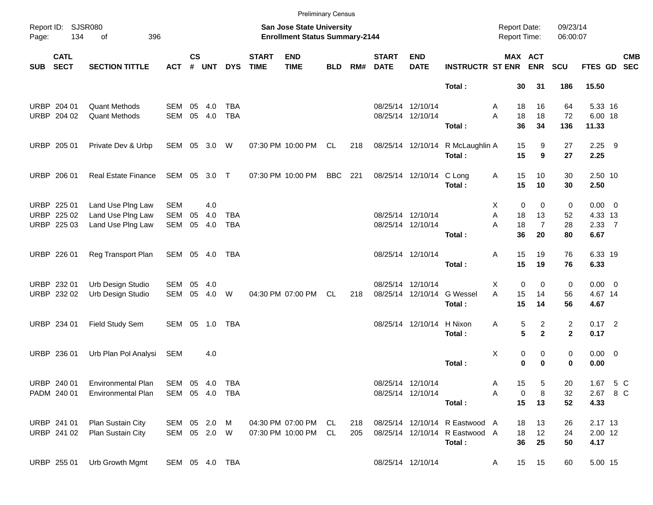|       |                            |                            |              |                                                                    |            |                |                             | <b>Preliminary Census</b> |            |     |                             |                           |                                                                    |                  |                       |                |                |            |
|-------|----------------------------|----------------------------|--------------|--------------------------------------------------------------------|------------|----------------|-----------------------------|---------------------------|------------|-----|-----------------------------|---------------------------|--------------------------------------------------------------------|------------------|-----------------------|----------------|----------------|------------|
| Page: | Report ID: SJSR080<br>134  | 396<br>of                  |              | San Jose State University<br><b>Enrollment Status Summary-2144</b> |            |                |                             |                           |            |     |                             |                           | <b>Report Date:</b><br>09/23/14<br><b>Report Time:</b><br>06:00:07 |                  |                       |                |                |            |
| SUB   | <b>CATL</b><br><b>SECT</b> | <b>SECTION TITTLE</b>      | <b>ACT</b>   | $\mathsf{cs}$<br>#                                                 | <b>UNT</b> | <b>DYS</b>     | <b>START</b><br><b>TIME</b> | <b>END</b><br><b>TIME</b> | <b>BLD</b> | RM# | <b>START</b><br><b>DATE</b> | <b>END</b><br><b>DATE</b> | <b>INSTRUCTR ST ENR</b>                                            |                  | MAX ACT<br><b>ENR</b> | SCU            | FTES GD SEC    | <b>CMB</b> |
|       |                            |                            |              |                                                                    |            |                |                             |                           |            |     |                             |                           | Total:                                                             | 30               | 31                    | 186            | 15.50          |            |
|       | URBP 204 01                | <b>Quant Methods</b>       | SEM          | 05                                                                 | 4.0        | <b>TBA</b>     |                             |                           |            |     |                             | 08/25/14 12/10/14         |                                                                    | 18<br>A          | 16                    | 64             | 5.33 16        |            |
|       | URBP 204 02                | <b>Quant Methods</b>       | SEM          | 05                                                                 | 4.0        | <b>TBA</b>     |                             |                           |            |     |                             | 08/25/14 12/10/14         |                                                                    | A<br>18          | 18                    | 72             | 6.00 18        |            |
|       |                            |                            |              |                                                                    |            |                |                             |                           |            |     |                             |                           | Total:                                                             | 36               | 34                    | 136            | 11.33          |            |
|       | URBP 205 01                | Private Dev & Urbp         | SEM 05 3.0 W |                                                                    |            |                |                             | 07:30 PM 10:00 PM         | CL.        | 218 |                             | 08/25/14 12/10/14         | R McLaughlin A                                                     | 15               | 9                     | 27             | $2.25$ 9       |            |
|       |                            |                            |              |                                                                    |            |                |                             |                           |            |     |                             |                           | Total:                                                             | 15               | 9                     | 27             | 2.25           |            |
|       | URBP 206 01                | <b>Real Estate Finance</b> | SEM 05 3.0 T |                                                                    |            |                |                             | 07:30 PM 10:00 PM         | <b>BBC</b> | 221 |                             | 08/25/14 12/10/14         | C Long                                                             | 15<br>Α          | 10                    | 30             | 2.50 10        |            |
|       |                            |                            |              |                                                                    |            |                |                             |                           |            |     |                             |                           | Total:                                                             | 15               | 10                    | 30             | 2.50           |            |
|       | URBP 225 01                | Land Use PIng Law          | <b>SEM</b>   |                                                                    | 4.0        |                |                             |                           |            |     |                             |                           |                                                                    | $\mathbf 0$<br>Х | 0                     | 0              | $0.00 \t 0$    |            |
|       | URBP 225 02                | Land Use PIng Law          | <b>SEM</b>   | 05                                                                 | 4.0        | <b>TBA</b>     |                             |                           |            |     |                             | 08/25/14 12/10/14         |                                                                    | A<br>18          | 13                    | 52             | 4.33 13        |            |
|       | URBP 225 03                | Land Use Plng Law          | SEM          | 05                                                                 | 4.0        | <b>TBA</b>     |                             |                           |            |     |                             | 08/25/14 12/10/14         |                                                                    | A<br>18<br>36    | $\overline{7}$        | 28             | $2.33 \quad 7$ |            |
|       |                            |                            |              |                                                                    |            |                |                             |                           |            |     |                             |                           | Total:                                                             |                  | 20                    | 80             | 6.67           |            |
|       | URBP 226 01                | Reg Transport Plan         | SEM 05 4.0   |                                                                    |            | <b>TBA</b>     |                             |                           |            |     |                             | 08/25/14 12/10/14         |                                                                    | 15<br>Α          | 19                    | 76             | 6.33 19        |            |
|       |                            |                            |              |                                                                    |            |                |                             |                           |            |     |                             |                           | Total:                                                             | 15               | 19                    | 76             | 6.33           |            |
|       | URBP 232 01                | Urb Design Studio          | SEM          | 05                                                                 | 4.0        |                |                             |                           |            |     |                             | 08/25/14 12/10/14         |                                                                    | 0<br>Х           | 0                     | 0              | $0.00 \t 0$    |            |
|       | URBP 232 02                | Urb Design Studio          | SEM          | 05                                                                 | 4.0        | W              |                             | 04:30 PM 07:00 PM         | CL.        | 218 |                             | 08/25/14 12/10/14         | <b>G</b> Wessel                                                    | A<br>15          | 14                    | 56             | 4.67 14        |            |
|       |                            |                            |              |                                                                    |            |                |                             |                           |            |     |                             |                           | Total:                                                             | 15               | 14                    | 56             | 4.67           |            |
|       | URBP 234 01                | Field Study Sem            | SEM 05 1.0   |                                                                    |            | TBA            |                             |                           |            |     |                             | 08/25/14 12/10/14         | H Nixon                                                            | Α                | 5<br>2                | $\overline{c}$ | $0.17$ 2       |            |
|       |                            |                            |              |                                                                    |            |                |                             |                           |            |     |                             |                           | Total:                                                             |                  | 5<br>$\mathbf{2}$     | $\mathbf{2}$   | 0.17           |            |
|       | URBP 236 01                | Urb Plan Pol Analysi       | <b>SEM</b>   |                                                                    | 4.0        |                |                             |                           |            |     |                             |                           |                                                                    | X                | 0<br>0                | 0              | $0.00 \t 0$    |            |
|       |                            |                            |              |                                                                    |            |                |                             |                           |            |     |                             |                           | Total:                                                             | 0                | $\bf{0}$              | 0              | 0.00           |            |
|       | URBP 240 01                | <b>Environmental Plan</b>  | SEM 05 4.0   |                                                                    |            | TBA            |                             |                           |            |     |                             | 08/25/14 12/10/14         |                                                                    | 15<br>A          | 5                     | 20             | 1.67 5 C       |            |
|       | PADM 240 01                | Environmental Plan         |              |                                                                    |            | SEM 05 4.0 TBA |                             |                           |            |     |                             | 08/25/14 12/10/14         |                                                                    | $\mathbf 0$<br>Α | 8                     | 32             | 2.67 8 C       |            |
|       |                            |                            |              |                                                                    |            |                |                             |                           |            |     |                             |                           | Total:                                                             | 15               | 13                    | 52             | 4.33           |            |
|       | URBP 241 01                | Plan Sustain City          | SEM 05 2.0 M |                                                                    |            |                |                             | 04:30 PM 07:00 PM         | CL         | 218 |                             |                           | 08/25/14 12/10/14 R Eastwood A                                     | 18               | 13                    | 26             | 2.17 13        |            |
|       | URBP 241 02                | Plan Sustain City          | SEM 05 2.0 W |                                                                    |            |                |                             | 07:30 PM 10:00 PM         | CL         | 205 |                             |                           | 08/25/14 12/10/14 R Eastwood A                                     | 18               | 12                    | 24             | 2.00 12        |            |
|       |                            |                            |              |                                                                    |            |                |                             |                           |            |     |                             |                           | Total:                                                             | 36               | 25                    | 50             | 4.17           |            |
|       | URBP 255 01                | Urb Growth Mgmt            |              |                                                                    |            | SEM 05 4.0 TBA |                             |                           |            |     |                             | 08/25/14 12/10/14         |                                                                    | 15<br>A          | 15                    | 60             | 5.00 15        |            |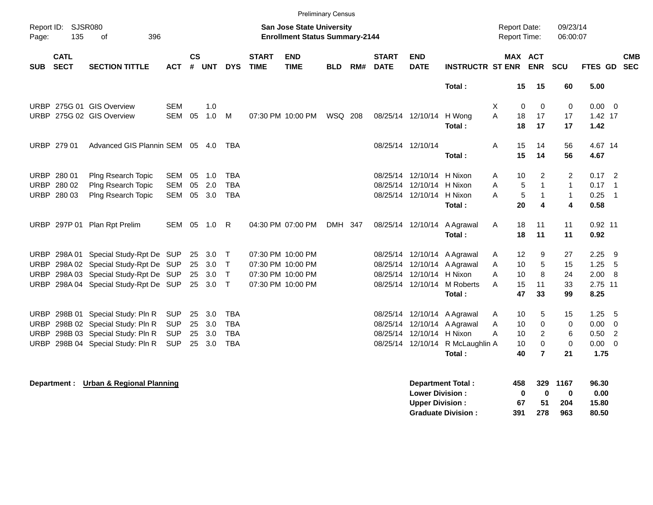|                                                                                        |                            |                                      |            |                |            |              |                             | <b>Preliminary Census</b> |                                       |     |                             |                           |                                  |                                     |                       |                |                      |                |                            |                          |
|----------------------------------------------------------------------------------------|----------------------------|--------------------------------------|------------|----------------|------------|--------------|-----------------------------|---------------------------|---------------------------------------|-----|-----------------------------|---------------------------|----------------------------------|-------------------------------------|-----------------------|----------------|----------------------|----------------|----------------------------|--------------------------|
| <b>SJSR080</b><br>San Jose State University<br>Report ID:<br>135<br>οf<br>396<br>Page: |                            |                                      |            |                |            |              |                             |                           | <b>Enrollment Status Summary-2144</b> |     |                             |                           |                                  | Report Date:<br><b>Report Time:</b> |                       |                | 09/23/14<br>06:00:07 |                |                            |                          |
| <b>SUB</b>                                                                             | <b>CATL</b><br><b>SECT</b> | <b>SECTION TITTLE</b>                | <b>ACT</b> | <b>CS</b><br># | <b>UNT</b> | <b>DYS</b>   | <b>START</b><br><b>TIME</b> | <b>END</b><br><b>TIME</b> | <b>BLD</b>                            | RM# | <b>START</b><br><b>DATE</b> | <b>END</b><br><b>DATE</b> | <b>INSTRUCTR ST ENR</b>          |                                     | MAX ACT<br><b>ENR</b> |                | SCU                  | <b>FTES GD</b> |                            | <b>CMB</b><br><b>SEC</b> |
|                                                                                        |                            |                                      |            |                |            |              |                             |                           |                                       |     |                             |                           | Total:                           |                                     | 15                    | 15             | 60                   | 5.00           |                            |                          |
|                                                                                        |                            | URBP 275G 01 GIS Overview            | SEM        |                | 1.0        |              |                             |                           |                                       |     |                             |                           |                                  | X                                   | 0                     | $\mathbf 0$    | 0                    | $0.00 \t 0$    |                            |                          |
|                                                                                        |                            | URBP 275G 02 GIS Overview            | <b>SEM</b> | 05             | 1.0        | M            |                             | 07:30 PM 10:00 PM         | <b>WSQ 208</b>                        |     |                             | 08/25/14 12/10/14 H Wong  |                                  | A                                   | 18                    | 17             | 17                   | 1.42 17        |                            |                          |
|                                                                                        |                            |                                      |            |                |            |              |                             |                           |                                       |     |                             |                           | Total:                           |                                     | 18                    | 17             | 17                   | 1.42           |                            |                          |
|                                                                                        | URBP 279 01                | Advanced GIS Plannin SEM 05 4.0      |            |                |            | <b>TBA</b>   |                             |                           |                                       |     |                             | 08/25/14 12/10/14         |                                  | Α                                   | 15                    | 14             | 56                   | 4.67 14        |                            |                          |
|                                                                                        |                            |                                      |            |                |            |              |                             |                           |                                       |     |                             |                           | Total:                           |                                     | 15                    | 14             | 56                   | 4.67           |                            |                          |
|                                                                                        | URBP 280 01                | Plng Rsearch Topic                   | SEM        | 05             | 1.0        | <b>TBA</b>   |                             |                           |                                       |     |                             | 08/25/14 12/10/14 H Nixon |                                  | A                                   | 10                    | 2              | 2                    | $0.17$ 2       |                            |                          |
|                                                                                        | URBP 280 02                | Plng Rsearch Topic                   | <b>SEM</b> | 05             | 2.0        | <b>TBA</b>   |                             |                           |                                       |     |                             | 08/25/14 12/10/14 H Nixon |                                  | Α                                   | 5                     | $\mathbf{1}$   | $\mathbf{1}$         | 0.17           | $\overline{\phantom{0}}$ 1 |                          |
|                                                                                        | URBP 280 03                | Plng Rsearch Topic                   | SEM        | 05             | 3.0        | <b>TBA</b>   |                             |                           |                                       |     |                             | 08/25/14 12/10/14 H Nixon |                                  | A                                   | $\sqrt{5}$            | 1              | $\mathbf{1}$         | 0.25           | $\overline{\phantom{0}}$ 1 |                          |
|                                                                                        |                            |                                      |            |                |            |              |                             |                           |                                       |     |                             |                           | Total:                           |                                     | 20                    | 4              | 4                    | 0.58           |                            |                          |
|                                                                                        |                            | URBP 297P 01 Plan Rpt Prelim         | SEM 05     |                | 1.0 R      |              |                             | 04:30 PM 07:00 PM         | DMH 347                               |     |                             |                           | 08/25/14 12/10/14 A Agrawal      | Α                                   | 18                    | 11             | 11                   | $0.92$ 11      |                            |                          |
|                                                                                        |                            |                                      |            |                |            |              |                             |                           |                                       |     |                             |                           | Total:                           |                                     | 18                    | 11             | 11                   | 0.92           |                            |                          |
|                                                                                        | URBP 298A01                | Special Study-Rpt De SUP             |            |                | 25 3.0     | $\top$       |                             | 07:30 PM 10:00 PM         |                                       |     |                             | 08/25/14 12/10/14         | A Agrawal                        | A                                   | 12                    | 9              | 27                   | 2.25           | - 9                        |                          |
| <b>URBP</b>                                                                            |                            | 298A 02 Special Study-Rpt De SUP     |            | 25             | 3.0        | $\top$       |                             | 07:30 PM 10:00 PM         |                                       |     |                             |                           | 08/25/14 12/10/14 A Agrawal      | A                                   | 10                    | 5              | 15                   | $1.25 - 5$     |                            |                          |
| <b>URBP</b>                                                                            |                            | 298A 03 Special Study-Rpt De SUP     |            | 25             | 3.0        | $\mathsf{T}$ |                             | 07:30 PM 10:00 PM         |                                       |     |                             | 08/25/14 12/10/14 H Nixon |                                  | A                                   | 10                    | 8              | 24                   | 2.00 8         |                            |                          |
| <b>URBP</b>                                                                            |                            | 298A 04 Special Study-Rpt De SUP     |            |                | 25 3.0     | $\mathsf{T}$ |                             | 07:30 PM 10:00 PM         |                                       |     |                             | 08/25/14 12/10/14         | M Roberts                        | A                                   | 15                    | 11             | 33                   | 2.75 11        |                            |                          |
|                                                                                        |                            |                                      |            |                |            |              |                             |                           |                                       |     |                             |                           | Total:                           |                                     | 47                    | 33             | 99                   | 8.25           |                            |                          |
| <b>URBP</b>                                                                            |                            | 298B 01 Special Study: Pln R         | <b>SUP</b> | 25             | 3.0        | <b>TBA</b>   |                             |                           |                                       |     |                             |                           | 08/25/14 12/10/14 A Agrawal      | A                                   | 10                    | 5              | 15                   | 1.25           | - 5                        |                          |
| URBP                                                                                   |                            | 298B 02 Special Study: Pln R         | <b>SUP</b> | 25             | 3.0        | <b>TBA</b>   |                             |                           |                                       |     |                             |                           | 08/25/14 12/10/14 A Agrawal      | Α                                   | 10                    | $\mathbf 0$    | 0                    | $0.00 \t 0$    |                            |                          |
| <b>URBP</b>                                                                            |                            | 298B 03 Special Study: Pln R         | <b>SUP</b> | 25             | 3.0        | <b>TBA</b>   |                             |                           |                                       |     |                             | 08/25/14 12/10/14 H Nixon |                                  | A                                   | 10                    | 2              | 6                    | $0.50$ 2       |                            |                          |
|                                                                                        |                            | URBP 298B 04 Special Study: Pln R    | <b>SUP</b> | 25             | 3.0        | <b>TBA</b>   |                             |                           |                                       |     |                             |                           | 08/25/14 12/10/14 R McLaughlin A |                                     | 10                    | $\mathbf 0$    | $\mathbf 0$          | $0.00 \t 0$    |                            |                          |
|                                                                                        |                            |                                      |            |                |            |              |                             |                           |                                       |     |                             |                           | Total:                           |                                     | 40                    | $\overline{7}$ | 21                   | 1.75           |                            |                          |
|                                                                                        | Department :               | <b>Urban &amp; Regional Planning</b> |            |                |            |              |                             |                           |                                       |     |                             | <b>Lower Division:</b>    | <b>Department Total:</b>         |                                     | 458<br>0              | 329<br>0       | 1167<br>0            | 96.30<br>0.00  |                            |                          |
|                                                                                        |                            |                                      |            |                |            |              |                             |                           |                                       |     |                             | <b>Upper Division:</b>    |                                  |                                     | 67                    | 51             | 204                  | 15.80          |                            |                          |

**Graduate Division : 391 278 963 80.50**